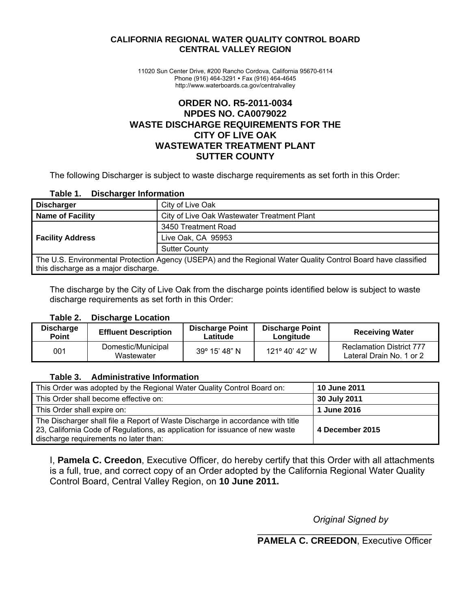#### **CALIFORNIA REGIONAL WATER QUALITY CONTROL BOARD CENTRAL VALLEY REGION**

 11020 Sun Center Drive, #200 Rancho Cordova, California 95670-6114 Phone (916) 464-3291 • Fax (916) 464-4645 http://www.waterboards.ca.gov/centralvalley

## **ORDER NO. R5-2011-0034 NPDES NO. CA0079022 WASTE DISCHARGE REQUIREMENTS FOR THE CITY OF LIVE OAK WASTEWATER TREATMENT PLANT SUTTER COUNTY**

The following Discharger is subject to waste discharge requirements as set forth in this Order:

#### **Table 1. Discharger Information**

| <b>Discharger</b>                                                                                             | City of Live Oak                            |  |  |  |  |
|---------------------------------------------------------------------------------------------------------------|---------------------------------------------|--|--|--|--|
| <b>Name of Facility</b>                                                                                       | City of Live Oak Wastewater Treatment Plant |  |  |  |  |
|                                                                                                               | 3450 Treatment Road                         |  |  |  |  |
| <b>Facility Address</b>                                                                                       | Live Oak, CA 95953                          |  |  |  |  |
|                                                                                                               | <b>Sutter County</b>                        |  |  |  |  |
| The U.S. Environmental Protection Agency (USEPA) and the Regional Water Quality Control Board have classified |                                             |  |  |  |  |
| this discharge as a major discharge.                                                                          |                                             |  |  |  |  |

The discharge by the City of Live Oak from the discharge points identified below is subject to waste discharge requirements as set forth in this Order:

#### **Table 2. Discharge Location**

| <b>Discharge</b><br><b>Point</b> | <b>Effluent Description</b>      | <b>Discharge Point</b><br>Latitude | <b>Discharge Point</b><br>Longitude | <b>Receiving Water</b>                                      |
|----------------------------------|----------------------------------|------------------------------------|-------------------------------------|-------------------------------------------------------------|
| 001                              | Domestic/Municipal<br>Wastewater | $39^{\circ}$ 15' 48" N             | $121^{\circ}$ 40' 42" W             | <b>Reclamation District 777</b><br>Lateral Drain No. 1 or 2 |

#### **Table 3. Administrative Information**

| This Order was adopted by the Regional Water Quality Control Board on:                                                                                                                                  | <b>10 June 2011</b> |
|---------------------------------------------------------------------------------------------------------------------------------------------------------------------------------------------------------|---------------------|
| This Order shall become effective on:                                                                                                                                                                   | 30 July 2011        |
| This Order shall expire on:                                                                                                                                                                             | 1 June 2016         |
| The Discharger shall file a Report of Waste Discharge in accordance with title<br>23, California Code of Regulations, as application for issuance of new waste<br>discharge requirements no later than: | 4 December 2015     |

I, **Pamela C. Creedon**, Executive Officer, do hereby certify that this Order with all attachments is a full, true, and correct copy of an Order adopted by the California Regional Water Quality Control Board, Central Valley Region, on **10 June 2011.**

*Original Signed by* 

 $\_$ **PAMELA C. CREEDON**, Executive Officer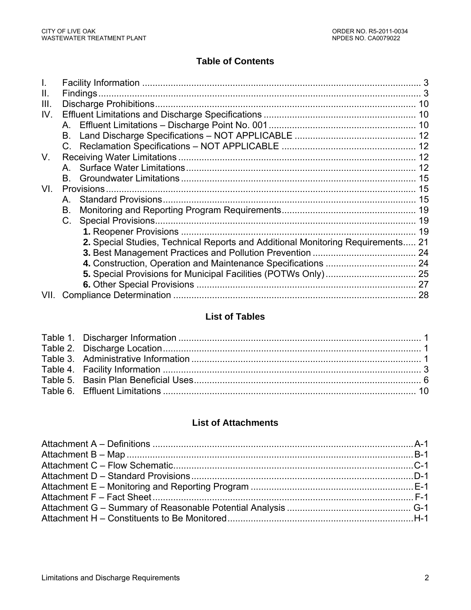# **Table of Contents**

| Ш.   |                                                                                 |  |
|------|---------------------------------------------------------------------------------|--|
| III. |                                                                                 |  |
| IV.  |                                                                                 |  |
|      |                                                                                 |  |
|      | B. .                                                                            |  |
|      | $C_{\cdot}$                                                                     |  |
| V.   |                                                                                 |  |
|      |                                                                                 |  |
|      | B.                                                                              |  |
| VI.  |                                                                                 |  |
|      | A                                                                               |  |
|      | В.                                                                              |  |
|      | C.                                                                              |  |
|      |                                                                                 |  |
|      | 2. Special Studies, Technical Reports and Additional Monitoring Requirements 21 |  |
|      |                                                                                 |  |
|      |                                                                                 |  |
|      |                                                                                 |  |
|      |                                                                                 |  |
| VII. |                                                                                 |  |

# **List of Tables**

## **List of Attachments**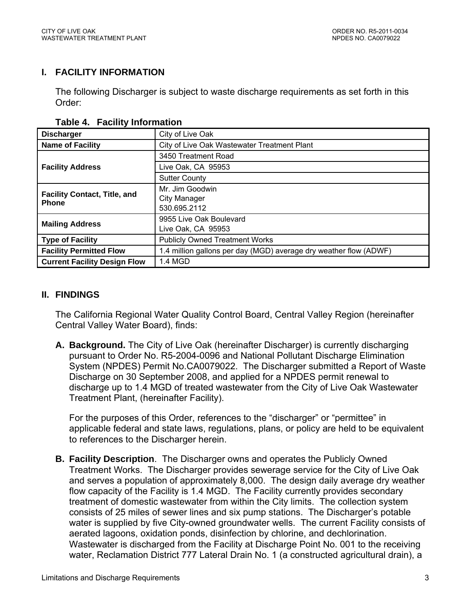## **I. FACILITY INFORMATION**

The following Discharger is subject to waste discharge requirements as set forth in this Order:

| <b>Discharger</b>                                                                                   | City of Live Oak                            |  |  |
|-----------------------------------------------------------------------------------------------------|---------------------------------------------|--|--|
| <b>Name of Facility</b>                                                                             | City of Live Oak Wastewater Treatment Plant |  |  |
|                                                                                                     | 3450 Treatment Road                         |  |  |
| <b>Facility Address</b>                                                                             | Live Oak, CA 95953                          |  |  |
|                                                                                                     | <b>Sutter County</b>                        |  |  |
|                                                                                                     | Mr. Jim Goodwin                             |  |  |
| <b>Facility Contact, Title, and</b><br><b>Phone</b>                                                 | City Manager                                |  |  |
|                                                                                                     | 530.695.2112                                |  |  |
| <b>Mailing Address</b>                                                                              | 9955 Live Oak Boulevard                     |  |  |
|                                                                                                     | Live Oak, CA 95953                          |  |  |
| <b>Type of Facility</b>                                                                             | <b>Publicly Owned Treatment Works</b>       |  |  |
| 1.4 million gallons per day (MGD) average dry weather flow (ADWF)<br><b>Facility Permitted Flow</b> |                                             |  |  |
| 1.4 MGD<br><b>Current Facility Design Flow</b>                                                      |                                             |  |  |

#### **Table 4. Facility Information**

#### **II. FINDINGS**

The California Regional Water Quality Control Board, Central Valley Region (hereinafter Central Valley Water Board), finds:

**A. Background.** The City of Live Oak (hereinafter Discharger) is currently discharging pursuant to Order No. R5-2004-0096 and National Pollutant Discharge Elimination System (NPDES) Permit No.CA0079022. The Discharger submitted a Report of Waste Discharge on 30 September 2008, and applied for a NPDES permit renewal to discharge up to 1.4 MGD of treated wastewater from the City of Live Oak Wastewater Treatment Plant, (hereinafter Facility).

For the purposes of this Order, references to the "discharger" or "permittee" in applicable federal and state laws, regulations, plans, or policy are held to be equivalent to references to the Discharger herein.

**B. Facility Description**. The Discharger owns and operates the Publicly Owned Treatment Works. The Discharger provides sewerage service for the City of Live Oak and serves a population of approximately 8,000. The design daily average dry weather flow capacity of the Facility is 1.4 MGD. The Facility currently provides secondary treatment of domestic wastewater from within the City limits. The collection system consists of 25 miles of sewer lines and six pump stations. The Discharger's potable water is supplied by five City-owned groundwater wells. The current Facility consists of aerated lagoons, oxidation ponds, disinfection by chlorine, and dechlorination. Wastewater is discharged from the Facility at Discharge Point No. 001 to the receiving water, Reclamation District 777 Lateral Drain No. 1 (a constructed agricultural drain), a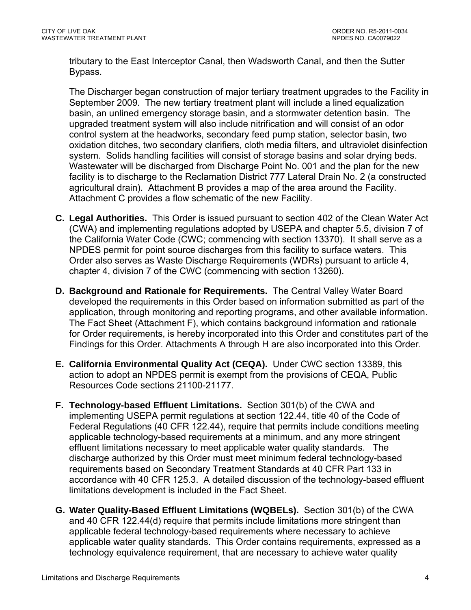tributary to the East Interceptor Canal, then Wadsworth Canal, and then the Sutter Bypass.

The Discharger began construction of major tertiary treatment upgrades to the Facility in September 2009. The new tertiary treatment plant will include a lined equalization basin, an unlined emergency storage basin, and a stormwater detention basin. The upgraded treatment system will also include nitrification and will consist of an odor control system at the headworks, secondary feed pump station, selector basin, two oxidation ditches, two secondary clarifiers, cloth media filters, and ultraviolet disinfection system. Solids handling facilities will consist of storage basins and solar drying beds. Wastewater will be discharged from Discharge Point No. 001 and the plan for the new facility is to discharge to the Reclamation District 777 Lateral Drain No. 2 (a constructed agricultural drain). Attachment B provides a map of the area around the Facility. Attachment C provides a flow schematic of the new Facility.

- **C. Legal Authorities.** This Order is issued pursuant to section 402 of the Clean Water Act (CWA) and implementing regulations adopted by USEPA and chapter 5.5, division 7 of the California Water Code (CWC; commencing with section 13370). It shall serve as a NPDES permit for point source discharges from this facility to surface waters. This Order also serves as Waste Discharge Requirements (WDRs) pursuant to article 4, chapter 4, division 7 of the CWC (commencing with section 13260).
- **D. Background and Rationale for Requirements.** The Central Valley Water Board developed the requirements in this Order based on information submitted as part of the application, through monitoring and reporting programs, and other available information. The Fact Sheet (Attachment F), which contains background information and rationale for Order requirements, is hereby incorporated into this Order and constitutes part of the Findings for this Order. Attachments A through H are also incorporated into this Order.
- **E. California Environmental Quality Act (CEQA).** Under CWC section 13389, this action to adopt an NPDES permit is exempt from the provisions of CEQA, Public Resources Code sections 21100-21177.
- **F. Technology-based Effluent Limitations.** Section 301(b) of the CWA and implementing USEPA permit regulations at section 122.44, title 40 of the Code of Federal Regulations (40 CFR 122.44), require that permits include conditions meeting applicable technology-based requirements at a minimum, and any more stringent effluent limitations necessary to meet applicable water quality standards. The discharge authorized by this Order must meet minimum federal technology-based requirements based on Secondary Treatment Standards at 40 CFR Part 133 in accordance with 40 CFR 125.3. A detailed discussion of the technology-based effluent limitations development is included in the Fact Sheet.
- **G. Water Quality-Based Effluent Limitations (WQBELs).** Section 301(b) of the CWA and 40 CFR 122.44(d) require that permits include limitations more stringent than applicable federal technology-based requirements where necessary to achieve applicable water quality standards. This Order contains requirements, expressed as a technology equivalence requirement, that are necessary to achieve water quality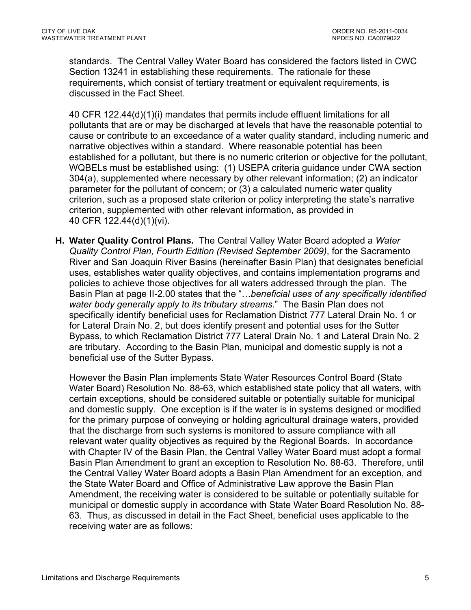standards. The Central Valley Water Board has considered the factors listed in CWC Section 13241 in establishing these requirements. The rationale for these requirements, which consist of tertiary treatment or equivalent requirements, is discussed in the Fact Sheet.

40 CFR 122.44(d)(1)(i) mandates that permits include effluent limitations for all pollutants that are or may be discharged at levels that have the reasonable potential to cause or contribute to an exceedance of a water quality standard, including numeric and narrative objectives within a standard. Where reasonable potential has been established for a pollutant, but there is no numeric criterion or objective for the pollutant, WQBELs must be established using: (1) USEPA criteria guidance under CWA section 304(a), supplemented where necessary by other relevant information; (2) an indicator parameter for the pollutant of concern; or (3) a calculated numeric water quality criterion, such as a proposed state criterion or policy interpreting the state's narrative criterion, supplemented with other relevant information, as provided in 40 CFR 122.44(d)(1)(vi).

**H. Water Quality Control Plans.** The Central Valley Water Board adopted a *Water Quality Control Plan, Fourth Edition (Revised September 2009)*, for the Sacramento River and San Joaquin River Basins (hereinafter Basin Plan) that designates beneficial uses, establishes water quality objectives, and contains implementation programs and policies to achieve those objectives for all waters addressed through the plan. The Basin Plan at page II-2.00 states that the "…*beneficial uses of any specifically identified water body generally apply to its tributary streams*." The Basin Plan does not specifically identify beneficial uses for Reclamation District 777 Lateral Drain No. 1 or for Lateral Drain No. 2, but does identify present and potential uses for the Sutter Bypass, to which Reclamation District 777 Lateral Drain No. 1 and Lateral Drain No. 2 are tributary. According to the Basin Plan, municipal and domestic supply is not a beneficial use of the Sutter Bypass.

However the Basin Plan implements State Water Resources Control Board (State Water Board) Resolution No. 88-63, which established state policy that all waters, with certain exceptions, should be considered suitable or potentially suitable for municipal and domestic supply. One exception is if the water is in systems designed or modified for the primary purpose of conveying or holding agricultural drainage waters, provided that the discharge from such systems is monitored to assure compliance with all relevant water quality objectives as required by the Regional Boards. In accordance with Chapter IV of the Basin Plan, the Central Valley Water Board must adopt a formal Basin Plan Amendment to grant an exception to Resolution No. 88-63. Therefore, until the Central Valley Water Board adopts a Basin Plan Amendment for an exception, and the State Water Board and Office of Administrative Law approve the Basin Plan Amendment, the receiving water is considered to be suitable or potentially suitable for municipal or domestic supply in accordance with State Water Board Resolution No. 88- 63. Thus, as discussed in detail in the Fact Sheet, beneficial uses applicable to the receiving water are as follows: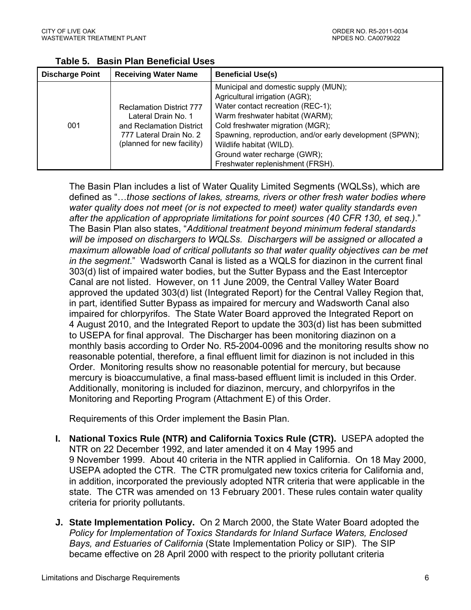| <b>Discharge Point</b> | <b>Receiving Water Name</b>                                                                                                                 | <b>Beneficial Use(s)</b>                                                                                                                                                                                                                                                                                                                       |  |  |
|------------------------|---------------------------------------------------------------------------------------------------------------------------------------------|------------------------------------------------------------------------------------------------------------------------------------------------------------------------------------------------------------------------------------------------------------------------------------------------------------------------------------------------|--|--|
| 001                    | <b>Reclamation District 777</b><br>Lateral Drain No. 1<br>and Reclamation District<br>777 Lateral Drain No. 2<br>(planned for new facility) | Municipal and domestic supply (MUN);<br>Agricultural irrigation (AGR);<br>Water contact recreation (REC-1);<br>Warm freshwater habitat (WARM);<br>Cold freshwater migration (MGR);<br>Spawning, reproduction, and/or early development (SPWN);<br>Wildlife habitat (WILD).<br>Ground water recharge (GWR);<br>Freshwater replenishment (FRSH). |  |  |

**Table 5. Basin Plan Beneficial Uses** 

The Basin Plan includes a list of Water Quality Limited Segments (WQLSs), which are defined as "…*those sections of lakes, streams, rivers or other fresh water bodies where water quality does not meet (or is not expected to meet) water quality standards even after the application of appropriate limitations for point sources (40 CFR 130, et seq.)*." The Basin Plan also states, "*Additional treatment beyond minimum federal standards will be imposed on dischargers to WQLSs. Dischargers will be assigned or allocated a maximum allowable load of critical pollutants so that water quality objectives can be met in the segment*." Wadsworth Canal is listed as a WQLS for diazinon in the current final 303(d) list of impaired water bodies, but the Sutter Bypass and the East Interceptor Canal are not listed. However, on 11 June 2009, the Central Valley Water Board approved the updated 303(d) list (Integrated Report) for the Central Valley Region that, in part, identified Sutter Bypass as impaired for mercury and Wadsworth Canal also impaired for chlorpyrifos. The State Water Board approved the Integrated Report on 4 August 2010, and the Integrated Report to update the 303(d) list has been submitted to USEPA for final approval. The Discharger has been monitoring diazinon on a monthly basis according to Order No. R5-2004-0096 and the monitoring results show no reasonable potential, therefore, a final effluent limit for diazinon is not included in this Order. Monitoring results show no reasonable potential for mercury, but because mercury is bioaccumulative, a final mass-based effluent limit is included in this Order. Additionally, monitoring is included for diazinon, mercury, and chlorpyrifos in the Monitoring and Reporting Program (Attachment E) of this Order.

Requirements of this Order implement the Basin Plan.

- **I. National Toxics Rule (NTR) and California Toxics Rule (CTR).** USEPA adopted the NTR on 22 December 1992, and later amended it on 4 May 1995 and 9 November 1999. About 40 criteria in the NTR applied in California. On 18 May 2000, USEPA adopted the CTR. The CTR promulgated new toxics criteria for California and, in addition, incorporated the previously adopted NTR criteria that were applicable in the state. The CTR was amended on 13 February 2001. These rules contain water quality criteria for priority pollutants.
- **J. State Implementation Policy.** On 2 March 2000, the State Water Board adopted the *Policy for Implementation of Toxics Standards for Inland Surface Waters, Enclosed Bays, and Estuaries of California* (State Implementation Policy or SIP). The SIP became effective on 28 April 2000 with respect to the priority pollutant criteria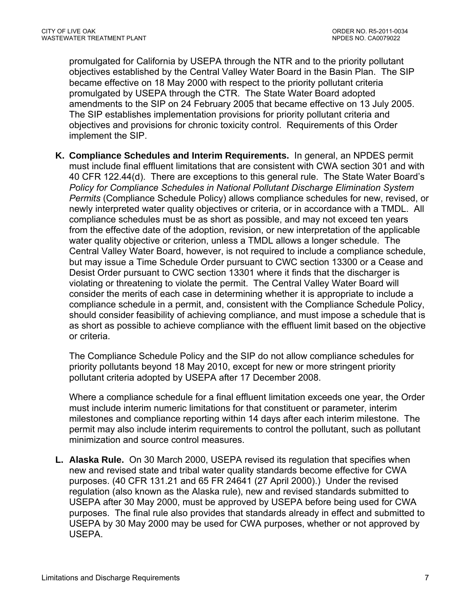promulgated for California by USEPA through the NTR and to the priority pollutant objectives established by the Central Valley Water Board in the Basin Plan. The SIP became effective on 18 May 2000 with respect to the priority pollutant criteria promulgated by USEPA through the CTR. The State Water Board adopted amendments to the SIP on 24 February 2005 that became effective on 13 July 2005. The SIP establishes implementation provisions for priority pollutant criteria and objectives and provisions for chronic toxicity control. Requirements of this Order implement the SIP.

**K. Compliance Schedules and Interim Requirements.** In general, an NPDES permit must include final effluent limitations that are consistent with CWA section 301 and with 40 CFR 122.44(d). There are exceptions to this general rule. The State Water Board's *Policy for Compliance Schedules in National Pollutant Discharge Elimination System Permits* (Compliance Schedule Policy) allows compliance schedules for new, revised, or newly interpreted water quality objectives or criteria, or in accordance with a TMDL. All compliance schedules must be as short as possible, and may not exceed ten years from the effective date of the adoption, revision, or new interpretation of the applicable water quality objective or criterion, unless a TMDL allows a longer schedule. The Central Valley Water Board, however, is not required to include a compliance schedule, but may issue a Time Schedule Order pursuant to CWC section 13300 or a Cease and Desist Order pursuant to CWC section 13301 where it finds that the discharger is violating or threatening to violate the permit. The Central Valley Water Board will consider the merits of each case in determining whether it is appropriate to include a compliance schedule in a permit, and, consistent with the Compliance Schedule Policy, should consider feasibility of achieving compliance, and must impose a schedule that is as short as possible to achieve compliance with the effluent limit based on the objective or criteria.

The Compliance Schedule Policy and the SIP do not allow compliance schedules for priority pollutants beyond 18 May 2010, except for new or more stringent priority pollutant criteria adopted by USEPA after 17 December 2008.

Where a compliance schedule for a final effluent limitation exceeds one year, the Order must include interim numeric limitations for that constituent or parameter, interim milestones and compliance reporting within 14 days after each interim milestone. The permit may also include interim requirements to control the pollutant, such as pollutant minimization and source control measures.

**L. Alaska Rule.** On 30 March 2000, USEPA revised its regulation that specifies when new and revised state and tribal water quality standards become effective for CWA purposes. (40 CFR 131.21 and 65 FR 24641 (27 April 2000).) Under the revised regulation (also known as the Alaska rule), new and revised standards submitted to USEPA after 30 May 2000, must be approved by USEPA before being used for CWA purposes. The final rule also provides that standards already in effect and submitted to USEPA by 30 May 2000 may be used for CWA purposes, whether or not approved by USEPA.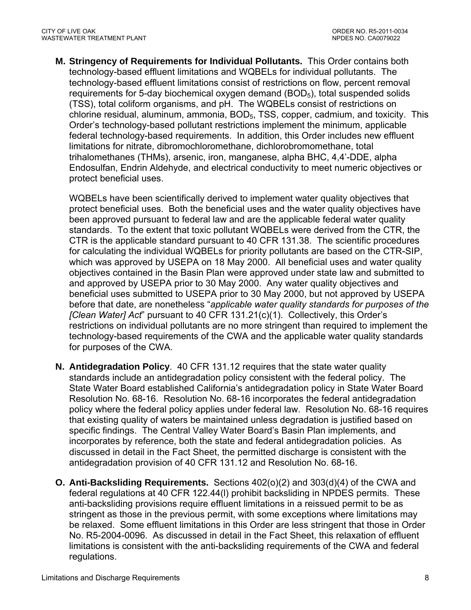**M. Stringency of Requirements for Individual Pollutants.** This Order contains both technology-based effluent limitations and WQBELs for individual pollutants. The technology-based effluent limitations consist of restrictions on flow, percent removal requirements for 5-day biochemical oxygen demand (BOD<sub>5</sub>), total suspended solids (TSS), total coliform organisms, and pH. The WQBELs consist of restrictions on chlorine residual, aluminum, ammonia, BOD5, TSS, copper, cadmium, and toxicity. This Order's technology-based pollutant restrictions implement the minimum, applicable federal technology-based requirements. In addition, this Order includes new effluent limitations for nitrate, dibromochloromethane, dichlorobromomethane, total trihalomethanes (THMs), arsenic, iron, manganese, alpha BHC, 4,4'-DDE, alpha Endosulfan, Endrin Aldehyde, and electrical conductivity to meet numeric objectives or protect beneficial uses.

WQBELs have been scientifically derived to implement water quality objectives that protect beneficial uses. Both the beneficial uses and the water quality objectives have been approved pursuant to federal law and are the applicable federal water quality standards. To the extent that toxic pollutant WQBELs were derived from the CTR, the CTR is the applicable standard pursuant to 40 CFR 131.38. The scientific procedures for calculating the individual WQBELs for priority pollutants are based on the CTR-SIP, which was approved by USEPA on 18 May 2000. All beneficial uses and water quality objectives contained in the Basin Plan were approved under state law and submitted to and approved by USEPA prior to 30 May 2000. Any water quality objectives and beneficial uses submitted to USEPA prior to 30 May 2000, but not approved by USEPA before that date, are nonetheless "*applicable water quality standards for purposes of the [Clean Water] Act*" pursuant to 40 CFR 131.21(c)(1). Collectively, this Order's restrictions on individual pollutants are no more stringent than required to implement the technology-based requirements of the CWA and the applicable water quality standards for purposes of the CWA.

- **N. Antidegradation Policy**. 40 CFR 131.12 requires that the state water quality standards include an antidegradation policy consistent with the federal policy. The State Water Board established California's antidegradation policy in State Water Board Resolution No. 68-16. Resolution No. 68-16 incorporates the federal antidegradation policy where the federal policy applies under federal law. Resolution No. 68-16 requires that existing quality of waters be maintained unless degradation is justified based on specific findings. The Central Valley Water Board's Basin Plan implements, and incorporates by reference, both the state and federal antidegradation policies. As discussed in detail in the Fact Sheet, the permitted discharge is consistent with the antidegradation provision of 40 CFR 131.12 and Resolution No. 68-16.
- **O. Anti-Backsliding Requirements.** Sections 402(o)(2) and 303(d)(4) of the CWA and federal regulations at 40 CFR 122.44(l) prohibit backsliding in NPDES permits. These anti-backsliding provisions require effluent limitations in a reissued permit to be as stringent as those in the previous permit, with some exceptions where limitations may be relaxed. Some effluent limitations in this Order are less stringent that those in Order No. R5-2004-0096. As discussed in detail in the Fact Sheet, this relaxation of effluent limitations is consistent with the anti-backsliding requirements of the CWA and federal regulations.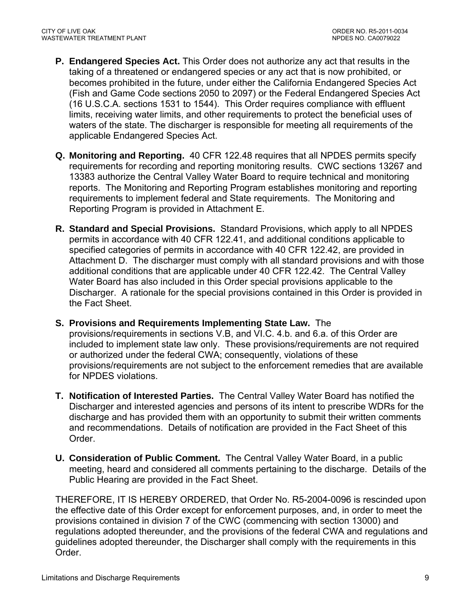- **P. Endangered Species Act.** This Order does not authorize any act that results in the taking of a threatened or endangered species or any act that is now prohibited, or becomes prohibited in the future, under either the California Endangered Species Act (Fish and Game Code sections 2050 to 2097) or the Federal Endangered Species Act (16 U.S.C.A. sections 1531 to 1544). This Order requires compliance with effluent limits, receiving water limits, and other requirements to protect the beneficial uses of waters of the state. The discharger is responsible for meeting all requirements of the applicable Endangered Species Act.
- **Q. Monitoring and Reporting.** 40 CFR 122.48 requires that all NPDES permits specify requirements for recording and reporting monitoring results. CWC sections 13267 and 13383 authorize the Central Valley Water Board to require technical and monitoring reports. The Monitoring and Reporting Program establishes monitoring and reporting requirements to implement federal and State requirements. The Monitoring and Reporting Program is provided in Attachment E.
- **R. Standard and Special Provisions.** Standard Provisions, which apply to all NPDES permits in accordance with 40 CFR 122.41, and additional conditions applicable to specified categories of permits in accordance with 40 CFR 122.42, are provided in Attachment D. The discharger must comply with all standard provisions and with those additional conditions that are applicable under 40 CFR 122.42. The Central Valley Water Board has also included in this Order special provisions applicable to the Discharger. A rationale for the special provisions contained in this Order is provided in the Fact Sheet.
- **S. Provisions and Requirements Implementing State Law.** The provisions/requirements in sections V.B, and VI.C. 4.b. and 6.a. of this Order are included to implement state law only. These provisions/requirements are not required or authorized under the federal CWA; consequently, violations of these provisions/requirements are not subject to the enforcement remedies that are available for NPDES violations.
- **T. Notification of Interested Parties.** The Central Valley Water Board has notified the Discharger and interested agencies and persons of its intent to prescribe WDRs for the discharge and has provided them with an opportunity to submit their written comments and recommendations. Details of notification are provided in the Fact Sheet of this Order.
- **U. Consideration of Public Comment.** The Central Valley Water Board, in a public meeting, heard and considered all comments pertaining to the discharge. Details of the Public Hearing are provided in the Fact Sheet.

THEREFORE, IT IS HEREBY ORDERED, that Order No. R5-2004-0096 is rescinded upon the effective date of this Order except for enforcement purposes, and, in order to meet the provisions contained in division 7 of the CWC (commencing with section 13000) and regulations adopted thereunder, and the provisions of the federal CWA and regulations and guidelines adopted thereunder, the Discharger shall comply with the requirements in this Order.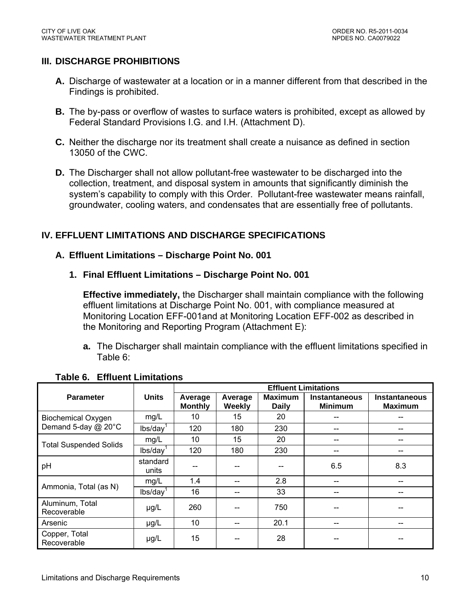## **III. DISCHARGE PROHIBITIONS**

- **A.** Discharge of wastewater at a location or in a manner different from that described in the Findings is prohibited.
- **B.** The by-pass or overflow of wastes to surface waters is prohibited, except as allowed by Federal Standard Provisions I.G. and I.H. (Attachment D).
- **C.** Neither the discharge nor its treatment shall create a nuisance as defined in section 13050 of the CWC.
- **D.** The Discharger shall not allow pollutant-free wastewater to be discharged into the collection, treatment, and disposal system in amounts that significantly diminish the system's capability to comply with this Order. Pollutant-free wastewater means rainfall, groundwater, cooling waters, and condensates that are essentially free of pollutants.

## **IV. EFFLUENT LIMITATIONS AND DISCHARGE SPECIFICATIONS**

#### **A. Effluent Limitations – Discharge Point No. 001**

#### **1. Final Effluent Limitations – Discharge Point No. 001**

**Effective immediately,** the Discharger shall maintain compliance with the following effluent limitations at Discharge Point No. 001, with compliance measured at Monitoring Location EFF-001and at Monitoring Location EFF-002 as described in the Monitoring and Reporting Program (Attachment E):

**a.** The Discharger shall maintain compliance with the effluent limitations specified in Table 6:

|                                |                      | <b>Effluent Limitations</b> |                   |                                |                                        |                                        |  |
|--------------------------------|----------------------|-----------------------------|-------------------|--------------------------------|----------------------------------------|----------------------------------------|--|
| <b>Parameter</b>               | <b>Units</b>         | Average<br><b>Monthly</b>   | Average<br>Weekly | <b>Maximum</b><br><b>Daily</b> | <b>Instantaneous</b><br><b>Minimum</b> | <b>Instantaneous</b><br><b>Maximum</b> |  |
| <b>Biochemical Oxygen</b>      | mg/L                 | 10                          | 15                | 20                             |                                        |                                        |  |
| Demand 5-day @ 20°C            | lbs/day <sup>1</sup> | 120                         | 180               | 230                            |                                        |                                        |  |
| <b>Total Suspended Solids</b>  | mg/L                 | 10                          | 15                | 20                             | --                                     | --                                     |  |
|                                | lbs/day <sup>1</sup> | 120                         | 180               | 230                            | --                                     |                                        |  |
| pH                             | standard<br>units    |                             |                   |                                | 6.5                                    | 8.3                                    |  |
| Ammonia, Total (as N)          | mg/L                 | 1.4                         |                   | 2.8                            | --                                     | --                                     |  |
|                                | lbs/day <sup>1</sup> | 16                          |                   | 33                             | --                                     | --                                     |  |
| Aluminum, Total<br>Recoverable | $\mu$ g/L            | 260                         |                   | 750                            |                                        |                                        |  |
| Arsenic                        | $\mu$ g/L            | 10                          | --                | 20.1                           | --                                     | --                                     |  |
| Copper, Total<br>Recoverable   | $\mu$ g/L            | 15                          |                   | 28                             | --                                     |                                        |  |

## **Table 6. Effluent Limitations**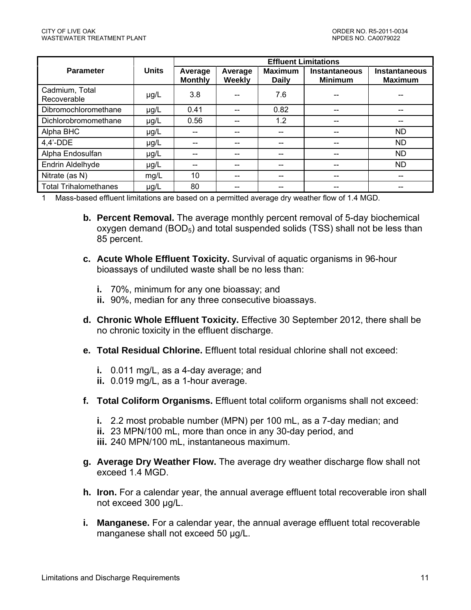|                               |              | <b>Effluent Limitations</b> |                   |                                |                                        |                                        |
|-------------------------------|--------------|-----------------------------|-------------------|--------------------------------|----------------------------------------|----------------------------------------|
| <b>Parameter</b>              | <b>Units</b> | Average<br><b>Monthly</b>   | Average<br>Weekly | <b>Maximum</b><br><b>Daily</b> | <b>Instantaneous</b><br><b>Minimum</b> | <b>Instantaneous</b><br><b>Maximum</b> |
| Cadmium, Total<br>Recoverable | $\mu$ g/L    | 3.8                         |                   | 7.6                            | --                                     |                                        |
| Dibromochloromethane          | $\mu$ g/L    | 0.41                        |                   | 0.82                           | --                                     | --                                     |
| Dichlorobromomethane          | $\mu$ g/L    | 0.56                        |                   | 1.2                            | --                                     | --                                     |
| Alpha BHC                     | $\mu$ g/L    |                             |                   |                                | --                                     | <b>ND</b>                              |
| $4.4'$ -DDE                   | $\mu$ g/L    |                             |                   |                                | --                                     | <b>ND</b>                              |
| Alpha Endosulfan              | $\mu$ g/L    |                             |                   |                                | $-$                                    | <b>ND</b>                              |
| Endrin Aldelhyde              | $\mu$ g/L    |                             |                   |                                | $-$                                    | <b>ND</b>                              |
| Nitrate (as N)                | mg/L         | 10                          |                   |                                | $- -$                                  | $- -$                                  |
| <b>Total Trihalomethanes</b>  | $\mu$ g/L    | 80                          |                   |                                | --                                     | --                                     |

1 Mass-based effluent limitations are based on a permitted average dry weather flow of 1.4 MGD.

- **b. Percent Removal.** The average monthly percent removal of 5-day biochemical oxygen demand  $(BOD<sub>5</sub>)$  and total suspended solids (TSS) shall not be less than 85 percent.
- **c. Acute Whole Effluent Toxicity.** Survival of aquatic organisms in 96-hour bioassays of undiluted waste shall be no less than:
	- **i.** 70%, minimum for any one bioassay; and
	- **ii.** 90%, median for any three consecutive bioassays.
- **d. Chronic Whole Effluent Toxicity.** Effective 30 September 2012, there shall be no chronic toxicity in the effluent discharge.
- **e. Total Residual Chlorine.** Effluent total residual chlorine shall not exceed:
	- **i.** 0.011 mg/L, as a 4-day average; and
	- **ii.** 0.019 mg/L, as a 1-hour average.
- **f. Total Coliform Organisms.** Effluent total coliform organisms shall not exceed:
	- **i.** 2.2 most probable number (MPN) per 100 mL, as a 7-day median; and
	- **ii.** 23 MPN/100 mL, more than once in any 30-day period, and
	- **iii.** 240 MPN/100 mL, instantaneous maximum.
- **g. Average Dry Weather Flow.** The average dry weather discharge flow shall not exceed 1.4 MGD.
- **h. Iron.** For a calendar year, the annual average effluent total recoverable iron shall not exceed 300 µg/L.
- **i. Manganese.** For a calendar year, the annual average effluent total recoverable manganese shall not exceed 50 µg/L.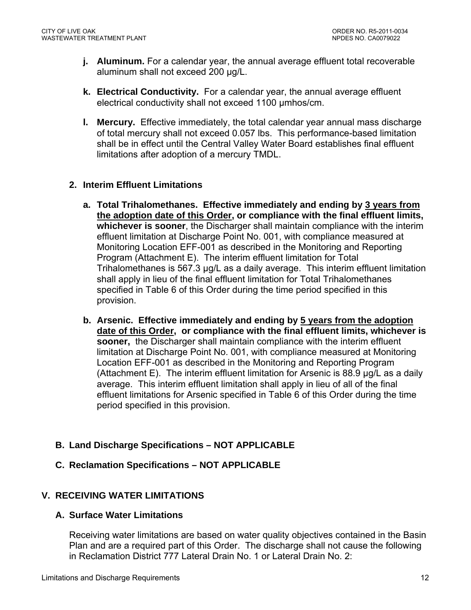- **j. Aluminum.** For a calendar year, the annual average effluent total recoverable aluminum shall not exceed 200 µg/L.
- **k. Electrical Conductivity.** For a calendar year, the annual average effluent electrical conductivity shall not exceed 1100 µmhos/cm.
- **l. Mercury.** Effective immediately, the total calendar year annual mass discharge of total mercury shall not exceed 0.057 lbs. This performance-based limitation shall be in effect until the Central Valley Water Board establishes final effluent limitations after adoption of a mercury TMDL.

## **2. Interim Effluent Limitations**

- **a. Total Trihalomethanes. Effective immediately and ending by 3 years from the adoption date of this Order, or compliance with the final effluent limits, whichever is sooner**, the Discharger shall maintain compliance with the interim effluent limitation at Discharge Point No. 001, with compliance measured at Monitoring Location EFF-001 as described in the Monitoring and Reporting Program (Attachment E). The interim effluent limitation for Total Trihalomethanes is 567.3 µg/L as a daily average. This interim effluent limitation shall apply in lieu of the final effluent limitation for Total Trihalomethanes specified in Table 6 of this Order during the time period specified in this provision.
- **b. Arsenic. Effective immediately and ending by 5 years from the adoption date of this Order, or compliance with the final effluent limits, whichever is sooner,** the Discharger shall maintain compliance with the interim effluent limitation at Discharge Point No. 001, with compliance measured at Monitoring Location EFF-001 as described in the Monitoring and Reporting Program (Attachment E). The interim effluent limitation for Arsenic is 88.9 µg/L as a daily average. This interim effluent limitation shall apply in lieu of all of the final effluent limitations for Arsenic specified in Table 6 of this Order during the time period specified in this provision.

## **B. Land Discharge Specifications – NOT APPLICABLE**

**C. Reclamation Specifications – NOT APPLICABLE** 

## **V. RECEIVING WATER LIMITATIONS**

## **A. Surface Water Limitations**

Receiving water limitations are based on water quality objectives contained in the Basin Plan and are a required part of this Order. The discharge shall not cause the following in Reclamation District 777 Lateral Drain No. 1 or Lateral Drain No. 2: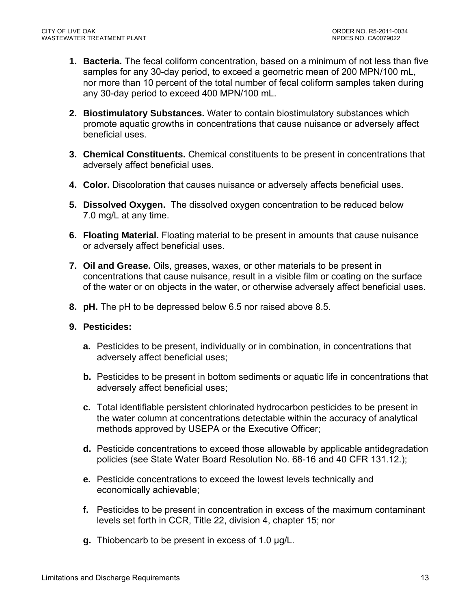- **1. Bacteria.** The fecal coliform concentration, based on a minimum of not less than five samples for any 30-day period, to exceed a geometric mean of 200 MPN/100 mL, nor more than 10 percent of the total number of fecal coliform samples taken during any 30-day period to exceed 400 MPN/100 mL.
- **2. Biostimulatory Substances.** Water to contain biostimulatory substances which promote aquatic growths in concentrations that cause nuisance or adversely affect beneficial uses.
- **3. Chemical Constituents.** Chemical constituents to be present in concentrations that adversely affect beneficial uses.
- **4. Color.** Discoloration that causes nuisance or adversely affects beneficial uses.
- **5. Dissolved Oxygen.** The dissolved oxygen concentration to be reduced below 7.0 mg/L at any time.
- **6. Floating Material.** Floating material to be present in amounts that cause nuisance or adversely affect beneficial uses.
- **7. Oil and Grease.** Oils, greases, waxes, or other materials to be present in concentrations that cause nuisance, result in a visible film or coating on the surface of the water or on objects in the water, or otherwise adversely affect beneficial uses.
- **8. pH.** The pH to be depressed below 6.5 nor raised above 8.5.

#### **9. Pesticides:**

- **a.** Pesticides to be present, individually or in combination, in concentrations that adversely affect beneficial uses;
- **b.** Pesticides to be present in bottom sediments or aquatic life in concentrations that adversely affect beneficial uses;
- **c.** Total identifiable persistent chlorinated hydrocarbon pesticides to be present in the water column at concentrations detectable within the accuracy of analytical methods approved by USEPA or the Executive Officer;
- **d.** Pesticide concentrations to exceed those allowable by applicable antidegradation policies (see State Water Board Resolution No. 68-16 and 40 CFR 131.12.);
- **e.** Pesticide concentrations to exceed the lowest levels technically and economically achievable;
- **f.** Pesticides to be present in concentration in excess of the maximum contaminant levels set forth in CCR, Title 22, division 4, chapter 15; nor
- **g.** Thiobencarb to be present in excess of 1.0 µg/L.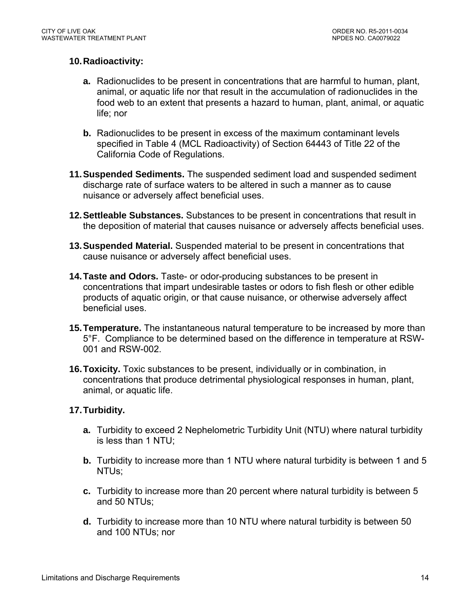## **10. Radioactivity:**

- **a.** Radionuclides to be present in concentrations that are harmful to human, plant, animal, or aquatic life nor that result in the accumulation of radionuclides in the food web to an extent that presents a hazard to human, plant, animal, or aquatic life; nor
- **b.** Radionuclides to be present in excess of the maximum contaminant levels specified in Table 4 (MCL Radioactivity) of Section 64443 of Title 22 of the California Code of Regulations.
- **11. Suspended Sediments.** The suspended sediment load and suspended sediment discharge rate of surface waters to be altered in such a manner as to cause nuisance or adversely affect beneficial uses.
- **12. Settleable Substances.** Substances to be present in concentrations that result in the deposition of material that causes nuisance or adversely affects beneficial uses.
- **13. Suspended Material.** Suspended material to be present in concentrations that cause nuisance or adversely affect beneficial uses.
- **14. Taste and Odors.** Taste- or odor-producing substances to be present in concentrations that impart undesirable tastes or odors to fish flesh or other edible products of aquatic origin, or that cause nuisance, or otherwise adversely affect beneficial uses.
- **15. Temperature.** The instantaneous natural temperature to be increased by more than 5°F. Compliance to be determined based on the difference in temperature at RSW-001 and RSW-002.
- **16. Toxicity.** Toxic substances to be present, individually or in combination, in concentrations that produce detrimental physiological responses in human, plant, animal, or aquatic life.

## **17. Turbidity.**

- **a.** Turbidity to exceed 2 Nephelometric Turbidity Unit (NTU) where natural turbidity is less than 1 NTU;
- **b.** Turbidity to increase more than 1 NTU where natural turbidity is between 1 and 5 NTUs;
- **c.** Turbidity to increase more than 20 percent where natural turbidity is between 5 and 50 NTUs;
- **d.** Turbidity to increase more than 10 NTU where natural turbidity is between 50 and 100 NTUs; nor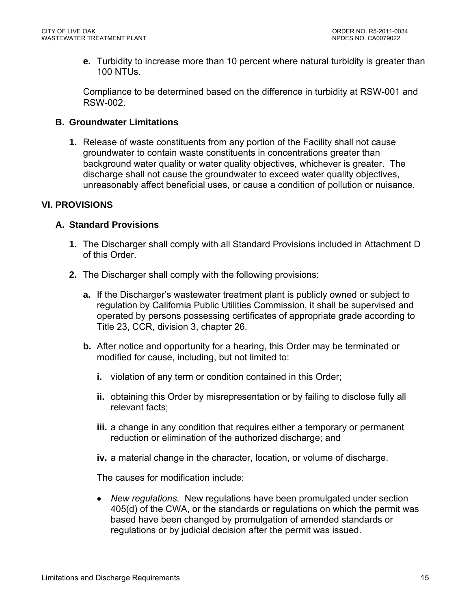**e.** Turbidity to increase more than 10 percent where natural turbidity is greater than 100 NTUs.

Compliance to be determined based on the difference in turbidity at RSW-001 and RSW-002.

## **B. Groundwater Limitations**

**1.** Release of waste constituents from any portion of the Facility shall not cause groundwater to contain waste constituents in concentrations greater than background water quality or water quality objectives, whichever is greater. The discharge shall not cause the groundwater to exceed water quality objectives, unreasonably affect beneficial uses, or cause a condition of pollution or nuisance.

## **VI. PROVISIONS**

## **A. Standard Provisions**

- **1.** The Discharger shall comply with all Standard Provisions included in Attachment D of this Order.
- **2.** The Discharger shall comply with the following provisions:
	- **a.** If the Discharger's wastewater treatment plant is publicly owned or subject to regulation by California Public Utilities Commission, it shall be supervised and operated by persons possessing certificates of appropriate grade according to Title 23, CCR, division 3, chapter 26.
	- **b.** After notice and opportunity for a hearing, this Order may be terminated or modified for cause, including, but not limited to:
		- **i.** violation of any term or condition contained in this Order;
		- **ii.** obtaining this Order by misrepresentation or by failing to disclose fully all relevant facts;
		- **iii.** a change in any condition that requires either a temporary or permanent reduction or elimination of the authorized discharge; and
		- **iv.** a material change in the character, location, or volume of discharge.

The causes for modification include:

 *New regulations.* New regulations have been promulgated under section 405(d) of the CWA, or the standards or regulations on which the permit was based have been changed by promulgation of amended standards or regulations or by judicial decision after the permit was issued.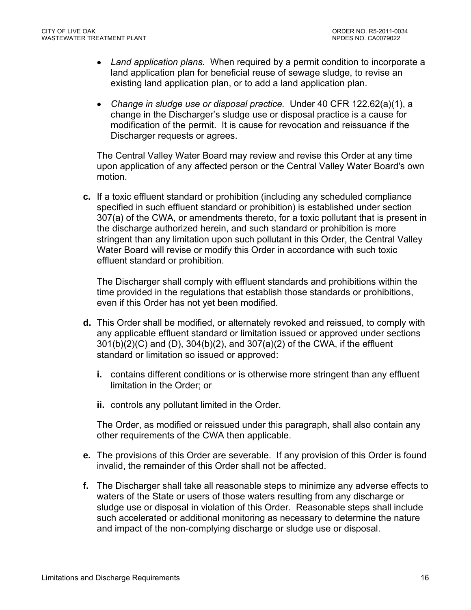- *Land application plans.* When required by a permit condition to incorporate a land application plan for beneficial reuse of sewage sludge, to revise an existing land application plan, or to add a land application plan.
- *Change in sludge use or disposal practice.* Under 40 CFR 122.62(a)(1), a change in the Discharger's sludge use or disposal practice is a cause for modification of the permit. It is cause for revocation and reissuance if the Discharger requests or agrees.

The Central Valley Water Board may review and revise this Order at any time upon application of any affected person or the Central Valley Water Board's own motion.

**c.** If a toxic effluent standard or prohibition (including any scheduled compliance specified in such effluent standard or prohibition) is established under section 307(a) of the CWA, or amendments thereto, for a toxic pollutant that is present in the discharge authorized herein, and such standard or prohibition is more stringent than any limitation upon such pollutant in this Order, the Central Valley Water Board will revise or modify this Order in accordance with such toxic effluent standard or prohibition.

The Discharger shall comply with effluent standards and prohibitions within the time provided in the regulations that establish those standards or prohibitions, even if this Order has not yet been modified.

- **d.** This Order shall be modified, or alternately revoked and reissued, to comply with any applicable effluent standard or limitation issued or approved under sections 301(b)(2)(C) and (D), 304(b)(2), and 307(a)(2) of the CWA, if the effluent standard or limitation so issued or approved:
	- **i.** contains different conditions or is otherwise more stringent than any effluent limitation in the Order; or
	- **ii.** controls any pollutant limited in the Order.

The Order, as modified or reissued under this paragraph, shall also contain any other requirements of the CWA then applicable.

- **e.** The provisions of this Order are severable. If any provision of this Order is found invalid, the remainder of this Order shall not be affected.
- **f.** The Discharger shall take all reasonable steps to minimize any adverse effects to waters of the State or users of those waters resulting from any discharge or sludge use or disposal in violation of this Order. Reasonable steps shall include such accelerated or additional monitoring as necessary to determine the nature and impact of the non-complying discharge or sludge use or disposal.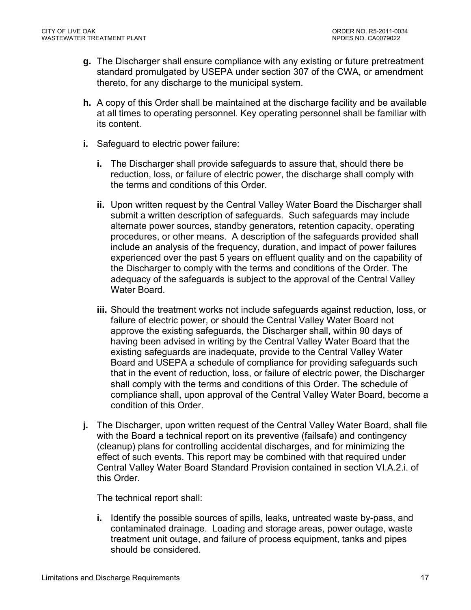- **g.** The Discharger shall ensure compliance with any existing or future pretreatment standard promulgated by USEPA under section 307 of the CWA, or amendment thereto, for any discharge to the municipal system.
- **h.** A copy of this Order shall be maintained at the discharge facility and be available at all times to operating personnel. Key operating personnel shall be familiar with its content.
- **i.** Safeguard to electric power failure:
	- **i.** The Discharger shall provide safeguards to assure that, should there be reduction, loss, or failure of electric power, the discharge shall comply with the terms and conditions of this Order.
	- **ii.** Upon written request by the Central Valley Water Board the Discharger shall submit a written description of safeguards. Such safeguards may include alternate power sources, standby generators, retention capacity, operating procedures, or other means. A description of the safeguards provided shall include an analysis of the frequency, duration, and impact of power failures experienced over the past 5 years on effluent quality and on the capability of the Discharger to comply with the terms and conditions of the Order. The adequacy of the safeguards is subject to the approval of the Central Valley Water Board.
	- **iii.** Should the treatment works not include safeguards against reduction, loss, or failure of electric power, or should the Central Valley Water Board not approve the existing safeguards, the Discharger shall, within 90 days of having been advised in writing by the Central Valley Water Board that the existing safeguards are inadequate, provide to the Central Valley Water Board and USEPA a schedule of compliance for providing safeguards such that in the event of reduction, loss, or failure of electric power, the Discharger shall comply with the terms and conditions of this Order. The schedule of compliance shall, upon approval of the Central Valley Water Board, become a condition of this Order.
- **j.** The Discharger, upon written request of the Central Valley Water Board, shall file with the Board a technical report on its preventive (failsafe) and contingency (cleanup) plans for controlling accidental discharges, and for minimizing the effect of such events. This report may be combined with that required under Central Valley Water Board Standard Provision contained in section VI.A.2.i. of this Order.

The technical report shall:

**i.** Identify the possible sources of spills, leaks, untreated waste by-pass, and contaminated drainage. Loading and storage areas, power outage, waste treatment unit outage, and failure of process equipment, tanks and pipes should be considered.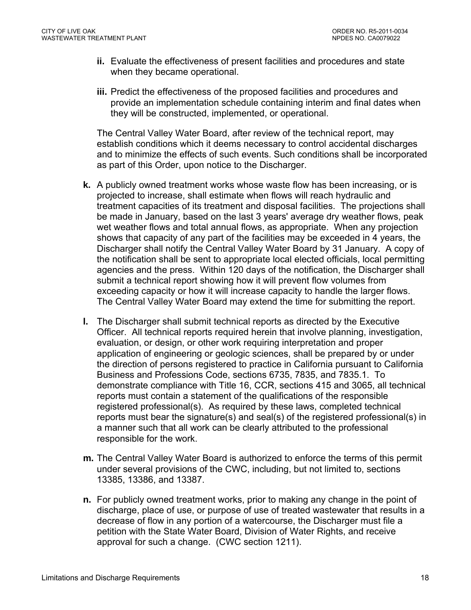- **ii.** Evaluate the effectiveness of present facilities and procedures and state when they became operational.
- **iii.** Predict the effectiveness of the proposed facilities and procedures and provide an implementation schedule containing interim and final dates when they will be constructed, implemented, or operational.

The Central Valley Water Board, after review of the technical report, may establish conditions which it deems necessary to control accidental discharges and to minimize the effects of such events. Such conditions shall be incorporated as part of this Order, upon notice to the Discharger.

- **k.** A publicly owned treatment works whose waste flow has been increasing, or is projected to increase, shall estimate when flows will reach hydraulic and treatment capacities of its treatment and disposal facilities. The projections shall be made in January, based on the last 3 years' average dry weather flows, peak wet weather flows and total annual flows, as appropriate. When any projection shows that capacity of any part of the facilities may be exceeded in 4 years, the Discharger shall notify the Central Valley Water Board by 31 January. A copy of the notification shall be sent to appropriate local elected officials, local permitting agencies and the press. Within 120 days of the notification, the Discharger shall submit a technical report showing how it will prevent flow volumes from exceeding capacity or how it will increase capacity to handle the larger flows. The Central Valley Water Board may extend the time for submitting the report.
- **l.** The Discharger shall submit technical reports as directed by the Executive Officer. All technical reports required herein that involve planning, investigation, evaluation, or design, or other work requiring interpretation and proper application of engineering or geologic sciences, shall be prepared by or under the direction of persons registered to practice in California pursuant to California Business and Professions Code, sections 6735, 7835, and 7835.1. To demonstrate compliance with Title 16, CCR, sections 415 and 3065, all technical reports must contain a statement of the qualifications of the responsible registered professional(s). As required by these laws, completed technical reports must bear the signature(s) and seal(s) of the registered professional(s) in a manner such that all work can be clearly attributed to the professional responsible for the work.
- **m.** The Central Valley Water Board is authorized to enforce the terms of this permit under several provisions of the CWC, including, but not limited to, sections 13385, 13386, and 13387.
- **n.** For publicly owned treatment works, prior to making any change in the point of discharge, place of use, or purpose of use of treated wastewater that results in a decrease of flow in any portion of a watercourse, the Discharger must file a petition with the State Water Board, Division of Water Rights, and receive approval for such a change. (CWC section 1211).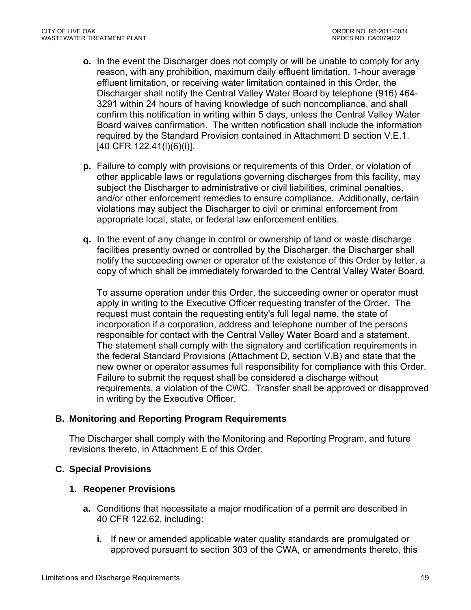- **o.** In the event the Discharger does not comply or will be unable to comply for any reason, with any prohibition, maximum daily effluent limitation, 1-hour average effluent limitation, or receiving water limitation contained in this Order, the Discharger shall notify the Central Valley Water Board by telephone (916) 464- 3291 within 24 hours of having knowledge of such noncompliance, and shall confirm this notification in writing within 5 days, unless the Central Valley Water Board waives confirmation. The written notification shall include the information required by the Standard Provision contained in Attachment D section V.E.1. [40 CFR 122.41(l)(6)(i)].
- **p.** Failure to comply with provisions or requirements of this Order, or violation of other applicable laws or regulations governing discharges from this facility, may subject the Discharger to administrative or civil liabilities, criminal penalties, and/or other enforcement remedies to ensure compliance. Additionally, certain violations may subject the Discharger to civil or criminal enforcement from appropriate local, state, or federal law enforcement entities.
- **q.** In the event of any change in control or ownership of land or waste discharge facilities presently owned or controlled by the Discharger, the Discharger shall notify the succeeding owner or operator of the existence of this Order by letter, a copy of which shall be immediately forwarded to the Central Valley Water Board.

To assume operation under this Order, the succeeding owner or operator must apply in writing to the Executive Officer requesting transfer of the Order. The request must contain the requesting entity's full legal name, the state of incorporation if a corporation, address and telephone number of the persons responsible for contact with the Central Valley Water Board and a statement. The statement shall comply with the signatory and certification requirements in the federal Standard Provisions (Attachment D, section V.B) and state that the new owner or operator assumes full responsibility for compliance with this Order. Failure to submit the request shall be considered a discharge without requirements, a violation of the CWC. Transfer shall be approved or disapproved in writing by the Executive Officer.

## **B. Monitoring and Reporting Program Requirements**

The Discharger shall comply with the Monitoring and Reporting Program, and future revisions thereto, in Attachment E of this Order.

## **C. Special Provisions**

## **1. Reopener Provisions**

- **a.** Conditions that necessitate a major modification of a permit are described in 40 CFR 122.62, including:
	- **i.** If new or amended applicable water quality standards are promulgated or approved pursuant to section 303 of the CWA, or amendments thereto, this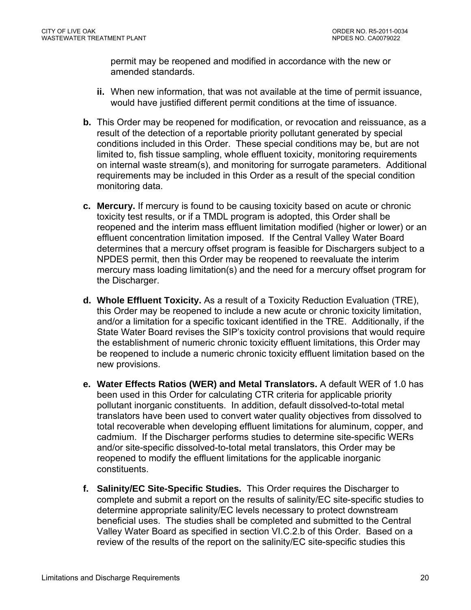permit may be reopened and modified in accordance with the new or amended standards.

- **ii.** When new information, that was not available at the time of permit issuance, would have justified different permit conditions at the time of issuance.
- **b.** This Order may be reopened for modification, or revocation and reissuance, as a result of the detection of a reportable priority pollutant generated by special conditions included in this Order. These special conditions may be, but are not limited to, fish tissue sampling, whole effluent toxicity, monitoring requirements on internal waste stream(s), and monitoring for surrogate parameters. Additional requirements may be included in this Order as a result of the special condition monitoring data.
- **c. Mercury.** If mercury is found to be causing toxicity based on acute or chronic toxicity test results, or if a TMDL program is adopted, this Order shall be reopened and the interim mass effluent limitation modified (higher or lower) or an effluent concentration limitation imposed. If the Central Valley Water Board determines that a mercury offset program is feasible for Dischargers subject to a NPDES permit, then this Order may be reopened to reevaluate the interim mercury mass loading limitation(s) and the need for a mercury offset program for the Discharger.
- **d. Whole Effluent Toxicity.** As a result of a Toxicity Reduction Evaluation (TRE), this Order may be reopened to include a new acute or chronic toxicity limitation, and/or a limitation for a specific toxicant identified in the TRE. Additionally, if the State Water Board revises the SIP's toxicity control provisions that would require the establishment of numeric chronic toxicity effluent limitations, this Order may be reopened to include a numeric chronic toxicity effluent limitation based on the new provisions.
- **e. Water Effects Ratios (WER) and Metal Translators.** A default WER of 1.0 has been used in this Order for calculating CTR criteria for applicable priority pollutant inorganic constituents. In addition, default dissolved-to-total metal translators have been used to convert water quality objectives from dissolved to total recoverable when developing effluent limitations for aluminum, copper, and cadmium. If the Discharger performs studies to determine site-specific WERs and/or site-specific dissolved-to-total metal translators, this Order may be reopened to modify the effluent limitations for the applicable inorganic constituents.
- **f. Salinity/EC Site-Specific Studies.** This Order requires the Discharger to complete and submit a report on the results of salinity/EC site-specific studies to determine appropriate salinity/EC levels necessary to protect downstream beneficial uses. The studies shall be completed and submitted to the Central Valley Water Board as specified in section VI.C.2.b of this Order. Based on a review of the results of the report on the salinity/EC site-specific studies this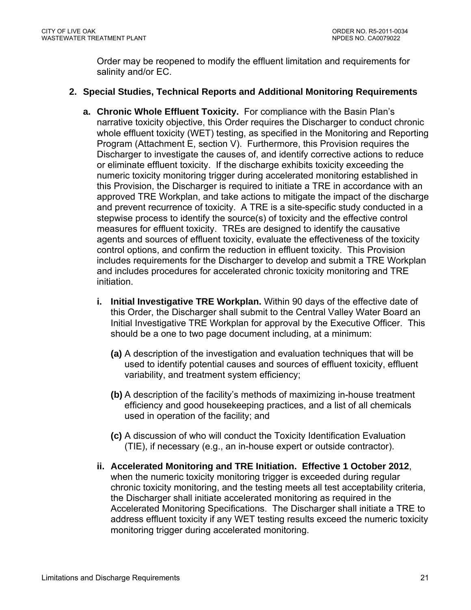Order may be reopened to modify the effluent limitation and requirements for salinity and/or EC.

## **2. Special Studies, Technical Reports and Additional Monitoring Requirements**

- **a. Chronic Whole Effluent Toxicity.** For compliance with the Basin Plan's narrative toxicity objective, this Order requires the Discharger to conduct chronic whole effluent toxicity (WET) testing, as specified in the Monitoring and Reporting Program (Attachment E, section V). Furthermore, this Provision requires the Discharger to investigate the causes of, and identify corrective actions to reduce or eliminate effluent toxicity. If the discharge exhibits toxicity exceeding the numeric toxicity monitoring trigger during accelerated monitoring established in this Provision, the Discharger is required to initiate a TRE in accordance with an approved TRE Workplan, and take actions to mitigate the impact of the discharge and prevent recurrence of toxicity. A TRE is a site-specific study conducted in a stepwise process to identify the source(s) of toxicity and the effective control measures for effluent toxicity. TREs are designed to identify the causative agents and sources of effluent toxicity, evaluate the effectiveness of the toxicity control options, and confirm the reduction in effluent toxicity. This Provision includes requirements for the Discharger to develop and submit a TRE Workplan and includes procedures for accelerated chronic toxicity monitoring and TRE initiation.
	- **i. Initial Investigative TRE Workplan.** Within 90 days of the effective date of this Order, the Discharger shall submit to the Central Valley Water Board an Initial Investigative TRE Workplan for approval by the Executive Officer. This should be a one to two page document including, at a minimum:
		- **(a)** A description of the investigation and evaluation techniques that will be used to identify potential causes and sources of effluent toxicity, effluent variability, and treatment system efficiency;
		- **(b)** A description of the facility's methods of maximizing in-house treatment efficiency and good housekeeping practices, and a list of all chemicals used in operation of the facility; and
		- **(c)** A discussion of who will conduct the Toxicity Identification Evaluation (TIE), if necessary (e.g., an in-house expert or outside contractor).
	- **ii. Accelerated Monitoring and TRE Initiation. Effective 1 October 2012**, when the numeric toxicity monitoring trigger is exceeded during regular chronic toxicity monitoring, and the testing meets all test acceptability criteria, the Discharger shall initiate accelerated monitoring as required in the Accelerated Monitoring Specifications. The Discharger shall initiate a TRE to address effluent toxicity if any WET testing results exceed the numeric toxicity monitoring trigger during accelerated monitoring.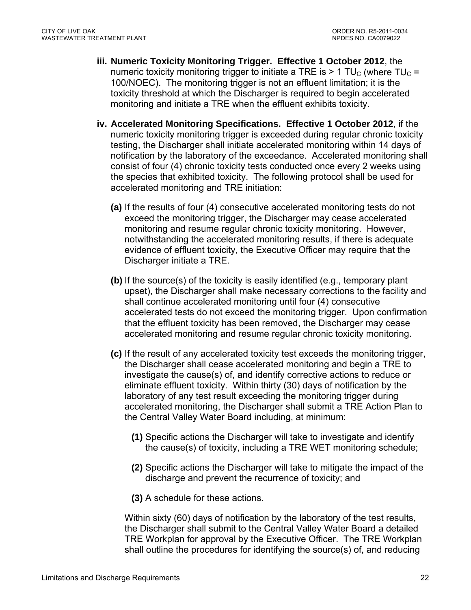- **iii. Numeric Toxicity Monitoring Trigger. Effective 1 October 2012**, the numeric toxicity monitoring trigger to initiate a TRE is  $> 1$  TU<sub>C</sub> (where TU<sub>C</sub> = 100/NOEC). The monitoring trigger is not an effluent limitation; it is the toxicity threshold at which the Discharger is required to begin accelerated monitoring and initiate a TRE when the effluent exhibits toxicity.
- **iv. Accelerated Monitoring Specifications. Effective 1 October 2012**, if the numeric toxicity monitoring trigger is exceeded during regular chronic toxicity testing, the Discharger shall initiate accelerated monitoring within 14 days of notification by the laboratory of the exceedance. Accelerated monitoring shall consist of four (4) chronic toxicity tests conducted once every 2 weeks using the species that exhibited toxicity. The following protocol shall be used for accelerated monitoring and TRE initiation:
	- **(a)** If the results of four (4) consecutive accelerated monitoring tests do not exceed the monitoring trigger, the Discharger may cease accelerated monitoring and resume regular chronic toxicity monitoring. However, notwithstanding the accelerated monitoring results, if there is adequate evidence of effluent toxicity, the Executive Officer may require that the Discharger initiate a TRE.
	- **(b)** If the source(s) of the toxicity is easily identified (e.g., temporary plant upset), the Discharger shall make necessary corrections to the facility and shall continue accelerated monitoring until four (4) consecutive accelerated tests do not exceed the monitoring trigger. Upon confirmation that the effluent toxicity has been removed, the Discharger may cease accelerated monitoring and resume regular chronic toxicity monitoring.
	- **(c)** If the result of any accelerated toxicity test exceeds the monitoring trigger, the Discharger shall cease accelerated monitoring and begin a TRE to investigate the cause(s) of, and identify corrective actions to reduce or eliminate effluent toxicity. Within thirty (30) days of notification by the laboratory of any test result exceeding the monitoring trigger during accelerated monitoring, the Discharger shall submit a TRE Action Plan to the Central Valley Water Board including, at minimum:
		- **(1)** Specific actions the Discharger will take to investigate and identify the cause(s) of toxicity, including a TRE WET monitoring schedule;
		- **(2)** Specific actions the Discharger will take to mitigate the impact of the discharge and prevent the recurrence of toxicity; and
		- **(3)** A schedule for these actions.

Within sixty (60) days of notification by the laboratory of the test results, the Discharger shall submit to the Central Valley Water Board a detailed TRE Workplan for approval by the Executive Officer. The TRE Workplan shall outline the procedures for identifying the source(s) of, and reducing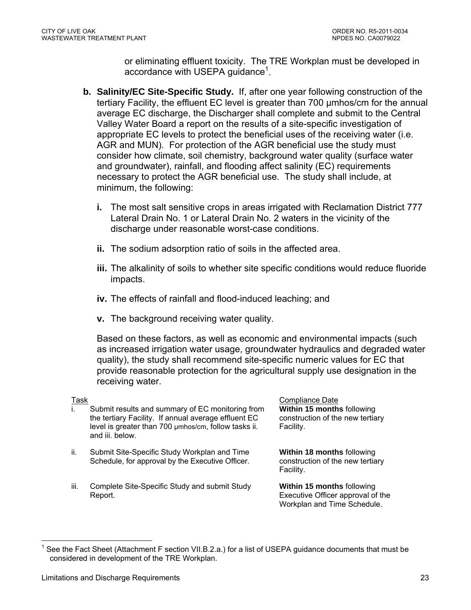or eliminating effluent toxicity. The TRE Workplan must be developed in accordance with USEPA guidance<sup>1</sup>.

- **b. Salinity/EC Site-Specific Study.** If, after one year following construction of the tertiary Facility, the effluent EC level is greater than 700 µmhos/cm for the annual average EC discharge, the Discharger shall complete and submit to the Central Valley Water Board a report on the results of a site-specific investigation of appropriate EC levels to protect the beneficial uses of the receiving water (i.e. AGR and MUN). For protection of the AGR beneficial use the study must consider how climate, soil chemistry, background water quality (surface water and groundwater), rainfall, and flooding affect salinity (EC) requirements necessary to protect the AGR beneficial use. The study shall include, at minimum, the following:
	- **i.** The most salt sensitive crops in areas irrigated with Reclamation District 777 Lateral Drain No. 1 or Lateral Drain No. 2 waters in the vicinity of the discharge under reasonable worst-case conditions.
	- **ii.** The sodium adsorption ratio of soils in the affected area.
	- **iii.** The alkalinity of soils to whether site specific conditions would reduce fluoride impacts.
	- **iv.** The effects of rainfall and flood-induced leaching; and
	- **v.** The background receiving water quality.

Based on these factors, as well as economic and environmental impacts (such as increased irrigation water usage, groundwater hydraulics and degraded water quality), the study shall recommend site-specific numeric values for EC that provide reasonable protection for the agricultural supply use designation in the receiving water.

 $\overline{a}$ 

- i. Submit results and summary of EC monitoring from the tertiary Facility. If annual average effluent EC level is greater than 700 µmhos/cm, follow tasks ii. and iii. below.
- ii. Submit Site-Specific Study Workplan and Time Schedule, for approval by the Executive Officer.
- iii. Complete Site-Specific Study and submit Study Report.

Task Compliance Date Compliance Date Compliance Date Compliance Date Compliance Date **Within 15 months** following construction of the new tertiary Facility.

> **Within 18 months** following construction of the new tertiary Facility.

**Within 15 months** following Executive Officer approval of the Workplan and Time Schedule.

<sup>1</sup> See the Fact Sheet (Attachment F section VII.B.2.a.) for a list of USEPA guidance documents that must be considered in development of the TRE Workplan.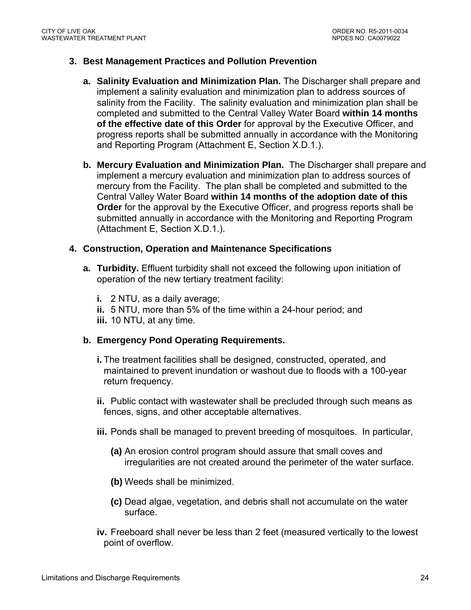#### **3. Best Management Practices and Pollution Prevention**

- **a. Salinity Evaluation and Minimization Plan.** The Discharger shall prepare and implement a salinity evaluation and minimization plan to address sources of salinity from the Facility. The salinity evaluation and minimization plan shall be completed and submitted to the Central Valley Water Board **within 14 months of the effective date of this Order** for approval by the Executive Officer, and progress reports shall be submitted annually in accordance with the Monitoring and Reporting Program (Attachment E, Section X.D.1.).
- **b. Mercury Evaluation and Minimization Plan.** The Discharger shall prepare and implement a mercury evaluation and minimization plan to address sources of mercury from the Facility. The plan shall be completed and submitted to the Central Valley Water Board **within 14 months of the adoption date of this Order** for the approval by the Executive Officer, and progress reports shall be submitted annually in accordance with the Monitoring and Reporting Program (Attachment E, Section X.D.1.).

#### **4. Construction, Operation and Maintenance Specifications**

- **a. Turbidity.** Effluent turbidity shall not exceed the following upon initiation of operation of the new tertiary treatment facility:
	- **i.** 2 NTU, as a daily average;
	- **ii.** 5 NTU, more than 5% of the time within a 24-hour period; and
	- **iii.** 10 NTU, at any time.

#### **b. Emergency Pond Operating Requirements.**

- **i.** The treatment facilities shall be designed, constructed, operated, and maintained to prevent inundation or washout due to floods with a 100-year return frequency.
- **ii.** Public contact with wastewater shall be precluded through such means as fences, signs, and other acceptable alternatives.
- **iii.** Ponds shall be managed to prevent breeding of mosquitoes. In particular,
	- **(a)** An erosion control program should assure that small coves and irregularities are not created around the perimeter of the water surface.
	- **(b)** Weeds shall be minimized.
	- **(c)** Dead algae, vegetation, and debris shall not accumulate on the water surface.
- **iv.** Freeboard shall never be less than 2 feet (measured vertically to the lowest point of overflow.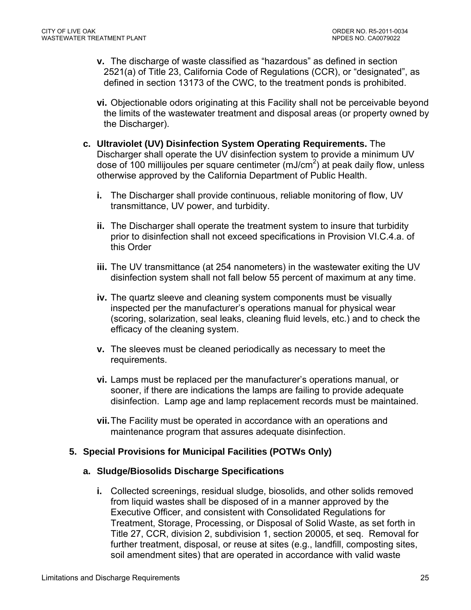- **v.** The discharge of waste classified as "hazardous" as defined in section 2521(a) of Title 23, California Code of Regulations (CCR), or "designated", as defined in section 13173 of the CWC, to the treatment ponds is prohibited.
- **vi.** Objectionable odors originating at this Facility shall not be perceivable beyond the limits of the wastewater treatment and disposal areas (or property owned by the Discharger).
- **c. Ultraviolet (UV) Disinfection System Operating Requirements.** The Discharger shall operate the UV disinfection system to provide a minimum UV dose of 100 millijoules per square centimeter (mJ/cm<sup>2</sup>) at peak daily flow, unless otherwise approved by the California Department of Public Health.
	- **i.** The Discharger shall provide continuous, reliable monitoring of flow, UV transmittance, UV power, and turbidity.
	- **ii.** The Discharger shall operate the treatment system to insure that turbidity prior to disinfection shall not exceed specifications in Provision VI.C.4.a. of this Order
	- **iii.** The UV transmittance (at 254 nanometers) in the wastewater exiting the UV disinfection system shall not fall below 55 percent of maximum at any time.
	- **iv.** The quartz sleeve and cleaning system components must be visually inspected per the manufacturer's operations manual for physical wear (scoring, solarization, seal leaks, cleaning fluid levels, etc.) and to check the efficacy of the cleaning system.
	- **v.** The sleeves must be cleaned periodically as necessary to meet the requirements.
	- **vi.** Lamps must be replaced per the manufacturer's operations manual, or sooner, if there are indications the lamps are failing to provide adequate disinfection. Lamp age and lamp replacement records must be maintained.
	- **vii.** The Facility must be operated in accordance with an operations and maintenance program that assures adequate disinfection.

## **5. Special Provisions for Municipal Facilities (POTWs Only)**

## **a. Sludge/Biosolids Discharge Specifications**

**i.** Collected screenings, residual sludge, biosolids, and other solids removed from liquid wastes shall be disposed of in a manner approved by the Executive Officer, and consistent with Consolidated Regulations for Treatment, Storage, Processing, or Disposal of Solid Waste, as set forth in Title 27, CCR, division 2, subdivision 1, section 20005, et seq. Removal for further treatment, disposal, or reuse at sites (e.g., landfill, composting sites, soil amendment sites) that are operated in accordance with valid waste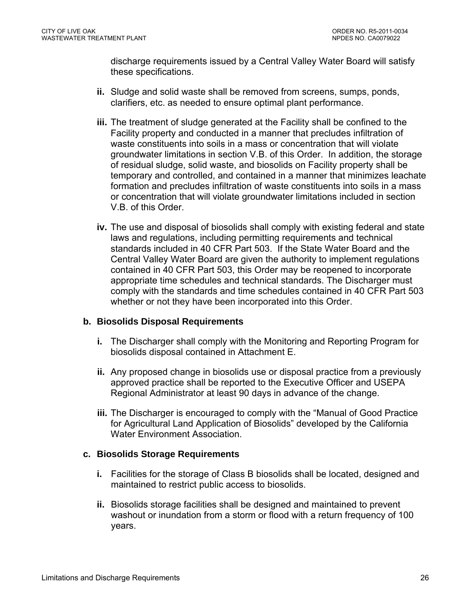discharge requirements issued by a Central Valley Water Board will satisfy these specifications.

- **ii.** Sludge and solid waste shall be removed from screens, sumps, ponds, clarifiers, etc. as needed to ensure optimal plant performance.
- **iii.** The treatment of sludge generated at the Facility shall be confined to the Facility property and conducted in a manner that precludes infiltration of waste constituents into soils in a mass or concentration that will violate groundwater limitations in section V.B. of this Order. In addition, the storage of residual sludge, solid waste, and biosolids on Facility property shall be temporary and controlled, and contained in a manner that minimizes leachate formation and precludes infiltration of waste constituents into soils in a mass or concentration that will violate groundwater limitations included in section V.B. of this Order.
- **iv.** The use and disposal of biosolids shall comply with existing federal and state laws and regulations, including permitting requirements and technical standards included in 40 CFR Part 503. If the State Water Board and the Central Valley Water Board are given the authority to implement regulations contained in 40 CFR Part 503, this Order may be reopened to incorporate appropriate time schedules and technical standards. The Discharger must comply with the standards and time schedules contained in 40 CFR Part 503 whether or not they have been incorporated into this Order.

## **b. Biosolids Disposal Requirements**

- **i.** The Discharger shall comply with the Monitoring and Reporting Program for biosolids disposal contained in Attachment E.
- **ii.** Any proposed change in biosolids use or disposal practice from a previously approved practice shall be reported to the Executive Officer and USEPA Regional Administrator at least 90 days in advance of the change.
- **iii.** The Discharger is encouraged to comply with the "Manual of Good Practice for Agricultural Land Application of Biosolids" developed by the California Water Environment Association

## **c. Biosolids Storage Requirements**

- **i.** Facilities for the storage of Class B biosolids shall be located, designed and maintained to restrict public access to biosolids.
- **ii.** Biosolids storage facilities shall be designed and maintained to prevent washout or inundation from a storm or flood with a return frequency of 100 years.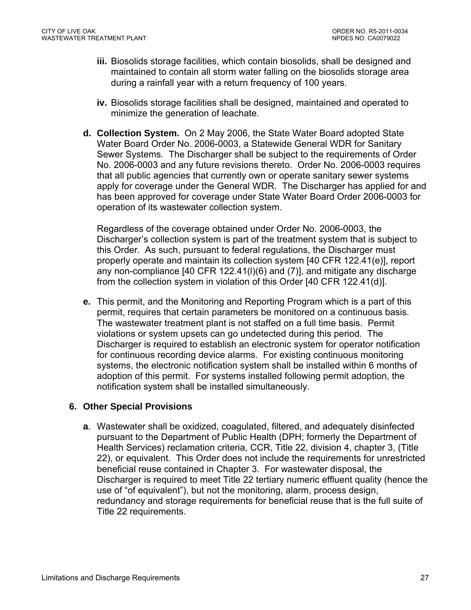- **iii.** Biosolids storage facilities, which contain biosolids, shall be designed and maintained to contain all storm water falling on the biosolids storage area during a rainfall year with a return frequency of 100 years.
- **iv.** Biosolids storage facilities shall be designed, maintained and operated to minimize the generation of leachate.
- **d. Collection System.** On 2 May 2006, the State Water Board adopted State Water Board Order No. 2006-0003, a Statewide General WDR for Sanitary Sewer Systems. The Discharger shall be subject to the requirements of Order No. 2006-0003 and any future revisions thereto. Order No. 2006-0003 requires that all public agencies that currently own or operate sanitary sewer systems apply for coverage under the General WDR. The Discharger has applied for and has been approved for coverage under State Water Board Order 2006-0003 for operation of its wastewater collection system.

Regardless of the coverage obtained under Order No. 2006-0003, the Discharger's collection system is part of the treatment system that is subject to this Order. As such, pursuant to federal regulations, the Discharger must properly operate and maintain its collection system [40 CFR 122.41(e)], report any non-compliance [40 CFR 122.41(l)(6) and (7)], and mitigate any discharge from the collection system in violation of this Order [40 CFR 122.41(d)].

**e.** This permit, and the Monitoring and Reporting Program which is a part of this permit, requires that certain parameters be monitored on a continuous basis. The wastewater treatment plant is not staffed on a full time basis. Permit violations or system upsets can go undetected during this period. The Discharger is required to establish an electronic system for operator notification for continuous recording device alarms. For existing continuous monitoring systems, the electronic notification system shall be installed within 6 months of adoption of this permit. For systems installed following permit adoption, the notification system shall be installed simultaneously.

## **6. Other Special Provisions**

**a**. Wastewater shall be oxidized, coagulated, filtered, and adequately disinfected pursuant to the Department of Public Health (DPH; formerly the Department of Health Services) reclamation criteria, CCR, Title 22, division 4, chapter 3, (Title 22), or equivalent. This Order does not include the requirements for unrestricted beneficial reuse contained in Chapter 3. For wastewater disposal, the Discharger is required to meet Title 22 tertiary numeric effluent quality (hence the use of "of equivalent"), but not the monitoring, alarm, process design, redundancy and storage requirements for beneficial reuse that is the full suite of Title 22 requirements.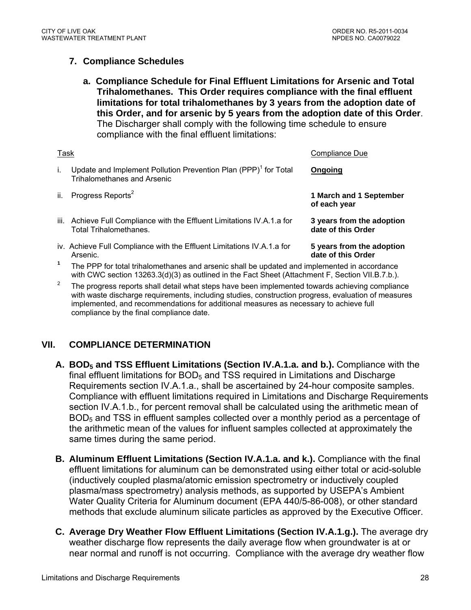## **7. Compliance Schedules**

**a. Compliance Schedule for Final Effluent Limitations for Arsenic and Total Trihalomethanes. This Order requires compliance with the final effluent limitations for total trihalomethanes by 3 years from the adoption date of this Order, and for arsenic by 5 years from the adoption date of this Order**. The Discharger shall comply with the following time schedule to ensure compliance with the final effluent limitations:

| Task |                                                                                                                   | Compliance Due                                  |
|------|-------------------------------------------------------------------------------------------------------------------|-------------------------------------------------|
| L.   | Update and Implement Pollution Prevention Plan (PPP) <sup>1</sup> for Total<br><b>Trihalomethanes and Arsenic</b> | Ongoing                                         |
| ii.  | Progress Reports <sup>2</sup>                                                                                     | 1 March and 1 September<br>of each year         |
|      | iii. Achieve Full Compliance with the Effluent Limitations IV.A.1.a for<br><b>Total Trihalomethanes.</b>          | 3 years from the adoption<br>date of this Order |
|      | iv. Achieve Full Compliance with the Effluent Limitations IV.A.1.a for<br>Arsenic.                                | 5 years from the adoption<br>date of this Order |

- **<sup>1</sup>** The PPP for total trihalomethanes and arsenic shall be updated and implemented in accordance with CWC section 13263.3(d)(3) as outlined in the Fact Sheet (Attachment F, Section VII.B.7.b.).
- 2 The progress reports shall detail what steps have been implemented towards achieving compliance with waste discharge requirements, including studies, construction progress, evaluation of measures implemented, and recommendations for additional measures as necessary to achieve full compliance by the final compliance date.

## **VII. COMPLIANCE DETERMINATION**

- A. BOD<sub>5</sub> and TSS Effluent Limitations (Section IV.A.1.a. and b.). Compliance with the final effluent limitations for  $BOD<sub>5</sub>$  and TSS required in Limitations and Discharge Requirements section IV.A.1.a., shall be ascertained by 24-hour composite samples. Compliance with effluent limitations required in Limitations and Discharge Requirements section IV.A.1.b., for percent removal shall be calculated using the arithmetic mean of BOD<sub>5</sub> and TSS in effluent samples collected over a monthly period as a percentage of the arithmetic mean of the values for influent samples collected at approximately the same times during the same period.
- **B. Aluminum Effluent Limitations (Section IV.A.1.a. and k.).** Compliance with the final effluent limitations for aluminum can be demonstrated using either total or acid-soluble (inductively coupled plasma/atomic emission spectrometry or inductively coupled plasma/mass spectrometry) analysis methods, as supported by USEPA's Ambient Water Quality Criteria for Aluminum document (EPA 440/5-86-008), or other standard methods that exclude aluminum silicate particles as approved by the Executive Officer.
- **C. Average Dry Weather Flow Effluent Limitations (Section IV.A.1.g.).** The average dry weather discharge flow represents the daily average flow when groundwater is at or near normal and runoff is not occurring. Compliance with the average dry weather flow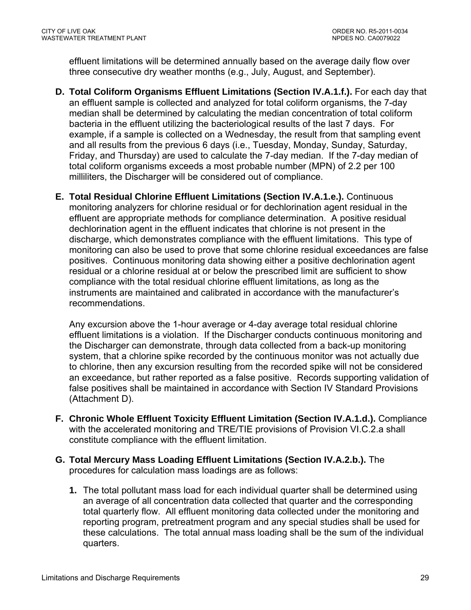effluent limitations will be determined annually based on the average daily flow over three consecutive dry weather months (e.g., July, August, and September).

- **D. Total Coliform Organisms Effluent Limitations (Section IV.A.1.f.).** For each day that an effluent sample is collected and analyzed for total coliform organisms, the 7-day median shall be determined by calculating the median concentration of total coliform bacteria in the effluent utilizing the bacteriological results of the last 7 days. For example, if a sample is collected on a Wednesday, the result from that sampling event and all results from the previous 6 days (i.e., Tuesday, Monday, Sunday, Saturday, Friday, and Thursday) are used to calculate the 7-day median. If the 7-day median of total coliform organisms exceeds a most probable number (MPN) of 2.2 per 100 milliliters, the Discharger will be considered out of compliance.
- **E. Total Residual Chlorine Effluent Limitations (Section IV.A.1.e.).** Continuous monitoring analyzers for chlorine residual or for dechlorination agent residual in the effluent are appropriate methods for compliance determination. A positive residual dechlorination agent in the effluent indicates that chlorine is not present in the discharge, which demonstrates compliance with the effluent limitations. This type of monitoring can also be used to prove that some chlorine residual exceedances are false positives. Continuous monitoring data showing either a positive dechlorination agent residual or a chlorine residual at or below the prescribed limit are sufficient to show compliance with the total residual chlorine effluent limitations, as long as the instruments are maintained and calibrated in accordance with the manufacturer's recommendations.

Any excursion above the 1-hour average or 4-day average total residual chlorine effluent limitations is a violation. If the Discharger conducts continuous monitoring and the Discharger can demonstrate, through data collected from a back-up monitoring system, that a chlorine spike recorded by the continuous monitor was not actually due to chlorine, then any excursion resulting from the recorded spike will not be considered an exceedance, but rather reported as a false positive. Records supporting validation of false positives shall be maintained in accordance with Section IV Standard Provisions (Attachment D).

- **F. Chronic Whole Effluent Toxicity Effluent Limitation (Section IV.A.1.d.).** Compliance with the accelerated monitoring and TRE/TIE provisions of Provision VI.C.2.a shall constitute compliance with the effluent limitation.
- **G. Total Mercury Mass Loading Effluent Limitations (Section IV.A.2.b.).** The procedures for calculation mass loadings are as follows:
	- **1.** The total pollutant mass load for each individual quarter shall be determined using an average of all concentration data collected that quarter and the corresponding total quarterly flow. All effluent monitoring data collected under the monitoring and reporting program, pretreatment program and any special studies shall be used for these calculations. The total annual mass loading shall be the sum of the individual quarters.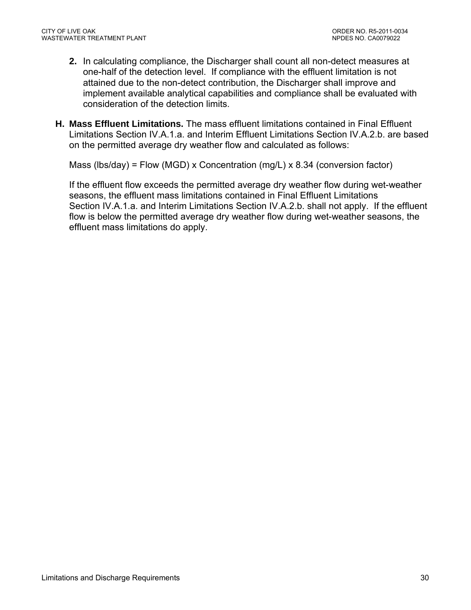- **2.** In calculating compliance, the Discharger shall count all non-detect measures at one-half of the detection level. If compliance with the effluent limitation is not attained due to the non-detect contribution, the Discharger shall improve and implement available analytical capabilities and compliance shall be evaluated with consideration of the detection limits.
- **H. Mass Effluent Limitations.** The mass effluent limitations contained in Final Effluent Limitations Section IV.A.1.a. and Interim Effluent Limitations Section IV.A.2.b. are based on the permitted average dry weather flow and calculated as follows:

Mass (lbs/day) = Flow (MGD) x Concentration (mg/L) x 8.34 (conversion factor)

If the effluent flow exceeds the permitted average dry weather flow during wet-weather seasons, the effluent mass limitations contained in Final Effluent Limitations Section IV.A.1.a. and Interim Limitations Section IV.A.2.b. shall not apply. If the effluent flow is below the permitted average dry weather flow during wet-weather seasons, the effluent mass limitations do apply.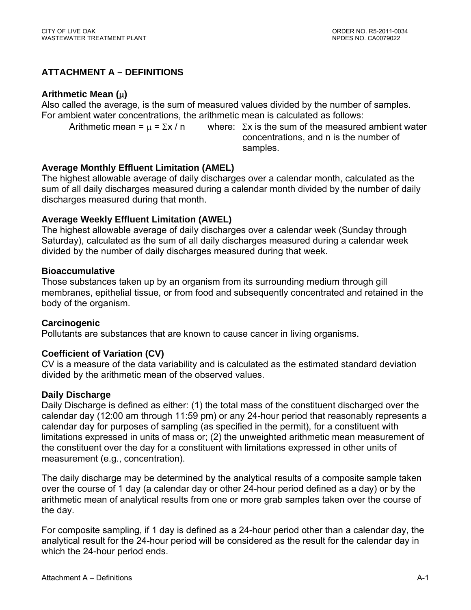## **ATTACHMENT A – DEFINITIONS**

#### **Arithmetic Mean ()**

Also called the average, is the sum of measured values divided by the number of samples. For ambient water concentrations, the arithmetic mean is calculated as follows:

Arithmetic mean =  $\mu$  =  $\Sigma x / n$  where:  $\Sigma x$  is the sum of the measured ambient water concentrations, and n is the number of samples.

## **Average Monthly Effluent Limitation (AMEL)**

The highest allowable average of daily discharges over a calendar month, calculated as the sum of all daily discharges measured during a calendar month divided by the number of daily discharges measured during that month.

## **Average Weekly Effluent Limitation (AWEL)**

The highest allowable average of daily discharges over a calendar week (Sunday through Saturday), calculated as the sum of all daily discharges measured during a calendar week divided by the number of daily discharges measured during that week.

#### **Bioaccumulative**

Those substances taken up by an organism from its surrounding medium through gill membranes, epithelial tissue, or from food and subsequently concentrated and retained in the body of the organism.

## **Carcinogenic**

Pollutants are substances that are known to cause cancer in living organisms.

## **Coefficient of Variation (CV)**

CV is a measure of the data variability and is calculated as the estimated standard deviation divided by the arithmetic mean of the observed values.

## **Daily Discharge**

Daily Discharge is defined as either: (1) the total mass of the constituent discharged over the calendar day (12:00 am through 11:59 pm) or any 24-hour period that reasonably represents a calendar day for purposes of sampling (as specified in the permit), for a constituent with limitations expressed in units of mass or; (2) the unweighted arithmetic mean measurement of the constituent over the day for a constituent with limitations expressed in other units of measurement (e.g., concentration).

The daily discharge may be determined by the analytical results of a composite sample taken over the course of 1 day (a calendar day or other 24-hour period defined as a day) or by the arithmetic mean of analytical results from one or more grab samples taken over the course of the day.

For composite sampling, if 1 day is defined as a 24-hour period other than a calendar day, the analytical result for the 24-hour period will be considered as the result for the calendar day in which the 24-hour period ends.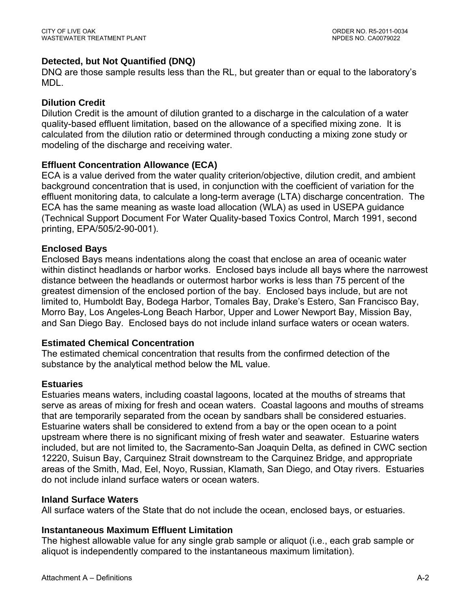## **Detected, but Not Quantified (DNQ)**

DNQ are those sample results less than the RL, but greater than or equal to the laboratory's MDL.

## **Dilution Credit**

Dilution Credit is the amount of dilution granted to a discharge in the calculation of a water quality-based effluent limitation, based on the allowance of a specified mixing zone. It is calculated from the dilution ratio or determined through conducting a mixing zone study or modeling of the discharge and receiving water.

## **Effluent Concentration Allowance (ECA)**

ECA is a value derived from the water quality criterion/objective, dilution credit, and ambient background concentration that is used, in conjunction with the coefficient of variation for the effluent monitoring data, to calculate a long-term average (LTA) discharge concentration. The ECA has the same meaning as waste load allocation (WLA) as used in USEPA guidance (Technical Support Document For Water Quality-based Toxics Control, March 1991, second printing, EPA/505/2-90-001).

## **Enclosed Bays**

Enclosed Bays means indentations along the coast that enclose an area of oceanic water within distinct headlands or harbor works. Enclosed bays include all bays where the narrowest distance between the headlands or outermost harbor works is less than 75 percent of the greatest dimension of the enclosed portion of the bay. Enclosed bays include, but are not limited to, Humboldt Bay, Bodega Harbor, Tomales Bay, Drake's Estero, San Francisco Bay, Morro Bay, Los Angeles-Long Beach Harbor, Upper and Lower Newport Bay, Mission Bay, and San Diego Bay. Enclosed bays do not include inland surface waters or ocean waters.

## **Estimated Chemical Concentration**

The estimated chemical concentration that results from the confirmed detection of the substance by the analytical method below the ML value.

## **Estuaries**

Estuaries means waters, including coastal lagoons, located at the mouths of streams that serve as areas of mixing for fresh and ocean waters. Coastal lagoons and mouths of streams that are temporarily separated from the ocean by sandbars shall be considered estuaries. Estuarine waters shall be considered to extend from a bay or the open ocean to a point upstream where there is no significant mixing of fresh water and seawater. Estuarine waters included, but are not limited to, the Sacramento-San Joaquin Delta, as defined in CWC section 12220, Suisun Bay, Carquinez Strait downstream to the Carquinez Bridge, and appropriate areas of the Smith, Mad, Eel, Noyo, Russian, Klamath, San Diego, and Otay rivers. Estuaries do not include inland surface waters or ocean waters.

## **Inland Surface Waters**

All surface waters of the State that do not include the ocean, enclosed bays, or estuaries.

## **Instantaneous Maximum Effluent Limitation**

The highest allowable value for any single grab sample or aliquot (i.e., each grab sample or aliquot is independently compared to the instantaneous maximum limitation).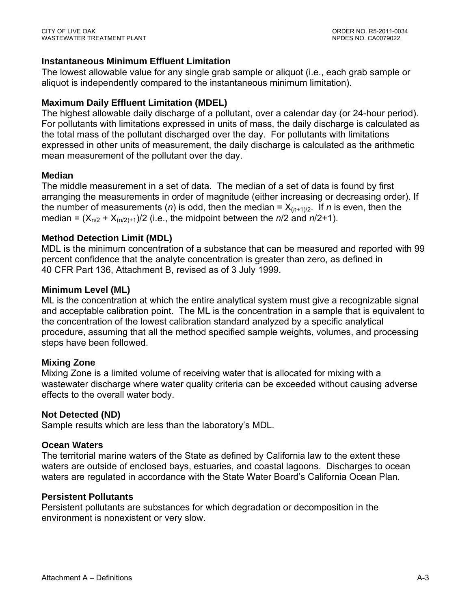## **Instantaneous Minimum Effluent Limitation**

The lowest allowable value for any single grab sample or aliquot (i.e., each grab sample or aliquot is independently compared to the instantaneous minimum limitation).

## **Maximum Daily Effluent Limitation (MDEL)**

The highest allowable daily discharge of a pollutant, over a calendar day (or 24-hour period). For pollutants with limitations expressed in units of mass, the daily discharge is calculated as the total mass of the pollutant discharged over the day. For pollutants with limitations expressed in other units of measurement, the daily discharge is calculated as the arithmetic mean measurement of the pollutant over the day.

## **Median**

The middle measurement in a set of data. The median of a set of data is found by first arranging the measurements in order of magnitude (either increasing or decreasing order). If the number of measurements (*n*) is odd, then the median =  $X_{(n+1)/2}$ . If *n* is even, then the median =  $(X_{n/2} + X_{(n/2)+1})/2$  (i.e., the midpoint between the  $n/2$  and  $n/2+1$ ).

## **Method Detection Limit (MDL)**

MDL is the minimum concentration of a substance that can be measured and reported with 99 percent confidence that the analyte concentration is greater than zero, as defined in 40 CFR Part 136, Attachment B, revised as of 3 July 1999.

## **Minimum Level (ML)**

ML is the concentration at which the entire analytical system must give a recognizable signal and acceptable calibration point. The ML is the concentration in a sample that is equivalent to the concentration of the lowest calibration standard analyzed by a specific analytical procedure, assuming that all the method specified sample weights, volumes, and processing steps have been followed.

## **Mixing Zone**

Mixing Zone is a limited volume of receiving water that is allocated for mixing with a wastewater discharge where water quality criteria can be exceeded without causing adverse effects to the overall water body.

## **Not Detected (ND)**

Sample results which are less than the laboratory's MDL.

## **Ocean Waters**

The territorial marine waters of the State as defined by California law to the extent these waters are outside of enclosed bays, estuaries, and coastal lagoons. Discharges to ocean waters are regulated in accordance with the State Water Board's California Ocean Plan.

## **Persistent Pollutants**

Persistent pollutants are substances for which degradation or decomposition in the environment is nonexistent or very slow.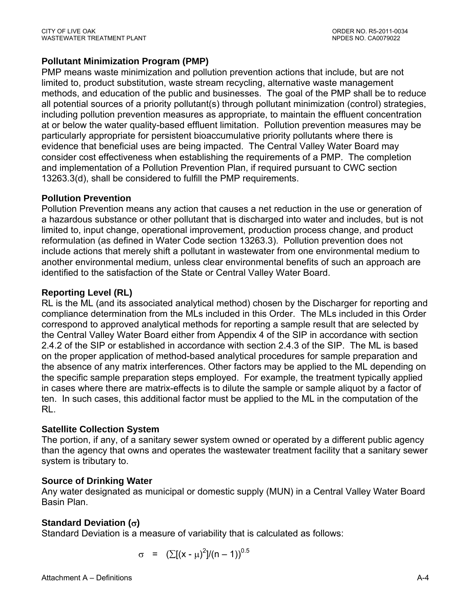## **Pollutant Minimization Program (PMP)**

PMP means waste minimization and pollution prevention actions that include, but are not limited to, product substitution, waste stream recycling, alternative waste management methods, and education of the public and businesses. The goal of the PMP shall be to reduce all potential sources of a priority pollutant(s) through pollutant minimization (control) strategies, including pollution prevention measures as appropriate, to maintain the effluent concentration at or below the water quality-based effluent limitation. Pollution prevention measures may be particularly appropriate for persistent bioaccumulative priority pollutants where there is evidence that beneficial uses are being impacted. The Central Valley Water Board may consider cost effectiveness when establishing the requirements of a PMP. The completion and implementation of a Pollution Prevention Plan, if required pursuant to CWC section 13263.3(d), shall be considered to fulfill the PMP requirements.

## **Pollution Prevention**

Pollution Prevention means any action that causes a net reduction in the use or generation of a hazardous substance or other pollutant that is discharged into water and includes, but is not limited to, input change, operational improvement, production process change, and product reformulation (as defined in Water Code section 13263.3). Pollution prevention does not include actions that merely shift a pollutant in wastewater from one environmental medium to another environmental medium, unless clear environmental benefits of such an approach are identified to the satisfaction of the State or Central Valley Water Board.

## **Reporting Level (RL)**

RL is the ML (and its associated analytical method) chosen by the Discharger for reporting and compliance determination from the MLs included in this Order. The MLs included in this Order correspond to approved analytical methods for reporting a sample result that are selected by the Central Valley Water Board either from Appendix 4 of the SIP in accordance with section 2.4.2 of the SIP or established in accordance with section 2.4.3 of the SIP. The ML is based on the proper application of method-based analytical procedures for sample preparation and the absence of any matrix interferences. Other factors may be applied to the ML depending on the specific sample preparation steps employed. For example, the treatment typically applied in cases where there are matrix-effects is to dilute the sample or sample aliquot by a factor of ten. In such cases, this additional factor must be applied to the ML in the computation of the RL.

## **Satellite Collection System**

The portion, if any, of a sanitary sewer system owned or operated by a different public agency than the agency that owns and operates the wastewater treatment facility that a sanitary sewer system is tributary to.

## **Source of Drinking Water**

Any water designated as municipal or domestic supply (MUN) in a Central Valley Water Board Basin Plan.

## **Standard Deviation ()**

Standard Deviation is a measure of variability that is calculated as follows:

$$
\sigma = (\sum [(x - \mu)^2]/(n - 1))^{0.5}
$$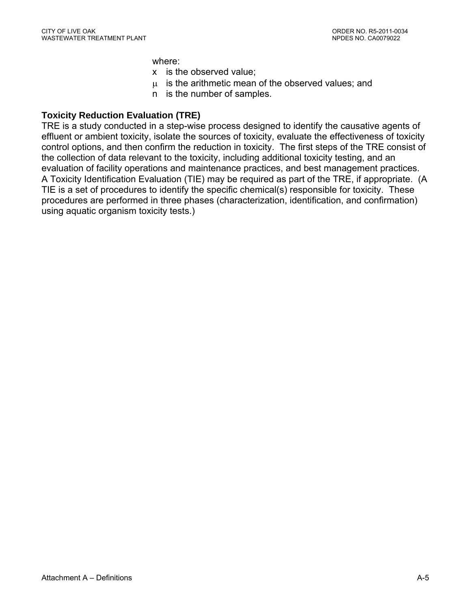where:

- x is the observed value;
- $\mu$  is the arithmetic mean of the observed values; and
- n is the number of samples.

#### **Toxicity Reduction Evaluation (TRE)**

TRE is a study conducted in a step-wise process designed to identify the causative agents of effluent or ambient toxicity, isolate the sources of toxicity, evaluate the effectiveness of toxicity control options, and then confirm the reduction in toxicity. The first steps of the TRE consist of the collection of data relevant to the toxicity, including additional toxicity testing, and an evaluation of facility operations and maintenance practices, and best management practices. A Toxicity Identification Evaluation (TIE) may be required as part of the TRE, if appropriate. (A TIE is a set of procedures to identify the specific chemical(s) responsible for toxicity. These procedures are performed in three phases (characterization, identification, and confirmation) using aquatic organism toxicity tests.)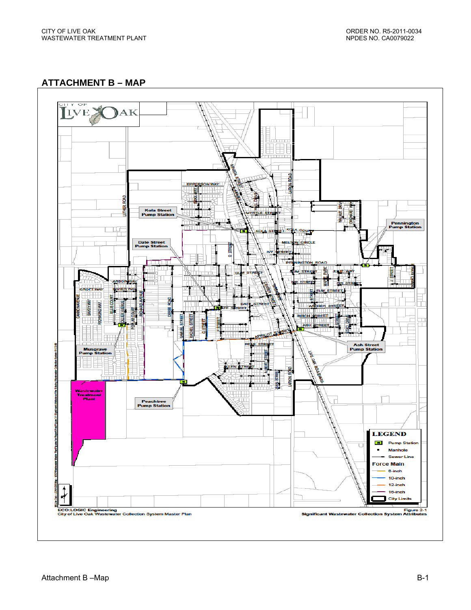**ATTACHMENT B – MAP** 

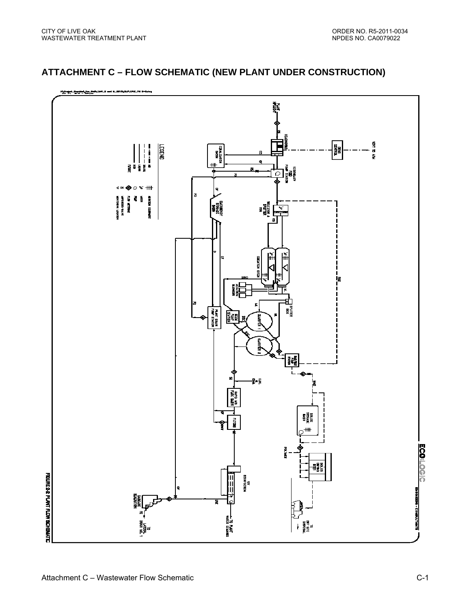#### .<br>Ж.Е. <del>он К.Е. (АДА) (АКЕ М</del> the set and the second **NEW DD ATM REGIS** - NEWS<br>Kollystwikin **RINTEL**<br>Externe j  $\begin{array}{c} 1 \\ 1 \\ 1 \end{array}$ ┉ ្ត្រី **ខេត្ត ក្រុ** a i<br>Se ้อ  $\ddot{\bf{d}}$  or  $\bullet$  $\leq$   $+$ **HEIMIDN** אטעשאר המעשי<br>אשעשאר המעשי Ē ζ 員 Į 語。<br>「<br>「<br>「<br>「 **ESHERN** Į İg 誯 쬁 FLAKT DRAIN<br>Fu**lf train** ¦Z¤ 1. FLORE LASTIN<br>PLORE LASTIN €<br>€  $^{\#+}$ **ECO:LOGIC BANDA** 턡 FIGURE 2-2 PLANT FLOW SCHESARTC DISINE ECTRIN<br>UV Ш **ENGINEER - COMMUTANTS** Ш **MINGH** Ξ å, 정보 역<br>PREM<br>PREMI na<br>Ba

## **ATTACHMENT C – FLOW SCHEMATIC (NEW PLANT UNDER CONSTRUCTION)**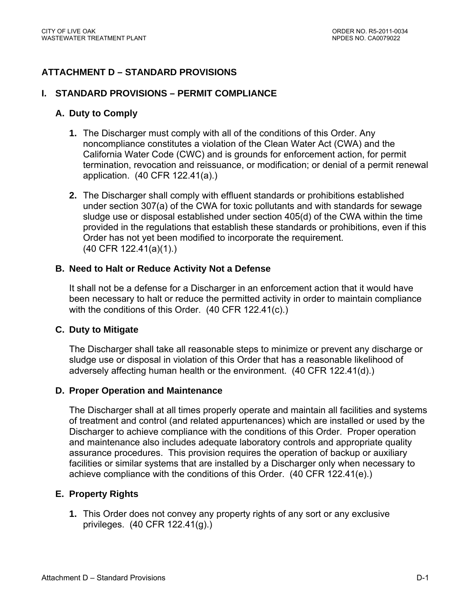# **ATTACHMENT D – STANDARD PROVISIONS**

#### **I. STANDARD PROVISIONS – PERMIT COMPLIANCE**

#### **A. Duty to Comply**

- **1.** The Discharger must comply with all of the conditions of this Order. Any noncompliance constitutes a violation of the Clean Water Act (CWA) and the California Water Code (CWC) and is grounds for enforcement action, for permit termination, revocation and reissuance, or modification; or denial of a permit renewal application. (40 CFR 122.41(a).)
- **2.** The Discharger shall comply with effluent standards or prohibitions established under section 307(a) of the CWA for toxic pollutants and with standards for sewage sludge use or disposal established under section 405(d) of the CWA within the time provided in the regulations that establish these standards or prohibitions, even if this Order has not yet been modified to incorporate the requirement. (40 CFR 122.41(a)(1).)

#### **B. Need to Halt or Reduce Activity Not a Defense**

It shall not be a defense for a Discharger in an enforcement action that it would have been necessary to halt or reduce the permitted activity in order to maintain compliance with the conditions of this Order. (40 CFR 122.41(c).)

#### **C. Duty to Mitigate**

The Discharger shall take all reasonable steps to minimize or prevent any discharge or sludge use or disposal in violation of this Order that has a reasonable likelihood of adversely affecting human health or the environment. (40 CFR 122.41(d).)

#### **D. Proper Operation and Maintenance**

The Discharger shall at all times properly operate and maintain all facilities and systems of treatment and control (and related appurtenances) which are installed or used by the Discharger to achieve compliance with the conditions of this Order. Proper operation and maintenance also includes adequate laboratory controls and appropriate quality assurance procedures. This provision requires the operation of backup or auxiliary facilities or similar systems that are installed by a Discharger only when necessary to achieve compliance with the conditions of this Order. (40 CFR 122.41(e).)

#### **E. Property Rights**

**1.** This Order does not convey any property rights of any sort or any exclusive privileges. (40 CFR 122.41(g).)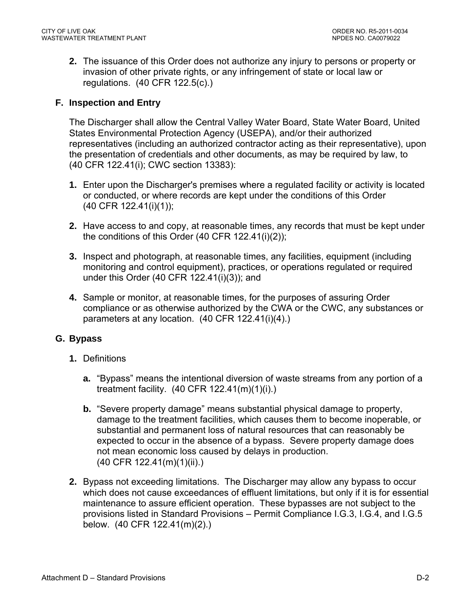**2.** The issuance of this Order does not authorize any injury to persons or property or invasion of other private rights, or any infringement of state or local law or regulations. (40 CFR 122.5(c).)

#### **F. Inspection and Entry**

The Discharger shall allow the Central Valley Water Board, State Water Board, United States Environmental Protection Agency (USEPA), and/or their authorized representatives (including an authorized contractor acting as their representative), upon the presentation of credentials and other documents, as may be required by law, to (40 CFR 122.41(i); CWC section 13383):

- **1.** Enter upon the Discharger's premises where a regulated facility or activity is located or conducted, or where records are kept under the conditions of this Order (40 CFR 122.41(i)(1));
- **2.** Have access to and copy, at reasonable times, any records that must be kept under the conditions of this Order (40 CFR 122.41(i)(2));
- **3.** Inspect and photograph, at reasonable times, any facilities, equipment (including monitoring and control equipment), practices, or operations regulated or required under this Order (40 CFR 122.41(i)(3)); and
- **4.** Sample or monitor, at reasonable times, for the purposes of assuring Order compliance or as otherwise authorized by the CWA or the CWC, any substances or parameters at any location. (40 CFR 122.41(i)(4).)

#### **G. Bypass**

- **1.** Definitions
	- **a.** "Bypass" means the intentional diversion of waste streams from any portion of a treatment facility. (40 CFR 122.41(m)(1)(i).)
	- **b.** "Severe property damage" means substantial physical damage to property, damage to the treatment facilities, which causes them to become inoperable, or substantial and permanent loss of natural resources that can reasonably be expected to occur in the absence of a bypass. Severe property damage does not mean economic loss caused by delays in production. (40 CFR 122.41(m)(1)(ii).)
- **2.** Bypass not exceeding limitations. The Discharger may allow any bypass to occur which does not cause exceedances of effluent limitations, but only if it is for essential maintenance to assure efficient operation. These bypasses are not subject to the provisions listed in Standard Provisions – Permit Compliance I.G.3, I.G.4, and I.G.5 below. (40 CFR 122.41(m)(2).)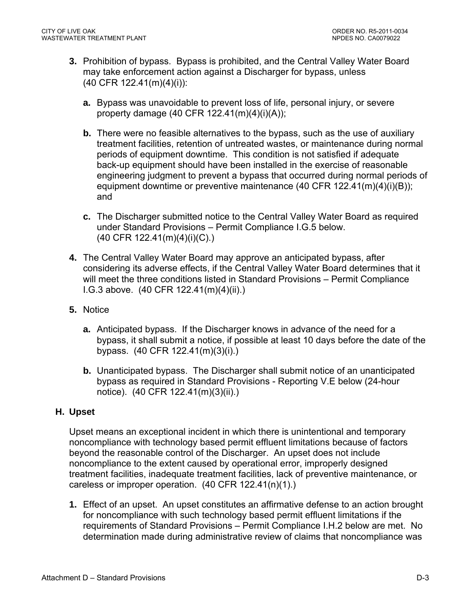- **3.** Prohibition of bypass. Bypass is prohibited, and the Central Valley Water Board may take enforcement action against a Discharger for bypass, unless (40 CFR 122.41(m)(4)(i)):
	- **a.** Bypass was unavoidable to prevent loss of life, personal injury, or severe property damage (40 CFR 122.41(m)(4)(i)(A));
	- **b.** There were no feasible alternatives to the bypass, such as the use of auxiliary treatment facilities, retention of untreated wastes, or maintenance during normal periods of equipment downtime. This condition is not satisfied if adequate back-up equipment should have been installed in the exercise of reasonable engineering judgment to prevent a bypass that occurred during normal periods of equipment downtime or preventive maintenance (40 CFR 122.41(m)(4)(i)(B)); and
	- **c.** The Discharger submitted notice to the Central Valley Water Board as required under Standard Provisions – Permit Compliance I.G.5 below. (40 CFR 122.41(m)(4)(i)(C).)
- **4.** The Central Valley Water Board may approve an anticipated bypass, after considering its adverse effects, if the Central Valley Water Board determines that it will meet the three conditions listed in Standard Provisions – Permit Compliance I.G.3 above. (40 CFR 122.41(m)(4)(ii).)
- **5.** Notice
	- **a.** Anticipated bypass. If the Discharger knows in advance of the need for a bypass, it shall submit a notice, if possible at least 10 days before the date of the bypass. (40 CFR 122.41(m)(3)(i).)
	- **b.** Unanticipated bypass. The Discharger shall submit notice of an unanticipated bypass as required in Standard Provisions - Reporting V.E below (24-hour notice). (40 CFR 122.41(m)(3)(ii).)

#### **H. Upset**

Upset means an exceptional incident in which there is unintentional and temporary noncompliance with technology based permit effluent limitations because of factors beyond the reasonable control of the Discharger. An upset does not include noncompliance to the extent caused by operational error, improperly designed treatment facilities, inadequate treatment facilities, lack of preventive maintenance, or careless or improper operation. (40 CFR 122.41(n)(1).)

**1.** Effect of an upset. An upset constitutes an affirmative defense to an action brought for noncompliance with such technology based permit effluent limitations if the requirements of Standard Provisions – Permit Compliance I.H.2 below are met. No determination made during administrative review of claims that noncompliance was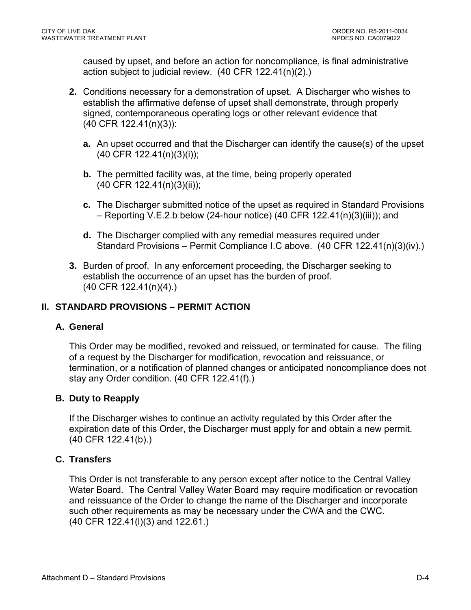caused by upset, and before an action for noncompliance, is final administrative action subject to judicial review. (40 CFR 122.41(n)(2).)

- **2.** Conditions necessary for a demonstration of upset. A Discharger who wishes to establish the affirmative defense of upset shall demonstrate, through properly signed, contemporaneous operating logs or other relevant evidence that (40 CFR 122.41(n)(3)):
	- **a.** An upset occurred and that the Discharger can identify the cause(s) of the upset (40 CFR 122.41(n)(3)(i));
	- **b.** The permitted facility was, at the time, being properly operated (40 CFR 122.41(n)(3)(ii));
	- **c.** The Discharger submitted notice of the upset as required in Standard Provisions – Reporting V.E.2.b below (24-hour notice) (40 CFR 122.41(n)(3)(iii)); and
	- **d.** The Discharger complied with any remedial measures required under Standard Provisions – Permit Compliance I.C above. (40 CFR 122.41(n)(3)(iv).)
- **3.** Burden of proof. In any enforcement proceeding, the Discharger seeking to establish the occurrence of an upset has the burden of proof. (40 CFR 122.41(n)(4).)

## **II. STANDARD PROVISIONS – PERMIT ACTION**

#### **A. General**

This Order may be modified, revoked and reissued, or terminated for cause. The filing of a request by the Discharger for modification, revocation and reissuance, or termination, or a notification of planned changes or anticipated noncompliance does not stay any Order condition. (40 CFR 122.41(f).)

#### **B. Duty to Reapply**

If the Discharger wishes to continue an activity regulated by this Order after the expiration date of this Order, the Discharger must apply for and obtain a new permit. (40 CFR 122.41(b).)

#### **C. Transfers**

This Order is not transferable to any person except after notice to the Central Valley Water Board. The Central Valley Water Board may require modification or revocation and reissuance of the Order to change the name of the Discharger and incorporate such other requirements as may be necessary under the CWA and the CWC. (40 CFR 122.41(l)(3) and 122.61.)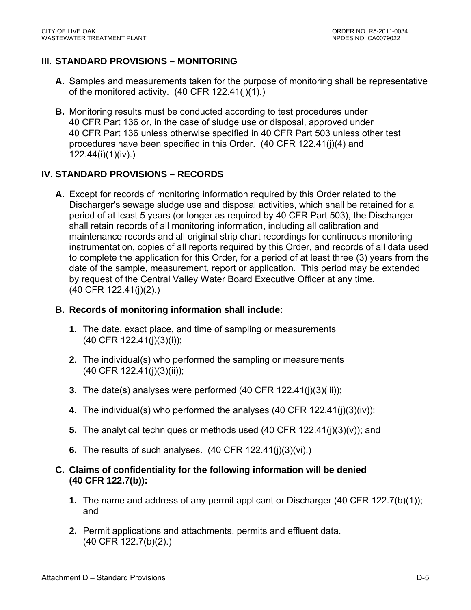### **III. STANDARD PROVISIONS – MONITORING**

- **A.** Samples and measurements taken for the purpose of monitoring shall be representative of the monitored activity. (40 CFR 122.41(j)(1).)
- **B.** Monitoring results must be conducted according to test procedures under 40 CFR Part 136 or, in the case of sludge use or disposal, approved under 40 CFR Part 136 unless otherwise specified in 40 CFR Part 503 unless other test procedures have been specified in this Order. (40 CFR 122.41(j)(4) and 122.44(i)(1)(iv).)

## **IV. STANDARD PROVISIONS – RECORDS**

**A.** Except for records of monitoring information required by this Order related to the Discharger's sewage sludge use and disposal activities, which shall be retained for a period of at least 5 years (or longer as required by 40 CFR Part 503), the Discharger shall retain records of all monitoring information, including all calibration and maintenance records and all original strip chart recordings for continuous monitoring instrumentation, copies of all reports required by this Order, and records of all data used to complete the application for this Order, for a period of at least three (3) years from the date of the sample, measurement, report or application. This period may be extended by request of the Central Valley Water Board Executive Officer at any time. (40 CFR 122.41(j)(2).)

#### **B. Records of monitoring information shall include:**

- **1.** The date, exact place, and time of sampling or measurements (40 CFR 122.41(j)(3)(i));
- **2.** The individual(s) who performed the sampling or measurements (40 CFR 122.41(j)(3)(ii));
- **3.** The date(s) analyses were performed (40 CFR 122.41(j)(3)(iii));
- **4.** The individual(s) who performed the analyses (40 CFR 122.41(j)(3)(iv));
- **5.** The analytical techniques or methods used (40 CFR 122.41(j)(3)(v)); and
- **6.** The results of such analyses. (40 CFR 122.41(j)(3)(vi).)
- **C. Claims of confidentiality for the following information will be denied (40 CFR 122.7(b)):** 
	- **1.** The name and address of any permit applicant or Discharger (40 CFR 122.7(b)(1)); and
	- **2.** Permit applications and attachments, permits and effluent data. (40 CFR 122.7(b)(2).)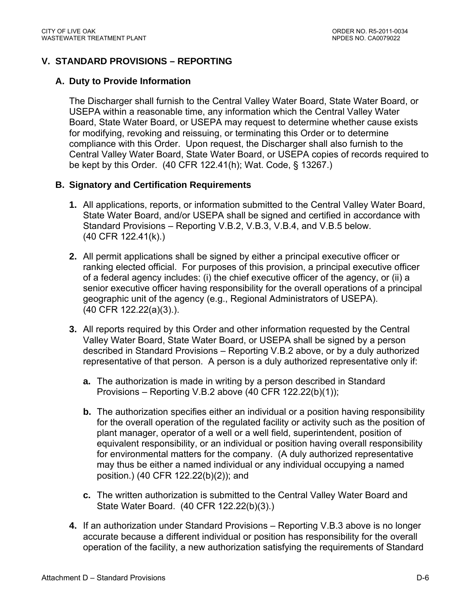### **V. STANDARD PROVISIONS – REPORTING**

#### **A. Duty to Provide Information**

The Discharger shall furnish to the Central Valley Water Board, State Water Board, or USEPA within a reasonable time, any information which the Central Valley Water Board, State Water Board, or USEPA may request to determine whether cause exists for modifying, revoking and reissuing, or terminating this Order or to determine compliance with this Order. Upon request, the Discharger shall also furnish to the Central Valley Water Board, State Water Board, or USEPA copies of records required to be kept by this Order. (40 CFR 122.41(h); Wat. Code, § 13267.)

#### **B. Signatory and Certification Requirements**

- **1.** All applications, reports, or information submitted to the Central Valley Water Board, State Water Board, and/or USEPA shall be signed and certified in accordance with Standard Provisions – Reporting V.B.2, V.B.3, V.B.4, and V.B.5 below. (40 CFR 122.41(k).)
- **2.** All permit applications shall be signed by either a principal executive officer or ranking elected official. For purposes of this provision, a principal executive officer of a federal agency includes: (i) the chief executive officer of the agency, or (ii) a senior executive officer having responsibility for the overall operations of a principal geographic unit of the agency (e.g., Regional Administrators of USEPA). (40 CFR 122.22(a)(3).).
- **3.** All reports required by this Order and other information requested by the Central Valley Water Board, State Water Board, or USEPA shall be signed by a person described in Standard Provisions – Reporting V.B.2 above, or by a duly authorized representative of that person. A person is a duly authorized representative only if:
	- **a.** The authorization is made in writing by a person described in Standard Provisions – Reporting V.B.2 above (40 CFR 122.22(b)(1));
	- **b.** The authorization specifies either an individual or a position having responsibility for the overall operation of the regulated facility or activity such as the position of plant manager, operator of a well or a well field, superintendent, position of equivalent responsibility, or an individual or position having overall responsibility for environmental matters for the company. (A duly authorized representative may thus be either a named individual or any individual occupying a named position.) (40 CFR 122.22(b)(2)); and
	- **c.** The written authorization is submitted to the Central Valley Water Board and State Water Board. (40 CFR 122.22(b)(3).)
- **4.** If an authorization under Standard Provisions Reporting V.B.3 above is no longer accurate because a different individual or position has responsibility for the overall operation of the facility, a new authorization satisfying the requirements of Standard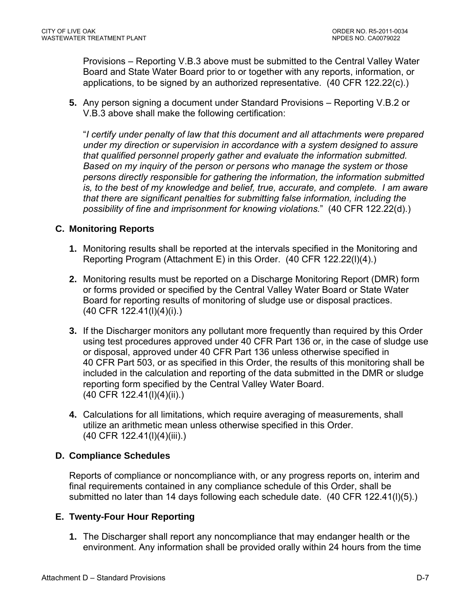Provisions – Reporting V.B.3 above must be submitted to the Central Valley Water Board and State Water Board prior to or together with any reports, information, or applications, to be signed by an authorized representative. (40 CFR 122.22(c).)

**5.** Any person signing a document under Standard Provisions – Reporting V.B.2 or V.B.3 above shall make the following certification:

"*I certify under penalty of law that this document and all attachments were prepared under my direction or supervision in accordance with a system designed to assure that qualified personnel properly gather and evaluate the information submitted. Based on my inquiry of the person or persons who manage the system or those persons directly responsible for gathering the information, the information submitted is, to the best of my knowledge and belief, true, accurate, and complete. I am aware that there are significant penalties for submitting false information, including the possibility of fine and imprisonment for knowing violations.*" (40 CFR 122.22(d).)

### **C. Monitoring Reports**

- **1.** Monitoring results shall be reported at the intervals specified in the Monitoring and Reporting Program (Attachment E) in this Order. (40 CFR 122.22(l)(4).)
- **2.** Monitoring results must be reported on a Discharge Monitoring Report (DMR) form or forms provided or specified by the Central Valley Water Board or State Water Board for reporting results of monitoring of sludge use or disposal practices. (40 CFR 122.41(l)(4)(i).)
- **3.** If the Discharger monitors any pollutant more frequently than required by this Order using test procedures approved under 40 CFR Part 136 or, in the case of sludge use or disposal, approved under 40 CFR Part 136 unless otherwise specified in 40 CFR Part 503, or as specified in this Order, the results of this monitoring shall be included in the calculation and reporting of the data submitted in the DMR or sludge reporting form specified by the Central Valley Water Board. (40 CFR 122.41(l)(4)(ii).)
- **4.** Calculations for all limitations, which require averaging of measurements, shall utilize an arithmetic mean unless otherwise specified in this Order. (40 CFR 122.41(l)(4)(iii).)

#### **D. Compliance Schedules**

Reports of compliance or noncompliance with, or any progress reports on, interim and final requirements contained in any compliance schedule of this Order, shall be submitted no later than 14 days following each schedule date. (40 CFR 122.41(l)(5).)

#### **E. Twenty-Four Hour Reporting**

**1.** The Discharger shall report any noncompliance that may endanger health or the environment. Any information shall be provided orally within 24 hours from the time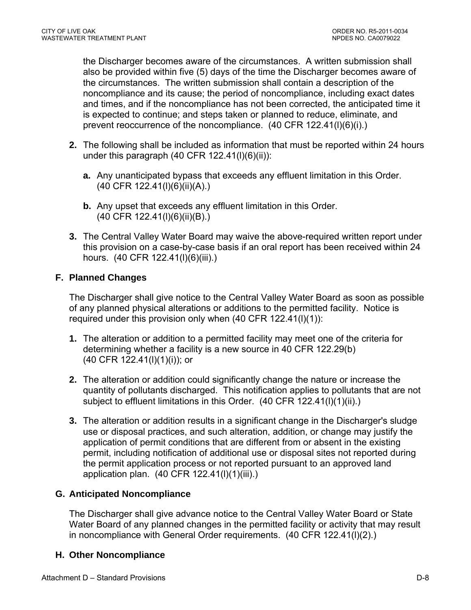the Discharger becomes aware of the circumstances. A written submission shall also be provided within five (5) days of the time the Discharger becomes aware of the circumstances. The written submission shall contain a description of the noncompliance and its cause; the period of noncompliance, including exact dates and times, and if the noncompliance has not been corrected, the anticipated time it is expected to continue; and steps taken or planned to reduce, eliminate, and prevent reoccurrence of the noncompliance. (40 CFR 122.41(l)(6)(i).)

- **2.** The following shall be included as information that must be reported within 24 hours under this paragraph  $(40$  CFR  $122.41(l)(6)(ii))$ :
	- **a.** Any unanticipated bypass that exceeds any effluent limitation in this Order. (40 CFR 122.41(l)(6)(ii)(A).)
	- **b.** Any upset that exceeds any effluent limitation in this Order. (40 CFR 122.41(l)(6)(ii)(B).)
- **3.** The Central Valley Water Board may waive the above-required written report under this provision on a case-by-case basis if an oral report has been received within 24 hours. (40 CFR 122.41(l)(6)(iii).)

## **F. Planned Changes**

The Discharger shall give notice to the Central Valley Water Board as soon as possible of any planned physical alterations or additions to the permitted facility. Notice is required under this provision only when (40 CFR 122.41(l)(1)):

- **1.** The alteration or addition to a permitted facility may meet one of the criteria for determining whether a facility is a new source in 40 CFR 122.29(b) (40 CFR 122.41(l)(1)(i)); or
- **2.** The alteration or addition could significantly change the nature or increase the quantity of pollutants discharged. This notification applies to pollutants that are not subject to effluent limitations in this Order. (40 CFR 122.41(l)(1)(ii).)
- **3.** The alteration or addition results in a significant change in the Discharger's sludge use or disposal practices, and such alteration, addition, or change may justify the application of permit conditions that are different from or absent in the existing permit, including notification of additional use or disposal sites not reported during the permit application process or not reported pursuant to an approved land application plan. (40 CFR 122.41(l)(1)(iii).)

## **G. Anticipated Noncompliance**

The Discharger shall give advance notice to the Central Valley Water Board or State Water Board of any planned changes in the permitted facility or activity that may result in noncompliance with General Order requirements. (40 CFR 122.41(l)(2).)

## **H. Other Noncompliance**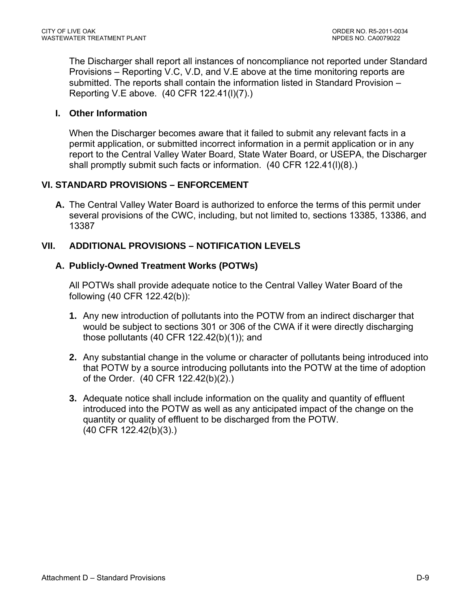The Discharger shall report all instances of noncompliance not reported under Standard Provisions – Reporting V.C, V.D, and V.E above at the time monitoring reports are submitted. The reports shall contain the information listed in Standard Provision – Reporting V.E above. (40 CFR 122.41(l)(7).)

### **I. Other Information**

When the Discharger becomes aware that it failed to submit any relevant facts in a permit application, or submitted incorrect information in a permit application or in any report to the Central Valley Water Board, State Water Board, or USEPA, the Discharger shall promptly submit such facts or information. (40 CFR 122.41(l)(8).)

### **VI. STANDARD PROVISIONS – ENFORCEMENT**

**A.** The Central Valley Water Board is authorized to enforce the terms of this permit under several provisions of the CWC, including, but not limited to, sections 13385, 13386, and 13387

## **VII. ADDITIONAL PROVISIONS – NOTIFICATION LEVELS**

### **A. Publicly-Owned Treatment Works (POTWs)**

All POTWs shall provide adequate notice to the Central Valley Water Board of the following (40 CFR 122.42(b)):

- **1.** Any new introduction of pollutants into the POTW from an indirect discharger that would be subject to sections 301 or 306 of the CWA if it were directly discharging those pollutants (40 CFR 122.42(b)(1)); and
- **2.** Any substantial change in the volume or character of pollutants being introduced into that POTW by a source introducing pollutants into the POTW at the time of adoption of the Order. (40 CFR 122.42(b)(2).)
- **3.** Adequate notice shall include information on the quality and quantity of effluent introduced into the POTW as well as any anticipated impact of the change on the quantity or quality of effluent to be discharged from the POTW. (40 CFR 122.42(b)(3).)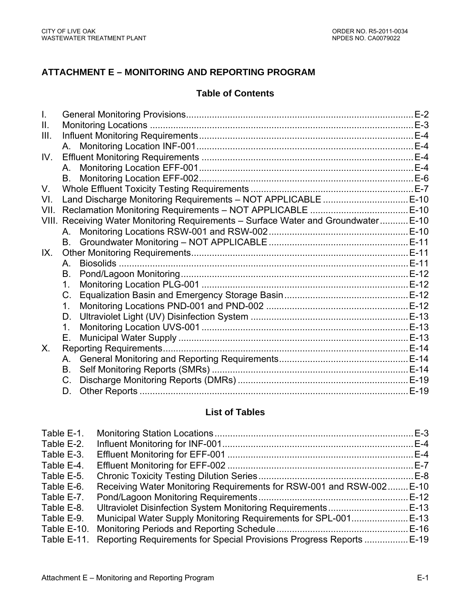# **ATTACHMENT E – MONITORING AND REPORTING PROGRAM**

#### **Table of Contents**

| Ш.    |                                                                              |  |
|-------|------------------------------------------------------------------------------|--|
| III.  |                                                                              |  |
|       |                                                                              |  |
| IV.   |                                                                              |  |
|       | A.                                                                           |  |
|       |                                                                              |  |
| V.    |                                                                              |  |
| VI.   |                                                                              |  |
| VII.  |                                                                              |  |
| VIII. | Receiving Water Monitoring Requirements - Surface Water and Groundwater E-10 |  |
|       |                                                                              |  |
|       |                                                                              |  |
| IX.   |                                                                              |  |
|       | A.                                                                           |  |
|       | В.                                                                           |  |
|       | 1.                                                                           |  |
|       | C.                                                                           |  |
|       | 1.                                                                           |  |
|       | D.                                                                           |  |
|       | 1.                                                                           |  |
|       | Е.                                                                           |  |
| X.    |                                                                              |  |
|       | A.                                                                           |  |
|       | <b>B</b> .                                                                   |  |
|       | $C_{\cdot}$                                                                  |  |
|       | D.                                                                           |  |

# **List of Tables**

| Table E-1.  |                                                                      |  |
|-------------|----------------------------------------------------------------------|--|
| Table E-2.  |                                                                      |  |
| Table E-3.  |                                                                      |  |
| Table E-4.  |                                                                      |  |
| Table E-5.  |                                                                      |  |
| Table E-6.  | Receiving Water Monitoring Requirements for RSW-001 and RSW-002 E-10 |  |
| Table E-7.  |                                                                      |  |
| Table E-8.  |                                                                      |  |
| Table E-9.  |                                                                      |  |
| Table E-10. |                                                                      |  |
| Table E-11. | Reporting Requirements for Special Provisions Progress Reports  E-19 |  |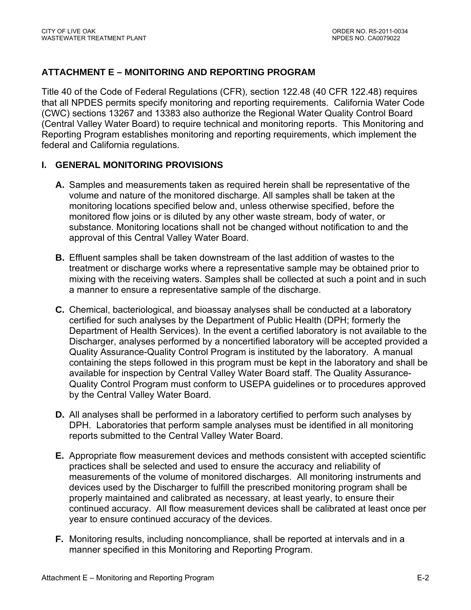## **ATTACHMENT E – MONITORING AND REPORTING PROGRAM**

Title 40 of the Code of Federal Regulations (CFR), section 122.48 (40 CFR 122.48) requires that all NPDES permits specify monitoring and reporting requirements. California Water Code (CWC) sections 13267 and 13383 also authorize the Regional Water Quality Control Board (Central Valley Water Board) to require technical and monitoring reports. This Monitoring and Reporting Program establishes monitoring and reporting requirements, which implement the federal and California regulations.

### **I. GENERAL MONITORING PROVISIONS**

- **A.** Samples and measurements taken as required herein shall be representative of the volume and nature of the monitored discharge. All samples shall be taken at the monitoring locations specified below and, unless otherwise specified, before the monitored flow joins or is diluted by any other waste stream, body of water, or substance. Monitoring locations shall not be changed without notification to and the approval of this Central Valley Water Board.
- **B.** Effluent samples shall be taken downstream of the last addition of wastes to the treatment or discharge works where a representative sample may be obtained prior to mixing with the receiving waters. Samples shall be collected at such a point and in such a manner to ensure a representative sample of the discharge.
- **C.** Chemical, bacteriological, and bioassay analyses shall be conducted at a laboratory certified for such analyses by the Department of Public Health (DPH; formerly the Department of Health Services). In the event a certified laboratory is not available to the Discharger, analyses performed by a noncertified laboratory will be accepted provided a Quality Assurance-Quality Control Program is instituted by the laboratory. A manual containing the steps followed in this program must be kept in the laboratory and shall be available for inspection by Central Valley Water Board staff. The Quality Assurance-Quality Control Program must conform to USEPA guidelines or to procedures approved by the Central Valley Water Board.
- **D.** All analyses shall be performed in a laboratory certified to perform such analyses by DPH. Laboratories that perform sample analyses must be identified in all monitoring reports submitted to the Central Valley Water Board.
- **E.** Appropriate flow measurement devices and methods consistent with accepted scientific practices shall be selected and used to ensure the accuracy and reliability of measurements of the volume of monitored discharges. All monitoring instruments and devices used by the Discharger to fulfill the prescribed monitoring program shall be properly maintained and calibrated as necessary, at least yearly, to ensure their continued accuracy. All flow measurement devices shall be calibrated at least once per year to ensure continued accuracy of the devices.
- **F.** Monitoring results, including noncompliance, shall be reported at intervals and in a manner specified in this Monitoring and Reporting Program.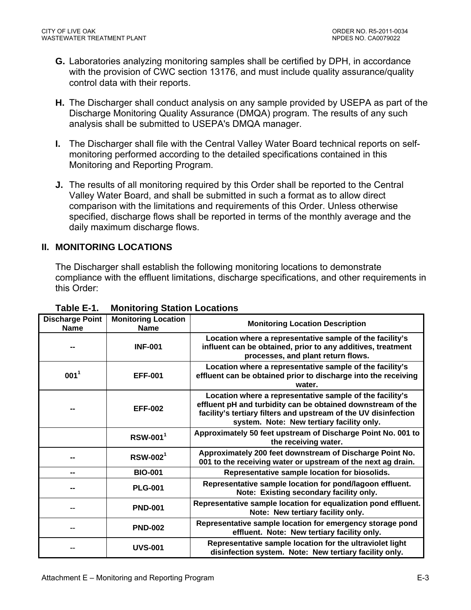- **G.** Laboratories analyzing monitoring samples shall be certified by DPH, in accordance with the provision of CWC section 13176, and must include quality assurance/quality control data with their reports.
- **H.** The Discharger shall conduct analysis on any sample provided by USEPA as part of the Discharge Monitoring Quality Assurance (DMQA) program. The results of any such analysis shall be submitted to USEPA's DMQA manager.
- **I.** The Discharger shall file with the Central Valley Water Board technical reports on selfmonitoring performed according to the detailed specifications contained in this Monitoring and Reporting Program.
- **J.** The results of all monitoring required by this Order shall be reported to the Central Valley Water Board, and shall be submitted in such a format as to allow direct comparison with the limitations and requirements of this Order. Unless otherwise specified, discharge flows shall be reported in terms of the monthly average and the daily maximum discharge flows.

### **II. MONITORING LOCATIONS**

The Discharger shall establish the following monitoring locations to demonstrate compliance with the effluent limitations, discharge specifications, and other requirements in this Order:

| <b>Discharge Point</b><br><b>Name</b> | <b>Monitoring Location</b><br><b>Name</b> | <b>Monitoring Location Description</b>                                                                                                                                                                                                  |
|---------------------------------------|-------------------------------------------|-----------------------------------------------------------------------------------------------------------------------------------------------------------------------------------------------------------------------------------------|
|                                       | <b>INF-001</b>                            | Location where a representative sample of the facility's<br>influent can be obtained, prior to any additives, treatment<br>processes, and plant return flows.                                                                           |
| $001^1$                               | <b>EFF-001</b>                            | Location where a representative sample of the facility's<br>effluent can be obtained prior to discharge into the receiving<br>water.                                                                                                    |
|                                       | <b>EFF-002</b>                            | Location where a representative sample of the facility's<br>effluent pH and turbidity can be obtained downstream of the<br>facility's tertiary filters and upstream of the UV disinfection<br>system. Note: New tertiary facility only. |
|                                       | $RSW-0011$                                | Approximately 50 feet upstream of Discharge Point No. 001 to<br>the receiving water.                                                                                                                                                    |
|                                       | $RSW-0021$                                | Approximately 200 feet downstream of Discharge Point No.<br>001 to the receiving water or upstream of the next ag drain.                                                                                                                |
| --                                    | <b>BIO-001</b>                            | Representative sample location for biosolids.                                                                                                                                                                                           |
|                                       | <b>PLG-001</b>                            | Representative sample location for pond/lagoon effluent.<br>Note: Existing secondary facility only.                                                                                                                                     |
|                                       | <b>PND-001</b>                            | Representative sample location for equalization pond effluent.<br>Note: New tertiary facility only.                                                                                                                                     |
|                                       | <b>PND-002</b>                            | Representative sample location for emergency storage pond<br>effluent. Note: New tertiary facility only.                                                                                                                                |
|                                       | <b>UVS-001</b>                            | Representative sample location for the ultraviolet light<br>disinfection system. Note: New tertiary facility only.                                                                                                                      |

**Table E-1. Monitoring Station Locations**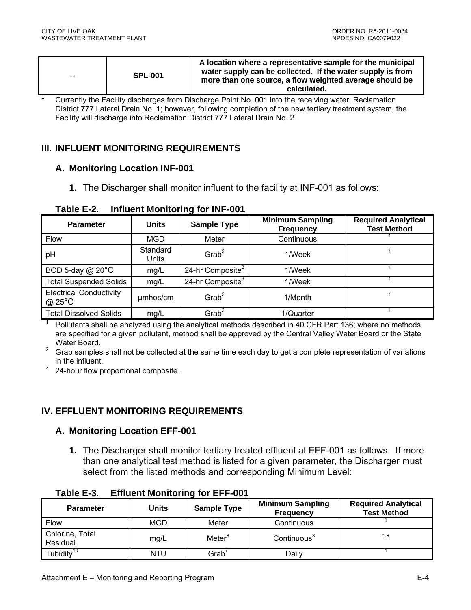| $\sim$ | <b>SPL-001</b> | A location where a representative sample for the municipal<br>water supply can be collected. If the water supply is from<br>more than one source, a flow weighted average should be<br>calculated. |
|--------|----------------|----------------------------------------------------------------------------------------------------------------------------------------------------------------------------------------------------|
|--------|----------------|----------------------------------------------------------------------------------------------------------------------------------------------------------------------------------------------------|

<sup>1</sup> Currently the Facility discharges from Discharge Point No. 001 into the receiving water, Reclamation District 777 Lateral Drain No. 1; however, following completion of the new tertiary treatment system, the Facility will discharge into Reclamation District 777 Lateral Drain No. 2.

### **III. INFLUENT MONITORING REQUIREMENTS**

#### **A. Monitoring Location INF-001**

**1.** The Discharger shall monitor influent to the facility at INF-001 as follows:

| <b>Parameter</b>                         | <b>Units</b>      | <b>Sample Type</b>           | <b>Minimum Sampling</b><br><b>Frequency</b> | <b>Required Analytical</b><br><b>Test Method</b> |
|------------------------------------------|-------------------|------------------------------|---------------------------------------------|--------------------------------------------------|
| <b>Flow</b>                              | MGD               | Meter                        | Continuous                                  |                                                  |
| рH                                       | Standard<br>Units | $G$ rab <sup>2</sup>         | 1/Week                                      |                                                  |
| BOD 5-day $@$ 20 $°C$                    | mg/L              | 24-hr Composite <sup>3</sup> | 1/Week                                      |                                                  |
| <b>Total Suspended Solids</b>            | mg/L              | 24-hr Composite <sup>3</sup> | 1/Week                                      |                                                  |
| <b>Electrical Conductivity</b><br>@ 25°C | µmhos/cm          | $G$ rab <sup>2</sup>         | 1/Month                                     |                                                  |
| <b>Total Dissolved Solids</b>            | mg/L              | $G$ rab <sup>2</sup>         | 1/Quarter                                   |                                                  |

**Table E-2. Influent Monitoring for INF-001** 

1 Pollutants shall be analyzed using the analytical methods described in 40 CFR Part 136; where no methods are specified for a given pollutant, method shall be approved by the Central Valley Water Board or the State Water Board.

<sup>2</sup> Grab samples shall not be collected at the same time each day to get a complete representation of variations in the influent.

 $3\quad$  24-hour flow proportional composite.

## **IV. EFFLUENT MONITORING REQUIREMENTS**

## **A. Monitoring Location EFF-001**

**1.** The Discharger shall monitor tertiary treated effluent at EFF-001 as follows. If more than one analytical test method is listed for a given parameter, the Discharger must select from the listed methods and corresponding Minimum Level:

| <b>Parameter</b>            | Units      | <b>Sample Type</b> | <b>Minimum Sampling</b><br><b>Frequency</b> | <b>Required Analytical</b><br><b>Test Method</b> |
|-----------------------------|------------|--------------------|---------------------------------------------|--------------------------------------------------|
| <b>Flow</b>                 | <b>MGD</b> | Meter              | Continuous                                  |                                                  |
| Chlorine, Total<br>Residual | mg/L       | Meter <sup>8</sup> | Continuous <sup>8</sup>                     | 1,8                                              |
| Tubidity <sup>10</sup>      | <b>NTU</b> | Grab'              | Daily                                       |                                                  |

**Table E-3. Effluent Monitoring for EFF-001**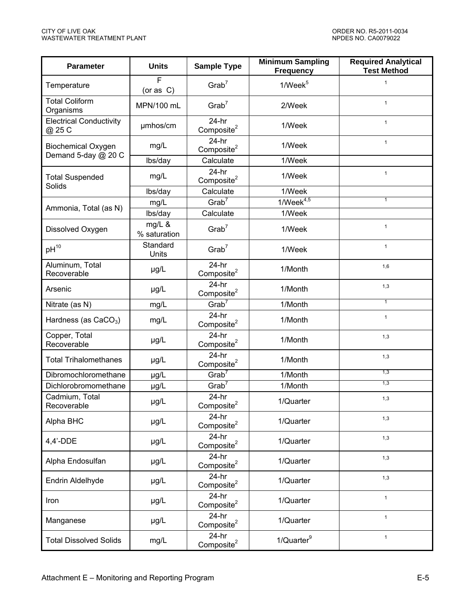| <b>Parameter</b>                                 | <b>Units</b>           | <b>Minimum Sampling</b><br><b>Sample Type</b><br><b>Frequency</b> |                     | <b>Required Analytical</b><br><b>Test Method</b> |
|--------------------------------------------------|------------------------|-------------------------------------------------------------------|---------------------|--------------------------------------------------|
| Temperature                                      | F<br>(or as C)         | Grab <sup>7</sup>                                                 | 1/Week <sup>5</sup> | $\mathbf{1}$                                     |
| <b>Total Coliform</b><br>Organisms               | MPN/100 mL             | Grab <sup>7</sup>                                                 | 2/Week              | $\mathbf{1}$                                     |
| <b>Electrical Conductivity</b><br>@ 25 C         | umhos/cm               | $24-hr$<br>Composite <sup>2</sup>                                 | 1/Week              | $\mathbf{1}$                                     |
| <b>Biochemical Oxygen</b><br>Demand 5-day @ 20 C | mg/L                   | $24-hr$<br>Composite $2$                                          | 1/Week              | $\mathbf{1}$                                     |
|                                                  | lbs/day                | Calculate                                                         | 1/Week              |                                                  |
| <b>Total Suspended</b><br>Solids                 | mg/L                   | $24-hr$<br>Composite <sup>2</sup>                                 | 1/Week              | $\mathbf{1}$                                     |
|                                                  | lbs/day                | Calculate                                                         | 1/Week              |                                                  |
|                                                  | mg/L                   | Grab <sup>7</sup>                                                 | $1/Week^{4,5}$      | 1                                                |
| Ammonia, Total (as N)                            | lbs/day                | Calculate                                                         | 1/Week              |                                                  |
| Dissolved Oxygen                                 | mg/L &<br>% saturation | Grab <sup>7</sup>                                                 | 1/Week              | $\mathbf{1}$                                     |
| $pH^{10}$                                        | Standard<br>Units      | Grab <sup>7</sup>                                                 | 1/Week              | $\mathbf{1}$                                     |
| Aluminum, Total<br>Recoverable                   | µg/L                   | $24-hr$<br>Composite <sup>2</sup>                                 | 1/Month             | 1,6                                              |
| Arsenic                                          | $\mu$ g/L              | $24-hr$<br>Composite <sup>2</sup>                                 | 1/Month             | 1,3                                              |
| Nitrate (as N)                                   | mg/L                   | Grab <sup>7</sup>                                                 | 1/Month             | $\overline{1}$                                   |
| Hardness (as CaCO <sub>3</sub> )                 | mg/L                   | $24-hr$<br>Composite <sup>2</sup>                                 | 1/Month             | $\mathbf{1}$                                     |
| Copper, Total<br>Recoverable                     | µg/L                   | $24-hr$<br>Composite <sup>2</sup>                                 | 1/Month             | 1,3                                              |
| <b>Total Trihalomethanes</b>                     | µg/L                   | $24-hr$<br>Composite <sup>2</sup>                                 | 1/Month             | 1,3                                              |
| Dibromochloromethane                             | µg/L                   | Grab <sup>7</sup>                                                 | 1/Month             | 1,3                                              |
| Dichlorobromomethane                             | µg/L                   | Grab <sup>7</sup>                                                 | 1/Month             | 1,3                                              |
| Cadmium, Total<br>Recoverable                    | µg/L                   | $24-hr$<br>Composite <sup>2</sup>                                 | 1/Quarter           | 1,3                                              |
| Alpha BHC                                        | µg/L                   | $24-hr$<br>Composite <sup>2</sup>                                 | 1/Quarter           | 1,3                                              |
| 4,4'-DDE                                         | µg/L                   | $24-hr$<br>Composite <sup>2</sup>                                 | 1/Quarter           | 1,3                                              |
| Alpha Endosulfan                                 | µg/L                   | $24-hr$<br>Composite <sup>2</sup>                                 | 1/Quarter           | 1,3                                              |
| Endrin Aldelhyde                                 | $\mu$ g/L              | $24-hr$<br>Composite <sup>2</sup>                                 | 1/Quarter           | 1,3                                              |
| Iron                                             | µg/L                   | $24-hr$<br>Composite <sup>2</sup>                                 | 1/Quarter           | $\mathbf{1}$                                     |
| Manganese                                        | $\mu$ g/L              | $24-hr$<br>Composite <sup>2</sup>                                 | 1/Quarter           | $\mathbf{1}$                                     |
| <b>Total Dissolved Solids</b>                    | mg/L                   | $24-hr$<br>Composite <sup>2</sup>                                 | $1/Q$ uarter $9$    | $\mathbf{1}$                                     |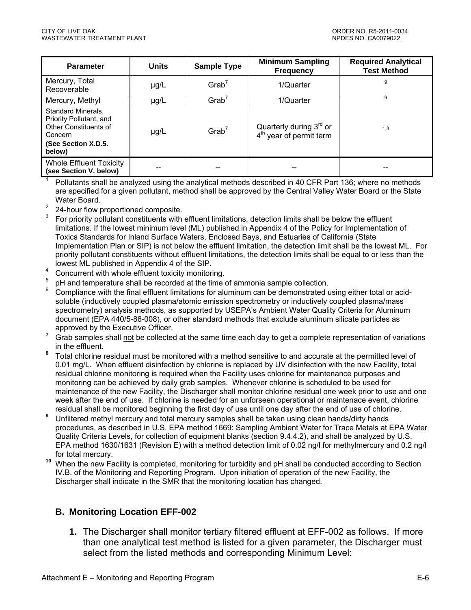| <b>Parameter</b>                                                                                                   | <b>Units</b> | <b>Sample Type</b>   | <b>Minimum Sampling</b><br><b>Frequency</b>                                | <b>Required Analytical</b><br><b>Test Method</b> |
|--------------------------------------------------------------------------------------------------------------------|--------------|----------------------|----------------------------------------------------------------------------|--------------------------------------------------|
| Mercury, Total<br>Recoverable                                                                                      | $\mu$ g/L    | Grab <sup>7</sup>    | 1/Quarter                                                                  | 9                                                |
| Mercury, Methyl                                                                                                    | $\mu$ g/L    | $G$ rab <sup>7</sup> | 1/Quarter                                                                  | 9                                                |
| Standard Minerals,<br>Priority Pollutant, and<br>Other Constituents of<br>Concern<br>(See Section X.D.5.<br>below) | $\mu$ g/L    | Grab <sup>7</sup>    | Quarterly during 3 <sup>rd</sup> or<br>4 <sup>th</sup> year of permit term | 1,3                                              |
| <b>Whole Effluent Toxicity</b><br>(see Section V. below)                                                           |              |                      |                                                                            |                                                  |

 Pollutants shall be analyzed using the analytical methods described in 40 CFR Part 136; where no methods are specified for a given pollutant, method shall be approved by the Central Valley Water Board or the State Water Board.

<sup>2</sup> 24-hour flow proportioned composite.

1

- $3$  For priority pollutant constituents with effluent limitations, detection limits shall be below the effluent limitations. If the lowest minimum level (ML) published in Appendix 4 of the Policy for Implementation of Toxics Standards for Inland Surface Waters, Enclosed Bays, and Estuaries of California (State Implementation Plan or SIP) is not below the effluent limitation, the detection limit shall be the lowest ML. For priority pollutant constituents without effluent limitations, the detection limits shall be equal to or less than the lowest ML published in Appendix 4 of the SIP.
- $^{4}$  Concurrent with whole effluent toxicity monitoring.
- $5$  pH and temperature shall be recorded at the time of ammonia sample collection.
- 6 Compliance with the final effluent limitations for aluminum can be demonstrated using either total or acidsoluble (inductively coupled plasma/atomic emission spectrometry or inductively coupled plasma/mass spectrometry) analysis methods, as supported by USEPA's Ambient Water Quality Criteria for Aluminum document (EPA 440/5-86-008), or other standard methods that exclude aluminum silicate particles as approved by the Executive Officer.
- <sup>7</sup> Grab samples shall not be collected at the same time each day to get a complete representation of variations in the effluent.
- **<sup>8</sup>**Total chlorine residual must be monitored with a method sensitive to and accurate at the permitted level of 0.01 mg/L. When effluent disinfection by chlorine is replaced by UV disinfection with the new Facility, total residual chlorine monitoring is required when the Facility uses chlorine for maintenance purposes and monitoring can be achieved by daily grab samples. Whenever chlorine is scheduled to be used for maintenance of the new Facility, the Discharger shall monitor chlorine residual one week prior to use and one week after the end of use. If chlorine is needed for an unforseen operational or maintenace event, chlorine residual shall be monitored beginning the first day of use until one day after the end of use of chlorine.
- <sup>9</sup> Unfiltered methyl mercury and total mercury samples shall be taken using clean hands/dirty hands procedures, as described in U.S. EPA method 1669: Sampling Ambient Water for Trace Metals at EPA Water Quality Criteria Levels, for collection of equipment blanks (section 9.4.4.2), and shall be analyzed by U.S. EPA method 1630/1631 (Revision E) with a method detection limit of 0.02 ng/l for methylmercury and 0.2 ng/l for total mercury.
- <sup>10</sup> When the new Facility is completed, monitoring for turbidity and pH shall be conducted according to Section IV.B. of the Monitoring and Reporting Program. Upon initiation of operation of the new Facility, the Discharger shall indicate in the SMR that the monitoring location has changed.

## **B. Monitoring Location EFF-002**

**1.** The Discharger shall monitor tertiary filtered effluent at EFF-002 as follows. If more than one analytical test method is listed for a given parameter, the Discharger must select from the listed methods and corresponding Minimum Level: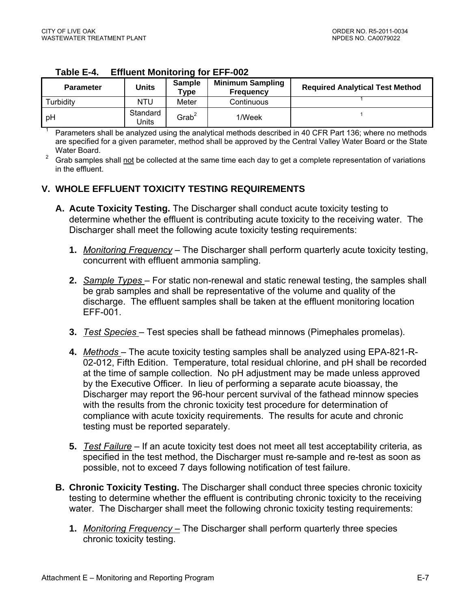1

| гаріе с-4.       | ETTIUGHT MONITORING TOT EFF-UUZ |                          |                                             |                                        |  |  |  |  |
|------------------|---------------------------------|--------------------------|---------------------------------------------|----------------------------------------|--|--|--|--|
| <b>Parameter</b> | Units                           | <b>Sample</b><br>$T$ ype | <b>Minimum Sampling</b><br><b>Frequency</b> | <b>Required Analytical Test Method</b> |  |  |  |  |
| Turbidity        | NTU                             | Meter                    | Continuous                                  |                                        |  |  |  |  |
| ∣ pH             | Standard<br>Jnits               | Grab <sup>2</sup>        | 1/Week                                      |                                        |  |  |  |  |

#### **Table E-4. Effluent Monitoring for EFF-002**

 Parameters shall be analyzed using the analytical methods described in 40 CFR Part 136; where no methods are specified for a given parameter, method shall be approved by the Central Valley Water Board or the State Water Board.

<sup>2</sup> Grab samples shall not be collected at the same time each day to get a complete representation of variations in the effluent.

### **V. WHOLE EFFLUENT TOXICITY TESTING REQUIREMENTS**

- **A. Acute Toxicity Testing.** The Discharger shall conduct acute toxicity testing to determine whether the effluent is contributing acute toxicity to the receiving water. The Discharger shall meet the following acute toxicity testing requirements:
	- **1.** *Monitoring Frequency* The Discharger shall perform quarterly acute toxicity testing, concurrent with effluent ammonia sampling.
	- **2.** *Sample Types*  For static non-renewal and static renewal testing, the samples shall be grab samples and shall be representative of the volume and quality of the discharge. The effluent samples shall be taken at the effluent monitoring location EFF-001.
	- **3.** *Test Species*  Test species shall be fathead minnows (Pimephales promelas).
	- **4.** *Methods*  The acute toxicity testing samples shall be analyzed using EPA-821-R-02-012, Fifth Edition. Temperature, total residual chlorine, and pH shall be recorded at the time of sample collection. No pH adjustment may be made unless approved by the Executive Officer. In lieu of performing a separate acute bioassay, the Discharger may report the 96-hour percent survival of the fathead minnow species with the results from the chronic toxicity test procedure for determination of compliance with acute toxicity requirements. The results for acute and chronic testing must be reported separately.
	- **5.** *Test Failure* If an acute toxicity test does not meet all test acceptability criteria, as specified in the test method, the Discharger must re-sample and re-test as soon as possible, not to exceed 7 days following notification of test failure.
- **B. Chronic Toxicity Testing.** The Discharger shall conduct three species chronic toxicity testing to determine whether the effluent is contributing chronic toxicity to the receiving water. The Discharger shall meet the following chronic toxicity testing requirements:
	- **1.** *Monitoring Frequency –* The Discharger shall perform quarterly three species chronic toxicity testing.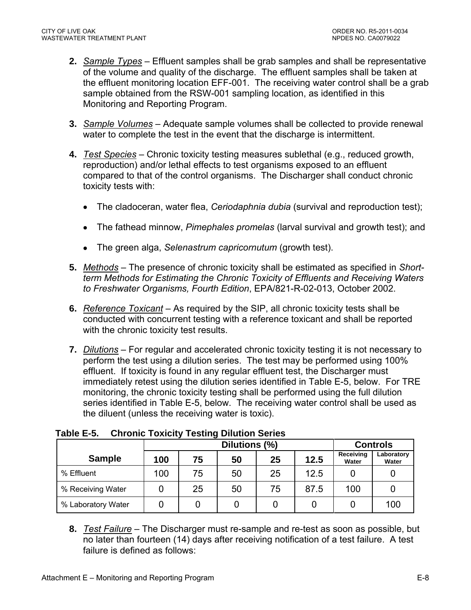- **2.** *Sample Types* Effluent samples shall be grab samples and shall be representative of the volume and quality of the discharge. The effluent samples shall be taken at the effluent monitoring location EFF-001. The receiving water control shall be a grab sample obtained from the RSW-001 sampling location, as identified in this Monitoring and Reporting Program.
- **3.** *Sample Volumes* Adequate sample volumes shall be collected to provide renewal water to complete the test in the event that the discharge is intermittent.
- **4.** *Test Species* Chronic toxicity testing measures sublethal (e.g., reduced growth, reproduction) and/or lethal effects to test organisms exposed to an effluent compared to that of the control organisms. The Discharger shall conduct chronic toxicity tests with:
	- The cladoceran, water flea, *Ceriodaphnia dubia* (survival and reproduction test);
	- The fathead minnow, *Pimephales promelas* (larval survival and growth test); and
	- The green alga, *Selenastrum capricornutum* (growth test).
- **5.** *Methods* The presence of chronic toxicity shall be estimated as specified in *Shortterm Methods for Estimating the Chronic Toxicity of Effluents and Receiving Waters to Freshwater Organisms, Fourth Edition*, EPA/821-R-02-013, October 2002.
- **6.** *Reference Toxicant* As required by the SIP, all chronic toxicity tests shall be conducted with concurrent testing with a reference toxicant and shall be reported with the chronic toxicity test results.
- **7.** *Dilutions* For regular and accelerated chronic toxicity testing it is not necessary to perform the test using a dilution series. The test may be performed using 100% effluent. If toxicity is found in any regular effluent test, the Discharger must immediately retest using the dilution series identified in Table E-5, below. For TRE monitoring, the chronic toxicity testing shall be performed using the full dilution series identified in Table E-5, below. The receiving water control shall be used as the diluent (unless the receiving water is toxic).

|                    |     | -<br>Dilutions (%) |    |    |      |                    | <b>Controls</b>     |
|--------------------|-----|--------------------|----|----|------|--------------------|---------------------|
| <b>Sample</b>      | 100 | 75                 | 50 | 25 | 12.5 | Receiving<br>Water | Laboratory<br>Water |
| % Effluent         | 100 | 75                 | 50 | 25 | 12.5 |                    |                     |
| % Receiving Water  |     | 25                 | 50 | 75 | 87.5 | 100                |                     |
| % Laboratory Water |     |                    |    |    |      |                    | 100                 |

**Table E-5. Chronic Toxicity Testing Dilution Series** 

**8.** *Test Failure* – The Discharger must re-sample and re-test as soon as possible, but no later than fourteen (14) days after receiving notification of a test failure. A test failure is defined as follows: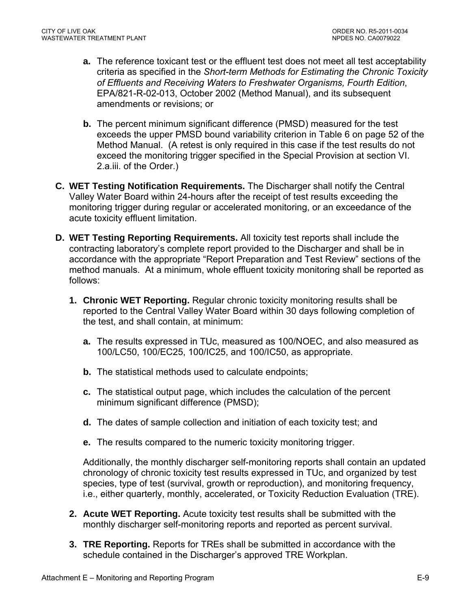- **a.** The reference toxicant test or the effluent test does not meet all test acceptability criteria as specified in the *Short-term Methods for Estimating the Chronic Toxicity of Effluents and Receiving Waters to Freshwater Organisms, Fourth Edition*, EPA/821-R-02-013, October 2002 (Method Manual), and its subsequent amendments or revisions; or
- **b.** The percent minimum significant difference (PMSD) measured for the test exceeds the upper PMSD bound variability criterion in Table 6 on page 52 of the Method Manual. (A retest is only required in this case if the test results do not exceed the monitoring trigger specified in the Special Provision at section VI. 2.a.iii. of the Order.)
- **C. WET Testing Notification Requirements.** The Discharger shall notify the Central Valley Water Board within 24-hours after the receipt of test results exceeding the monitoring trigger during regular or accelerated monitoring, or an exceedance of the acute toxicity effluent limitation.
- **D. WET Testing Reporting Requirements.** All toxicity test reports shall include the contracting laboratory's complete report provided to the Discharger and shall be in accordance with the appropriate "Report Preparation and Test Review" sections of the method manuals. At a minimum, whole effluent toxicity monitoring shall be reported as follows:
	- **1. Chronic WET Reporting.** Regular chronic toxicity monitoring results shall be reported to the Central Valley Water Board within 30 days following completion of the test, and shall contain, at minimum:
		- **a.** The results expressed in TUc, measured as 100/NOEC, and also measured as 100/LC50, 100/EC25, 100/IC25, and 100/IC50, as appropriate.
		- **b.** The statistical methods used to calculate endpoints;
		- **c.** The statistical output page, which includes the calculation of the percent minimum significant difference (PMSD);
		- **d.** The dates of sample collection and initiation of each toxicity test; and
		- **e.** The results compared to the numeric toxicity monitoring trigger.

Additionally, the monthly discharger self-monitoring reports shall contain an updated chronology of chronic toxicity test results expressed in TUc, and organized by test species, type of test (survival, growth or reproduction), and monitoring frequency, i.e., either quarterly, monthly, accelerated, or Toxicity Reduction Evaluation (TRE).

- **2. Acute WET Reporting.** Acute toxicity test results shall be submitted with the monthly discharger self-monitoring reports and reported as percent survival.
- **3. TRE Reporting.** Reports for TREs shall be submitted in accordance with the schedule contained in the Discharger's approved TRE Workplan.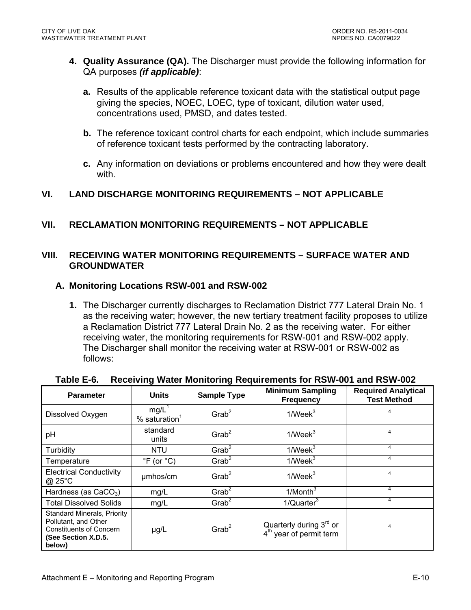- **4. Quality Assurance (QA).** The Discharger must provide the following information for QA purposes *(if applicable)*:
	- **a.** Results of the applicable reference toxicant data with the statistical output page giving the species, NOEC, LOEC, type of toxicant, dilution water used, concentrations used, PMSD, and dates tested.
	- **b.** The reference toxicant control charts for each endpoint, which include summaries of reference toxicant tests performed by the contracting laboratory.
	- **c.** Any information on deviations or problems encountered and how they were dealt with.

### **VI. LAND DISCHARGE MONITORING REQUIREMENTS – NOT APPLICABLE**

### **VII. RECLAMATION MONITORING REQUIREMENTS – NOT APPLICABLE**

#### **VIII. RECEIVING WATER MONITORING REQUIREMENTS – SURFACE WATER AND GROUNDWATER**

#### **A. Monitoring Locations RSW-001 and RSW-002**

**1.** The Discharger currently discharges to Reclamation District 777 Lateral Drain No. 1 as the receiving water; however, the new tertiary treatment facility proposes to utilize a Reclamation District 777 Lateral Drain No. 2 as the receiving water. For either receiving water, the monitoring requirements for RSW-001 and RSW-002 apply. The Discharger shall monitor the receiving water at RSW-001 or RSW-002 as follows:

| <b>Parameter</b>                                                                                                              | <b>Units</b>                            | <b>Sample Type</b>   | <b>Minimum Sampling</b><br><b>Frequency</b>                                | <b>Required Analytical</b><br><b>Test Method</b> |
|-------------------------------------------------------------------------------------------------------------------------------|-----------------------------------------|----------------------|----------------------------------------------------------------------------|--------------------------------------------------|
| Dissolved Oxygen                                                                                                              | $mg/L^1$<br>$%$ saturation <sup>1</sup> | $G$ rab <sup>2</sup> | 1/Week <sup>3</sup>                                                        |                                                  |
| pH                                                                                                                            | standard<br>units                       | $G$ rab <sup>2</sup> | 1/Week <sup>3</sup>                                                        | 4                                                |
| Turbidity                                                                                                                     | <b>NTU</b>                              | $G$ rab <sup>2</sup> | 1/Week <sup>3</sup>                                                        | 4                                                |
| Temperature                                                                                                                   | $\degree$ F (or $\degree$ C)            | Grab <sup>2</sup>    | $1$ /Week $3$                                                              | 4                                                |
| <b>Electrical Conductivity</b><br>$@$ 25 $°C$                                                                                 | umhos/cm                                | $G$ rab <sup>2</sup> | 1/Week <sup>3</sup>                                                        | 4                                                |
| Hardness (as $CaCO3$ )                                                                                                        | mg/L                                    | Grab <sup>2</sup>    | $1/M$ onth $3$                                                             | 4                                                |
| <b>Total Dissolved Solids</b>                                                                                                 | mg/L                                    | Grab <sup>2</sup>    | $1/Q$ uarter $3$                                                           | 4                                                |
| <b>Standard Minerals, Priority</b><br>Pollutant, and Other<br><b>Constituents of Concern</b><br>(See Section X.D.5.<br>below) | $\mu$ g/L                               | Grab <sup>2</sup>    | Quarterly during 3 <sup>rd</sup> or<br>4 <sup>th</sup> year of permit term | 4                                                |

#### **Table E-6. Receiving Water Monitoring Requirements for RSW-001 and RSW-002**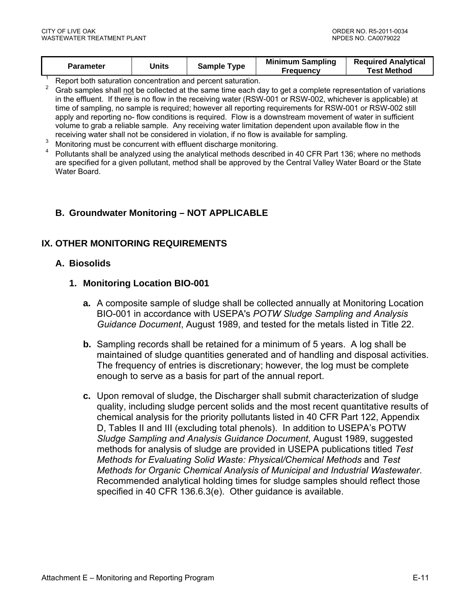| <b>Parameter</b> | Units |             | <b>Minimum Sampling</b> | <b>Required Analytical</b> |
|------------------|-------|-------------|-------------------------|----------------------------|
|                  |       | Sample Type | <b>Frequency</b>        | <b>Test Method</b>         |

1 Report both saturation concentration and percent saturation.

2 Grab samples shall not be collected at the same time each day to get a complete representation of variations in the effluent. If there is no flow in the receiving water (RSW-001 or RSW-002, whichever is applicable) at time of sampling, no sample is required; however all reporting requirements for RSW-001 or RSW-002 still apply and reporting no- flow conditions is required. Flow is a downstream movement of water in sufficient volume to grab a reliable sample. Any receiving water limitation dependent upon available flow in the receiving water shall not be considered in violation, if no flow is available for sampling.

- 3 Monitoring must be concurrent with effluent discharge monitoring.
- 4 Pollutants shall be analyzed using the analytical methods described in 40 CFR Part 136; where no methods are specified for a given pollutant, method shall be approved by the Central Valley Water Board or the State Water Board.

### **B. Groundwater Monitoring – NOT APPLICABLE**

#### **IX. OTHER MONITORING REQUIREMENTS**

#### **A. Biosolids**

#### **1. Monitoring Location BIO-001**

- **a.** A composite sample of sludge shall be collected annually at Monitoring Location BIO-001 in accordance with USEPA's *POTW Sludge Sampling and Analysis Guidance Document*, August 1989, and tested for the metals listed in Title 22.
- **b.** Sampling records shall be retained for a minimum of 5 years. A log shall be maintained of sludge quantities generated and of handling and disposal activities. The frequency of entries is discretionary; however, the log must be complete enough to serve as a basis for part of the annual report.
- **c.** Upon removal of sludge, the Discharger shall submit characterization of sludge quality, including sludge percent solids and the most recent quantitative results of chemical analysis for the priority pollutants listed in 40 CFR Part 122, Appendix D, Tables II and III (excluding total phenols). In addition to USEPA's POTW *Sludge Sampling and Analysis Guidance Document*, August 1989, suggested methods for analysis of sludge are provided in USEPA publications titled *Test Methods for Evaluating Solid Waste: Physical/Chemical Methods* and *Test Methods for Organic Chemical Analysis of Municipal and Industrial Wastewater*. Recommended analytical holding times for sludge samples should reflect those specified in 40 CFR 136.6.3(e). Other guidance is available.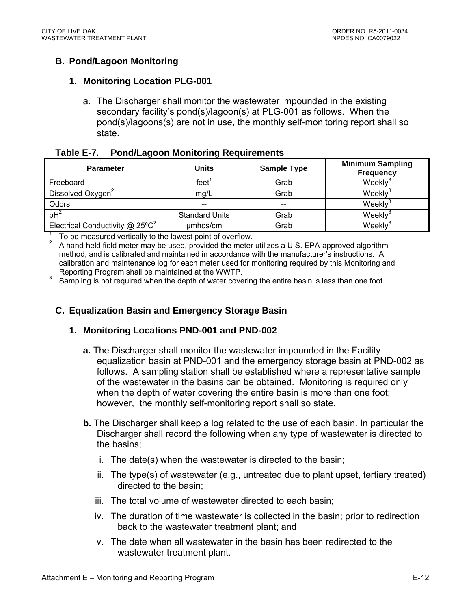## **B. Pond/Lagoon Monitoring**

### **1. Monitoring Location PLG-001**

a. The Discharger shall monitor the wastewater impounded in the existing secondary facility's pond(s)/lagoon(s) at PLG-001 as follows. When the pond(s)/lagoons(s) are not in use, the monthly self-monitoring report shall so state.

| Table E-7. |  | <b>Pond/Lagoon Monitoring Requirements</b> |
|------------|--|--------------------------------------------|
|            |  |                                            |

| <b>Parameter</b>                              | <b>Units</b>          | <b>Sample Type</b> | <b>Minimum Sampling</b><br><b>Frequency</b> |
|-----------------------------------------------|-----------------------|--------------------|---------------------------------------------|
| Freeboard                                     | feet                  | Grab               | Weekly                                      |
| Dissolved Oxygen <sup>2</sup>                 | mg/L                  | Grab               | Weekly <sup>3</sup>                         |
| Odors                                         |                       | $- -$              | Weekly <sup>3</sup>                         |
| $pH^2$                                        | <b>Standard Units</b> | Grab               | Weekly®                                     |
| Electrical Conductivity $@$ 25°C <sup>2</sup> | umhos/cm              | Grab               | Weekly                                      |

 $\frac{1}{2}$  To be measured vertically to the lowest point of overflow.

 A hand-held field meter may be used, provided the meter utilizes a U.S. EPA-approved algorithm method, and is calibrated and maintained in accordance with the manufacturer's instructions. A calibration and maintenance log for each meter used for monitoring required by this Monitoring and Reporting Program shall be maintained at the WWTP.

Sampling is not required when the depth of water covering the entire basin is less than one foot.

## **C. Equalization Basin and Emergency Storage Basin**

#### **1. Monitoring Locations PND-001 and PND-002**

- **a.** The Discharger shall monitor the wastewater impounded in the Facility equalization basin at PND-001 and the emergency storage basin at PND-002 as follows. A sampling station shall be established where a representative sample of the wastewater in the basins can be obtained. Monitoring is required only when the depth of water covering the entire basin is more than one foot; however, the monthly self-monitoring report shall so state.
- **b.** The Discharger shall keep a log related to the use of each basin. In particular the Discharger shall record the following when any type of wastewater is directed to the basins;
	- i. The date(s) when the wastewater is directed to the basin;
	- ii. The type(s) of wastewater (e.g., untreated due to plant upset, tertiary treated) directed to the basin;
	- iii. The total volume of wastewater directed to each basin;
	- iv. The duration of time wastewater is collected in the basin; prior to redirection back to the wastewater treatment plant; and
	- v. The date when all wastewater in the basin has been redirected to the wastewater treatment plant.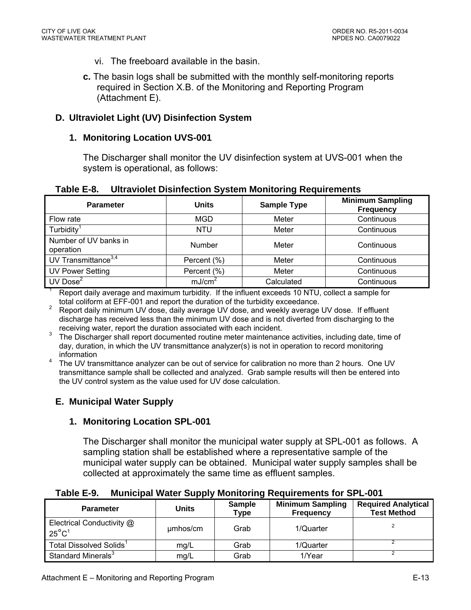- vi. The freeboard available in the basin.
- **c.** The basin logs shall be submitted with the monthly self-monitoring reports required in Section X.B. of the Monitoring and Reporting Program (Attachment E).

#### **D. Ultraviolet Light (UV) Disinfection System**

#### **1. Monitoring Location UVS-001**

The Discharger shall monitor the UV disinfection system at UVS-001 when the system is operational, as follows:

| <b>Parameter</b>                   | <b>Units</b>       | <b>Sample Type</b> | <b>Minimum Sampling</b><br><b>Frequency</b> |
|------------------------------------|--------------------|--------------------|---------------------------------------------|
| Flow rate                          | MGD                | Meter              | Continuous                                  |
| Turbidity <sup>1</sup>             | <b>NTU</b>         | Meter              | Continuous                                  |
| Number of UV banks in<br>operation | <b>Number</b>      | Meter              | Continuous                                  |
| UV Transmittance $3,4$             | Percent (%)        | Meter              | Continuous                                  |
| UV Power Setting                   | Percent (%)        | Meter              | Continuous                                  |
| UV Dose $2$                        | mJ/cm <sup>2</sup> | Calculated         | Continuous                                  |

#### **Table E-8. Ultraviolet Disinfection System Monitoring Requirements**

Report daily average and maximum turbidity. If the influent exceeds 10 NTU, collect a sample for total coliform at EFF-001 and report the duration of the turbidity exceedance. <sup>2</sup>

 Report daily minimum UV dose, daily average UV dose, and weekly average UV dose. If effluent discharge has received less than the minimum UV dose and is not diverted from discharging to the receiving water, report the duration associated with each incident.

3 The Discharger shall report documented routine meter maintenance activities, including date, time of day, duration, in which the UV transmittance analyzer(s) is not in operation to record monitoring information

4 The UV transmittance analyzer can be out of service for calibration no more than 2 hours. One UV transmittance sample shall be collected and analyzed. Grab sample results will then be entered into the UV control system as the value used for UV dose calculation.

#### **E. Municipal Water Supply**

#### **1. Monitoring Location SPL-001**

The Discharger shall monitor the municipal water supply at SPL-001 as follows. A sampling station shall be established where a representative sample of the municipal water supply can be obtained. Municipal water supply samples shall be collected at approximately the same time as effluent samples.

| <b>Parameter</b>                             | Units    | <b>Sample</b><br>Type | <b>Minimum Sampling</b><br><b>Frequency</b> | <b>Required Analytical</b><br><b>Test Method</b> |
|----------------------------------------------|----------|-----------------------|---------------------------------------------|--------------------------------------------------|
| Electrical Conductivity @<br>$25^{\circ}C^1$ | umhos/cm | Grab                  | 1/Quarter                                   |                                                  |
| Total Dissolved Solids <sup>1</sup>          | mg/L     | Grab                  | 1/Quarter                                   |                                                  |
| Standard Minerals <sup>3</sup>               | mg/L     | Grab                  | 1/Year                                      |                                                  |

#### **Table E-9. Municipal Water Supply Monitoring Requirements for SPL-001**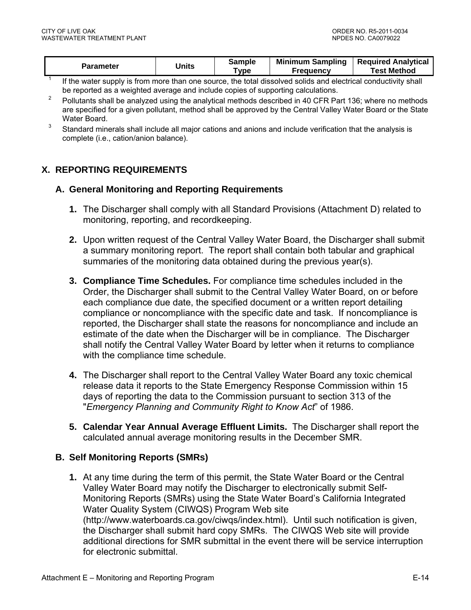| Parameter | Units | Sample<br>Type | <b>Minimum Sampling</b><br><b>Frequency</b> | <b>Required Analytical</b><br><b>Test Method</b> |
|-----------|-------|----------------|---------------------------------------------|--------------------------------------------------|
|           |       |                |                                             |                                                  |

1 If the water supply is from more than one source, the total dissolved solids and electrical conductivity shall be reported as a weighted average and include copies of supporting calculations.

- 2 Pollutants shall be analyzed using the analytical methods described in 40 CFR Part 136; where no methods are specified for a given pollutant, method shall be approved by the Central Valley Water Board or the State Water Board.
- 3 Standard minerals shall include all major cations and anions and include verification that the analysis is complete (i.e., cation/anion balance).

## **X. REPORTING REQUIREMENTS**

#### **A. General Monitoring and Reporting Requirements**

- **1.** The Discharger shall comply with all Standard Provisions (Attachment D) related to monitoring, reporting, and recordkeeping.
- **2.** Upon written request of the Central Valley Water Board, the Discharger shall submit a summary monitoring report. The report shall contain both tabular and graphical summaries of the monitoring data obtained during the previous year(s).
- **3. Compliance Time Schedules.** For compliance time schedules included in the Order, the Discharger shall submit to the Central Valley Water Board, on or before each compliance due date, the specified document or a written report detailing compliance or noncompliance with the specific date and task. If noncompliance is reported, the Discharger shall state the reasons for noncompliance and include an estimate of the date when the Discharger will be in compliance. The Discharger shall notify the Central Valley Water Board by letter when it returns to compliance with the compliance time schedule.
- **4.** The Discharger shall report to the Central Valley Water Board any toxic chemical release data it reports to the State Emergency Response Commission within 15 days of reporting the data to the Commission pursuant to section 313 of the "*Emergency Planning and Community Right to Know Act*" of 1986.
- **5. Calendar Year Annual Average Effluent Limits.** The Discharger shall report the calculated annual average monitoring results in the December SMR.

#### **B. Self Monitoring Reports (SMRs)**

**1.** At any time during the term of this permit, the State Water Board or the Central Valley Water Board may notify the Discharger to electronically submit Self-Monitoring Reports (SMRs) using the State Water Board's California Integrated Water Quality System (CIWQS) Program Web site (http://www.waterboards.ca.gov/ciwqs/index.html). Until such notification is given, the Discharger shall submit hard copy SMRs. The CIWQS Web site will provide additional directions for SMR submittal in the event there will be service interruption for electronic submittal.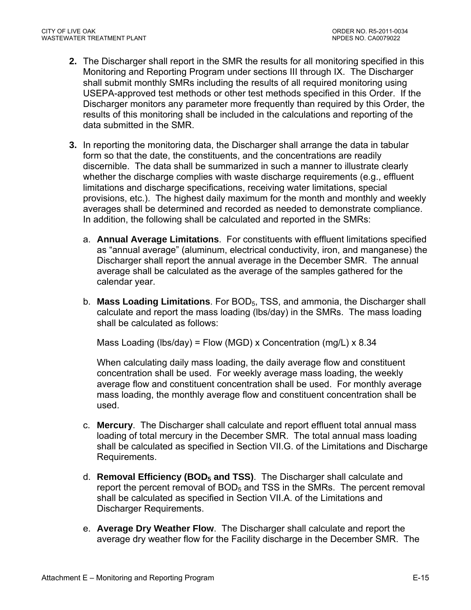- **2.** The Discharger shall report in the SMR the results for all monitoring specified in this Monitoring and Reporting Program under sections III through IX. The Discharger shall submit monthly SMRs including the results of all required monitoring using USEPA-approved test methods or other test methods specified in this Order. If the Discharger monitors any parameter more frequently than required by this Order, the results of this monitoring shall be included in the calculations and reporting of the data submitted in the SMR.
- **3.** In reporting the monitoring data, the Discharger shall arrange the data in tabular form so that the date, the constituents, and the concentrations are readily discernible. The data shall be summarized in such a manner to illustrate clearly whether the discharge complies with waste discharge requirements (e.g., effluent limitations and discharge specifications, receiving water limitations, special provisions, etc.). The highest daily maximum for the month and monthly and weekly averages shall be determined and recorded as needed to demonstrate compliance. In addition, the following shall be calculated and reported in the SMRs:
	- a. **Annual Average Limitations**. For constituents with effluent limitations specified as "annual average" (aluminum, electrical conductivity, iron, and manganese) the Discharger shall report the annual average in the December SMR. The annual average shall be calculated as the average of the samples gathered for the calendar year.
	- b. **Mass Loading Limitations**. For BOD5, TSS, and ammonia, the Discharger shall calculate and report the mass loading (lbs/day) in the SMRs. The mass loading shall be calculated as follows:

Mass Loading (lbs/day) = Flow (MGD) x Concentration (mg/L) x 8.34

When calculating daily mass loading, the daily average flow and constituent concentration shall be used. For weekly average mass loading, the weekly average flow and constituent concentration shall be used. For monthly average mass loading, the monthly average flow and constituent concentration shall be used.

- c. **Mercury**. The Discharger shall calculate and report effluent total annual mass loading of total mercury in the December SMR. The total annual mass loading shall be calculated as specified in Section VII.G. of the Limitations and Discharge Requirements.
- d. **Removal Efficiency (BOD5 and TSS)**. The Discharger shall calculate and report the percent removal of  $BOD<sub>5</sub>$  and TSS in the SMRs. The percent removal shall be calculated as specified in Section VII.A. of the Limitations and Discharger Requirements.
- e. **Average Dry Weather Flow**. The Discharger shall calculate and report the average dry weather flow for the Facility discharge in the December SMR. The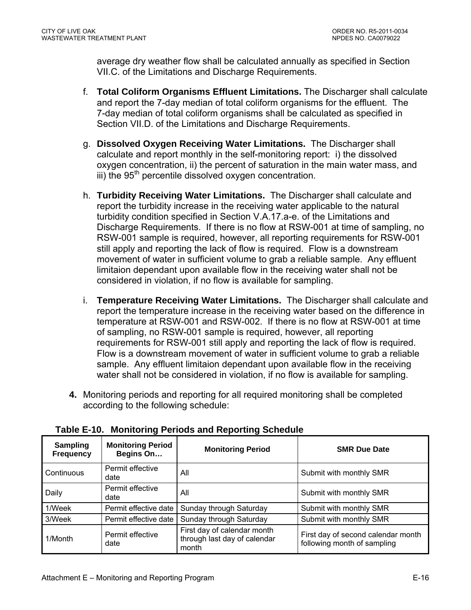average dry weather flow shall be calculated annually as specified in Section VII.C. of the Limitations and Discharge Requirements.

- f. **Total Coliform Organisms Effluent Limitations.** The Discharger shall calculate and report the 7-day median of total coliform organisms for the effluent. The 7-day median of total coliform organisms shall be calculated as specified in Section VII.D. of the Limitations and Discharge Requirements.
- g. **Dissolved Oxygen Receiving Water Limitations.** The Discharger shall calculate and report monthly in the self-monitoring report: i) the dissolved oxygen concentration, ii) the percent of saturation in the main water mass, and  $\overline{a}$  iii) the 95<sup>th</sup> percentile dissolved oxygen concentration.
- h. **Turbidity Receiving Water Limitations.** The Discharger shall calculate and report the turbidity increase in the receiving water applicable to the natural turbidity condition specified in Section V.A.17.a-e. of the Limitations and Discharge Requirements. If there is no flow at RSW-001 at time of sampling, no RSW-001 sample is required, however, all reporting requirements for RSW-001 still apply and reporting the lack of flow is required. Flow is a downstream movement of water in sufficient volume to grab a reliable sample. Any effluent limitaion dependant upon available flow in the receiving water shall not be considered in violation, if no flow is available for sampling.
- i. **Temperature Receiving Water Limitations.** The Discharger shall calculate and report the temperature increase in the receiving water based on the difference in temperature at RSW-001 and RSW-002. If there is no flow at RSW-001 at time of sampling, no RSW-001 sample is required, however, all reporting requirements for RSW-001 still apply and reporting the lack of flow is required. Flow is a downstream movement of water in sufficient volume to grab a reliable sample. Any effluent limitaion dependant upon available flow in the receiving water shall not be considered in violation, if no flow is available for sampling.
- **4.** Monitoring periods and reporting for all required monitoring shall be completed according to the following schedule:

| <b>Sampling</b><br><b>Frequency</b> | <b>Monitoring Period</b><br>Begins On | <b>Monitoring Period</b>                                             | <b>SMR Due Date</b>                                               |
|-------------------------------------|---------------------------------------|----------------------------------------------------------------------|-------------------------------------------------------------------|
| Continuous                          | Permit effective<br>date              | All                                                                  | Submit with monthly SMR                                           |
| Daily                               | Permit effective<br>date              | All                                                                  | Submit with monthly SMR                                           |
| 1/Week                              | Permit effective date                 | Sunday through Saturday                                              | Submit with monthly SMR                                           |
| 3/Week                              | Permit effective date                 | Sunday through Saturday                                              | Submit with monthly SMR                                           |
| 1/Month                             | Permit effective<br>date              | First day of calendar month<br>through last day of calendar<br>month | First day of second calendar month<br>following month of sampling |

**Table E-10. Monitoring Periods and Reporting Schedule**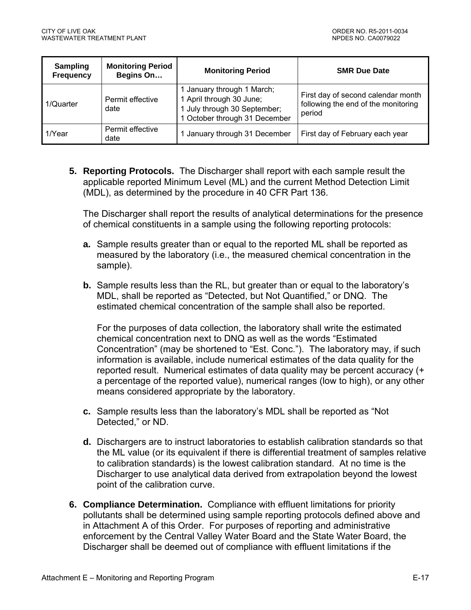| <b>Sampling</b><br><b>Frequency</b> | <b>Monitoring Period</b><br>Begins On | <b>Monitoring Period</b>                                                                                                | <b>SMR Due Date</b>                                                                 |
|-------------------------------------|---------------------------------------|-------------------------------------------------------------------------------------------------------------------------|-------------------------------------------------------------------------------------|
| 1/Quarter                           | Permit effective<br>date              | 1 January through 1 March;<br>1 April through 30 June;<br>1 July through 30 September;<br>1 October through 31 December | First day of second calendar month<br>following the end of the monitoring<br>period |
| l 1/Year                            | Permit effective<br>date              | 1 January through 31 December                                                                                           | First day of February each year                                                     |

**5. Reporting Protocols.** The Discharger shall report with each sample result the applicable reported Minimum Level (ML) and the current Method Detection Limit (MDL), as determined by the procedure in 40 CFR Part 136.

The Discharger shall report the results of analytical determinations for the presence of chemical constituents in a sample using the following reporting protocols:

- **a.** Sample results greater than or equal to the reported ML shall be reported as measured by the laboratory (i.e., the measured chemical concentration in the sample).
- **b.** Sample results less than the RL, but greater than or equal to the laboratory's MDL, shall be reported as "Detected, but Not Quantified," or DNQ. The estimated chemical concentration of the sample shall also be reported.

For the purposes of data collection, the laboratory shall write the estimated chemical concentration next to DNQ as well as the words "Estimated Concentration" (may be shortened to "Est. Conc."). The laboratory may, if such information is available, include numerical estimates of the data quality for the reported result. Numerical estimates of data quality may be percent accuracy (+ a percentage of the reported value), numerical ranges (low to high), or any other means considered appropriate by the laboratory.

- **c.** Sample results less than the laboratory's MDL shall be reported as "Not Detected," or ND.
- **d.** Dischargers are to instruct laboratories to establish calibration standards so that the ML value (or its equivalent if there is differential treatment of samples relative to calibration standards) is the lowest calibration standard. At no time is the Discharger to use analytical data derived from extrapolation beyond the lowest point of the calibration curve.
- **6. Compliance Determination.** Compliance with effluent limitations for priority pollutants shall be determined using sample reporting protocols defined above and in Attachment A of this Order. For purposes of reporting and administrative enforcement by the Central Valley Water Board and the State Water Board, the Discharger shall be deemed out of compliance with effluent limitations if the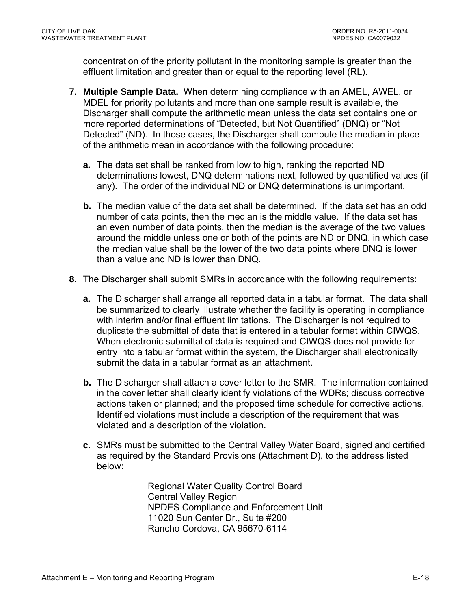concentration of the priority pollutant in the monitoring sample is greater than the effluent limitation and greater than or equal to the reporting level (RL).

- **7. Multiple Sample Data.** When determining compliance with an AMEL, AWEL, or MDEL for priority pollutants and more than one sample result is available, the Discharger shall compute the arithmetic mean unless the data set contains one or more reported determinations of "Detected, but Not Quantified" (DNQ) or "Not Detected" (ND). In those cases, the Discharger shall compute the median in place of the arithmetic mean in accordance with the following procedure:
	- **a.** The data set shall be ranked from low to high, ranking the reported ND determinations lowest, DNQ determinations next, followed by quantified values (if any). The order of the individual ND or DNQ determinations is unimportant.
	- **b.** The median value of the data set shall be determined. If the data set has an odd number of data points, then the median is the middle value. If the data set has an even number of data points, then the median is the average of the two values around the middle unless one or both of the points are ND or DNQ, in which case the median value shall be the lower of the two data points where DNQ is lower than a value and ND is lower than DNQ.
- **8.** The Discharger shall submit SMRs in accordance with the following requirements:
	- **a.** The Discharger shall arrange all reported data in a tabular format. The data shall be summarized to clearly illustrate whether the facility is operating in compliance with interim and/or final effluent limitations. The Discharger is not required to duplicate the submittal of data that is entered in a tabular format within CIWQS. When electronic submittal of data is required and CIWQS does not provide for entry into a tabular format within the system, the Discharger shall electronically submit the data in a tabular format as an attachment.
	- **b.** The Discharger shall attach a cover letter to the SMR. The information contained in the cover letter shall clearly identify violations of the WDRs; discuss corrective actions taken or planned; and the proposed time schedule for corrective actions. Identified violations must include a description of the requirement that was violated and a description of the violation.
	- **c.** SMRs must be submitted to the Central Valley Water Board, signed and certified as required by the Standard Provisions (Attachment D), to the address listed below:

Regional Water Quality Control Board Central Valley Region NPDES Compliance and Enforcement Unit 11020 Sun Center Dr., Suite #200 Rancho Cordova, CA 95670-6114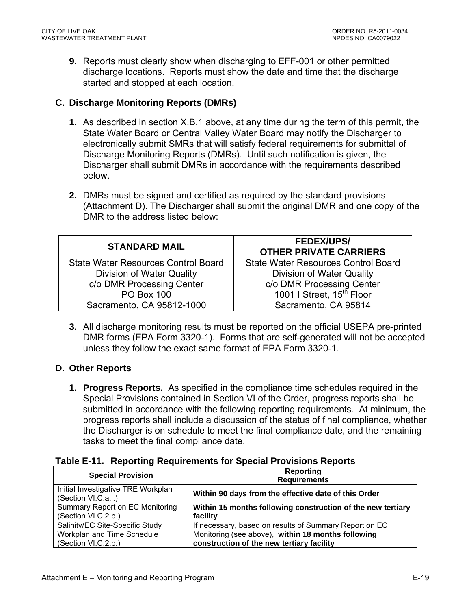**9.** Reports must clearly show when discharging to EFF-001 or other permitted discharge locations. Reports must show the date and time that the discharge started and stopped at each location.

### **C. Discharge Monitoring Reports (DMRs)**

- **1.** As described in section X.B.1 above, at any time during the term of this permit, the State Water Board or Central Valley Water Board may notify the Discharger to electronically submit SMRs that will satisfy federal requirements for submittal of Discharge Monitoring Reports (DMRs). Until such notification is given, the Discharger shall submit DMRs in accordance with the requirements described below.
- **2.** DMRs must be signed and certified as required by the standard provisions (Attachment D). The Discharger shall submit the original DMR and one copy of the DMR to the address listed below:

| <b>STANDARD MAIL</b>                       | <b>FEDEX/UPS/</b><br><b>OTHER PRIVATE CARRIERS</b> |
|--------------------------------------------|----------------------------------------------------|
| <b>State Water Resources Control Board</b> | <b>State Water Resources Control Board</b>         |
| Division of Water Quality                  | Division of Water Quality                          |
| c/o DMR Processing Center                  | c/o DMR Processing Center                          |
| <b>PO Box 100</b>                          | 1001   Street, 15 <sup>th</sup> Floor              |
| Sacramento, CA 95812-1000                  | Sacramento, CA 95814                               |

**3.** All discharge monitoring results must be reported on the official USEPA pre-printed DMR forms (EPA Form 3320-1). Forms that are self-generated will not be accepted unless they follow the exact same format of EPA Form 3320-1.

## **D. Other Reports**

**1. Progress Reports.** As specified in the compliance time schedules required in the Special Provisions contained in Section VI of the Order, progress reports shall be submitted in accordance with the following reporting requirements. At minimum, the progress reports shall include a discussion of the status of final compliance, whether the Discharger is on schedule to meet the final compliance date, and the remaining tasks to meet the final compliance date.

| Table E-11. Reporting Requirements for Special Provisions Reports |  |
|-------------------------------------------------------------------|--|
|-------------------------------------------------------------------|--|

| <b>Special Provision</b>                                  | Reporting<br><b>Requirements</b>                            |
|-----------------------------------------------------------|-------------------------------------------------------------|
| Initial Investigative TRE Workplan<br>(Section VI.C.a.i.) | Within 90 days from the effective date of this Order        |
| Summary Report on EC Monitoring                           | Within 15 months following construction of the new tertiary |
| (Section VI.C.2.b.)                                       | facility                                                    |
| Salinity/EC Site-Specific Study                           | If necessary, based on results of Summary Report on EC      |
| Workplan and Time Schedule                                | Monitoring (see above), within 18 months following          |
| (Section VI.C.2.b.)                                       | construction of the new tertiary facility                   |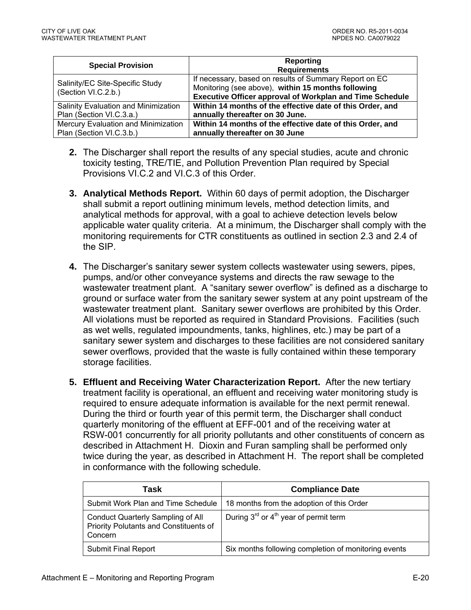| <b>Special Provision</b>                               | Reporting<br><b>Requirements</b>                                                                                                                                                |
|--------------------------------------------------------|---------------------------------------------------------------------------------------------------------------------------------------------------------------------------------|
| Salinity/EC Site-Specific Study<br>(Section VI.C.2.b.) | If necessary, based on results of Summary Report on EC<br>Monitoring (see above), within 15 months following<br><b>Executive Officer approval of Workplan and Time Schedule</b> |
| Salinity Evaluation and Minimization                   | Within 14 months of the effective date of this Order, and                                                                                                                       |
| Plan (Section VI.C.3.a.)                               | annually thereafter on 30 June.                                                                                                                                                 |
| Mercury Evaluation and Minimization                    | Within 14 months of the effective date of this Order, and                                                                                                                       |
| Plan (Section VI.C.3.b.)                               | annually thereafter on 30 June                                                                                                                                                  |

- **2.** The Discharger shall report the results of any special studies, acute and chronic toxicity testing, TRE/TIE, and Pollution Prevention Plan required by Special Provisions VI.C.2 and VI.C.3 of this Order.
- **3. Analytical Methods Report.** Within 60 days of permit adoption, the Discharger shall submit a report outlining minimum levels, method detection limits, and analytical methods for approval, with a goal to achieve detection levels below applicable water quality criteria. At a minimum, the Discharger shall comply with the monitoring requirements for CTR constituents as outlined in section 2.3 and 2.4 of the SIP.
- **4.** The Discharger's sanitary sewer system collects wastewater using sewers, pipes, pumps, and/or other conveyance systems and directs the raw sewage to the wastewater treatment plant. A "sanitary sewer overflow" is defined as a discharge to ground or surface water from the sanitary sewer system at any point upstream of the wastewater treatment plant. Sanitary sewer overflows are prohibited by this Order. All violations must be reported as required in Standard Provisions. Facilities (such as wet wells, regulated impoundments, tanks, highlines, etc.) may be part of a sanitary sewer system and discharges to these facilities are not considered sanitary sewer overflows, provided that the waste is fully contained within these temporary storage facilities.
- **5. Effluent and Receiving Water Characterization Report.** After the new tertiary treatment facility is operational, an effluent and receiving water monitoring study is required to ensure adequate information is available for the next permit renewal. During the third or fourth year of this permit term, the Discharger shall conduct quarterly monitoring of the effluent at EFF-001 and of the receiving water at RSW-001 concurrently for all priority pollutants and other constituents of concern as described in Attachment H. Dioxin and Furan sampling shall be performed only twice during the year, as described in Attachment H. The report shall be completed in conformance with the following schedule.

| Task                                                                                   | <b>Compliance Date</b>                               |
|----------------------------------------------------------------------------------------|------------------------------------------------------|
| Submit Work Plan and Time Schedule                                                     | 18 months from the adoption of this Order            |
| Conduct Quarterly Sampling of All<br>Priority Polutants and Constituents of<br>Concern | During $3^{rd}$ or $4^{th}$ year of permit term      |
| <b>Submit Final Report</b>                                                             | Six months following completion of monitoring events |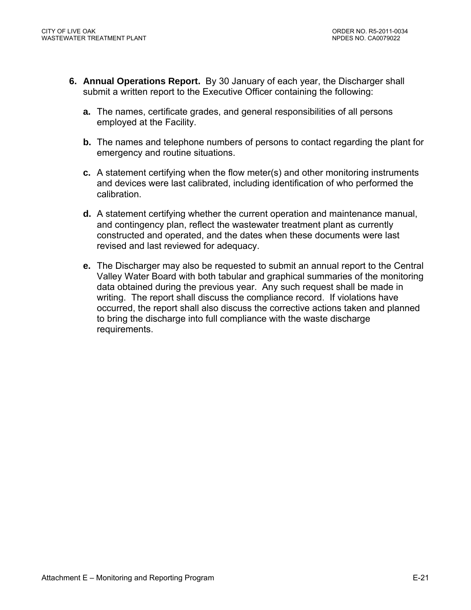- **6. Annual Operations Report.** By 30 January of each year, the Discharger shall submit a written report to the Executive Officer containing the following:
	- **a.** The names, certificate grades, and general responsibilities of all persons employed at the Facility.
	- **b.** The names and telephone numbers of persons to contact regarding the plant for emergency and routine situations.
	- **c.** A statement certifying when the flow meter(s) and other monitoring instruments and devices were last calibrated, including identification of who performed the calibration.
	- **d.** A statement certifying whether the current operation and maintenance manual, and contingency plan, reflect the wastewater treatment plant as currently constructed and operated, and the dates when these documents were last revised and last reviewed for adequacy.
	- **e.** The Discharger may also be requested to submit an annual report to the Central Valley Water Board with both tabular and graphical summaries of the monitoring data obtained during the previous year. Any such request shall be made in writing. The report shall discuss the compliance record. If violations have occurred, the report shall also discuss the corrective actions taken and planned to bring the discharge into full compliance with the waste discharge requirements.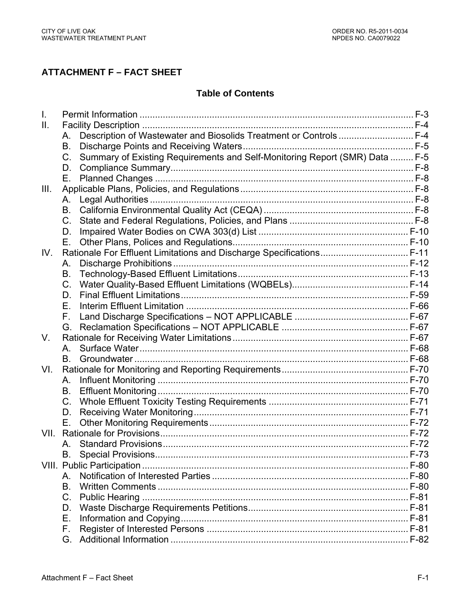# **ATTACHMENT F – FACT SHEET**

# **Table of Contents**

| Ⅱ.   |             |                                                                             |  |
|------|-------------|-----------------------------------------------------------------------------|--|
|      | Α.          | Description of Wastewater and Biosolids Treatment or Controls  F-4          |  |
|      | В.          |                                                                             |  |
|      | C.          | Summary of Existing Requirements and Self-Monitoring Report (SMR) Data  F-5 |  |
|      | D.          |                                                                             |  |
|      | Е.          |                                                                             |  |
| III. |             |                                                                             |  |
|      | А.          |                                                                             |  |
|      | В.          |                                                                             |  |
|      | $C_{\cdot}$ |                                                                             |  |
|      | D.          |                                                                             |  |
|      | Е.          |                                                                             |  |
| IV.  |             | Rationale For Effluent Limitations and Discharge Specifications F-11        |  |
|      | Α.          |                                                                             |  |
|      | В.          |                                                                             |  |
|      | $C_{\cdot}$ |                                                                             |  |
|      | D.          |                                                                             |  |
|      | Е.          |                                                                             |  |
|      | F.          |                                                                             |  |
|      | G.          |                                                                             |  |
| V.   |             |                                                                             |  |
|      | A.          |                                                                             |  |
|      | В.          |                                                                             |  |
| VI.  |             |                                                                             |  |
|      | А.          |                                                                             |  |
|      | В.          |                                                                             |  |
|      | $C_{\cdot}$ |                                                                             |  |
|      | D.          |                                                                             |  |
|      | Е.          |                                                                             |  |
| VII. |             |                                                                             |  |
|      | A.          |                                                                             |  |
|      | В.          |                                                                             |  |
|      |             |                                                                             |  |
|      | Α.          |                                                                             |  |
|      | B.          |                                                                             |  |
|      | $C_{\cdot}$ |                                                                             |  |
|      | D.          |                                                                             |  |
|      | Е.          |                                                                             |  |
|      | F.          |                                                                             |  |
|      | G.          |                                                                             |  |
|      |             |                                                                             |  |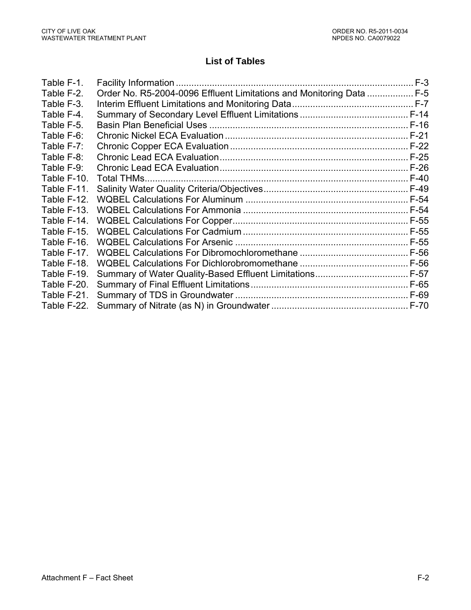# **List of Tables**

| Table F-1.  |                                                                      |  |
|-------------|----------------------------------------------------------------------|--|
| Table F-2.  | Order No. R5-2004-0096 Effluent Limitations and Monitoring Data  F-5 |  |
| Table F-3.  |                                                                      |  |
| Table F-4.  |                                                                      |  |
| Table F-5.  |                                                                      |  |
| Table F-6:  |                                                                      |  |
| Table F-7:  |                                                                      |  |
| Table F-8:  |                                                                      |  |
| Table F-9:  |                                                                      |  |
| Table F-10. |                                                                      |  |
| Table F-11. |                                                                      |  |
| Table F-12. |                                                                      |  |
| Table F-13. |                                                                      |  |
| Table F-14. |                                                                      |  |
| Table F-15. |                                                                      |  |
| Table F-16. |                                                                      |  |
| Table F-17. |                                                                      |  |
| Table F-18. |                                                                      |  |
| Table F-19. |                                                                      |  |
| Table F-20. |                                                                      |  |
| Table F-21. |                                                                      |  |
| Table F-22. |                                                                      |  |
|             |                                                                      |  |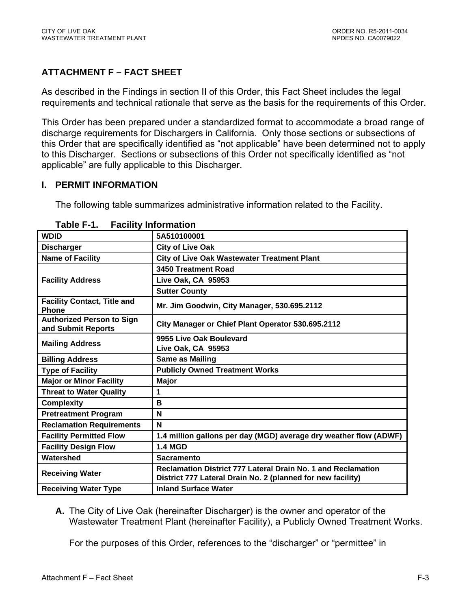# **ATTACHMENT F – FACT SHEET**

As described in the Findings in section II of this Order, this Fact Sheet includes the legal requirements and technical rationale that serve as the basis for the requirements of this Order.

This Order has been prepared under a standardized format to accommodate a broad range of discharge requirements for Dischargers in California. Only those sections or subsections of this Order that are specifically identified as "not applicable" have been determined not to apply to this Discharger. Sections or subsections of this Order not specifically identified as "not applicable" are fully applicable to this Discharger.

#### **I. PERMIT INFORMATION**

The following table summarizes administrative information related to the Facility.

| <b>WDID</b>                                            | 5A510100001                                                                                                                 |  |  |  |  |
|--------------------------------------------------------|-----------------------------------------------------------------------------------------------------------------------------|--|--|--|--|
| <b>Discharger</b>                                      | <b>City of Live Oak</b>                                                                                                     |  |  |  |  |
| <b>Name of Facility</b>                                | <b>City of Live Oak Wastewater Treatment Plant</b>                                                                          |  |  |  |  |
|                                                        | 3450 Treatment Road                                                                                                         |  |  |  |  |
| <b>Facility Address</b>                                | Live Oak, CA 95953                                                                                                          |  |  |  |  |
|                                                        | <b>Sutter County</b>                                                                                                        |  |  |  |  |
| <b>Facility Contact, Title and</b><br><b>Phone</b>     | Mr. Jim Goodwin, City Manager, 530.695.2112                                                                                 |  |  |  |  |
| <b>Authorized Person to Sign</b><br>and Submit Reports | City Manager or Chief Plant Operator 530.695.2112                                                                           |  |  |  |  |
| <b>Mailing Address</b>                                 | 9955 Live Oak Boulevard                                                                                                     |  |  |  |  |
|                                                        | Live Oak, CA 95953                                                                                                          |  |  |  |  |
| <b>Billing Address</b>                                 | <b>Same as Mailing</b>                                                                                                      |  |  |  |  |
| <b>Type of Facility</b>                                | <b>Publicly Owned Treatment Works</b>                                                                                       |  |  |  |  |
| <b>Major or Minor Facility</b>                         | Major                                                                                                                       |  |  |  |  |
| <b>Threat to Water Quality</b>                         | 1                                                                                                                           |  |  |  |  |
| <b>Complexity</b>                                      | в                                                                                                                           |  |  |  |  |
| <b>Pretreatment Program</b>                            | N                                                                                                                           |  |  |  |  |
| <b>Reclamation Requirements</b>                        | N                                                                                                                           |  |  |  |  |
| <b>Facility Permitted Flow</b>                         | 1.4 million gallons per day (MGD) average dry weather flow (ADWF)                                                           |  |  |  |  |
| <b>Facility Design Flow</b>                            | <b>1.4 MGD</b>                                                                                                              |  |  |  |  |
| Watershed                                              | <b>Sacramento</b>                                                                                                           |  |  |  |  |
| <b>Receiving Water</b>                                 | Reclamation District 777 Lateral Drain No. 1 and Reclamation<br>District 777 Lateral Drain No. 2 (planned for new facility) |  |  |  |  |
| <b>Receiving Water Type</b>                            | <b>Inland Surface Water</b>                                                                                                 |  |  |  |  |

#### **Table F-1. Facility Information**

**A.** The City of Live Oak (hereinafter Discharger) is the owner and operator of the Wastewater Treatment Plant (hereinafter Facility), a Publicly Owned Treatment Works.

For the purposes of this Order, references to the "discharger" or "permittee" in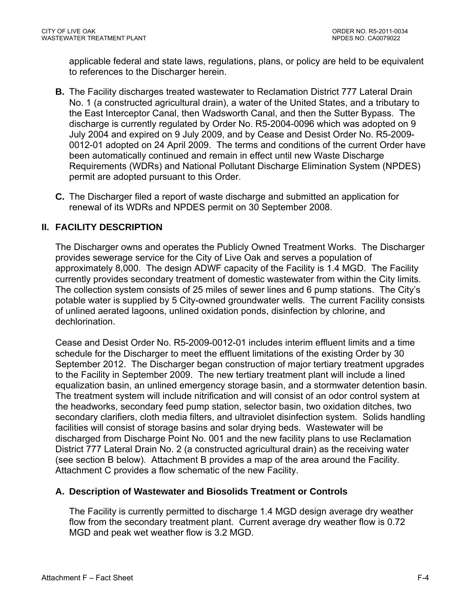applicable federal and state laws, regulations, plans, or policy are held to be equivalent to references to the Discharger herein.

- **B.** The Facility discharges treated wastewater to Reclamation District 777 Lateral Drain No. 1 (a constructed agricultural drain), a water of the United States, and a tributary to the East Interceptor Canal, then Wadsworth Canal, and then the Sutter Bypass. The discharge is currently regulated by Order No. R5-2004-0096 which was adopted on 9 July 2004 and expired on 9 July 2009, and by Cease and Desist Order No. R5-2009- 0012-01 adopted on 24 April 2009. The terms and conditions of the current Order have been automatically continued and remain in effect until new Waste Discharge Requirements (WDRs) and National Pollutant Discharge Elimination System (NPDES) permit are adopted pursuant to this Order.
- **C.** The Discharger filed a report of waste discharge and submitted an application for renewal of its WDRs and NPDES permit on 30 September 2008.

#### **II. FACILITY DESCRIPTION**

The Discharger owns and operates the Publicly Owned Treatment Works. The Discharger provides sewerage service for the City of Live Oak and serves a population of approximately 8,000. The design ADWF capacity of the Facility is 1.4 MGD. The Facility currently provides secondary treatment of domestic wastewater from within the City limits. The collection system consists of 25 miles of sewer lines and 6 pump stations. The City's potable water is supplied by 5 City-owned groundwater wells. The current Facility consists of unlined aerated lagoons, unlined oxidation ponds, disinfection by chlorine, and dechlorination.

Cease and Desist Order No. R5-2009-0012-01 includes interim effluent limits and a time schedule for the Discharger to meet the effluent limitations of the existing Order by 30 September 2012. The Discharger began construction of major tertiary treatment upgrades to the Facility in September 2009. The new tertiary treatment plant will include a lined equalization basin, an unlined emergency storage basin, and a stormwater detention basin. The treatment system will include nitrification and will consist of an odor control system at the headworks, secondary feed pump station, selector basin, two oxidation ditches, two secondary clarifiers, cloth media filters, and ultraviolet disinfection system. Solids handling facilities will consist of storage basins and solar drying beds. Wastewater will be discharged from Discharge Point No. 001 and the new facility plans to use Reclamation District 777 Lateral Drain No. 2 (a constructed agricultural drain) as the receiving water (see section B below). Attachment B provides a map of the area around the Facility. Attachment C provides a flow schematic of the new Facility.

#### **A. Description of Wastewater and Biosolids Treatment or Controls**

The Facility is currently permitted to discharge 1.4 MGD design average dry weather flow from the secondary treatment plant. Current average dry weather flow is 0.72 MGD and peak wet weather flow is 3.2 MGD.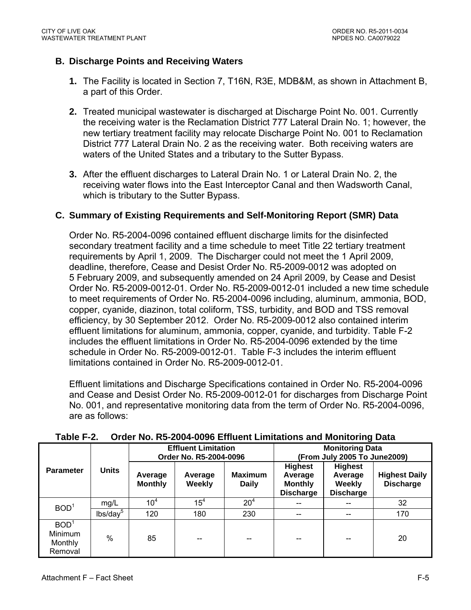### **B. Discharge Points and Receiving Waters**

- **1.** The Facility is located in Section 7, T16N, R3E, MDB&M, as shown in Attachment B, a part of this Order.
- **2.** Treated municipal wastewater is discharged at Discharge Point No. 001. Currently the receiving water is the Reclamation District 777 Lateral Drain No. 1; however, the new tertiary treatment facility may relocate Discharge Point No. 001 to Reclamation District 777 Lateral Drain No. 2 as the receiving water. Both receiving waters are waters of the United States and a tributary to the Sutter Bypass.
- **3.** After the effluent discharges to Lateral Drain No. 1 or Lateral Drain No. 2, the receiving water flows into the East Interceptor Canal and then Wadsworth Canal, which is tributary to the Sutter Bypass.

### **C. Summary of Existing Requirements and Self-Monitoring Report (SMR) Data**

Order No. R5-2004-0096 contained effluent discharge limits for the disinfected secondary treatment facility and a time schedule to meet Title 22 tertiary treatment requirements by April 1, 2009. The Discharger could not meet the 1 April 2009, deadline, therefore, Cease and Desist Order No. R5-2009-0012 was adopted on 5 February 2009, and subsequently amended on 24 April 2009, by Cease and Desist Order No. R5-2009-0012-01. Order No. R5-2009-0012-01 included a new time schedule to meet requirements of Order No. R5-2004-0096 including, aluminum, ammonia, BOD, copper, cyanide, diazinon, total coliform, TSS, turbidity, and BOD and TSS removal efficiency, by 30 September 2012. Order No. R5-2009-0012 also contained interim effluent limitations for aluminum, ammonia, copper, cyanide, and turbidity. Table F-2 includes the effluent limitations in Order No. R5-2004-0096 extended by the time schedule in Order No. R5-2009-0012-01. Table F-3 includes the interim effluent limitations contained in Order No. R5-2009-0012-01.

Effluent limitations and Discharge Specifications contained in Order No. R5-2004-0096 and Cease and Desist Order No. R5-2009-0012-01 for discharges from Discharge Point No. 001, and representative monitoring data from the term of Order No. R5-2004-0096, are as follows:

| .<br>0. 40. 110. 110 EVVT VVVV ENINGIN ENINGRONG GNA MONICONIA DUG |                      |                                                      |                          |                                |                                                                 |                                                                |                                          |  |  |  |
|--------------------------------------------------------------------|----------------------|------------------------------------------------------|--------------------------|--------------------------------|-----------------------------------------------------------------|----------------------------------------------------------------|------------------------------------------|--|--|--|
|                                                                    | <b>Units</b>         | <b>Effluent Limitation</b><br>Order No. R5-2004-0096 |                          |                                | <b>Monitoring Data</b><br>(From July 2005 To June2009)          |                                                                |                                          |  |  |  |
| <b>Parameter</b>                                                   |                      | Average<br><b>Monthly</b>                            | Average<br><b>Weekly</b> | <b>Maximum</b><br><b>Daily</b> | <b>Highest</b><br>Average<br><b>Monthly</b><br><b>Discharge</b> | <b>Highest</b><br>Average<br><b>Weekly</b><br><b>Discharge</b> | <b>Highest Daily</b><br><b>Discharge</b> |  |  |  |
| BOD <sup>1</sup>                                                   | mg/L                 | 10 <sup>4</sup>                                      | 15 <sup>4</sup>          | 20 <sup>4</sup>                |                                                                 |                                                                | 32                                       |  |  |  |
|                                                                    | lbs/day <sup>5</sup> | 120                                                  | 180                      | 230                            | --                                                              | --                                                             | 170                                      |  |  |  |
| BOD <sup>1</sup><br>Minimum<br>Monthly<br>Removal                  | $\%$                 | 85                                                   | --                       | --                             |                                                                 |                                                                | 20                                       |  |  |  |

**Table F-2. Order No. R5-2004-0096 Effluent Limitations and Monitoring Data**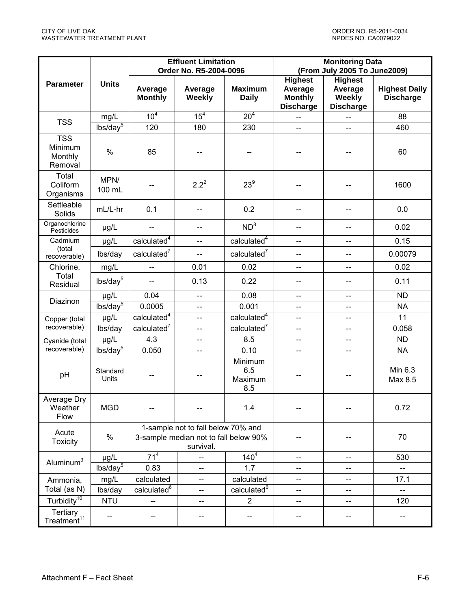|                                             |                      |                           | <b>Effluent Limitation</b><br>Order No. R5-2004-0096                                     |                                  | <b>Monitoring Data</b><br>(From July 2005 To June2009)          |                                                         |                                          |  |
|---------------------------------------------|----------------------|---------------------------|------------------------------------------------------------------------------------------|----------------------------------|-----------------------------------------------------------------|---------------------------------------------------------|------------------------------------------|--|
| <b>Parameter</b>                            | <b>Units</b>         | Average<br><b>Monthly</b> | Average<br><b>Weekly</b>                                                                 | <b>Maximum</b><br><b>Daily</b>   | <b>Highest</b><br>Average<br><b>Monthly</b><br><b>Discharge</b> | <b>Highest</b><br>Average<br>Weekly<br><b>Discharge</b> | <b>Highest Daily</b><br><b>Discharge</b> |  |
| <b>TSS</b>                                  | mg/L                 | 10 <sup>4</sup>           | 15 <sup>4</sup>                                                                          | 20 <sup>4</sup>                  |                                                                 |                                                         | 88                                       |  |
|                                             | $lbs/day^5$          | 120                       | 180                                                                                      | 230                              | $\overline{\phantom{a}}$                                        | $\overline{a}$                                          | 460                                      |  |
| <b>TSS</b><br>Minimum<br>Monthly<br>Removal | $\%$                 | 85                        |                                                                                          |                                  |                                                                 |                                                         | 60                                       |  |
| Total<br>Coliform<br>Organisms              | MPN/<br>100 mL       |                           | $2.2^{2}$                                                                                | $23^9$                           |                                                                 |                                                         | 1600                                     |  |
| Settleable<br>Solids                        | mL/L-hr              | 0.1                       | --                                                                                       | 0.2                              |                                                                 |                                                         | 0.0                                      |  |
| Organochlorine<br>Pesticides                | $\mu$ g/L            | --                        | --                                                                                       | ND <sup>8</sup>                  | --                                                              |                                                         | 0.02                                     |  |
| Cadmium                                     | $\mu$ g/L            | calculated <sup>4</sup>   | --                                                                                       | calculated <sup>4</sup>          | --                                                              | --                                                      | 0.15                                     |  |
| (total<br>recoverable)                      | lbs/day              | calculated $7$            | $\overline{a}$                                                                           | calculated $7$                   | --                                                              |                                                         | 0.00079                                  |  |
| Chlorine,                                   | mg/L                 | $\overline{\phantom{a}}$  | 0.01                                                                                     | 0.02                             | --                                                              |                                                         | 0.02                                     |  |
| Total<br>Residual                           | lbs/day <sup>5</sup> | --                        | 0.13                                                                                     | 0.22                             | $\overline{\phantom{a}}$                                        |                                                         | 0.11                                     |  |
| Diazinon                                    | µg/L                 | 0.04                      | $\overline{\phantom{a}}$                                                                 | 0.08                             | $\overline{\phantom{a}}$                                        | $\overline{\phantom{a}}$                                | <b>ND</b>                                |  |
|                                             | $lbs/day^5$          | 0.0005                    | --                                                                                       | 0.001                            | --                                                              | --                                                      | <b>NA</b>                                |  |
| Copper (total                               | µg/L                 | calculated <sup>4</sup>   | --                                                                                       | calculated <sup>4</sup>          | --                                                              |                                                         | 11                                       |  |
| recoverable)                                | lbs/day              | calculated <sup>7</sup>   | $\overline{\phantom{a}}$                                                                 | calculated $7$                   | $\qquad \qquad -$                                               | --                                                      | 0.058                                    |  |
| Cyanide (total                              | µg/L                 | 4.3                       | --                                                                                       | 8.5                              | --                                                              | --                                                      | <b>ND</b>                                |  |
| recoverable)                                | $lbs/day^5$          | 0.050                     | $\overline{\phantom{a}}$                                                                 | 0.10                             | --                                                              | $-$                                                     | <b>NA</b>                                |  |
| pH                                          | Standard<br>Units    |                           |                                                                                          | Minimum<br>6.5<br>Maximum<br>8.5 |                                                                 |                                                         | Min 6.3<br>Max 8.5                       |  |
| Average Dry<br>Weather<br>Flow              | <b>MGD</b>           |                           |                                                                                          | 1.4                              | $\hspace{0.05cm}$ $\hspace{0.05cm}$                             |                                                         | 0.72                                     |  |
| Acute<br><b>Toxicity</b>                    | $\%$                 |                           | 1-sample not to fall below 70% and<br>3-sample median not to fall below 90%<br>survival. |                                  |                                                                 |                                                         | 70                                       |  |
|                                             | $\mu$ g/L            | 71 <sup>4</sup>           |                                                                                          | $140^{4}$                        | --                                                              |                                                         | 530                                      |  |
| Aluminum <sup>3</sup>                       | lbs/day <sup>5</sup> | 0.83                      | --                                                                                       | 1.7                              | --                                                              | --                                                      | --                                       |  |
| Ammonia,                                    | mg/L                 | calculated                | --                                                                                       | calculated                       | --                                                              | --                                                      | 17.1                                     |  |
| Total (as N)                                | lbs/day              | calculated <sup>6</sup>   | --                                                                                       | calculated <sup>6</sup>          | --                                                              | --                                                      | --                                       |  |
| Turbidity <sup>10</sup>                     | <b>NTU</b>           | --                        | --                                                                                       | $\overline{2}$                   | --                                                              |                                                         | 120                                      |  |
| Tertiary<br>Treatment <sup>11</sup>         |                      |                           |                                                                                          |                                  |                                                                 |                                                         |                                          |  |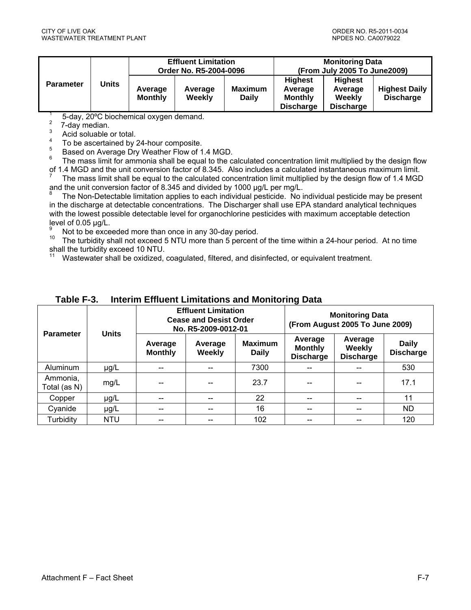|                  |       | <b>Effluent Limitation</b><br>Order No. R5-2004-0096 |                   |                                | <b>Monitoring Data</b><br>(From July 2005 To June 2009)         |                                                         |                                          |
|------------------|-------|------------------------------------------------------|-------------------|--------------------------------|-----------------------------------------------------------------|---------------------------------------------------------|------------------------------------------|
| <b>Parameter</b> | Units | Average<br><b>Monthly</b>                            | Average<br>Weekly | <b>Maximum</b><br><b>Daily</b> | <b>Highest</b><br>Average<br><b>Monthly</b><br><b>Discharge</b> | <b>Highest</b><br>Average<br>Weekly<br><b>Discharge</b> | <b>Highest Daily</b><br><b>Discharge</b> |

1 5-day, 20ºC biochemical oxygen demand.

2 7-day median.

3 Acid soluable or total.

4 To be ascertained by 24-hour composite.

5 Based on Average Dry Weather Flow of 1.4 MGD.

6 The mass limit for ammonia shall be equal to the calculated concentration limit multiplied by the design flow of 1.4 MGD and the unit conversion factor of 8.345. Also includes a calculated instantaneous maximum limit.

7 The mass limit shall be equal to the calculated concentration limit multiplied by the design flow of 1.4 MGD and the unit conversion factor of 8.345 and divided by 1000 µg/L per mg/L.

8 The Non-Detectable limitation applies to each individual pesticide. No individual pesticide may be present in the discharge at detectable concentrations. The Discharger shall use EPA standard analytical techniques with the lowest possible detectable level for organochlorine pesticides with maximum acceptable detection level of 0.05 µg/L.

9  $\frac{9}{10}$  Not to be exceeded more than once in any 30-day period.

The turbidity shall not exceed 5 NTU more than 5 percent of the time within a 24-hour period. At no time shall the turbidity exceed 10 NTU.

11 Wastewater shall be oxidized, coagulated, filtered, and disinfected, or equivalent treatment.

| <b>Parameter</b>         | <b>Units</b> | <b>Effluent Limitation</b><br><b>Cease and Desist Order</b><br>No. R5-2009-0012-01 |                   |                                | <b>Monitoring Data</b><br>(From August 2005 To June 2009) |                                              |                                  |
|--------------------------|--------------|------------------------------------------------------------------------------------|-------------------|--------------------------------|-----------------------------------------------------------|----------------------------------------------|----------------------------------|
|                          |              | Average<br><b>Monthly</b>                                                          | Average<br>Weekly | <b>Maximum</b><br><b>Daily</b> | Average<br><b>Monthly</b><br><b>Discharge</b>             | Average<br><b>Weekly</b><br><b>Discharge</b> | <b>Daily</b><br><b>Discharge</b> |
| Aluminum                 | $\mu$ g/L    |                                                                                    |                   | 7300                           |                                                           |                                              | 530                              |
| Ammonia,<br>Total (as N) | mg/L         |                                                                                    |                   | 23.7                           |                                                           |                                              | 17.1                             |
| Copper                   | $\mu$ g/L    | --                                                                                 | $- -$             | 22                             | $- -$                                                     | $- -$                                        | 11                               |
| Cyanide                  | µg/L         |                                                                                    | --                | 16                             | --                                                        | --                                           | <b>ND</b>                        |
| Turbidity                | <b>NTU</b>   |                                                                                    | --                | 102                            |                                                           |                                              | 120                              |

#### **Table F-3. Interim Effluent Limitations and Monitoring Data**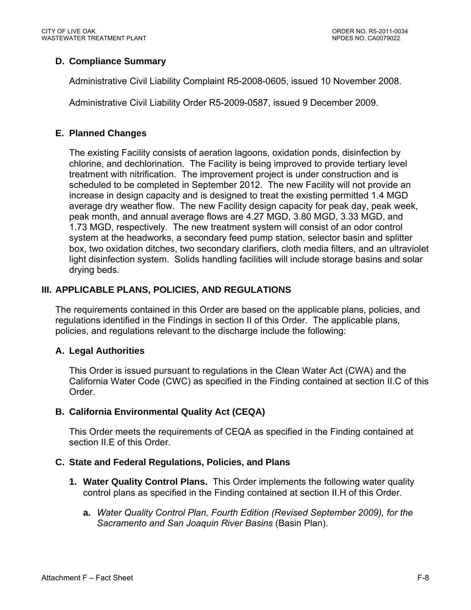# **D. Compliance Summary**

Administrative Civil Liability Complaint R5-2008-0605, issued 10 November 2008.

Administrative Civil Liability Order R5-2009-0587, issued 9 December 2009.

## **E. Planned Changes**

The existing Facility consists of aeration lagoons, oxidation ponds, disinfection by chlorine, and dechlorination. The Facility is being improved to provide tertiary level treatment with nitrification. The improvement project is under construction and is scheduled to be completed in September 2012. The new Facility will not provide an increase in design capacity and is designed to treat the existing permitted 1.4 MGD average dry weather flow. The new Facility design capacity for peak day, peak week, peak month, and annual average flows are 4.27 MGD, 3.80 MGD, 3.33 MGD, and 1.73 MGD, respectively. The new treatment system will consist of an odor control system at the headworks, a secondary feed pump station, selector basin and splitter box, two oxidation ditches, two secondary clarifiers, cloth media filters, and an ultraviolet light disinfection system. Solids handling facilities will include storage basins and solar drying beds.

# **III. APPLICABLE PLANS, POLICIES, AND REGULATIONS**

The requirements contained in this Order are based on the applicable plans, policies, and regulations identified in the Findings in section II of this Order. The applicable plans, policies, and regulations relevant to the discharge include the following:

# **A. Legal Authorities**

This Order is issued pursuant to regulations in the Clean Water Act (CWA) and the California Water Code (CWC) as specified in the Finding contained at section II.C of this Order.

# **B. California Environmental Quality Act (CEQA)**

This Order meets the requirements of CEQA as specified in the Finding contained at section II.E of this Order.

# **C. State and Federal Regulations, Policies, and Plans**

- **1. Water Quality Control Plans.** This Order implements the following water quality control plans as specified in the Finding contained at section II.H of this Order.
	- **a.** *Water Quality Control Plan, Fourth Edition (Revised September 2009), for the Sacramento and San Joaquin River Basins* (Basin Plan).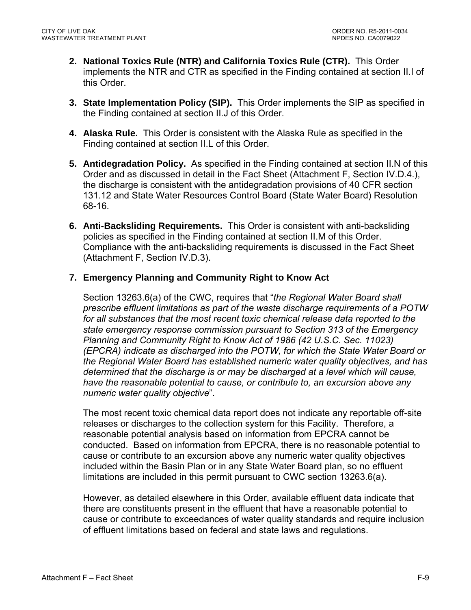- **2. National Toxics Rule (NTR) and California Toxics Rule (CTR).** This Order implements the NTR and CTR as specified in the Finding contained at section II.I of this Order.
- **3. State Implementation Policy (SIP).** This Order implements the SIP as specified in the Finding contained at section II.J of this Order.
- **4. Alaska Rule.** This Order is consistent with the Alaska Rule as specified in the Finding contained at section II.L of this Order.
- **5. Antidegradation Policy.** As specified in the Finding contained at section II.N of this Order and as discussed in detail in the Fact Sheet (Attachment F, Section IV.D.4.), the discharge is consistent with the antidegradation provisions of 40 CFR section 131.12 and State Water Resources Control Board (State Water Board) Resolution 68-16.
- **6. Anti-Backsliding Requirements.** This Order is consistent with anti-backsliding policies as specified in the Finding contained at section II.M of this Order. Compliance with the anti-backsliding requirements is discussed in the Fact Sheet (Attachment F, Section IV.D.3).

### **7. Emergency Planning and Community Right to Know Act**

Section 13263.6(a) of the CWC, requires that "*the Regional Water Board shall prescribe effluent limitations as part of the waste discharge requirements of a POTW*  for all substances that the most recent toxic chemical release data reported to the *state emergency response commission pursuant to Section 313 of the Emergency Planning and Community Right to Know Act of 1986 (42 U.S.C. Sec. 11023) (EPCRA) indicate as discharged into the POTW, for which the State Water Board or the Regional Water Board has established numeric water quality objectives, and has determined that the discharge is or may be discharged at a level which will cause, have the reasonable potential to cause, or contribute to, an excursion above any numeric water quality objective*".

The most recent toxic chemical data report does not indicate any reportable off-site releases or discharges to the collection system for this Facility. Therefore, a reasonable potential analysis based on information from EPCRA cannot be conducted. Based on information from EPCRA, there is no reasonable potential to cause or contribute to an excursion above any numeric water quality objectives included within the Basin Plan or in any State Water Board plan, so no effluent limitations are included in this permit pursuant to CWC section 13263.6(a).

However, as detailed elsewhere in this Order, available effluent data indicate that there are constituents present in the effluent that have a reasonable potential to cause or contribute to exceedances of water quality standards and require inclusion of effluent limitations based on federal and state laws and regulations.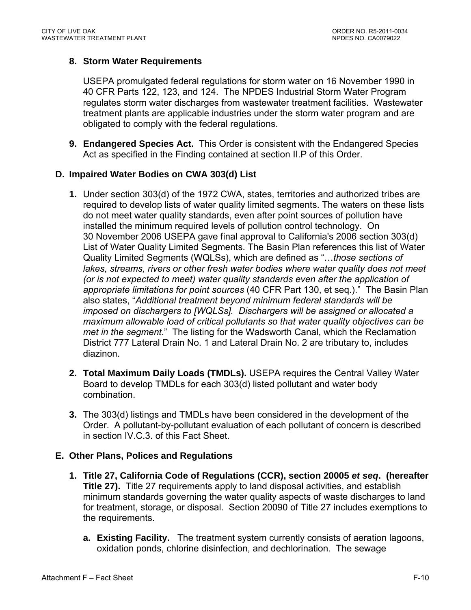## **8. Storm Water Requirements**

USEPA promulgated federal regulations for storm water on 16 November 1990 in 40 CFR Parts 122, 123, and 124. The NPDES Industrial Storm Water Program regulates storm water discharges from wastewater treatment facilities. Wastewater treatment plants are applicable industries under the storm water program and are obligated to comply with the federal regulations.

**9. Endangered Species Act.** This Order is consistent with the Endangered Species Act as specified in the Finding contained at section II.P of this Order.

### **D. Impaired Water Bodies on CWA 303(d) List**

- **1.** Under section 303(d) of the 1972 CWA, states, territories and authorized tribes are required to develop lists of water quality limited segments. The waters on these lists do not meet water quality standards, even after point sources of pollution have installed the minimum required levels of pollution control technology. On 30 November 2006 USEPA gave final approval to California's 2006 section 303(d) List of Water Quality Limited Segments. The Basin Plan references this list of Water Quality Limited Segments (WQLSs), which are defined as "…*those sections of*  lakes, streams, rivers or other fresh water bodies where water quality does not meet *(or is not expected to meet) water quality standards even after the application of appropriate limitations for point sources* (40 CFR Part 130, et seq.)." The Basin Plan also states, "*Additional treatment beyond minimum federal standards will be imposed on dischargers to [WQLSs]. Dischargers will be assigned or allocated a maximum allowable load of critical pollutants so that water quality objectives can be met in the segment*." The listing for the Wadsworth Canal, which the Reclamation District 777 Lateral Drain No. 1 and Lateral Drain No. 2 are tributary to, includes diazinon.
- **2. Total Maximum Daily Loads (TMDLs).** USEPA requires the Central Valley Water Board to develop TMDLs for each 303(d) listed pollutant and water body combination.
- **3.** The 303(d) listings and TMDLs have been considered in the development of the Order. A pollutant-by-pollutant evaluation of each pollutant of concern is described in section IV.C.3. of this Fact Sheet.

### **E. Other Plans, Polices and Regulations**

- **1. Title 27, California Code of Regulations (CCR), section 20005** *et seq***. (hereafter Title 27).** Title 27 requirements apply to land disposal activities, and establish minimum standards governing the water quality aspects of waste discharges to land for treatment, storage, or disposal. Section 20090 of Title 27 includes exemptions to the requirements.
	- **a. Existing Facility.** The treatment system currently consists of aeration lagoons, oxidation ponds, chlorine disinfection, and dechlorination. The sewage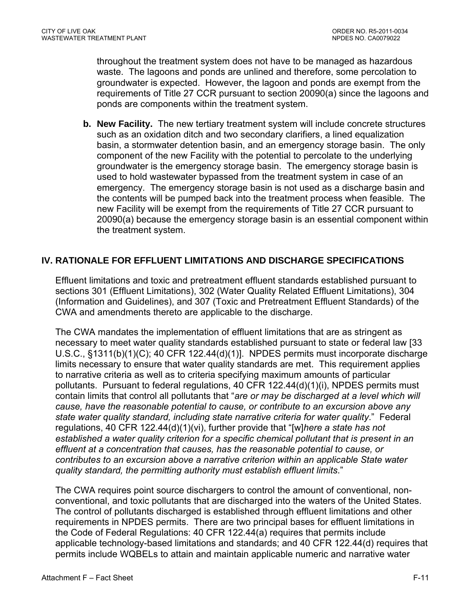throughout the treatment system does not have to be managed as hazardous waste. The lagoons and ponds are unlined and therefore, some percolation to groundwater is expected. However, the lagoon and ponds are exempt from the requirements of Title 27 CCR pursuant to section 20090(a) since the lagoons and ponds are components within the treatment system.

**b. New Facility.** The new tertiary treatment system will include concrete structures such as an oxidation ditch and two secondary clarifiers, a lined equalization basin, a stormwater detention basin, and an emergency storage basin. The only component of the new Facility with the potential to percolate to the underlying groundwater is the emergency storage basin. The emergency storage basin is used to hold wastewater bypassed from the treatment system in case of an emergency. The emergency storage basin is not used as a discharge basin and the contents will be pumped back into the treatment process when feasible. The new Facility will be exempt from the requirements of Title 27 CCR pursuant to 20090(a) because the emergency storage basin is an essential component within the treatment system.

## **IV. RATIONALE FOR EFFLUENT LIMITATIONS AND DISCHARGE SPECIFICATIONS**

Effluent limitations and toxic and pretreatment effluent standards established pursuant to sections 301 (Effluent Limitations), 302 (Water Quality Related Effluent Limitations), 304 (Information and Guidelines), and 307 (Toxic and Pretreatment Effluent Standards) of the CWA and amendments thereto are applicable to the discharge.

The CWA mandates the implementation of effluent limitations that are as stringent as necessary to meet water quality standards established pursuant to state or federal law [33 U.S.C., §1311(b)(1)(C); 40 CFR 122.44(d)(1)]. NPDES permits must incorporate discharge limits necessary to ensure that water quality standards are met. This requirement applies to narrative criteria as well as to criteria specifying maximum amounts of particular pollutants. Pursuant to federal regulations, 40 CFR 122.44(d)(1)(i), NPDES permits must contain limits that control all pollutants that "*are or may be discharged at a level which will cause, have the reasonable potential to cause, or contribute to an excursion above any state water quality standard, including state narrative criteria for water quality*." Federal regulations, 40 CFR 122.44(d)(1)(vi), further provide that "[w]*here a state has not established a water quality criterion for a specific chemical pollutant that is present in an effluent at a concentration that causes, has the reasonable potential to cause, or contributes to an excursion above a narrative criterion within an applicable State water quality standard, the permitting authority must establish effluent limits*."

The CWA requires point source dischargers to control the amount of conventional, nonconventional, and toxic pollutants that are discharged into the waters of the United States. The control of pollutants discharged is established through effluent limitations and other requirements in NPDES permits. There are two principal bases for effluent limitations in the Code of Federal Regulations: 40 CFR 122.44(a) requires that permits include applicable technology-based limitations and standards; and 40 CFR 122.44(d) requires that permits include WQBELs to attain and maintain applicable numeric and narrative water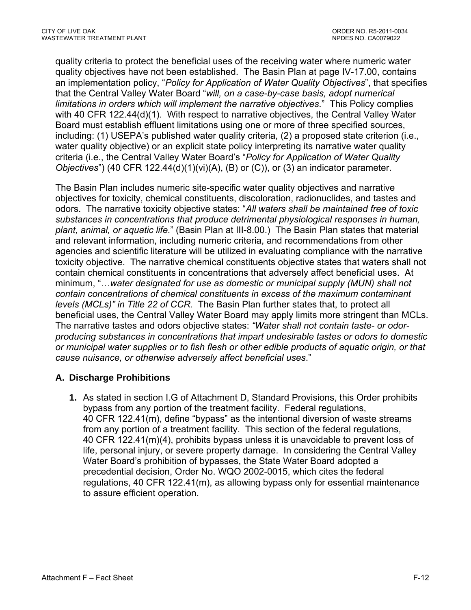quality criteria to protect the beneficial uses of the receiving water where numeric water quality objectives have not been established. The Basin Plan at page IV-17.00, contains an implementation policy, "*Policy for Application of Water Quality Objectives*", that specifies that the Central Valley Water Board "*will, on a case-by-case basis, adopt numerical limitations in orders which will implement the narrative objectives*." This Policy complies with 40 CFR 122.44(d)(1). With respect to narrative objectives, the Central Valley Water Board must establish effluent limitations using one or more of three specified sources, including: (1) USEPA's published water quality criteria, (2) a proposed state criterion (i.e., water quality objective) or an explicit state policy interpreting its narrative water quality criteria (i.e., the Central Valley Water Board's "*Policy for Application of Water Quality Objectives*") (40 CFR 122.44(d)(1)(vi)(A), (B) or (C)), or (3) an indicator parameter.

The Basin Plan includes numeric site-specific water quality objectives and narrative objectives for toxicity, chemical constituents, discoloration, radionuclides, and tastes and odors. The narrative toxicity objective states: "*All waters shall be maintained free of toxic substances in concentrations that produce detrimental physiological responses in human, plant, animal, or aquatic life*." (Basin Plan at III-8.00.) The Basin Plan states that material and relevant information, including numeric criteria, and recommendations from other agencies and scientific literature will be utilized in evaluating compliance with the narrative toxicity objective. The narrative chemical constituents objective states that waters shall not contain chemical constituents in concentrations that adversely affect beneficial uses. At minimum, "…*water designated for use as domestic or municipal supply (MUN) shall not contain concentrations of chemical constituents in excess of the maximum contaminant levels (MCLs)" in Title 22 of CCR.* The Basin Plan further states that, to protect all beneficial uses, the Central Valley Water Board may apply limits more stringent than MCLs. The narrative tastes and odors objective states: *"Water shall not contain taste- or odorproducing substances in concentrations that impart undesirable tastes or odors to domestic or municipal water supplies or to fish flesh or other edible products of aquatic origin, or that cause nuisance, or otherwise adversely affect beneficial uses*."

# **A. Discharge Prohibitions**

**1.** As stated in section I.G of Attachment D, Standard Provisions, this Order prohibits bypass from any portion of the treatment facility. Federal regulations, 40 CFR 122.41(m), define "bypass" as the intentional diversion of waste streams from any portion of a treatment facility. This section of the federal regulations, 40 CFR 122.41(m)(4), prohibits bypass unless it is unavoidable to prevent loss of life, personal injury, or severe property damage. In considering the Central Valley Water Board's prohibition of bypasses, the State Water Board adopted a precedential decision, Order No. WQO 2002-0015, which cites the federal regulations, 40 CFR 122.41(m), as allowing bypass only for essential maintenance to assure efficient operation.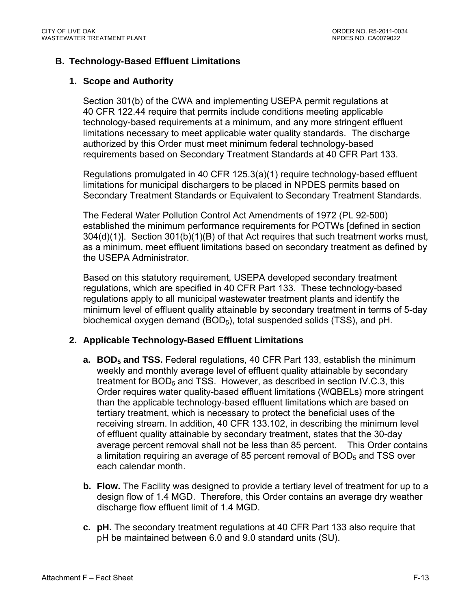### **B. Technology-Based Effluent Limitations**

#### **1. Scope and Authority**

Section 301(b) of the CWA and implementing USEPA permit regulations at 40 CFR 122.44 require that permits include conditions meeting applicable technology-based requirements at a minimum, and any more stringent effluent limitations necessary to meet applicable water quality standards. The discharge authorized by this Order must meet minimum federal technology-based requirements based on Secondary Treatment Standards at 40 CFR Part 133.

Regulations promulgated in 40 CFR 125.3(a)(1) require technology-based effluent limitations for municipal dischargers to be placed in NPDES permits based on Secondary Treatment Standards or Equivalent to Secondary Treatment Standards.

The Federal Water Pollution Control Act Amendments of 1972 (PL 92-500) established the minimum performance requirements for POTWs [defined in section 304(d)(1)]. Section 301(b)(1)(B) of that Act requires that such treatment works must, as a minimum, meet effluent limitations based on secondary treatment as defined by the USEPA Administrator.

Based on this statutory requirement, USEPA developed secondary treatment regulations, which are specified in 40 CFR Part 133. These technology-based regulations apply to all municipal wastewater treatment plants and identify the minimum level of effluent quality attainable by secondary treatment in terms of 5-day biochemical oxygen demand (BOD<sub>5</sub>), total suspended solids (TSS), and pH.

### **2. Applicable Technology-Based Effluent Limitations**

- **a. BOD<sub>5</sub> and TSS.** Federal regulations, 40 CFR Part 133, establish the minimum weekly and monthly average level of effluent quality attainable by secondary treatment for  $BOD<sub>5</sub>$  and TSS. However, as described in section IV.C.3, this Order requires water quality-based effluent limitations (WQBELs) more stringent than the applicable technology-based effluent limitations which are based on tertiary treatment, which is necessary to protect the beneficial uses of the receiving stream. In addition, 40 CFR 133.102, in describing the minimum level of effluent quality attainable by secondary treatment, states that the 30-day average percent removal shall not be less than 85 percent. This Order contains a limitation requiring an average of 85 percent removal of  $BOD<sub>5</sub>$  and TSS over each calendar month.
- **b. Flow.** The Facility was designed to provide a tertiary level of treatment for up to a design flow of 1.4 MGD. Therefore, this Order contains an average dry weather discharge flow effluent limit of 1.4 MGD.
- **c. pH.** The secondary treatment regulations at 40 CFR Part 133 also require that pH be maintained between 6.0 and 9.0 standard units (SU).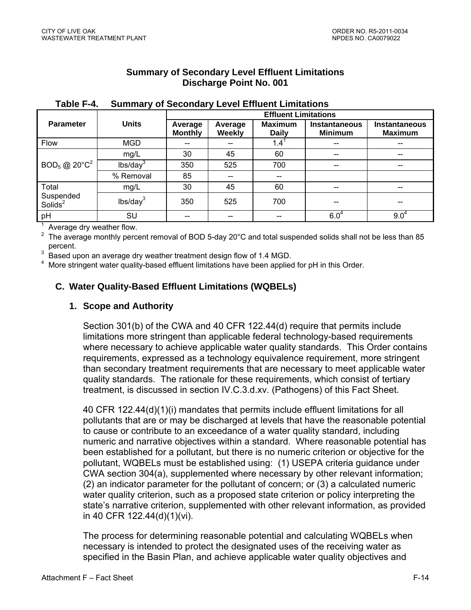## **Summary of Secondary Level Effluent Limitations Discharge Point No. 001**

|                                        |                      | <b>Effluent Limitations</b> |                          |                                |                                        |                                 |  |
|----------------------------------------|----------------------|-----------------------------|--------------------------|--------------------------------|----------------------------------------|---------------------------------|--|
| <b>Parameter</b>                       | <b>Units</b>         | Average<br><b>Monthly</b>   | Average<br><b>Weekly</b> | <b>Maximum</b><br><b>Daily</b> | <b>Instantaneous</b><br><b>Minimum</b> | Instantaneous<br><b>Maximum</b> |  |
| Flow                                   | <b>MGD</b>           | --                          | --                       | $1.4^1$                        | $\hspace{0.05cm}$                      | --                              |  |
|                                        | mg/L                 | 30                          | 45                       | 60                             | $\hspace{0.05cm}$ – $\hspace{0.05cm}$  | $\overline{\phantom{a}}$        |  |
| $BOD_5$ @ 20 $^{\circ}$ C <sup>2</sup> | lbs/day <sup>3</sup> | 350                         | 525                      | 700                            | $\hspace{0.05cm}$                      | $\hspace{0.05cm}$               |  |
|                                        | % Removal            | 85                          | --                       | --                             |                                        |                                 |  |
| Total                                  | mg/L                 | 30                          | 45                       | 60                             | $-$                                    | --                              |  |
| Suspended<br>Solids <sup>2</sup>       | lbs/day <sup>3</sup> | 350                         | 525                      | 700                            | --                                     |                                 |  |
| pH                                     | SU                   | --                          | --                       | --                             | $6.0^{4}$                              | $9.0^4$                         |  |

#### **Table F-4. Summary of Secondary Level Effluent Limitations**

 $1$  Average dry weather flow.

<sup>2</sup> The average monthly percent removal of BOD 5-day 20°C and total suspended solids shall not be less than 85 percent.

3 Based upon an average dry weather treatment design flow of 1.4 MGD.

4 More stringent water quality-based effluent limitations have been applied for pH in this Order.

# **C. Water Quality-Based Effluent Limitations (WQBELs)**

## **1. Scope and Authority**

Section 301(b) of the CWA and 40 CFR 122.44(d) require that permits include limitations more stringent than applicable federal technology-based requirements where necessary to achieve applicable water quality standards. This Order contains requirements, expressed as a technology equivalence requirement, more stringent than secondary treatment requirements that are necessary to meet applicable water quality standards. The rationale for these requirements, which consist of tertiary treatment, is discussed in section IV.C.3.d.xv. (Pathogens) of this Fact Sheet.

40 CFR 122.44(d)(1)(i) mandates that permits include effluent limitations for all pollutants that are or may be discharged at levels that have the reasonable potential to cause or contribute to an exceedance of a water quality standard, including numeric and narrative objectives within a standard. Where reasonable potential has been established for a pollutant, but there is no numeric criterion or objective for the pollutant, WQBELs must be established using: (1) USEPA criteria guidance under CWA section 304(a), supplemented where necessary by other relevant information; (2) an indicator parameter for the pollutant of concern; or (3) a calculated numeric water quality criterion, such as a proposed state criterion or policy interpreting the state's narrative criterion, supplemented with other relevant information, as provided in 40 CFR 122.44(d)(1)(vi).

The process for determining reasonable potential and calculating WQBELs when necessary is intended to protect the designated uses of the receiving water as specified in the Basin Plan, and achieve applicable water quality objectives and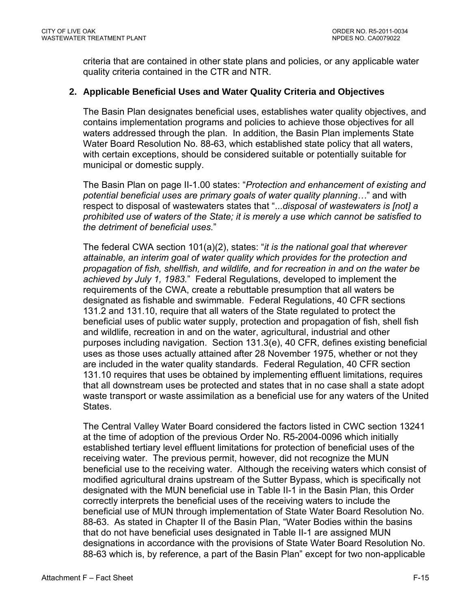criteria that are contained in other state plans and policies, or any applicable water quality criteria contained in the CTR and NTR.

## **2. Applicable Beneficial Uses and Water Quality Criteria and Objectives**

The Basin Plan designates beneficial uses, establishes water quality objectives, and contains implementation programs and policies to achieve those objectives for all waters addressed through the plan. In addition, the Basin Plan implements State Water Board Resolution No. 88-63, which established state policy that all waters, with certain exceptions, should be considered suitable or potentially suitable for municipal or domestic supply.

The Basin Plan on page II-1.00 states: "*Protection and enhancement of existing and potential beneficial uses are primary goals of water quality planning…*" and with respect to disposal of wastewaters states that "...*disposal of wastewaters is [not] a prohibited use of waters of the State; it is merely a use which cannot be satisfied to the detriment of beneficial uses.*"

The federal CWA section 101(a)(2), states: "*it is the national goal that wherever attainable, an interim goal of water quality which provides for the protection and propagation of fish, shellfish, and wildlife, and for recreation in and on the water be achieved by July 1, 1983.*" Federal Regulations, developed to implement the requirements of the CWA, create a rebuttable presumption that all waters be designated as fishable and swimmable. Federal Regulations, 40 CFR sections 131.2 and 131.10, require that all waters of the State regulated to protect the beneficial uses of public water supply, protection and propagation of fish, shell fish and wildlife, recreation in and on the water, agricultural, industrial and other purposes including navigation. Section 131.3(e), 40 CFR, defines existing beneficial uses as those uses actually attained after 28 November 1975, whether or not they are included in the water quality standards. Federal Regulation, 40 CFR section 131.10 requires that uses be obtained by implementing effluent limitations, requires that all downstream uses be protected and states that in no case shall a state adopt waste transport or waste assimilation as a beneficial use for any waters of the United States.

The Central Valley Water Board considered the factors listed in CWC section 13241 at the time of adoption of the previous Order No. R5-2004-0096 which initially established tertiary level effluent limitations for protection of beneficial uses of the receiving water. The previous permit, however, did not recognize the MUN beneficial use to the receiving water. Although the receiving waters which consist of modified agricultural drains upstream of the Sutter Bypass, which is specifically not designated with the MUN beneficial use in Table II-1 in the Basin Plan, this Order correctly interprets the beneficial uses of the receiving waters to include the beneficial use of MUN through implementation of State Water Board Resolution No. 88-63. As stated in Chapter II of the Basin Plan, "Water Bodies within the basins that do not have beneficial uses designated in Table II-1 are assigned MUN designations in accordance with the provisions of State Water Board Resolution No. 88-63 which is, by reference, a part of the Basin Plan" except for two non-applicable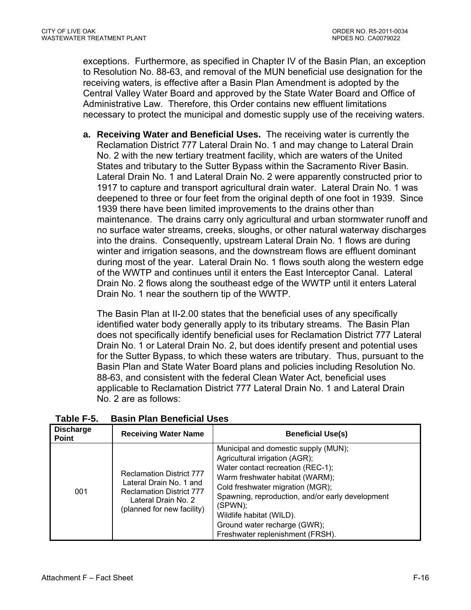exceptions. Furthermore, as specified in Chapter IV of the Basin Plan, an exception to Resolution No. 88-63, and removal of the MUN beneficial use designation for the receiving waters, is effective after a Basin Plan Amendment is adopted by the Central Valley Water Board and approved by the State Water Board and Office of Administrative Law. Therefore, this Order contains new effluent limitations necessary to protect the municipal and domestic supply use of the receiving waters.

**a. Receiving Water and Beneficial Uses.** The receiving water is currently the Reclamation District 777 Lateral Drain No. 1 and may change to Lateral Drain No. 2 with the new tertiary treatment facility, which are waters of the United States and tributary to the Sutter Bypass within the Sacramento River Basin. Lateral Drain No. 1 and Lateral Drain No. 2 were apparently constructed prior to 1917 to capture and transport agricultural drain water. Lateral Drain No. 1 was deepened to three or four feet from the original depth of one foot in 1939. Since 1939 there have been limited improvements to the drains other than maintenance. The drains carry only agricultural and urban stormwater runoff and no surface water streams, creeks, sloughs, or other natural waterway discharges into the drains. Consequently, upstream Lateral Drain No. 1 flows are during winter and irrigation seasons, and the downstream flows are effluent dominant during most of the year. Lateral Drain No. 1 flows south along the western edge of the WWTP and continues until it enters the East Interceptor Canal. Lateral Drain No. 2 flows along the southeast edge of the WWTP until it enters Lateral Drain No. 1 near the southern tip of the WWTP.

The Basin Plan at II-2.00 states that the beneficial uses of any specifically identified water body generally apply to its tributary streams. The Basin Plan does not specifically identify beneficial uses for Reclamation District 777 Lateral Drain No. 1 or Lateral Drain No. 2, but does identify present and potential uses for the Sutter Bypass, to which these waters are tributary. Thus, pursuant to the Basin Plan and State Water Board plans and policies including Resolution No. 88-63, and consistent with the federal Clean Water Act, beneficial uses applicable to Reclamation District 777 Lateral Drain No. 1 and Lateral Drain No. 2 are as follows:

| <b>Discharge</b><br><b>Point</b> | <b>Receiving Water Name</b>                                                                                                                        | <b>Beneficial Use(s)</b>                                                                                                                                                                                                                                                                                                                          |
|----------------------------------|----------------------------------------------------------------------------------------------------------------------------------------------------|---------------------------------------------------------------------------------------------------------------------------------------------------------------------------------------------------------------------------------------------------------------------------------------------------------------------------------------------------|
| 001                              | <b>Reclamation District 777</b><br>Lateral Drain No. 1 and<br><b>Reclamation District 777</b><br>Lateral Drain No. 2<br>(planned for new facility) | Municipal and domestic supply (MUN);<br>Agricultural irrigation (AGR);<br>Water contact recreation (REC-1);<br>Warm freshwater habitat (WARM);<br>Cold freshwater migration (MGR);<br>Spawning, reproduction, and/or early development<br>(SPWN);<br>Wildlife habitat (WILD).<br>Ground water recharge (GWR);<br>Freshwater replenishment (FRSH). |

**Table F-5. Basin Plan Beneficial Uses**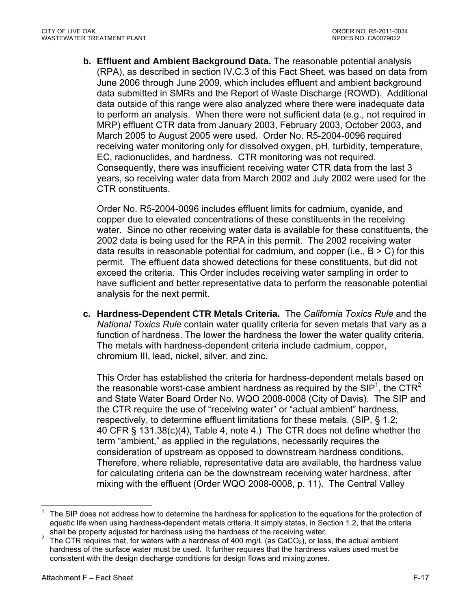**b. Effluent and Ambient Background Data.** The reasonable potential analysis (RPA), as described in section IV.C.3 of this Fact Sheet, was based on data from June 2006 through June 2009, which includes effluent and ambient background data submitted in SMRs and the Report of Waste Discharge (ROWD). Additional data outside of this range were also analyzed where there were inadequate data to perform an analysis. When there were not sufficient data (e.g., not required in MRP) effluent CTR data from January 2003, February 2003, October 2003, and March 2005 to August 2005 were used. Order No. R5-2004-0096 required receiving water monitoring only for dissolved oxygen, pH, turbidity, temperature, EC, radionuclides, and hardness. CTR monitoring was not required. Consequently, there was insufficient receiving water CTR data from the last 3 years, so receiving water data from March 2002 and July 2002 were used for the CTR constituents.

Order No. R5-2004-0096 includes effluent limits for cadmium, cyanide, and copper due to elevated concentrations of these constituents in the receiving water. Since no other receiving water data is available for these constituents, the 2002 data is being used for the RPA in this permit. The 2002 receiving water data results in reasonable potential for cadmium, and copper (i.e.,  $B > C$ ) for this permit. The effluent data showed detections for these constituents, but did not exceed the criteria. This Order includes receiving water sampling in order to have sufficient and better representative data to perform the reasonable potential analysis for the next permit.

**c. Hardness-Dependent CTR Metals Criteria.** The *California Toxics Rule* and the *National Toxics Rule* contain water quality criteria for seven metals that vary as a function of hardness. The lower the hardness the lower the water quality criteria. The metals with hardness-dependent criteria include cadmium, copper, chromium III, lead, nickel, silver, and zinc.

This Order has established the criteria for hardness-dependent metals based on the reasonable worst-case ambient hardness as required by the SIP<sup>1</sup>, the CTR<sup>2</sup> and State Water Board Order No. WQO 2008-0008 (City of Davis). The SIP and the CTR require the use of "receiving water" or "actual ambient" hardness, respectively, to determine effluent limitations for these metals. (SIP, § 1.2; 40 CFR § 131.38(c)(4), Table 4, note 4.) The CTR does not define whether the term "ambient," as applied in the regulations, necessarily requires the consideration of upstream as opposed to downstream hardness conditions. Therefore, where reliable, representative data are available, the hardness value for calculating criteria can be the downstream receiving water hardness, after mixing with the effluent (Order WQO 2008-0008, p. 11). The Central Valley

1

<sup>1</sup> The SIP does not address how to determine the hardness for application to the equations for the protection of aquatic life when using hardness-dependent metals criteria. It simply states, in Section 1.2, that the criteria shall be properly adjusted for hardness using the hardness of the receiving water.

The CTR requires that, for waters with a hardness of 400 mg/L (as  $CaCO<sub>3</sub>$ ), or less, the actual ambient hardness of the surface water must be used. It further requires that the hardness values used must be consistent with the design discharge conditions for design flows and mixing zones.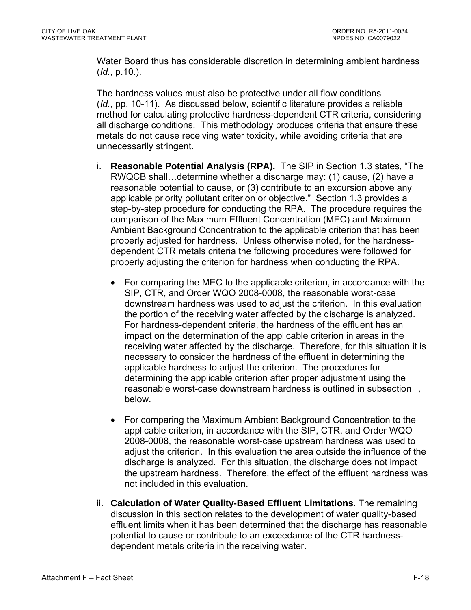Water Board thus has considerable discretion in determining ambient hardness (*Id.*, p.10.).

The hardness values must also be protective under all flow conditions (*Id.*, pp. 10-11). As discussed below, scientific literature provides a reliable method for calculating protective hardness-dependent CTR criteria, considering all discharge conditions. This methodology produces criteria that ensure these metals do not cause receiving water toxicity, while avoiding criteria that are unnecessarily stringent.

- i. **Reasonable Potential Analysis (RPA).** The SIP in Section 1.3 states, "The RWQCB shall…determine whether a discharge may: (1) cause, (2) have a reasonable potential to cause, or (3) contribute to an excursion above any applicable priority pollutant criterion or objective." Section 1.3 provides a step-by-step procedure for conducting the RPA. The procedure requires the comparison of the Maximum Effluent Concentration (MEC) and Maximum Ambient Background Concentration to the applicable criterion that has been properly adjusted for hardness. Unless otherwise noted, for the hardnessdependent CTR metals criteria the following procedures were followed for properly adjusting the criterion for hardness when conducting the RPA.
	- For comparing the MEC to the applicable criterion, in accordance with the SIP, CTR, and Order WQO 2008-0008, the reasonable worst-case downstream hardness was used to adjust the criterion. In this evaluation the portion of the receiving water affected by the discharge is analyzed. For hardness-dependent criteria, the hardness of the effluent has an impact on the determination of the applicable criterion in areas in the receiving water affected by the discharge. Therefore, for this situation it is necessary to consider the hardness of the effluent in determining the applicable hardness to adjust the criterion. The procedures for determining the applicable criterion after proper adjustment using the reasonable worst-case downstream hardness is outlined in subsection ii, below.
	- For comparing the Maximum Ambient Background Concentration to the applicable criterion, in accordance with the SIP, CTR, and Order WQO 2008-0008, the reasonable worst-case upstream hardness was used to adjust the criterion. In this evaluation the area outside the influence of the discharge is analyzed. For this situation, the discharge does not impact the upstream hardness. Therefore, the effect of the effluent hardness was not included in this evaluation.
- ii. **Calculation of Water Quality-Based Effluent Limitations.** The remaining discussion in this section relates to the development of water quality-based effluent limits when it has been determined that the discharge has reasonable potential to cause or contribute to an exceedance of the CTR hardnessdependent metals criteria in the receiving water.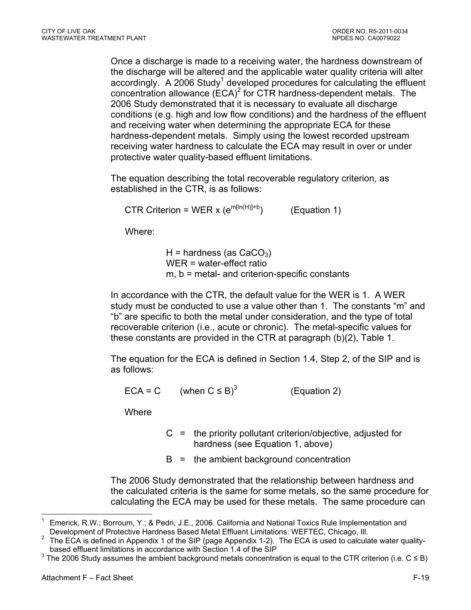Once a discharge is made to a receiving water, the hardness downstream of the discharge will be altered and the applicable water quality criteria will alter accordingly. A 2006 Study<sup>1</sup> developed procedures for calculating the effluent concentration allowance  $(ECA)^2$  for CTR hardness-dependent metals. The 2006 Study demonstrated that it is necessary to evaluate all discharge conditions (e.g. high and low flow conditions) and the hardness of the effluent and receiving water when determining the appropriate ECA for these hardness-dependent metals. Simply using the lowest recorded upstream receiving water hardness to calculate the ECA may result in over or under protective water quality-based effluent limitations.

The equation describing the total recoverable regulatory criterion, as established in the CTR, is as follows:

CTR Criterion = WER x  $(e^{m[ln(H)]+b})$  (Equation 1)

Where:

H = hardness (as  $CaCO<sub>3</sub>$ ) WER = water-effect ratio m, b = metal- and criterion-specific constants

In accordance with the CTR, the default value for the WER is 1. A WER study must be conducted to use a value other than 1. The constants "m" and "b" are specific to both the metal under consideration, and the type of total recoverable criterion (i.e., acute or chronic). The metal-specific values for these constants are provided in the CTR at paragraph (b)(2), Table 1.

The equation for the ECA is defined in Section 1.4, Step 2, of the SIP and is as follows:

 $ECA = C$  (when  $C \leq B$ )<sup>3</sup> (Equation 2)

**Where** 

- $C =$  the priority pollutant criterion/objective, adjusted for hardness (see Equation 1, above)
- $B =$  the ambient background concentration

The 2006 Study demonstrated that the relationship between hardness and the calculated criteria is the same for some metals, so the same procedure for calculating the ECA may be used for these metals. The same procedure can

<sup>&</sup>lt;u>.</u> 1 Emerick, R.W.; Borroum, Y.; & Pedri, J.E., 2006. California and National Toxics Rule Implementation and Development of Protective Hardness Based Metal Effluent Limitations. WEFTEC, Chicago, III.<br><sup>2</sup> The ECA is defined in Appendix 1 of the SIR (page Appendix 1.2). The ECA is used to calcula

The ECA is defined in Appendix 1 of the SIP (page Appendix 1-2). The ECA is used to calculate water qualitybased effluent limitations in accordance with Section 1.4 of the SIP

<sup>&</sup>lt;sup>3</sup> The 2006 Study assumes the ambient background metals concentration is equal to the CTR criterion (i.e. C ≤ B)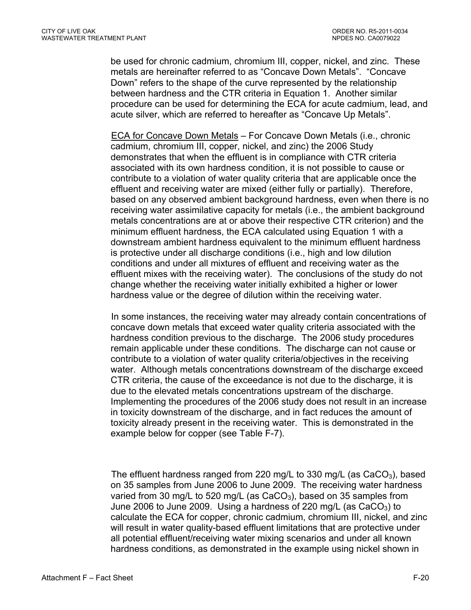be used for chronic cadmium, chromium III, copper, nickel, and zinc. These metals are hereinafter referred to as "Concave Down Metals". "Concave Down" refers to the shape of the curve represented by the relationship between hardness and the CTR criteria in Equation 1. Another similar procedure can be used for determining the ECA for acute cadmium, lead, and acute silver, which are referred to hereafter as "Concave Up Metals".

ECA for Concave Down Metals – For Concave Down Metals (i.e., chronic cadmium, chromium III, copper, nickel, and zinc) the 2006 Study demonstrates that when the effluent is in compliance with CTR criteria associated with its own hardness condition, it is not possible to cause or contribute to a violation of water quality criteria that are applicable once the effluent and receiving water are mixed (either fully or partially). Therefore, based on any observed ambient background hardness, even when there is no receiving water assimilative capacity for metals (i.e., the ambient background metals concentrations are at or above their respective CTR criterion) and the minimum effluent hardness, the ECA calculated using Equation 1 with a downstream ambient hardness equivalent to the minimum effluent hardness is protective under all discharge conditions (i.e., high and low dilution conditions and under all mixtures of effluent and receiving water as the effluent mixes with the receiving water). The conclusions of the study do not change whether the receiving water initially exhibited a higher or lower hardness value or the degree of dilution within the receiving water.

In some instances, the receiving water may already contain concentrations of concave down metals that exceed water quality criteria associated with the hardness condition previous to the discharge. The 2006 study procedures remain applicable under these conditions. The discharge can not cause or contribute to a violation of water quality criteria/objectives in the receiving water. Although metals concentrations downstream of the discharge exceed CTR criteria, the cause of the exceedance is not due to the discharge, it is due to the elevated metals concentrations upstream of the discharge. Implementing the procedures of the 2006 study does not result in an increase in toxicity downstream of the discharge, and in fact reduces the amount of toxicity already present in the receiving water. This is demonstrated in the example below for copper (see Table F-7).

The effluent hardness ranged from 220 mg/L to 330 mg/L (as  $CaCO<sub>3</sub>$ ), based on 35 samples from June 2006 to June 2009. The receiving water hardness varied from 30 mg/L to 520 mg/L (as  $CaCO<sub>3</sub>$ ), based on 35 samples from June 2006 to June 2009. Using a hardness of 220 mg/L (as  $CaCO<sub>3</sub>$ ) to calculate the ECA for copper, chronic cadmium, chromium III, nickel, and zinc will result in water quality-based effluent limitations that are protective under all potential effluent/receiving water mixing scenarios and under all known hardness conditions, as demonstrated in the example using nickel shown in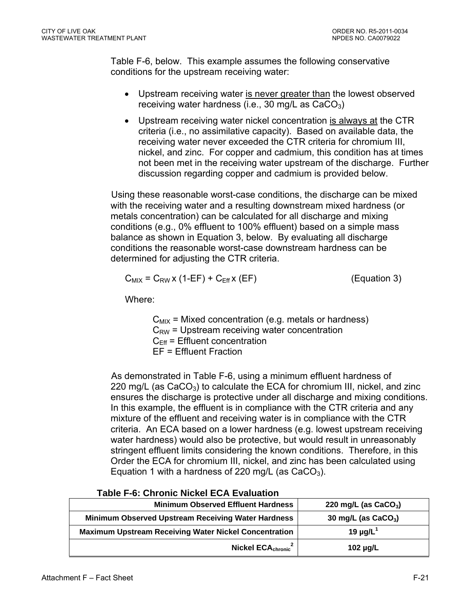Table F-6, below. This example assumes the following conservative conditions for the upstream receiving water:

- Upstream receiving water is never greater than the lowest observed receiving water hardness (i.e., 30 mg/L as  $CaCO<sub>3</sub>$ )
- Upstream receiving water nickel concentration is always at the CTR criteria (i.e., no assimilative capacity). Based on available data, the receiving water never exceeded the CTR criteria for chromium III, nickel, and zinc. For copper and cadmium, this condition has at times not been met in the receiving water upstream of the discharge. Further discussion regarding copper and cadmium is provided below.

Using these reasonable worst-case conditions, the discharge can be mixed with the receiving water and a resulting downstream mixed hardness (or metals concentration) can be calculated for all discharge and mixing conditions (e.g., 0% effluent to 100% effluent) based on a simple mass balance as shown in Equation 3, below. By evaluating all discharge conditions the reasonable worst-case downstream hardness can be determined for adjusting the CTR criteria.

$$
C_{MIX} = C_{RW} x (1-EF) + C_{Eff} x (EF)
$$
 (Equation 3)

Where:

 $C_{MIX}$  = Mixed concentration (e.g. metals or hardness)  $C_{\text{RW}}$  = Upstream receiving water concentration  $C_{\text{Eff}}$  = Effluent concentration EF = Effluent Fraction

As demonstrated in Table F-6, using a minimum effluent hardness of 220 mg/L (as  $CaCO<sub>3</sub>$ ) to calculate the ECA for chromium III, nickel, and zinc ensures the discharge is protective under all discharge and mixing conditions. In this example, the effluent is in compliance with the CTR criteria and any mixture of the effluent and receiving water is in compliance with the CTR criteria. An ECA based on a lower hardness (e.g. lowest upstream receiving water hardness) would also be protective, but would result in unreasonably stringent effluent limits considering the known conditions. Therefore, in this Order the ECA for chromium III, nickel, and zinc has been calculated using Equation 1 with a hardness of 220 mg/L (as  $CaCO<sub>3</sub>$ ).

| <b>Minimum Observed Effluent Hardness</b>                    | 220 mg/L (as $CaCO3$ )    |
|--------------------------------------------------------------|---------------------------|
| <b>Minimum Observed Upstream Receiving Water Hardness</b>    | 30 mg/L (as $CaCO3$ )     |
| <b>Maximum Upstream Receiving Water Nickel Concentration</b> | 19 $\mu$ g/L <sup>1</sup> |
| Nickel $ECA_{\text{chronic}}^2$                              | $102 \mu g/L$             |

### **Table F-6: Chronic Nickel ECA Evaluation**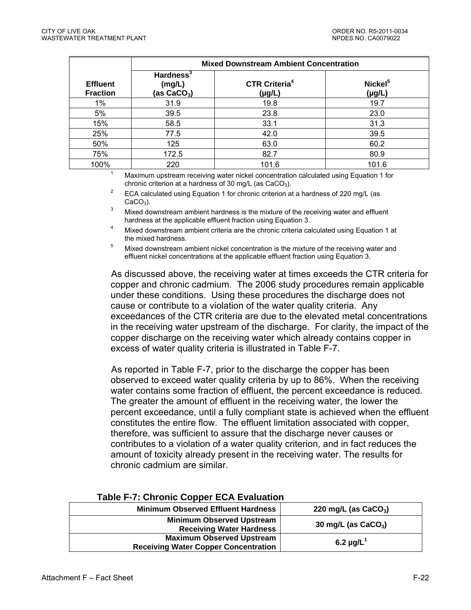|                                    | <b>Mixed Downstream Ambient Concentration</b>    |                                                |                                    |  |  |  |
|------------------------------------|--------------------------------------------------|------------------------------------------------|------------------------------------|--|--|--|
| <b>Effluent</b><br><b>Fraction</b> | Hardness <sup>3</sup><br>(mg/L)<br>(as $CaCO3$ ) | <b>CTR Criteria<sup>4</sup></b><br>$(\mu g/L)$ | Nickel <sup>5</sup><br>$(\mu g/L)$ |  |  |  |
| $1\%$                              | 31.9                                             | 19.8                                           | 19.7                               |  |  |  |
| 5%                                 | 39.5                                             | 23.8                                           | 23.0                               |  |  |  |
| 15%                                | 58.5                                             | 33.1                                           | 31.3                               |  |  |  |
| 25%                                | 77.5                                             | 42.0                                           | 39.5                               |  |  |  |
| 50%                                | 125                                              | 63.0                                           | 60.2                               |  |  |  |
| 75%                                | 172.5                                            | 82.7                                           | 80.9                               |  |  |  |
| 100%                               | 220                                              | 101.6                                          | 101.6                              |  |  |  |

100% 220 220 101.6 100% 101.6 100% 101.6 101.6 101.6 101.6 101.6 101.6 101.6 101.6 100 101.6 100 100 100 100 1

chronic criterion at a hardness of 30 mg/L (as CaCO<sub>3</sub>).<br><sup>2</sup> ECA calculated using Equation 1 for chronic criterion at a hardness of 220 mg/L (as CaCO<sub>3</sub>).

Mixed downstream ambient hardness is the mixture of the receiving water and effluent

<sup>4</sup> Mixed downstream ambient criteria are the chronic criteria calculated using Equation 1 at the mixed hardness.<br><sup>5</sup> Mixed downstream ambient nickel concentration is the mixture of the receiving water and

effluent nickel concentrations at the applicable effluent fraction using Equation 3.

As discussed above, the receiving water at times exceeds the CTR criteria for copper and chronic cadmium. The 2006 study procedures remain applicable under these conditions. Using these procedures the discharge does not cause or contribute to a violation of the water quality criteria. Any exceedances of the CTR criteria are due to the elevated metal concentrations in the receiving water upstream of the discharge. For clarity, the impact of the copper discharge on the receiving water which already contains copper in excess of water quality criteria is illustrated in Table F-7.

As reported in Table F-7, prior to the discharge the copper has been observed to exceed water quality criteria by up to 86%. When the receiving water contains some fraction of effluent, the percent exceedance is reduced. The greater the amount of effluent in the receiving water, the lower the percent exceedance, until a fully compliant state is achieved when the effluent constitutes the entire flow. The effluent limitation associated with copper, therefore, was sufficient to assure that the discharge never causes or contributes to a violation of a water quality criterion, and in fact reduces the amount of toxicity already present in the receiving water. The results for chronic cadmium are similar.

| <b>Minimum Observed Effluent Hardness</b>                                       | 220 mg/L (as $CaCO3$ )     |
|---------------------------------------------------------------------------------|----------------------------|
| <b>Minimum Observed Upstream</b><br><b>Receiving Water Hardness</b>             | 30 mg/L (as $CaCO3$ )      |
| <b>Maximum Observed Upstream</b><br><b>Receiving Water Copper Concentration</b> | 6.2 $\mu$ g/L <sup>1</sup> |

### **Table F-7: Chronic Copper ECA Evaluation**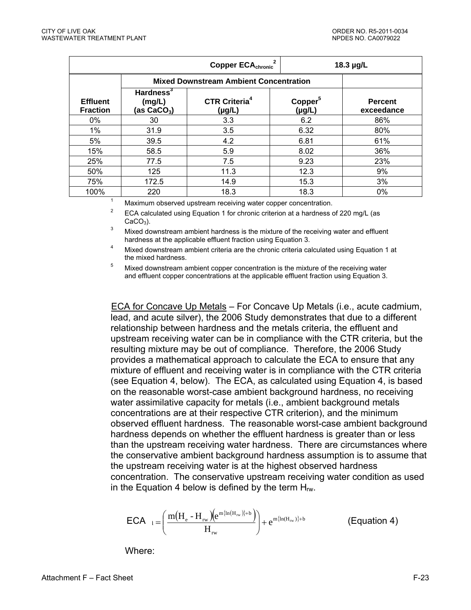| Copper ECA <sub>chronic</sub> <sup>2</sup> |                                               |                                                                 |                                    | 18.3 µg/L                    |
|--------------------------------------------|-----------------------------------------------|-----------------------------------------------------------------|------------------------------------|------------------------------|
|                                            | <b>Mixed Downstream Ambient Concentration</b> |                                                                 |                                    |                              |
| <b>Effluent</b><br><b>Fraction</b>         | Hardness $3$<br>(mg/L)<br>(as $CaCO3$ )       | <b>CTR Criteria<sup>4</sup></b><br>$(\mu g/L)$                  | Copper <sup>5</sup><br>$(\mu g/L)$ | <b>Percent</b><br>exceedance |
| 0%                                         | 30                                            | 3.3                                                             | 6.2                                | 86%                          |
| $1\%$                                      | 31.9                                          | 3.5                                                             | 6.32                               | 80%                          |
| 5%                                         | 39.5                                          | 4.2                                                             | 6.81                               | 61%                          |
| 15%                                        | 58.5                                          | 5.9                                                             | 8.02                               | 36%                          |
| 25%                                        | 77.5                                          | 7.5                                                             | 9.23                               | 23%                          |
| 50%                                        | 125                                           | 11.3                                                            | 12.3                               | 9%                           |
| 75%                                        | 172.5                                         | 14.9                                                            | 15.3                               | 3%                           |
| 100%                                       | 220                                           | 18.3                                                            | 18.3                               | 0%                           |
|                                            |                                               | Maximum observed upstream receiving water copper concentration. |                                    |                              |

<sup>2</sup> ECA calculated using Equation 1 for chronic criterion at a hardness of 220 mg/L (as CaCO<sub>3</sub>).

Mixed downstream ambient hardness is the mixture of the receiving water and effluent

hardness at the applicable effluent fraction using Equation 3.<br>4 Mixed downstream ambient criteria are the chronic criteria calculated using Equation 1 at the mixed hardness.<br><sup>5</sup> Mixed downstream ambient copper concentration is the mixture of the receiving water

and effluent copper concentrations at the applicable effluent fraction using Equation 3.

ECA for Concave Up Metals – For Concave Up Metals (i.e., acute cadmium, lead, and acute silver), the 2006 Study demonstrates that due to a different relationship between hardness and the metals criteria, the effluent and upstream receiving water can be in compliance with the CTR criteria, but the resulting mixture may be out of compliance. Therefore, the 2006 Study provides a mathematical approach to calculate the ECA to ensure that any mixture of effluent and receiving water is in compliance with the CTR criteria (see Equation 4, below). The ECA, as calculated using Equation 4, is based on the reasonable worst-case ambient background hardness, no receiving water assimilative capacity for metals (i.e., ambient background metals concentrations are at their respective CTR criterion), and the minimum observed effluent hardness. The reasonable worst-case ambient background hardness depends on whether the effluent hardness is greater than or less than the upstream receiving water hardness. There are circumstances where the conservative ambient background hardness assumption is to assume that the upstream receiving water is at the highest observed hardness concentration. The conservative upstream receiving water condition as used in the Equation 4 below is defined by the term  $H_{\text{rw}}$ .

$$
\text{ECA}_{l} = \left(\frac{m(H_{e} - H_{rw})(e^{m\{ln(H_{rw})\} + b})}{H_{rw}}\right) + e^{m\{ln(H_{rw})\} + b}
$$
 (Equation 4)

Where: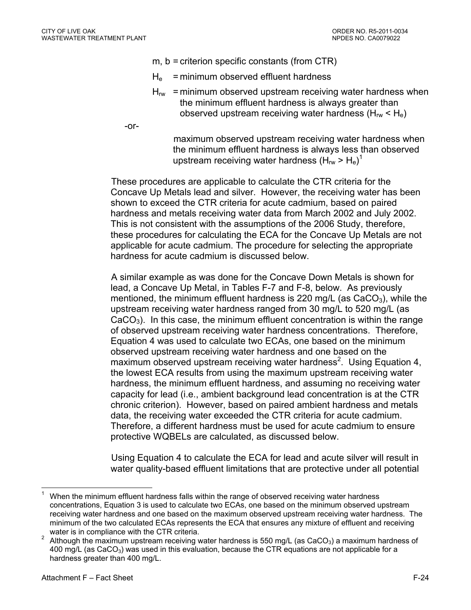- m, b = criterion specific constants (from CTR)
- $H<sub>e</sub>$  = minimum observed effluent hardness
- $H_{rw}$  = minimum observed upstream receiving water hardness when the minimum effluent hardness is always greater than observed upstream receiving water hardness  $(H_{rw} < H_e)$
- -or-

maximum observed upstream receiving water hardness when the minimum effluent hardness is always less than observed upstream receiving water hardness (H<sub>rw</sub> > H<sub>e</sub>)<sup>1</sup>

These procedures are applicable to calculate the CTR criteria for the Concave Up Metals lead and silver. However, the receiving water has been shown to exceed the CTR criteria for acute cadmium, based on paired hardness and metals receiving water data from March 2002 and July 2002. This is not consistent with the assumptions of the 2006 Study, therefore, these procedures for calculating the ECA for the Concave Up Metals are not applicable for acute cadmium. The procedure for selecting the appropriate hardness for acute cadmium is discussed below.

A similar example as was done for the Concave Down Metals is shown for lead, a Concave Up Metal, in Tables F-7 and F-8, below. As previously mentioned, the minimum effluent hardness is 220 mg/L (as  $CaCO<sub>3</sub>$ ), while the upstream receiving water hardness ranged from 30 mg/L to 520 mg/L (as  $CaCO<sub>3</sub>$ ). In this case, the minimum effluent concentration is within the range of observed upstream receiving water hardness concentrations. Therefore, Equation 4 was used to calculate two ECAs, one based on the minimum observed upstream receiving water hardness and one based on the maximum observed upstream receiving water hardness<sup>2</sup>. Using Equation 4, the lowest ECA results from using the maximum upstream receiving water hardness, the minimum effluent hardness, and assuming no receiving water capacity for lead (i.e., ambient background lead concentration is at the CTR chronic criterion). However, based on paired ambient hardness and metals data, the receiving water exceeded the CTR criteria for acute cadmium. Therefore, a different hardness must be used for acute cadmium to ensure protective WQBELs are calculated, as discussed below.

Using Equation 4 to calculate the ECA for lead and acute silver will result in water quality-based effluent limitations that are protective under all potential

<sup>&</sup>lt;u>.</u> 1 When the minimum effluent hardness falls within the range of observed receiving water hardness concentrations, Equation 3 is used to calculate two ECAs, one based on the minimum observed upstream receiving water hardness and one based on the maximum observed upstream receiving water hardness. The minimum of the two calculated ECAs represents the ECA that ensures any mixture of effluent and receiving water is in compliance with the CTR criteria.

Although the maximum upstream receiving water hardness is 550 mg/L (as  $CaCO<sub>3</sub>$ ) a maximum hardness of 400 mg/L (as  $CaCO<sub>3</sub>$ ) was used in this evaluation, because the CTR equations are not applicable for a hardness greater than 400 mg/L.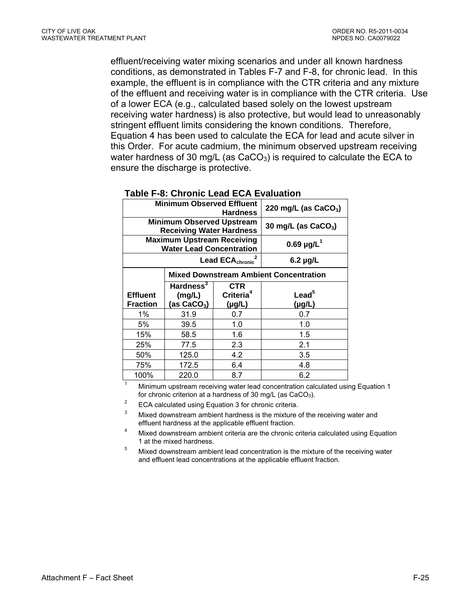effluent/receiving water mixing scenarios and under all known hardness conditions, as demonstrated in Tables F-7 and F-8, for chronic lead. In this example, the effluent is in compliance with the CTR criteria and any mixture of the effluent and receiving water is in compliance with the CTR criteria. Use of a lower ECA (e.g., calculated based solely on the lowest upstream receiving water hardness) is also protective, but would lead to unreasonably stringent effluent limits considering the known conditions. Therefore, Equation 4 has been used to calculate the ECA for lead and acute silver in this Order. For acute cadmium, the minimum observed upstream receiving water hardness of 30 mg/L (as  $CaCO<sub>3</sub>$ ) is required to calculate the ECA to ensure the discharge is protective.

|                                                                      | <b>Minimum Observed Effluent</b>                                    | 220 mg/L (as CaCO <sub>3</sub> )                   |                                |
|----------------------------------------------------------------------|---------------------------------------------------------------------|----------------------------------------------------|--------------------------------|
|                                                                      | <b>Minimum Observed Upstream</b><br><b>Receiving Water Hardness</b> | 30 mg/L (as $CaCO3$ )                              |                                |
| <b>Maximum Upstream Receiving</b><br><b>Water Lead Concentration</b> |                                                                     |                                                    | $0.69 \mu g/L^1$               |
|                                                                      | Lead ECA <sub>chronic</sub>                                         | $6.2 \mu g/L$                                      |                                |
|                                                                      |                                                                     | <b>Mixed Downstream Ambient Concentration</b>      |                                |
| <b>Effluent</b><br><b>Fraction</b>                                   | Hardness <sup>3</sup><br>(mg/L)<br>(as $CaCO3$ )                    | <b>CTR</b><br>Criteria <sup>4</sup><br>$(\mu g/L)$ | $\text{lead}^5$<br>$(\mu g/L)$ |
| $1\%$                                                                | 31.9                                                                | 0.7                                                | 0.7                            |
| 5%                                                                   | 39.5                                                                | 1.0                                                | 1.0                            |
| 15%                                                                  | 58.5                                                                | 1.6                                                | 1.5                            |
| 25%                                                                  | 77.5                                                                | 2.3                                                | 2.1                            |
| 50%                                                                  | 125.0                                                               | 4.2                                                | 3.5                            |
| 75%                                                                  | 172.5                                                               | 6.4                                                | 4.8                            |
| 100%                                                                 | 220.0                                                               | 8.7                                                | 6.2                            |

#### **Table F-8: Chronic Lead ECA Evaluation**

100% 220.0 8.7 6.2 1 Minimum upstream receiving water lead concentration calculated using Equation 1

for chronic criterion at a hardness of 30 mg/L (as CaCO<sub>3</sub>).<br><sup>2</sup> ECA calculated using Equation 3 for chronic criteria.<br><sup>3</sup> Mixed deventes as explicit bardness is the mixture of the

- Mixed downstream ambient hardness is the mixture of the receiving water and effluent hardness at the applicable effluent fraction.<br>4 Mixed downstream ambient criteria are the chronic criteria calculated using Equation
- 1 at the mixed hardness.<br><sup>5</sup> Mixed downstream ambient lead concentration is the mixture of the receiving water
- and effluent lead concentrations at the applicable effluent fraction.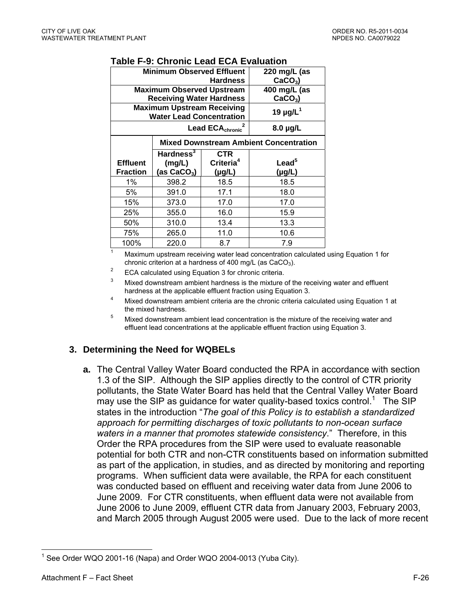|                 | <b>Minimum Observed Effluent</b>                                     | 220 mg/L (as                |                                               |
|-----------------|----------------------------------------------------------------------|-----------------------------|-----------------------------------------------|
|                 |                                                                      | $CaCO3$ )                   |                                               |
|                 | <b>Maximum Observed Upstream</b>                                     | 400 mg/L (as                |                                               |
|                 | <b>Receiving Water Hardness</b>                                      |                             | $CaCO3$ )                                     |
|                 | <b>Maximum Upstream Receiving</b><br><b>Water Lead Concentration</b> |                             | 19 $\mu$ g/L <sup>1</sup>                     |
|                 |                                                                      | Lead ECA <sub>chronic</sub> | $8.0 \mu g/L$                                 |
|                 |                                                                      |                             | <b>Mixed Downstream Ambient Concentration</b> |
|                 | Hardness <sup>3</sup>                                                | <b>CTR</b>                  |                                               |
| <b>Effluent</b> | (mg/L)                                                               | Criteria <sup>4</sup>       | Lead <sup>5</sup>                             |
| <b>Fraction</b> | (as $CaCO3$ )                                                        | $(\mu g/L)$                 | $(\mu g/L)$                                   |
| 1%              | 398.2                                                                | 18.5                        | 18.5                                          |
| 5%              | 391.0                                                                | 17.1                        | 18.0                                          |
| 15%             | 373.0                                                                | 17.0                        | 17.0                                          |
| 25%             | 355.0                                                                | 16.0                        | 15.9                                          |
| 50%             |                                                                      |                             | 13.3                                          |
|                 | 310.0                                                                | 13.4                        |                                               |
| 75%             | 265.0                                                                | 11.0                        | 10.6                                          |

#### **Table F-9: Chronic Lead ECA Evaluation**

100% 220.0 8.7 7.9 1 Maximum upstream receiving water lead concentration calculated using Equation 1 for chronic criterion at a hardness of 400 mg/L (as CaCO<sub>3</sub>).<br><sup>2</sup> ECA calculated using Equation 3 for chronic criteria.<br><sup>3</sup> Mised devents are applicated and particulated in the misture of the

Mixed downstream ambient hardness is the mixture of the receiving water and effluent

- hardness at the applicable effluent fraction using Equation 3.<br>4 Mixed downstream ambient criteria are the chronic criteria calculated using Equation 1 at the mixed hardness.<br>5 Mixed downstream ambient lead concentration is the mixture of the receiving water and
- effluent lead concentrations at the applicable effluent fraction using Equation 3.

# **3. Determining the Need for WQBELs**

**a.** The Central Valley Water Board conducted the RPA in accordance with section 1.3 of the SIP. Although the SIP applies directly to the control of CTR priority pollutants, the State Water Board has held that the Central Valley Water Board may use the SIP as guidance for water quality-based toxics control.<sup>1</sup> The SIP states in the introduction "*The goal of this Policy is to establish a standardized approach for permitting discharges of toxic pollutants to non-ocean surface waters in a manner that promotes statewide consistency*." Therefore, in this Order the RPA procedures from the SIP were used to evaluate reasonable potential for both CTR and non-CTR constituents based on information submitted as part of the application, in studies, and as directed by monitoring and reporting programs. When sufficient data were available, the RPA for each constituent was conducted based on effluent and receiving water data from June 2006 to June 2009. For CTR constituents, when effluent data were not available from June 2006 to June 2009, effluent CTR data from January 2003, February 2003, and March 2005 through August 2005 were used. Due to the lack of more recent

<sup>1</sup>  $1$  See Order WQO 2001-16 (Napa) and Order WQO 2004-0013 (Yuba City).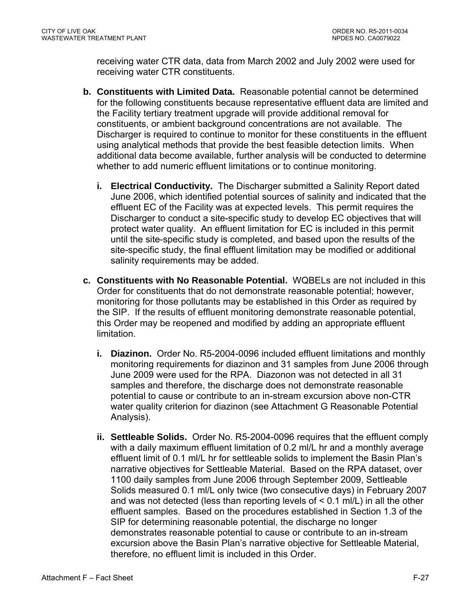receiving water CTR data, data from March 2002 and July 2002 were used for receiving water CTR constituents.

- **b. Constituents with Limited Data.** Reasonable potential cannot be determined for the following constituents because representative effluent data are limited and the Facility tertiary treatment upgrade will provide additional removal for constituents, or ambient background concentrations are not available. The Discharger is required to continue to monitor for these constituents in the effluent using analytical methods that provide the best feasible detection limits. When additional data become available, further analysis will be conducted to determine whether to add numeric effluent limitations or to continue monitoring.
	- **i. Electrical Conductivity.** The Discharger submitted a Salinity Report dated June 2006, which identified potential sources of salinity and indicated that the effluent EC of the Facility was at expected levels. This permit requires the Discharger to conduct a site-specific study to develop EC objectives that will protect water quality. An effluent limitation for EC is included in this permit until the site-specific study is completed, and based upon the results of the site-specific study, the final effluent limitation may be modified or additional salinity requirements may be added.
- **c. Constituents with No Reasonable Potential.** WQBELs are not included in this Order for constituents that do not demonstrate reasonable potential; however, monitoring for those pollutants may be established in this Order as required by the SIP. If the results of effluent monitoring demonstrate reasonable potential, this Order may be reopened and modified by adding an appropriate effluent limitation.
	- **i. Diazinon.** Order No. R5-2004-0096 included effluent limitations and monthly monitoring requirements for diazinon and 31 samples from June 2006 through June 2009 were used for the RPA. Diazonon was not detected in all 31 samples and therefore, the discharge does not demonstrate reasonable potential to cause or contribute to an in-stream excursion above non-CTR water quality criterion for diazinon (see Attachment G Reasonable Potential Analysis).
	- **ii. Settleable Solids.** Order No. R5-2004-0096 requires that the effluent comply with a daily maximum effluent limitation of 0.2 ml/L hr and a monthly average effluent limit of 0.1 ml/L hr for settleable solids to implement the Basin Plan's narrative objectives for Settleable Material. Based on the RPA dataset, over 1100 daily samples from June 2006 through September 2009, Settleable Solids measured 0.1 ml/L only twice (two consecutive days) in February 2007 and was not detected (less than reporting levels of < 0.1 ml/L) in all the other effluent samples. Based on the procedures established in Section 1.3 of the SIP for determining reasonable potential, the discharge no longer demonstrates reasonable potential to cause or contribute to an in-stream excursion above the Basin Plan's narrative objective for Settleable Material, therefore, no effluent limit is included in this Order.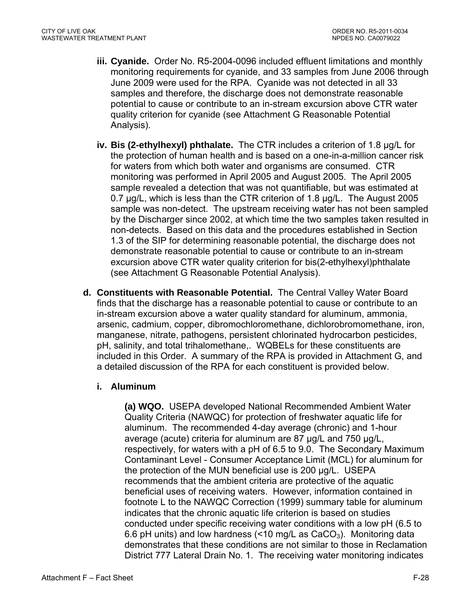- **iii. Cyanide.** Order No. R5-2004-0096 included effluent limitations and monthly monitoring requirements for cyanide, and 33 samples from June 2006 through June 2009 were used for the RPA. Cyanide was not detected in all 33 samples and therefore, the discharge does not demonstrate reasonable potential to cause or contribute to an in-stream excursion above CTR water quality criterion for cyanide (see Attachment G Reasonable Potential Analysis).
- **iv. Bis (2-ethylhexyl) phthalate.** The CTR includes a criterion of 1.8 µg/L for the protection of human health and is based on a one-in-a-million cancer risk for waters from which both water and organisms are consumed. CTR monitoring was performed in April 2005 and August 2005. The April 2005 sample revealed a detection that was not quantifiable, but was estimated at 0.7 µg/L, which is less than the CTR criterion of 1.8 µg/L. The August 2005 sample was non-detect. The upstream receiving water has not been sampled by the Discharger since 2002, at which time the two samples taken resulted in non-detects. Based on this data and the procedures established in Section 1.3 of the SIP for determining reasonable potential, the discharge does not demonstrate reasonable potential to cause or contribute to an in-stream excursion above CTR water quality criterion for bis(2-ethylhexyl)phthalate (see Attachment G Reasonable Potential Analysis).
- **d. Constituents with Reasonable Potential.** The Central Valley Water Board finds that the discharge has a reasonable potential to cause or contribute to an in-stream excursion above a water quality standard for aluminum, ammonia, arsenic, cadmium, copper, dibromochloromethane, dichlorobromomethane, iron, manganese, nitrate, pathogens, persistent chlorinated hydrocarbon pesticides, pH, salinity, and total trihalomethane,. WQBELs for these constituents are included in this Order. A summary of the RPA is provided in Attachment G, and a detailed discussion of the RPA for each constituent is provided below.

# **i. Aluminum**

**(a) WQO.** USEPA developed National Recommended Ambient Water Quality Criteria (NAWQC) for protection of freshwater aquatic life for aluminum. The recommended 4-day average (chronic) and 1-hour average (acute) criteria for aluminum are 87 µg/L and 750 µg/L, respectively, for waters with a pH of 6.5 to 9.0. The Secondary Maximum Contaminant Level - Consumer Acceptance Limit (MCL) for aluminum for the protection of the MUN beneficial use is 200 µg/L. USEPA recommends that the ambient criteria are protective of the aquatic beneficial uses of receiving waters. However, information contained in footnote L to the NAWQC Correction (1999) summary table for aluminum indicates that the chronic aquatic life criterion is based on studies conducted under specific receiving water conditions with a low pH (6.5 to 6.6 pH units) and low hardness  $\left($  < 10 mg/L as CaCO<sub>3</sub>). Monitoring data demonstrates that these conditions are not similar to those in Reclamation District 777 Lateral Drain No. 1. The receiving water monitoring indicates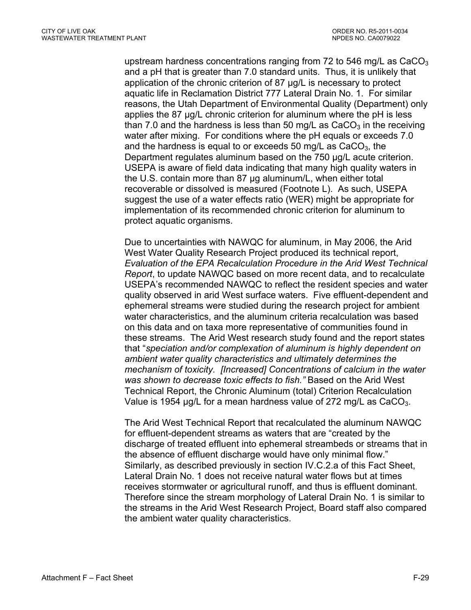upstream hardness concentrations ranging from 72 to 546 mg/L as  $CaCO<sub>3</sub>$ and a pH that is greater than 7.0 standard units. Thus, it is unlikely that application of the chronic criterion of 87 µg/L is necessary to protect aquatic life in Reclamation District 777 Lateral Drain No. 1. For similar reasons, the Utah Department of Environmental Quality (Department) only applies the 87 µg/L chronic criterion for aluminum where the pH is less than 7.0 and the hardness is less than 50 mg/L as  $CaCO<sub>3</sub>$  in the receiving water after mixing. For conditions where the pH equals or exceeds 7.0 and the hardness is equal to or exceeds 50 mg/L as  $CaCO<sub>3</sub>$ , the Department regulates aluminum based on the 750 µg/L acute criterion. USEPA is aware of field data indicating that many high quality waters in the U.S. contain more than 87 µg aluminum/L, when either total recoverable or dissolved is measured (Footnote L). As such, USEPA suggest the use of a water effects ratio (WER) might be appropriate for implementation of its recommended chronic criterion for aluminum to protect aquatic organisms.

Due to uncertainties with NAWQC for aluminum, in May 2006, the Arid West Water Quality Research Project produced its technical report, *Evaluation of the EPA Recalculation Procedure in the Arid West Technical Report*, to update NAWQC based on more recent data, and to recalculate USEPA's recommended NAWQC to reflect the resident species and water quality observed in arid West surface waters. Five effluent-dependent and ephemeral streams were studied during the research project for ambient water characteristics, and the aluminum criteria recalculation was based on this data and on taxa more representative of communities found in these streams. The Arid West research study found and the report states that "*speciation and/or complexation of aluminum is highly dependent on ambient water quality characteristics and ultimately determines the mechanism of toxicity. [Increased] Concentrations of calcium in the water was shown to decrease toxic effects to fish."* Based on the Arid West Technical Report, the Chronic Aluminum (total) Criterion Recalculation Value is 1954  $\mu$ g/L for a mean hardness value of 272 mg/L as CaCO<sub>3</sub>.

The Arid West Technical Report that recalculated the aluminum NAWQC for effluent-dependent streams as waters that are "created by the discharge of treated effluent into ephemeral streambeds or streams that in the absence of effluent discharge would have only minimal flow." Similarly, as described previously in section IV.C.2.a of this Fact Sheet, Lateral Drain No. 1 does not receive natural water flows but at times receives stormwater or agricultural runoff, and thus is effluent dominant. Therefore since the stream morphology of Lateral Drain No. 1 is similar to the streams in the Arid West Research Project, Board staff also compared the ambient water quality characteristics.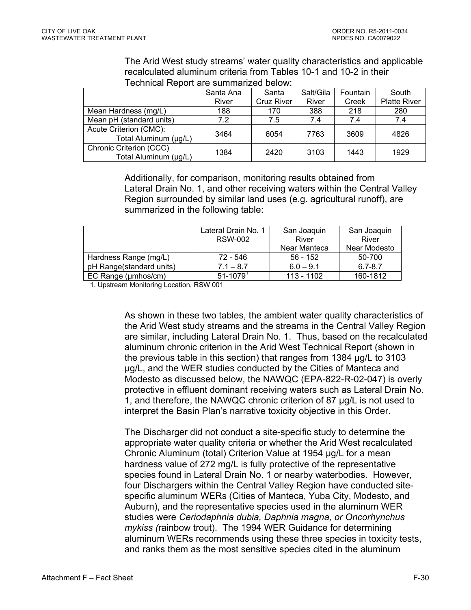The Arid West study streams' water quality characteristics and applicable recalculated aluminum criteria from Tables 10-1 and 10-2 in their Technical Report are summarized below:

|                          | Santa Ana | Santa      | Salt/Gila | Fountain | South               |  |  |
|--------------------------|-----------|------------|-----------|----------|---------------------|--|--|
|                          | River     | Cruz River | River     | Creek    | <b>Platte River</b> |  |  |
| Mean Hardness (mg/L)     | 188       | 170        | 388       | 218      | 280                 |  |  |
| Mean pH (standard units) | 7.2       | 7.5        | 7.4       | 7.4      | 7.4                 |  |  |
| Acute Criterion (CMC):   | 3464      | 6054       | 7763      | 3609     | 4826                |  |  |
| Total Aluminum (µg/L)    |           |            |           |          |                     |  |  |
| Chronic Criterion (CCC)  | 1384      | 2420       | 3103      | 1443     | 1929                |  |  |
| Total Aluminum (µg/L)    |           |            |           |          |                     |  |  |

Additionally, for comparison, monitoring results obtained from Lateral Drain No. 1, and other receiving waters within the Central Valley Region surrounded by similar land uses (e.g. agricultural runoff), are summarized in the following table:

|                          | Lateral Drain No. 1<br>RSW-002 | San Joaquin<br>River | San Joaquin<br>River |
|--------------------------|--------------------------------|----------------------|----------------------|
|                          |                                | Near Manteca         | Near Modesto         |
| Hardness Range (mg/L)    | 72 - 546                       | $56 - 152$           | 50-700               |
| pH Range(standard units) | $7.1 - 8.7$                    | $6.0 - 9.1$          | $6.7 - 8.7$          |
| EC Range (umhos/cm)      | $51 - 1079$                    | 113 - 1102           | 160-1812             |

1. Upstream Monitoring Location, RSW 001

As shown in these two tables, the ambient water quality characteristics of the Arid West study streams and the streams in the Central Valley Region are similar, including Lateral Drain No. 1. Thus, based on the recalculated aluminum chronic criterion in the Arid West Technical Report (shown in the previous table in this section) that ranges from 1384 µg/L to 3103 µg/L, and the WER studies conducted by the Cities of Manteca and Modesto as discussed below, the NAWQC (EPA-822-R-02-047) is overly protective in effluent dominant receiving waters such as Lateral Drain No. 1, and therefore, the NAWQC chronic criterion of 87 µg/L is not used to interpret the Basin Plan's narrative toxicity objective in this Order.

The Discharger did not conduct a site-specific study to determine the appropriate water quality criteria or whether the Arid West recalculated Chronic Aluminum (total) Criterion Value at 1954 µg/L for a mean hardness value of 272 mg/L is fully protective of the representative species found in Lateral Drain No. 1 or nearby waterbodies. However, four Dischargers within the Central Valley Region have conducted sitespecific aluminum WERs (Cities of Manteca, Yuba City, Modesto, and Auburn), and the representative species used in the aluminum WER studies were *Ceriodaphnia dubia, Daphnia magna, or Oncorhynchus mykiss (*rainbow trout). The 1994 WER Guidance for determining aluminum WERs recommends using these three species in toxicity tests, and ranks them as the most sensitive species cited in the aluminum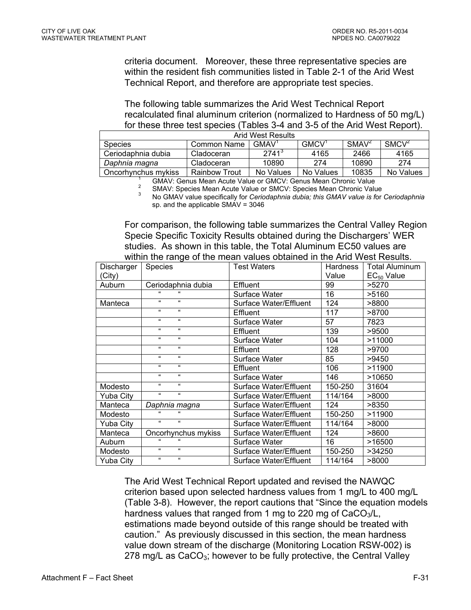criteria document. Moreover, these three representative species are within the resident fish communities listed in Table 2-1 of the Arid West Technical Report, and therefore are appropriate test species.

The following table summarizes the Arid West Technical Report recalculated final aluminum criterion (normalized to Hardness of 50 mg/L) for these three test species (Tables 3-4 and 3-5 of the Arid West Report).

| Arid West Results                                                |               |           |                   |                   |                   |
|------------------------------------------------------------------|---------------|-----------|-------------------|-------------------|-------------------|
| <b>Species</b>                                                   | Common Name   | GMAV'     | GMCV <sup>'</sup> | SMAV <sup>2</sup> | SMCV <sup>2</sup> |
| Ceriodaphnia dubia                                               | Cladoceran    | $2741^3$  | 4165              | 2466              | 4165              |
| Daphnia magna                                                    | Cladoceran    | 10890     | 274               | 10890             | 274               |
| Oncorhynchus mykiss                                              | Rainbow Trout | No Values | No Values         | 10835             | No Values         |
| CMALL: Capus Magn Aguta Value or CMCVI; Capus Magn Chronic Value |               |           |                   |                   |                   |

<sup>1</sup> GMAV: Genus Mean Acute Value or GMCV: Genus Mean Chronic Value 2<br>2 DeMAV: Species Mean Acute Value or SMCV: Species Mean Chronic Valu

<sup>2</sup> SMAV: Senas Mean Acute Value or SMCV: Species Mean Chronic Value

3 No GMAV value specifically for *Ceriodaphnia dubia; this GMAV value is f*or *Ceriodaphnia*  sp. and the applicable SMAV = 3046

For comparison, the following table summarizes the Central Valley Region Specie Specific Toxicity Results obtained during the Dischargers' WER studies. As shown in this table, the Total Aluminum EC50 values are within the range of the mean values obtained in the Arid West Results.

| Discharger | <b>Species</b>               | <b>Test Waters</b>     | <b>Hardness</b> | <b>Total Aluminum</b> |
|------------|------------------------------|------------------------|-----------------|-----------------------|
| (City)     |                              |                        | Value           | $EC_{50}$ Value       |
| Auburn     | Ceriodaphnia dubia           | <b>Effluent</b>        | 99              | >5270                 |
|            |                              | Surface Water          | 16              | >5160                 |
| Manteca    | $\alpha$<br>$\epsilon$       | Surface Water/Effluent | 124             | >8800                 |
|            | $\mathbf{u}$<br>$\mathbf{u}$ | Effluent               | 117             | >8700                 |
|            | $\mathbf{u}$<br>$\mathbf{u}$ | Surface Water          | 57              | 7823                  |
|            | $\alpha$<br>$\epsilon$       | Effluent               | 139             | >9500                 |
|            | $\alpha$<br>$\epsilon$       | Surface Water          | 104             | >11000                |
|            | $\mathbf{u}$<br>$\epsilon$   | Effluent               | 128             | >9700                 |
|            | $\alpha$<br>$\alpha$         | Surface Water          | 85              | >9450                 |
|            | $\alpha$<br>$\epsilon$       | Effluent               | 106             | >11900                |
|            | $\mathbf{u}$<br>$\mathbf{u}$ | Surface Water          | 146             | >10650                |
| Modesto    | $\alpha$<br>$\alpha$         | Surface Water/Effluent | 150-250         | 31604                 |
| Yuba City  | $\alpha$<br>$\epsilon$       | Surface Water/Effluent | 114/164         | >8000                 |
| Manteca    | Daphnia magna                | Surface Water/Effluent | 124             | >8350                 |
| Modesto    |                              | Surface Water/Effluent | 150-250         | >11900                |
| Yuba City  | $\mathbf{u}$<br>$\epsilon$   | Surface Water/Effluent | 114/164         | >8000                 |
| Manteca    | Oncorhynchus mykiss          | Surface Water/Effluent | 124             | >8600                 |
| Auburn     | $\epsilon$<br>$\epsilon$     | Surface Water          | 16              | >16500                |
| Modesto    | $\alpha$<br>$\mathbf{u}$     | Surface Water/Effluent | 150-250         | >34250                |
| Yuba City  | $\alpha$<br>$\epsilon$       | Surface Water/Effluent | 114/164         | >8000                 |

The Arid West Technical Report updated and revised the NAWQC criterion based upon selected hardness values from 1 mg/L to 400 mg/L (Table 3-8). However, the report cautions that "Since the equation models hardness values that ranged from 1 mg to 220 mg of  $CaCO<sub>3</sub>/L$ , estimations made beyond outside of this range should be treated with caution." As previously discussed in this section, the mean hardness value down stream of the discharge (Monitoring Location RSW-002) is 278 mg/L as  $CaCO<sub>3</sub>$ ; however to be fully protective, the Central Valley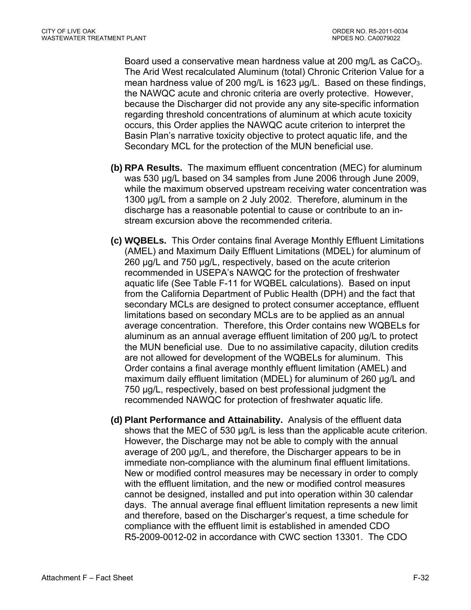Board used a conservative mean hardness value at 200 mg/L as CaCO<sub>3</sub>. The Arid West recalculated Aluminum (total) Chronic Criterion Value for a mean hardness value of 200 mg/L is 1623 µg/L. Based on these findings, the NAWQC acute and chronic criteria are overly protective. However, because the Discharger did not provide any any site-specific information regarding threshold concentrations of aluminum at which acute toxicity occurs, this Order applies the NAWQC acute criterion to interpret the Basin Plan's narrative toxicity objective to protect aquatic life, and the Secondary MCL for the protection of the MUN beneficial use.

- **(b) RPA Results.** The maximum effluent concentration (MEC) for aluminum was 530 µg/L based on 34 samples from June 2006 through June 2009, while the maximum observed upstream receiving water concentration was 1300 µg/L from a sample on 2 July 2002. Therefore, aluminum in the discharge has a reasonable potential to cause or contribute to an instream excursion above the recommended criteria.
- **(c) WQBELs.** This Order contains final Average Monthly Effluent Limitations (AMEL) and Maximum Daily Effluent Limitations (MDEL) for aluminum of 260 μg/L and 750 μg/L, respectively, based on the acute criterion recommended in USEPA's NAWQC for the protection of freshwater aquatic life (See Table F-11 for WQBEL calculations). Based on input from the California Department of Public Health (DPH) and the fact that secondary MCLs are designed to protect consumer acceptance, effluent limitations based on secondary MCLs are to be applied as an annual average concentration. Therefore, this Order contains new WQBELs for aluminum as an annual average effluent limitation of 200 µg/L to protect the MUN beneficial use. Due to no assimilative capacity, dilution credits are not allowed for development of the WQBELs for aluminum. This Order contains a final average monthly effluent limitation (AMEL) and maximum daily effluent limitation (MDEL) for aluminum of 260 µg/L and 750 µg/L, respectively, based on best professional judgment the recommended NAWQC for protection of freshwater aquatic life.
- **(d) Plant Performance and Attainability.** Analysis of the effluent data shows that the MEC of 530 µg/L is less than the applicable acute criterion. However, the Discharge may not be able to comply with the annual average of 200 µg/L, and therefore, the Discharger appears to be in immediate non-compliance with the aluminum final effluent limitations. New or modified control measures may be necessary in order to comply with the effluent limitation, and the new or modified control measures cannot be designed, installed and put into operation within 30 calendar days. The annual average final effluent limitation represents a new limit and therefore, based on the Discharger's request, a time schedule for compliance with the effluent limit is established in amended CDO R5-2009-0012-02 in accordance with CWC section 13301. The CDO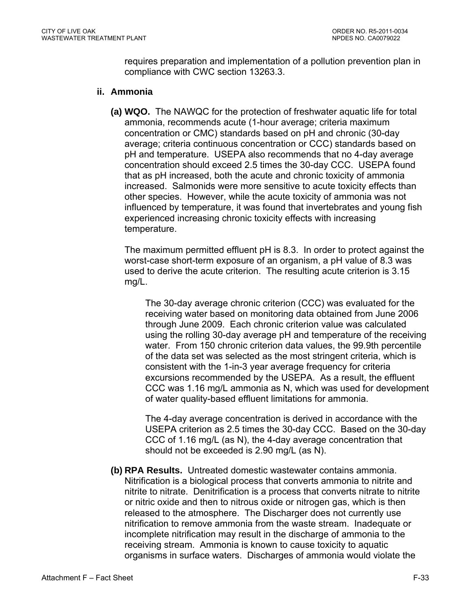requires preparation and implementation of a pollution prevention plan in compliance with CWC section 13263.3.

#### **ii. Ammonia**

**(a) WQO.** The NAWQC for the protection of freshwater aquatic life for total ammonia, recommends acute (1-hour average; criteria maximum concentration or CMC) standards based on pH and chronic (30-day average; criteria continuous concentration or CCC) standards based on pH and temperature. USEPA also recommends that no 4-day average concentration should exceed 2.5 times the 30-day CCC. USEPA found that as pH increased, both the acute and chronic toxicity of ammonia increased. Salmonids were more sensitive to acute toxicity effects than other species. However, while the acute toxicity of ammonia was not influenced by temperature, it was found that invertebrates and young fish experienced increasing chronic toxicity effects with increasing temperature.

The maximum permitted effluent pH is 8.3. In order to protect against the worst-case short-term exposure of an organism, a pH value of 8.3 was used to derive the acute criterion. The resulting acute criterion is 3.15 mg/L.

The 30-day average chronic criterion (CCC) was evaluated for the receiving water based on monitoring data obtained from June 2006 through June 2009. Each chronic criterion value was calculated using the rolling 30-day average pH and temperature of the receiving water. From 150 chronic criterion data values, the 99.9th percentile of the data set was selected as the most stringent criteria, which is consistent with the 1-in-3 year average frequency for criteria excursions recommended by the USEPA. As a result, the effluent CCC was 1.16 mg/L ammonia as N, which was used for development of water quality-based effluent limitations for ammonia.

The 4-day average concentration is derived in accordance with the USEPA criterion as 2.5 times the 30-day CCC. Based on the 30-day CCC of 1.16 mg/L (as N), the 4-day average concentration that should not be exceeded is 2.90 mg/L (as N).

**(b) RPA Results.** Untreated domestic wastewater contains ammonia. Nitrification is a biological process that converts ammonia to nitrite and nitrite to nitrate. Denitrification is a process that converts nitrate to nitrite or nitric oxide and then to nitrous oxide or nitrogen gas, which is then released to the atmosphere. The Discharger does not currently use nitrification to remove ammonia from the waste stream. Inadequate or incomplete nitrification may result in the discharge of ammonia to the receiving stream. Ammonia is known to cause toxicity to aquatic organisms in surface waters. Discharges of ammonia would violate the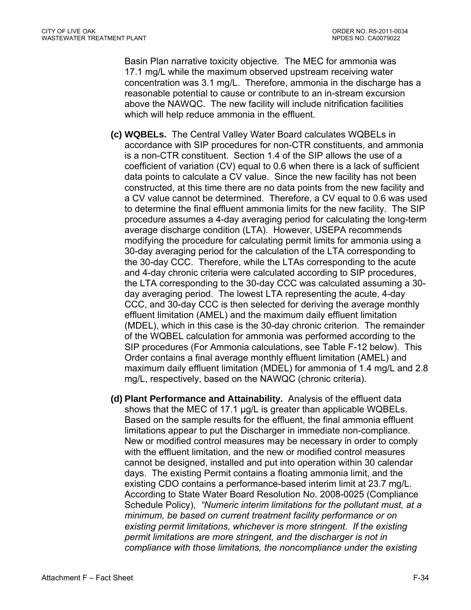Basin Plan narrative toxicity objective. The MEC for ammonia was 17.1 mg/L while the maximum observed upstream receiving water concentration was 3.1 mg/L. Therefore, ammonia in the discharge has a reasonable potential to cause or contribute to an in-stream excursion above the NAWQC. The new facility will include nitrification facilities which will help reduce ammonia in the effluent.

- **(c) WQBELs.** The Central Valley Water Board calculates WQBELs in accordance with SIP procedures for non-CTR constituents, and ammonia is a non-CTR constituent. Section 1.4 of the SIP allows the use of a coefficient of variation (CV) equal to 0.6 when there is a lack of sufficient data points to calculate a CV value. Since the new facility has not been constructed, at this time there are no data points from the new facility and a CV value cannot be determined. Therefore, a CV equal to 0.6 was used to determine the final effluent ammonia limits for the new facility. The SIP procedure assumes a 4-day averaging period for calculating the long-term average discharge condition (LTA). However, USEPA recommends modifying the procedure for calculating permit limits for ammonia using a 30-day averaging period for the calculation of the LTA corresponding to the 30-day CCC. Therefore, while the LTAs corresponding to the acute and 4-day chronic criteria were calculated according to SIP procedures, the LTA corresponding to the 30-day CCC was calculated assuming a 30 day averaging period. The lowest LTA representing the acute, 4-day CCC, and 30-day CCC is then selected for deriving the average monthly effluent limitation (AMEL) and the maximum daily effluent limitation (MDEL), which in this case is the 30-day chronic criterion. The remainder of the WQBEL calculation for ammonia was performed according to the SIP procedures (For Ammonia calculations, see Table F-12 below). This Order contains a final average monthly effluent limitation (AMEL) and maximum daily effluent limitation (MDEL) for ammonia of 1.4 mg/L and 2.8 mg/L, respectively, based on the NAWQC (chronic criteria).
- **(d) Plant Performance and Attainability.** Analysis of the effluent data shows that the MEC of 17.1 µg/L is greater than applicable WQBELs. Based on the sample results for the effluent, the final ammonia effluent limitations appear to put the Discharger in immediate non-compliance. New or modified control measures may be necessary in order to comply with the effluent limitation, and the new or modified control measures cannot be designed, installed and put into operation within 30 calendar days. The existing Permit contains a floating ammonia limit, and the existing CDO contains a performance-based interim limit at 23.7 mg/L. According to State Water Board Resolution No. 2008-0025 (Compliance Schedule Policy), *"Numeric interim limitations for the pollutant must, at a minimum, be based on current treatment facility performance or on existing permit limitations, whichever is more stringent. If the existing permit limitations are more stringent, and the discharger is not in compliance with those limitations, the noncompliance under the existing*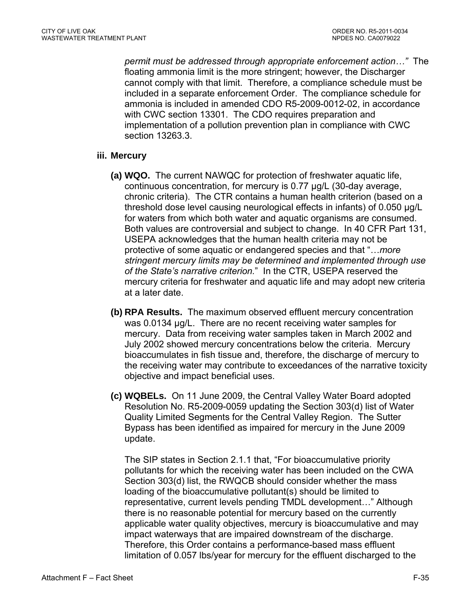*permit must be addressed through appropriate enforcement action…"* The floating ammonia limit is the more stringent; however, the Discharger cannot comply with that limit. Therefore, a compliance schedule must be included in a separate enforcement Order. The compliance schedule for ammonia is included in amended CDO R5-2009-0012-02, in accordance with CWC section 13301. The CDO requires preparation and implementation of a pollution prevention plan in compliance with CWC section 13263.3.

## **iii. Mercury**

- **(a) WQO.** The current NAWQC for protection of freshwater aquatic life, continuous concentration, for mercury is 0.77 µg/L (30-day average, chronic criteria). The CTR contains a human health criterion (based on a threshold dose level causing neurological effects in infants) of 0.050 µg/L for waters from which both water and aquatic organisms are consumed. Both values are controversial and subject to change. In 40 CFR Part 131, USEPA acknowledges that the human health criteria may not be protective of some aquatic or endangered species and that "…*more stringent mercury limits may be determined and implemented through use of the State's narrative criterion.*" In the CTR, USEPA reserved the mercury criteria for freshwater and aquatic life and may adopt new criteria at a later date.
- **(b) RPA Results.** The maximum observed effluent mercury concentration was 0.0134 μg/L. There are no recent receiving water samples for mercury. Data from receiving water samples taken in March 2002 and July 2002 showed mercury concentrations below the criteria. Mercury bioaccumulates in fish tissue and, therefore, the discharge of mercury to the receiving water may contribute to exceedances of the narrative toxicity objective and impact beneficial uses.
- **(c) WQBELs.** On 11 June 2009, the Central Valley Water Board adopted Resolution No. R5-2009-0059 updating the Section 303(d) list of Water Quality Limited Segments for the Central Valley Region. The Sutter Bypass has been identified as impaired for mercury in the June 2009 update.

The SIP states in Section 2.1.1 that, "For bioaccumulative priority pollutants for which the receiving water has been included on the CWA Section 303(d) list, the RWQCB should consider whether the mass loading of the bioaccumulative pollutant(s) should be limited to representative, current levels pending TMDL development…" Although there is no reasonable potential for mercury based on the currently applicable water quality objectives, mercury is bioaccumulative and may impact waterways that are impaired downstream of the discharge. Therefore, this Order contains a performance-based mass effluent limitation of 0.057 lbs/year for mercury for the effluent discharged to the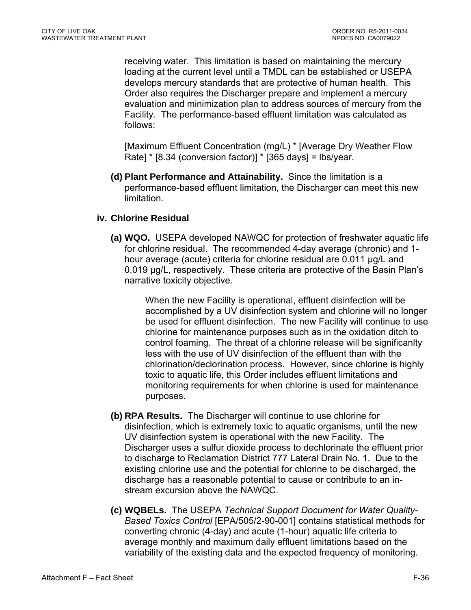receiving water. This limitation is based on maintaining the mercury loading at the current level until a TMDL can be established or USEPA develops mercury standards that are protective of human health. This Order also requires the Discharger prepare and implement a mercury evaluation and minimization plan to address sources of mercury from the Facility. The performance-based effluent limitation was calculated as follows:

[Maximum Effluent Concentration (mg/L) \* [Average Dry Weather Flow Rate] \* [8.34 (conversion factor)] \* [365 days] = lbs/year.

**(d) Plant Performance and Attainability.** Since the limitation is a performance-based effluent limitation, the Discharger can meet this new limitation.

## **iv. Chlorine Residual**

**(a) WQO.** USEPA developed NAWQC for protection of freshwater aquatic life for chlorine residual. The recommended 4-day average (chronic) and 1 hour average (acute) criteria for chlorine residual are 0.011 µg/L and 0.019 µg/L, respectively. These criteria are protective of the Basin Plan's narrative toxicity objective.

> When the new Facility is operational, effluent disinfection will be accomplished by a UV disinfection system and chlorine will no longer be used for effluent disinfection. The new Facility will continue to use chlorine for maintenance purposes such as in the oxidation ditch to control foaming. The threat of a chlorine release will be significanlty less with the use of UV disinfection of the effluent than with the chlorination/declorination process. However, since chlorine is highly toxic to aquatic life, this Order includes effluent limitations and monitoring requirements for when chlorine is used for maintenance purposes.

- **(b) RPA Results.** The Discharger will continue to use chlorine for disinfection, which is extremely toxic to aquatic organisms, until the new UV disinfection system is operational with the new Facility. The Discharger uses a sulfur dioxide process to dechlorinate the effluent prior to discharge to Reclamation District 777 Lateral Drain No. 1. Due to the existing chlorine use and the potential for chlorine to be discharged, the discharge has a reasonable potential to cause or contribute to an instream excursion above the NAWQC.
- **(c) WQBELs.** The USEPA *Technical Support Document for Water Quality-Based Toxics Control* [EPA/505/2-90-001] contains statistical methods for converting chronic (4-day) and acute (1-hour) aquatic life criteria to average monthly and maximum daily effluent limitations based on the variability of the existing data and the expected frequency of monitoring.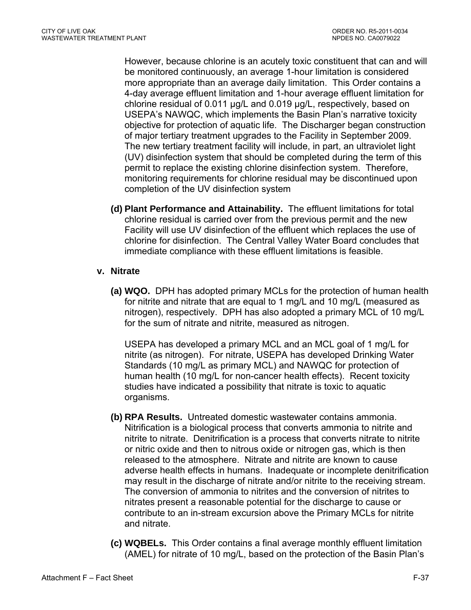However, because chlorine is an acutely toxic constituent that can and will be monitored continuously, an average 1-hour limitation is considered more appropriate than an average daily limitation. This Order contains a 4-day average effluent limitation and 1-hour average effluent limitation for chlorine residual of 0.011 µg/L and 0.019 µg/L, respectively, based on USEPA's NAWQC, which implements the Basin Plan's narrative toxicity objective for protection of aquatic life. The Discharger began construction of major tertiary treatment upgrades to the Facility in September 2009. The new tertiary treatment facility will include, in part, an ultraviolet light (UV) disinfection system that should be completed during the term of this permit to replace the existing chlorine disinfection system. Therefore, monitoring requirements for chlorine residual may be discontinued upon completion of the UV disinfection system

**(d) Plant Performance and Attainability.** The effluent limitations for total chlorine residual is carried over from the previous permit and the new Facility will use UV disinfection of the effluent which replaces the use of chlorine for disinfection. The Central Valley Water Board concludes that immediate compliance with these effluent limitations is feasible.

## **v. Nitrate**

**(a) WQO.** DPH has adopted primary MCLs for the protection of human health for nitrite and nitrate that are equal to 1 mg/L and 10 mg/L (measured as nitrogen), respectively. DPH has also adopted a primary MCL of 10 mg/L for the sum of nitrate and nitrite, measured as nitrogen.

USEPA has developed a primary MCL and an MCL goal of 1 mg/L for nitrite (as nitrogen). For nitrate, USEPA has developed Drinking Water Standards (10 mg/L as primary MCL) and NAWQC for protection of human health (10 mg/L for non-cancer health effects). Recent toxicity studies have indicated a possibility that nitrate is toxic to aquatic organisms.

- **(b) RPA Results.** Untreated domestic wastewater contains ammonia. Nitrification is a biological process that converts ammonia to nitrite and nitrite to nitrate. Denitrification is a process that converts nitrate to nitrite or nitric oxide and then to nitrous oxide or nitrogen gas, which is then released to the atmosphere. Nitrate and nitrite are known to cause adverse health effects in humans. Inadequate or incomplete denitrification may result in the discharge of nitrate and/or nitrite to the receiving stream. The conversion of ammonia to nitrites and the conversion of nitrites to nitrates present a reasonable potential for the discharge to cause or contribute to an in-stream excursion above the Primary MCLs for nitrite and nitrate.
- **(c) WQBELs.** This Order contains a final average monthly effluent limitation (AMEL) for nitrate of 10 mg/L, based on the protection of the Basin Plan's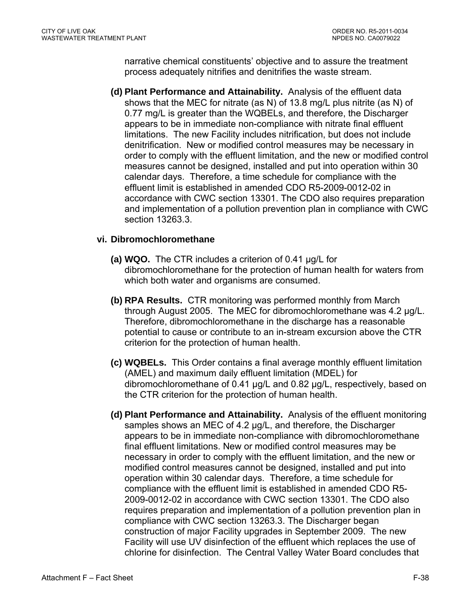narrative chemical constituents' objective and to assure the treatment process adequately nitrifies and denitrifies the waste stream.

**(d) Plant Performance and Attainability.** Analysis of the effluent data shows that the MEC for nitrate (as N) of 13.8 mg/L plus nitrite (as N) of 0.77 mg/L is greater than the WQBELs, and therefore, the Discharger appears to be in immediate non-compliance with nitrate final effluent limitations. The new Facility includes nitrification, but does not include denitrification. New or modified control measures may be necessary in order to comply with the effluent limitation, and the new or modified control measures cannot be designed, installed and put into operation within 30 calendar days. Therefore, a time schedule for compliance with the effluent limit is established in amended CDO R5-2009-0012-02 in accordance with CWC section 13301. The CDO also requires preparation and implementation of a pollution prevention plan in compliance with CWC section 13263.3.

#### **vi. Dibromochloromethane**

- **(a) WQO.** The CTR includes a criterion of 0.41 µg/L for dibromochloromethane for the protection of human health for waters from which both water and organisms are consumed.
- **(b) RPA Results.** CTR monitoring was performed monthly from March through August 2005. The MEC for dibromochloromethane was 4.2 µg/L. Therefore, dibromochloromethane in the discharge has a reasonable potential to cause or contribute to an in-stream excursion above the CTR criterion for the protection of human health.
- **(c) WQBELs.** This Order contains a final average monthly effluent limitation (AMEL) and maximum daily effluent limitation (MDEL) for dibromochloromethane of 0.41 µg/L and 0.82 µg/L, respectively, based on the CTR criterion for the protection of human health.
- **(d) Plant Performance and Attainability.** Analysis of the effluent monitoring samples shows an MEC of 4.2 µg/L, and therefore, the Discharger appears to be in immediate non-compliance with dibromochloromethane final effluent limitations. New or modified control measures may be necessary in order to comply with the effluent limitation, and the new or modified control measures cannot be designed, installed and put into operation within 30 calendar days. Therefore, a time schedule for compliance with the effluent limit is established in amended CDO R5- 2009-0012-02 in accordance with CWC section 13301. The CDO also requires preparation and implementation of a pollution prevention plan in compliance with CWC section 13263.3. The Discharger began construction of major Facility upgrades in September 2009. The new Facility will use UV disinfection of the effluent which replaces the use of chlorine for disinfection. The Central Valley Water Board concludes that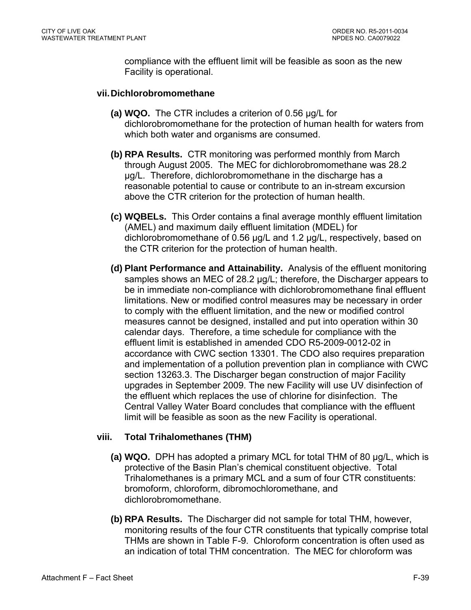compliance with the effluent limit will be feasible as soon as the new Facility is operational.

#### **vii. Dichlorobromomethane**

- **(a) WQO.** The CTR includes a criterion of 0.56 µg/L for dichlorobromomethane for the protection of human health for waters from which both water and organisms are consumed.
- **(b) RPA Results.** CTR monitoring was performed monthly from March through August 2005. The MEC for dichlorobromomethane was 28.2 µg/L. Therefore, dichlorobromomethane in the discharge has a reasonable potential to cause or contribute to an in-stream excursion above the CTR criterion for the protection of human health.
- **(c) WQBELs.** This Order contains a final average monthly effluent limitation (AMEL) and maximum daily effluent limitation (MDEL) for dichlorobromomethane of 0.56 µg/L and 1.2 µg/L, respectively, based on the CTR criterion for the protection of human health.
- **(d) Plant Performance and Attainability.** Analysis of the effluent monitoring samples shows an MEC of 28.2 µg/L; therefore, the Discharger appears to be in immediate non-compliance with dichlorobromomethane final effluent limitations. New or modified control measures may be necessary in order to comply with the effluent limitation, and the new or modified control measures cannot be designed, installed and put into operation within 30 calendar days. Therefore, a time schedule for compliance with the effluent limit is established in amended CDO R5-2009-0012-02 in accordance with CWC section 13301. The CDO also requires preparation and implementation of a pollution prevention plan in compliance with CWC section 13263.3. The Discharger began construction of major Facility upgrades in September 2009. The new Facility will use UV disinfection of the effluent which replaces the use of chlorine for disinfection. The Central Valley Water Board concludes that compliance with the effluent limit will be feasible as soon as the new Facility is operational.

### **viii. Total Trihalomethanes (THM)**

- **(a) WQO.** DPH has adopted a primary MCL for total THM of 80 µg/L, which is protective of the Basin Plan's chemical constituent objective. Total Trihalomethanes is a primary MCL and a sum of four CTR constituents: bromoform, chloroform, dibromochloromethane, and dichlorobromomethane.
- **(b) RPA Results.** The Discharger did not sample for total THM, however, monitoring results of the four CTR constituents that typically comprise total THMs are shown in Table F-9. Chloroform concentration is often used as an indication of total THM concentration. The MEC for chloroform was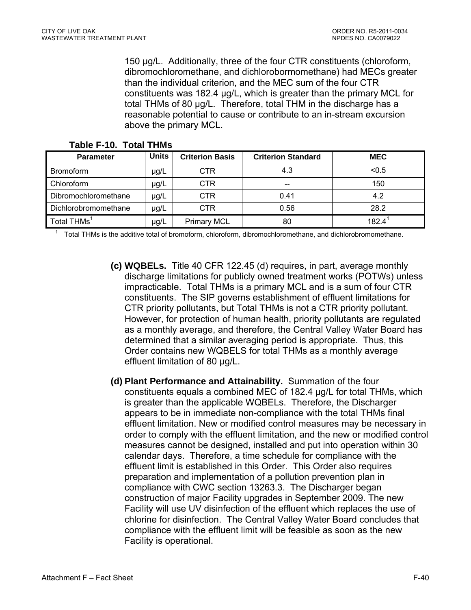150 µg/L. Additionally, three of the four CTR constituents (chloroform, dibromochloromethane, and dichlorobormomethane) had MECs greater than the individual criterion, and the MEC sum of the four CTR constituents was 182.4 µg/L, which is greater than the primary MCL for total THMs of 80 µg/L. Therefore, total THM in the discharge has a reasonable potential to cause or contribute to an in-stream excursion above the primary MCL.

| <b>Parameter</b>                                                                                          | Units | <b>Criterion Basis</b> | <b>Criterion Standard</b> | <b>MEC</b> |
|-----------------------------------------------------------------------------------------------------------|-------|------------------------|---------------------------|------------|
| <b>Bromoform</b>                                                                                          | µg/L  | CTR.                   | 4.3                       | < 0.5      |
| Chloroform                                                                                                | µg/L  | <b>CTR</b>             | --                        | 150        |
| Dibromochloromethane                                                                                      | µg/L  | <b>CTR</b>             | 0.41                      | 4.2        |
| Dichlorobromomethane                                                                                      | µg/L  | <b>CTR</b>             | 0.56                      | 28.2       |
| Total THMs <sup>1</sup>                                                                                   | µg/L  | <b>Primary MCL</b>     | 80                        | $182.4^1$  |
| Total THMs is the additive total of bromeform, epleratorm, dibromophlaromathane, and diphlarohromomathane |       |                        |                           |            |

#### **Table F-10. Total THMs**

Total THMs is the additive total of bromoform, chloroform, dibromochloromethane, and dichlorobromomethane.

- **(c) WQBELs.** Title 40 CFR 122.45 (d) requires, in part, average monthly discharge limitations for publicly owned treatment works (POTWs) unless impracticable. Total THMs is a primary MCL and is a sum of four CTR constituents. The SIP governs establishment of effluent limitations for CTR priority pollutants, but Total THMs is not a CTR priority pollutant. However, for protection of human health, priority pollutants are regulated as a monthly average, and therefore, the Central Valley Water Board has determined that a similar averaging period is appropriate. Thus, this Order contains new WQBELS for total THMs as a monthly average effluent limitation of 80 µg/L.
- **(d) Plant Performance and Attainability.** Summation of the four constituents equals a combined MEC of 182.4 µg/L for total THMs, which is greater than the applicable WQBELs. Therefore, the Discharger appears to be in immediate non-compliance with the total THMs final effluent limitation. New or modified control measures may be necessary in order to comply with the effluent limitation, and the new or modified control measures cannot be designed, installed and put into operation within 30 calendar days. Therefore, a time schedule for compliance with the effluent limit is established in this Order. This Order also requires preparation and implementation of a pollution prevention plan in compliance with CWC section 13263.3. The Discharger began construction of major Facility upgrades in September 2009. The new Facility will use UV disinfection of the effluent which replaces the use of chlorine for disinfection. The Central Valley Water Board concludes that compliance with the effluent limit will be feasible as soon as the new Facility is operational.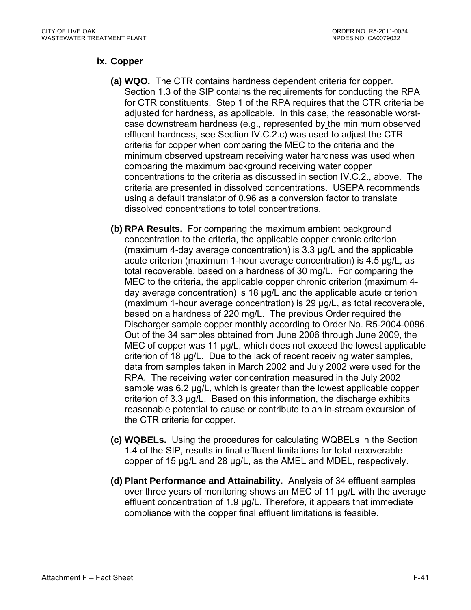## **ix. Copper**

- **(a) WQO.** The CTR contains hardness dependent criteria for copper. Section 1.3 of the SIP contains the requirements for conducting the RPA for CTR constituents. Step 1 of the RPA requires that the CTR criteria be adjusted for hardness, as applicable. In this case, the reasonable worstcase downstream hardness (e.g., represented by the minimum observed effluent hardness, see Section IV.C.2.c) was used to adjust the CTR criteria for copper when comparing the MEC to the criteria and the minimum observed upstream receiving water hardness was used when comparing the maximum background receiving water copper concentrations to the criteria as discussed in section IV.C.2., above. The criteria are presented in dissolved concentrations. USEPA recommends using a default translator of 0.96 as a conversion factor to translate dissolved concentrations to total concentrations.
- **(b) RPA Results.** For comparing the maximum ambient background concentration to the criteria, the applicable copper chronic criterion (maximum 4-day average concentration) is 3.3 µg/L and the applicable acute criterion (maximum 1-hour average concentration) is 4.5 µg/L, as total recoverable, based on a hardness of 30 mg/L. For comparing the MEC to the criteria, the applicable copper chronic criterion (maximum 4 day average concentration) is 18 µg/L and the applicable acute criterion (maximum 1-hour average concentration) is 29 µg/L, as total recoverable, based on a hardness of 220 mg/L. The previous Order required the Discharger sample copper monthly according to Order No. R5-2004-0096. Out of the 34 samples obtained from June 2006 through June 2009, the MEC of copper was 11  $\mu$ g/L, which does not exceed the lowest applicable criterion of 18 µg/L. Due to the lack of recent receiving water samples, data from samples taken in March 2002 and July 2002 were used for the RPA. The receiving water concentration measured in the July 2002 sample was 6.2 µg/L, which is greater than the lowest applicable copper criterion of 3.3 µg/L. Based on this information, the discharge exhibits reasonable potential to cause or contribute to an in-stream excursion of the CTR criteria for copper.
- **(c) WQBELs.** Using the procedures for calculating WQBELs in the Section 1.4 of the SIP, results in final effluent limitations for total recoverable copper of 15 µg/L and 28 µg/L, as the AMEL and MDEL, respectively.
- **(d) Plant Performance and Attainability.** Analysis of 34 effluent samples over three years of monitoring shows an MEC of 11 µg/L with the average effluent concentration of 1.9 µg/L. Therefore, it appears that immediate compliance with the copper final effluent limitations is feasible.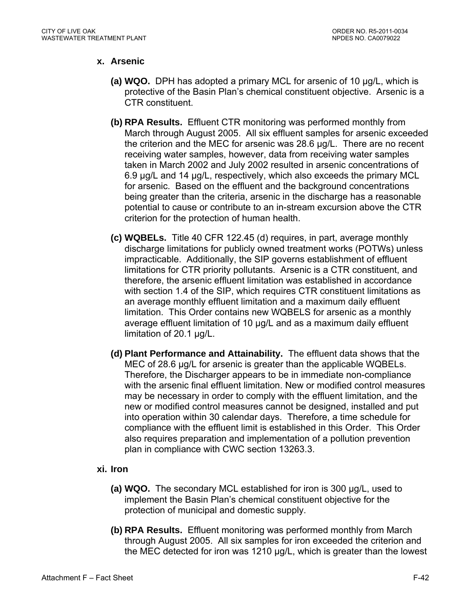### **x. Arsenic**

- **(a) WQO.** DPH has adopted a primary MCL for arsenic of 10 µg/L, which is protective of the Basin Plan's chemical constituent objective. Arsenic is a CTR constituent.
- **(b) RPA Results.** Effluent CTR monitoring was performed monthly from March through August 2005. All six effluent samples for arsenic exceeded the criterion and the MEC for arsenic was 28.6 µg/L. There are no recent receiving water samples, however, data from receiving water samples taken in March 2002 and July 2002 resulted in arsenic concentrations of 6.9 µg/L and 14 µg/L, respectively, which also exceeds the primary MCL for arsenic. Based on the effluent and the background concentrations being greater than the criteria, arsenic in the discharge has a reasonable potential to cause or contribute to an in-stream excursion above the CTR criterion for the protection of human health.
- **(c) WQBELs.** Title 40 CFR 122.45 (d) requires, in part, average monthly discharge limitations for publicly owned treatment works (POTWs) unless impracticable. Additionally, the SIP governs establishment of effluent limitations for CTR priority pollutants. Arsenic is a CTR constituent, and therefore, the arsenic effluent limitation was established in accordance with section 1.4 of the SIP, which requires CTR constituent limitations as an average monthly effluent limitation and a maximum daily effluent limitation. This Order contains new WQBELS for arsenic as a monthly average effluent limitation of 10 µg/L and as a maximum daily effluent limitation of 20.1 µg/L.
- **(d) Plant Performance and Attainability.** The effluent data shows that the MEC of 28.6 µg/L for arsenic is greater than the applicable WQBELs. Therefore, the Discharger appears to be in immediate non-compliance with the arsenic final effluent limitation. New or modified control measures may be necessary in order to comply with the effluent limitation, and the new or modified control measures cannot be designed, installed and put into operation within 30 calendar days. Therefore, a time schedule for compliance with the effluent limit is established in this Order. This Order also requires preparation and implementation of a pollution prevention plan in compliance with CWC section 13263.3.

### **xi. Iron**

- **(a) WQO.** The secondary MCL established for iron is 300 µg/L, used to implement the Basin Plan's chemical constituent objective for the protection of municipal and domestic supply.
- **(b) RPA Results.** Effluent monitoring was performed monthly from March through August 2005. All six samples for iron exceeded the criterion and the MEC detected for iron was 1210 µg/L, which is greater than the lowest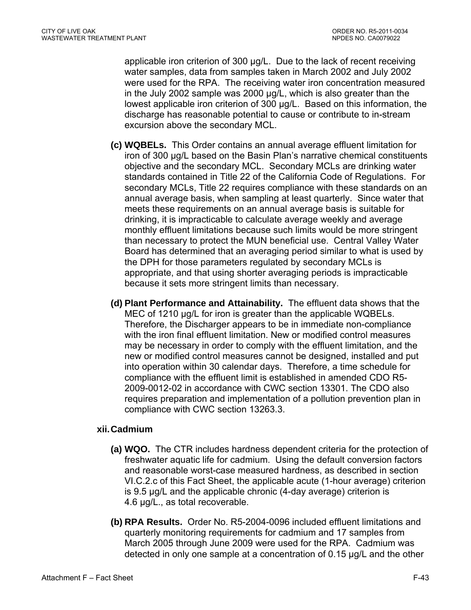applicable iron criterion of 300 µg/L. Due to the lack of recent receiving water samples, data from samples taken in March 2002 and July 2002 were used for the RPA. The receiving water iron concentration measured in the July 2002 sample was 2000 µg/L, which is also greater than the lowest applicable iron criterion of 300 µg/L. Based on this information, the discharge has reasonable potential to cause or contribute to in-stream excursion above the secondary MCL.

- **(c) WQBELs.** This Order contains an annual average effluent limitation for iron of 300 µg/L based on the Basin Plan's narrative chemical constituents objective and the secondary MCL. Secondary MCLs are drinking water standards contained in Title 22 of the California Code of Regulations. For secondary MCLs, Title 22 requires compliance with these standards on an annual average basis, when sampling at least quarterly. Since water that meets these requirements on an annual average basis is suitable for drinking, it is impracticable to calculate average weekly and average monthly effluent limitations because such limits would be more stringent than necessary to protect the MUN beneficial use. Central Valley Water Board has determined that an averaging period similar to what is used by the DPH for those parameters regulated by secondary MCLs is appropriate, and that using shorter averaging periods is impracticable because it sets more stringent limits than necessary.
- **(d) Plant Performance and Attainability.** The effluent data shows that the MEC of 1210 µg/L for iron is greater than the applicable WQBELs. Therefore, the Discharger appears to be in immediate non-compliance with the iron final effluent limitation. New or modified control measures may be necessary in order to comply with the effluent limitation, and the new or modified control measures cannot be designed, installed and put into operation within 30 calendar days. Therefore, a time schedule for compliance with the effluent limit is established in amended CDO R5- 2009-0012-02 in accordance with CWC section 13301. The CDO also requires preparation and implementation of a pollution prevention plan in compliance with CWC section 13263.3.

### **xii. Cadmium**

- **(a) WQO.** The CTR includes hardness dependent criteria for the protection of freshwater aquatic life for cadmium. Using the default conversion factors and reasonable worst-case measured hardness, as described in section VI.C.2.c of this Fact Sheet, the applicable acute (1-hour average) criterion is 9.5 µg/L and the applicable chronic (4-day average) criterion is 4.6 µg/L., as total recoverable.
- **(b) RPA Results.** Order No. R5-2004-0096 included effluent limitations and quarterly monitoring requirements for cadmium and 17 samples from March 2005 through June 2009 were used for the RPA. Cadmium was detected in only one sample at a concentration of 0.15 µg/L and the other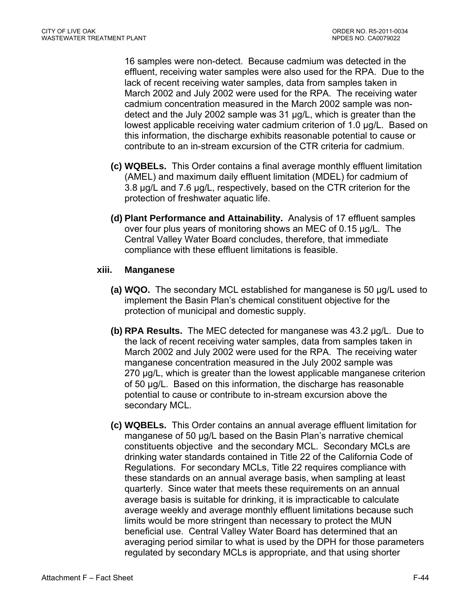16 samples were non-detect. Because cadmium was detected in the effluent, receiving water samples were also used for the RPA. Due to the lack of recent receiving water samples, data from samples taken in March 2002 and July 2002 were used for the RPA. The receiving water cadmium concentration measured in the March 2002 sample was nondetect and the July 2002 sample was 31 µg/L, which is greater than the lowest applicable receiving water cadmium criterion of 1.0 µg/L. Based on this information, the discharge exhibits reasonable potential to cause or contribute to an in-stream excursion of the CTR criteria for cadmium.

- **(c) WQBELs.** This Order contains a final average monthly effluent limitation (AMEL) and maximum daily effluent limitation (MDEL) for cadmium of 3.8 µg/L and 7.6 µg/L, respectively, based on the CTR criterion for the protection of freshwater aquatic life.
- **(d) Plant Performance and Attainability.** Analysis of 17 effluent samples over four plus years of monitoring shows an MEC of 0.15 µg/L. The Central Valley Water Board concludes, therefore, that immediate compliance with these effluent limitations is feasible.

### **xiii. Manganese**

- **(a) WQO.** The secondary MCL established for manganese is 50 µg/L used to implement the Basin Plan's chemical constituent objective for the protection of municipal and domestic supply.
- **(b) RPA Results.** The MEC detected for manganese was 43.2 µg/L. Due to the lack of recent receiving water samples, data from samples taken in March 2002 and July 2002 were used for the RPA. The receiving water manganese concentration measured in the July 2002 sample was 270 µg/L, which is greater than the lowest applicable manganese criterion of 50 µg/L. Based on this information, the discharge has reasonable potential to cause or contribute to in-stream excursion above the secondary MCL.
- **(c) WQBELs.** This Order contains an annual average effluent limitation for manganese of 50 µg/L based on the Basin Plan's narrative chemical constituents objective and the secondary MCL. Secondary MCLs are drinking water standards contained in Title 22 of the California Code of Regulations. For secondary MCLs, Title 22 requires compliance with these standards on an annual average basis, when sampling at least quarterly. Since water that meets these requirements on an annual average basis is suitable for drinking, it is impracticable to calculate average weekly and average monthly effluent limitations because such limits would be more stringent than necessary to protect the MUN beneficial use. Central Valley Water Board has determined that an averaging period similar to what is used by the DPH for those parameters regulated by secondary MCLs is appropriate, and that using shorter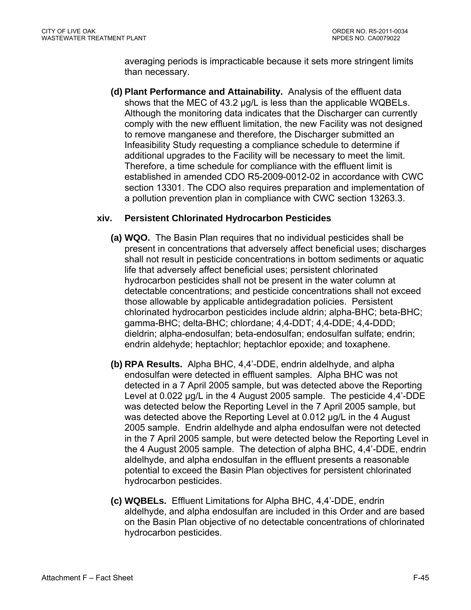averaging periods is impracticable because it sets more stringent limits than necessary.

**(d) Plant Performance and Attainability.** Analysis of the effluent data shows that the MEC of 43.2 µg/L is less than the applicable WQBELs. Although the monitoring data indicates that the Discharger can currently comply with the new effluent limitation, the new Facility was not designed to remove manganese and therefore, the Discharger submitted an Infeasibility Study requesting a compliance schedule to determine if additional upgrades to the Facility will be necessary to meet the limit. Therefore, a time schedule for compliance with the effluent limit is established in amended CDO R5-2009-0012-02 in accordance with CWC section 13301. The CDO also requires preparation and implementation of a pollution prevention plan in compliance with CWC section 13263.3.

### **xiv. Persistent Chlorinated Hydrocarbon Pesticides**

- **(a) WQO.** The Basin Plan requires that no individual pesticides shall be present in concentrations that adversely affect beneficial uses; discharges shall not result in pesticide concentrations in bottom sediments or aquatic life that adversely affect beneficial uses; persistent chlorinated hydrocarbon pesticides shall not be present in the water column at detectable concentrations; and pesticide concentrations shall not exceed those allowable by applicable antidegradation policies. Persistent chlorinated hydrocarbon pesticides include aldrin; alpha-BHC; beta-BHC; gamma-BHC; delta-BHC; chlordane; 4,4-DDT; 4,4-DDE; 4,4-DDD; dieldrin; alpha-endosulfan; beta-endosulfan; endosulfan sulfate; endrin; endrin aldehyde; heptachlor; heptachlor epoxide; and toxaphene.
- **(b) RPA Results.** Alpha BHC, 4,4'-DDE, endrin aldelhyde, and alpha endosulfan were detected in effluent samples. Alpha BHC was not detected in a 7 April 2005 sample, but was detected above the Reporting Level at 0.022 µg/L in the 4 August 2005 sample. The pesticide 4,4'-DDE was detected below the Reporting Level in the 7 April 2005 sample, but was detected above the Reporting Level at 0.012 µg/L in the 4 August 2005 sample. Endrin aldelhyde and alpha endosulfan were not detected in the 7 April 2005 sample, but were detected below the Reporting Level in the 4 August 2005 sample. The detection of alpha BHC, 4,4'-DDE, endrin aldelhyde, and alpha endosulfan in the effluent presents a reasonable potential to exceed the Basin Plan objectives for persistent chlorinated hydrocarbon pesticides.
- **(c) WQBELs.** Effluent Limitations for Alpha BHC, 4,4'-DDE, endrin aldelhyde, and alpha endosulfan are included in this Order and are based on the Basin Plan objective of no detectable concentrations of chlorinated hydrocarbon pesticides.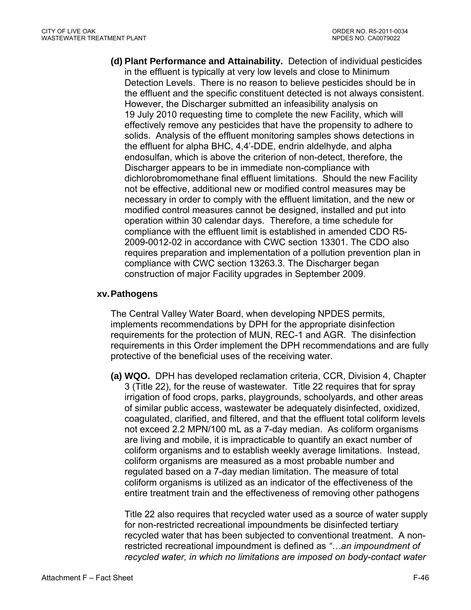**(d) Plant Performance and Attainability.** Detection of individual pesticides in the effluent is typically at very low levels and close to Minimum Detection Levels. There is no reason to believe pesticides should be in the effluent and the specific constituent detected is not always consistent. However, the Discharger submitted an infeasibility analysis on 19 July 2010 requesting time to complete the new Facility, which will effectively remove any pesticides that have the propensity to adhere to solids. Analysis of the effluent monitoring samples shows detections in the effluent for alpha BHC, 4,4'-DDE, endrin aldelhyde, and alpha endosulfan, which is above the criterion of non-detect, therefore, the Discharger appears to be in immediate non-compliance with dichlorobromomethane final effluent limitations. Should the new Facility not be effective, additional new or modified control measures may be necessary in order to comply with the effluent limitation, and the new or modified control measures cannot be designed, installed and put into operation within 30 calendar days. Therefore, a time schedule for compliance with the effluent limit is established in amended CDO R5- 2009-0012-02 in accordance with CWC section 13301. The CDO also requires preparation and implementation of a pollution prevention plan in compliance with CWC section 13263.3. The Discharger began construction of major Facility upgrades in September 2009.

#### **xv. Pathogens**

The Central Valley Water Board, when developing NPDES permits, implements recommendations by DPH for the appropriate disinfection requirements for the protection of MUN, REC-1 and AGR. The disinfection requirements in this Order implement the DPH recommendations and are fully protective of the beneficial uses of the receiving water.

**(a) WQO.** DPH has developed reclamation criteria, CCR, Division 4, Chapter 3 (Title 22), for the reuse of wastewater. Title 22 requires that for spray irrigation of food crops, parks, playgrounds, schoolyards, and other areas of similar public access, wastewater be adequately disinfected, oxidized, coagulated, clarified, and filtered, and that the effluent total coliform levels not exceed 2.2 MPN/100 mL as a 7-day median. As coliform organisms are living and mobile, it is impracticable to quantify an exact number of coliform organisms and to establish weekly average limitations. Instead, coliform organisms are measured as a most probable number and regulated based on a 7-day median limitation. The measure of total coliform organisms is utilized as an indicator of the effectiveness of the entire treatment train and the effectiveness of removing other pathogens

Title 22 also requires that recycled water used as a source of water supply for non-restricted recreational impoundments be disinfected tertiary recycled water that has been subjected to conventional treatment. A nonrestricted recreational impoundment is defined as *"…an impoundment of recycled water, in which no limitations are imposed on body-contact water*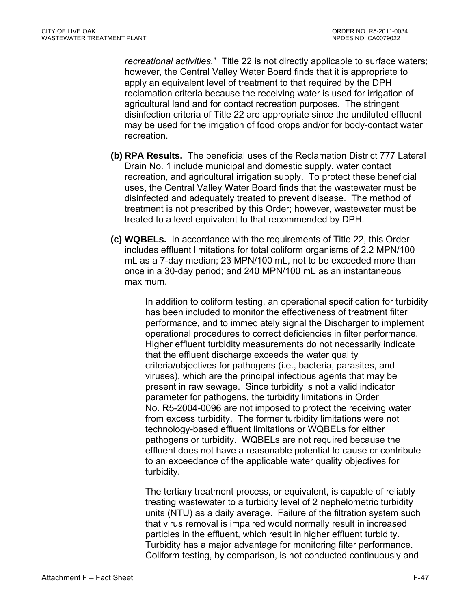*recreational activities.*" Title 22 is not directly applicable to surface waters; however, the Central Valley Water Board finds that it is appropriate to apply an equivalent level of treatment to that required by the DPH reclamation criteria because the receiving water is used for irrigation of agricultural land and for contact recreation purposes. The stringent disinfection criteria of Title 22 are appropriate since the undiluted effluent may be used for the irrigation of food crops and/or for body-contact water recreation.

- **(b) RPA Results.** The beneficial uses of the Reclamation District 777 Lateral Drain No. 1 include municipal and domestic supply, water contact recreation, and agricultural irrigation supply. To protect these beneficial uses, the Central Valley Water Board finds that the wastewater must be disinfected and adequately treated to prevent disease. The method of treatment is not prescribed by this Order; however, wastewater must be treated to a level equivalent to that recommended by DPH.
- **(c) WQBELs.** In accordance with the requirements of Title 22, this Order includes effluent limitations for total coliform organisms of 2.2 MPN/100 mL as a 7-day median; 23 MPN/100 mL, not to be exceeded more than once in a 30-day period; and 240 MPN/100 mL as an instantaneous maximum.

In addition to coliform testing, an operational specification for turbidity has been included to monitor the effectiveness of treatment filter performance, and to immediately signal the Discharger to implement operational procedures to correct deficiencies in filter performance. Higher effluent turbidity measurements do not necessarily indicate that the effluent discharge exceeds the water quality criteria/objectives for pathogens (i.e., bacteria, parasites, and viruses), which are the principal infectious agents that may be present in raw sewage. Since turbidity is not a valid indicator parameter for pathogens, the turbidity limitations in Order No. R5-2004-0096 are not imposed to protect the receiving water from excess turbidity. The former turbidity limitations were not technology-based effluent limitations or WQBELs for either pathogens or turbidity. WQBELs are not required because the effluent does not have a reasonable potential to cause or contribute to an exceedance of the applicable water quality objectives for turbidity.

The tertiary treatment process, or equivalent, is capable of reliably treating wastewater to a turbidity level of 2 nephelometric turbidity units (NTU) as a daily average. Failure of the filtration system such that virus removal is impaired would normally result in increased particles in the effluent, which result in higher effluent turbidity. Turbidity has a major advantage for monitoring filter performance. Coliform testing, by comparison, is not conducted continuously and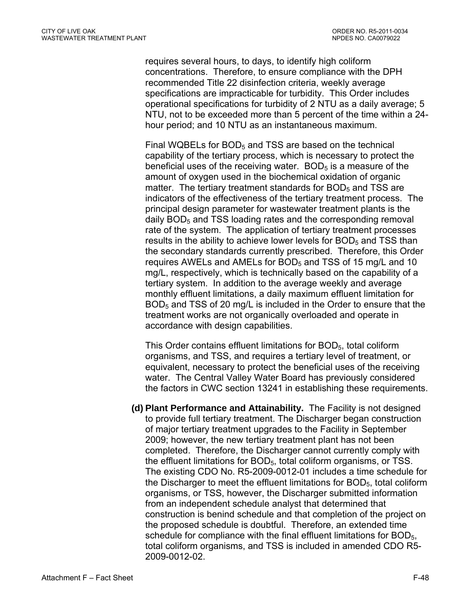requires several hours, to days, to identify high coliform concentrations. Therefore, to ensure compliance with the DPH recommended Title 22 disinfection criteria, weekly average specifications are impracticable for turbidity. This Order includes operational specifications for turbidity of 2 NTU as a daily average; 5 NTU, not to be exceeded more than 5 percent of the time within a 24 hour period; and 10 NTU as an instantaneous maximum.

Final WQBELs for  $BOD<sub>5</sub>$  and TSS are based on the technical capability of the tertiary process, which is necessary to protect the beneficial uses of the receiving water.  $BOD<sub>5</sub>$  is a measure of the amount of oxygen used in the biochemical oxidation of organic matter. The tertiary treatment standards for  $BOD<sub>5</sub>$  and TSS are indicators of the effectiveness of the tertiary treatment process. The principal design parameter for wastewater treatment plants is the daily  $BOD<sub>5</sub>$  and TSS loading rates and the corresponding removal rate of the system. The application of tertiary treatment processes results in the ability to achieve lower levels for  $BOD<sub>5</sub>$  and TSS than the secondary standards currently prescribed. Therefore, this Order requires AWELs and AMELs for  $BOD<sub>5</sub>$  and TSS of 15 mg/L and 10 mg/L, respectively, which is technically based on the capability of a tertiary system. In addition to the average weekly and average monthly effluent limitations, a daily maximum effluent limitation for BOD<sub>5</sub> and TSS of 20 mg/L is included in the Order to ensure that the treatment works are not organically overloaded and operate in accordance with design capabilities.

This Order contains effluent limitations for BOD<sub>5</sub>, total coliform organisms, and TSS, and requires a tertiary level of treatment, or equivalent, necessary to protect the beneficial uses of the receiving water. The Central Valley Water Board has previously considered the factors in CWC section 13241 in establishing these requirements.

**(d) Plant Performance and Attainability.** The Facility is not designed to provide full tertiary treatment. The Discharger began construction of major tertiary treatment upgrades to the Facility in September 2009; however, the new tertiary treatment plant has not been completed. Therefore, the Discharger cannot currently comply with the effluent limitations for BOD5, total coliform organisms, or TSS. The existing CDO No. R5-2009-0012-01 includes a time schedule for the Discharger to meet the effluent limitations for  $BOD<sub>5</sub>$ , total coliform organisms, or TSS, however, the Discharger submitted information from an independent schedule analyst that determined that construction is benind schedule and that completion of the project on the proposed schedule is doubtful. Therefore, an extended time schedule for compliance with the final effluent limitations for BOD<sub>5</sub>, total coliform organisms, and TSS is included in amended CDO R5- 2009-0012-02.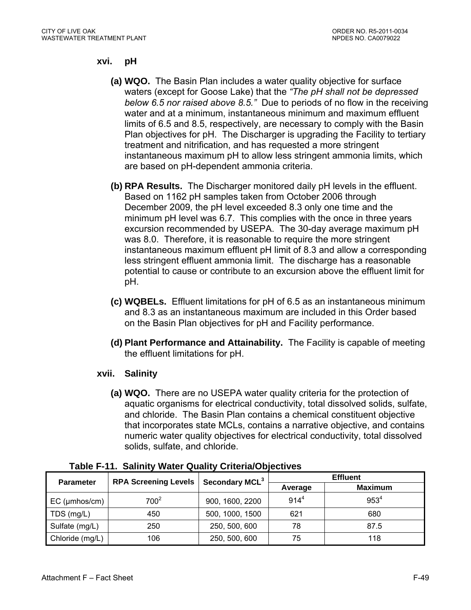#### **xvi. pH**

- **(a) WQO.** The Basin Plan includes a water quality objective for surface waters (except for Goose Lake) that the *"The pH shall not be depressed below 6.5 nor raised above 8.5."* Due to periods of no flow in the receiving water and at a minimum, instantaneous minimum and maximum effluent limits of 6.5 and 8.5, respectively, are necessary to comply with the Basin Plan objectives for pH. The Discharger is upgrading the Facility to tertiary treatment and nitrification, and has requested a more stringent instantaneous maximum pH to allow less stringent ammonia limits, which are based on pH-dependent ammonia criteria.
- **(b) RPA Results.** The Discharger monitored daily pH levels in the effluent. Based on 1162 pH samples taken from October 2006 through December 2009, the pH level exceeded 8.3 only one time and the minimum pH level was 6.7. This complies with the once in three years excursion recommended by USEPA. The 30-day average maximum pH was 8.0. Therefore, it is reasonable to require the more stringent instantaneous maximum effluent pH limit of 8.3 and allow a corresponding less stringent effluent ammonia limit. The discharge has a reasonable potential to cause or contribute to an excursion above the effluent limit for pH.
- **(c) WQBELs.** Effluent limitations for pH of 6.5 as an instantaneous minimum and 8.3 as an instantaneous maximum are included in this Order based on the Basin Plan objectives for pH and Facility performance.
- **(d) Plant Performance and Attainability.** The Facility is capable of meeting the effluent limitations for pH.

### **xvii. Salinity**

**(a) WQO.** There are no USEPA water quality criteria for the protection of aquatic organisms for electrical conductivity, total dissolved solids, sulfate, and chloride. The Basin Plan contains a chemical constituent objective that incorporates state MCLs, contains a narrative objective, and contains numeric water quality objectives for electrical conductivity, total dissolved solids, sulfate, and chloride.

|                  | <b>RPA Screening Levels</b> | Secondary MCL <sup>3</sup> | <b>Effluent</b> |                |  |  |
|------------------|-----------------------------|----------------------------|-----------------|----------------|--|--|
| <b>Parameter</b> |                             |                            | Average         | <b>Maximum</b> |  |  |
| $EC$ (µmhos/cm)  | $700^2$                     | 900, 1600, 2200            | $914^{4}$       | $953^{4}$      |  |  |
| TDS (mg/L)       | 450                         | 500, 1000, 1500            | 621             | 680            |  |  |
| Sulfate (mg/L)   | 250                         | 250, 500, 600              | 78              | 87.5           |  |  |
| Chloride (mg/L)  | 106                         | 250, 500, 600              | 75              | 118            |  |  |

|  |  |  |  | Table F-11. Salinity Water Quality Criteria/Objectives |  |
|--|--|--|--|--------------------------------------------------------|--|
|--|--|--|--|--------------------------------------------------------|--|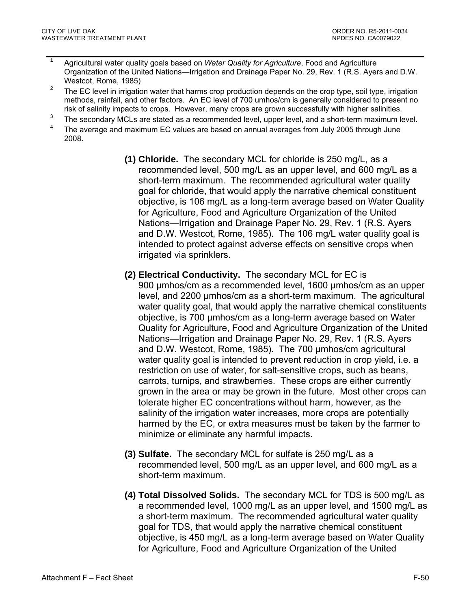- **1** Agricultural water quality goals based on *Water Quality for Agriculture*, Food and Agriculture Organization of the United Nations—Irrigation and Drainage Paper No. 29, Rev. 1 (R.S. Ayers and D.W. Westcot, Rome, 1985)
- <sup>2</sup> The EC level in irrigation water that harms crop production depends on the crop type, soil type, irrigation methods, rainfall, and other factors. An EC level of 700 umhos/cm is generally considered to present no risk of salinity impacts to crops. However, many crops are grown successfully with higher salinities.
- $3$  The secondary MCLs are stated as a recommended level, upper level, and a short-term maximum level.
- 4 The average and maximum EC values are based on annual averages from July 2005 through June 2008.
	- **(1) Chloride.** The secondary MCL for chloride is 250 mg/L, as a recommended level, 500 mg/L as an upper level, and 600 mg/L as a short-term maximum. The recommended agricultural water quality goal for chloride, that would apply the narrative chemical constituent objective, is 106 mg/L as a long-term average based on Water Quality for Agriculture, Food and Agriculture Organization of the United Nations—Irrigation and Drainage Paper No. 29, Rev. 1 (R.S. Ayers and D.W. Westcot, Rome, 1985). The 106 mg/L water quality goal is intended to protect against adverse effects on sensitive crops when irrigated via sprinklers.
	- **(2) Electrical Conductivity.** The secondary MCL for EC is 900 µmhos/cm as a recommended level, 1600 µmhos/cm as an upper level, and 2200 µmhos/cm as a short-term maximum. The agricultural water quality goal, that would apply the narrative chemical constituents objective, is 700 µmhos/cm as a long-term average based on Water Quality for Agriculture, Food and Agriculture Organization of the United Nations—Irrigation and Drainage Paper No. 29, Rev. 1 (R.S. Ayers and D.W. Westcot, Rome, 1985). The 700 µmhos/cm agricultural water quality goal is intended to prevent reduction in crop yield, i.e. a restriction on use of water, for salt-sensitive crops, such as beans, carrots, turnips, and strawberries. These crops are either currently grown in the area or may be grown in the future. Most other crops can tolerate higher EC concentrations without harm, however, as the salinity of the irrigation water increases, more crops are potentially harmed by the EC, or extra measures must be taken by the farmer to minimize or eliminate any harmful impacts.
	- **(3) Sulfate.** The secondary MCL for sulfate is 250 mg/L as a recommended level, 500 mg/L as an upper level, and 600 mg/L as a short-term maximum.
	- **(4) Total Dissolved Solids.** The secondary MCL for TDS is 500 mg/L as a recommended level, 1000 mg/L as an upper level, and 1500 mg/L as a short-term maximum. The recommended agricultural water quality goal for TDS, that would apply the narrative chemical constituent objective, is 450 mg/L as a long-term average based on Water Quality for Agriculture, Food and Agriculture Organization of the United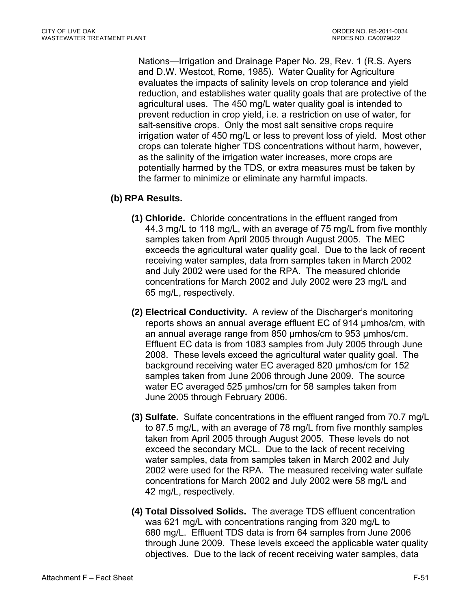Nations—Irrigation and Drainage Paper No. 29, Rev. 1 (R.S. Ayers and D.W. Westcot, Rome, 1985). Water Quality for Agriculture evaluates the impacts of salinity levels on crop tolerance and yield reduction, and establishes water quality goals that are protective of the agricultural uses. The 450 mg/L water quality goal is intended to prevent reduction in crop yield, i.e. a restriction on use of water, for salt-sensitive crops. Only the most salt sensitive crops require irrigation water of 450 mg/L or less to prevent loss of yield. Most other crops can tolerate higher TDS concentrations without harm, however, as the salinity of the irrigation water increases, more crops are potentially harmed by the TDS, or extra measures must be taken by the farmer to minimize or eliminate any harmful impacts.

# **(b) RPA Results.**

- **(1) Chloride.** Chloride concentrations in the effluent ranged from 44.3 mg/L to 118 mg/L, with an average of 75 mg/L from five monthly samples taken from April 2005 through August 2005. The MEC exceeds the agricultural water quality goal. Due to the lack of recent receiving water samples, data from samples taken in March 2002 and July 2002 were used for the RPA. The measured chloride concentrations for March 2002 and July 2002 were 23 mg/L and 65 mg/L, respectively.
- **(2) Electrical Conductivity.** A review of the Discharger's monitoring reports shows an annual average effluent EC of 914 µmhos/cm, with an annual average range from 850 umhos/cm to 953 umhos/cm. Effluent EC data is from 1083 samples from July 2005 through June 2008. These levels exceed the agricultural water quality goal. The background receiving water EC averaged 820 µmhos/cm for 152 samples taken from June 2006 through June 2009. The source water EC averaged 525 µmhos/cm for 58 samples taken from June 2005 through February 2006.
- **(3) Sulfate.** Sulfate concentrations in the effluent ranged from 70.7 mg/L to 87.5 mg/L, with an average of 78 mg/L from five monthly samples taken from April 2005 through August 2005. These levels do not exceed the secondary MCL. Due to the lack of recent receiving water samples, data from samples taken in March 2002 and July 2002 were used for the RPA. The measured receiving water sulfate concentrations for March 2002 and July 2002 were 58 mg/L and 42 mg/L, respectively.
- **(4) Total Dissolved Solids.** The average TDS effluent concentration was 621 mg/L with concentrations ranging from 320 mg/L to 680 mg/L. Effluent TDS data is from 64 samples from June 2006 through June 2009. These levels exceed the applicable water quality objectives. Due to the lack of recent receiving water samples, data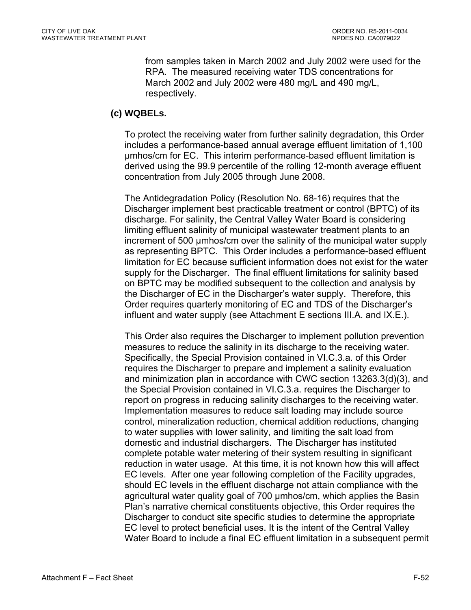from samples taken in March 2002 and July 2002 were used for the RPA. The measured receiving water TDS concentrations for March 2002 and July 2002 were 480 mg/L and 490 mg/L, respectively.

### **(c) WQBELs.**

To protect the receiving water from further salinity degradation, this Order includes a performance-based annual average effluent limitation of 1,100 µmhos/cm for EC. This interim performance-based effluent limitation is derived using the 99.9 percentile of the rolling 12-month average effluent concentration from July 2005 through June 2008.

The Antidegradation Policy (Resolution No. 68-16) requires that the Discharger implement best practicable treatment or control (BPTC) of its discharge. For salinity, the Central Valley Water Board is considering limiting effluent salinity of municipal wastewater treatment plants to an increment of 500 µmhos/cm over the salinity of the municipal water supply as representing BPTC. This Order includes a performance-based effluent limitation for EC because sufficient information does not exist for the water supply for the Discharger. The final effluent limitations for salinity based on BPTC may be modified subsequent to the collection and analysis by the Discharger of EC in the Discharger's water supply. Therefore, this Order requires quarterly monitoring of EC and TDS of the Discharger's influent and water supply (see Attachment E sections III.A. and IX.E.).

This Order also requires the Discharger to implement pollution prevention measures to reduce the salinity in its discharge to the receiving water. Specifically, the Special Provision contained in VI.C.3.a. of this Order requires the Discharger to prepare and implement a salinity evaluation and minimization plan in accordance with CWC section 13263.3(d)(3), and the Special Provision contained in VI.C.3.a. requires the Discharger to report on progress in reducing salinity discharges to the receiving water. Implementation measures to reduce salt loading may include source control, mineralization reduction, chemical addition reductions, changing to water supplies with lower salinity, and limiting the salt load from domestic and industrial dischargers. The Discharger has instituted complete potable water metering of their system resulting in significant reduction in water usage. At this time, it is not known how this will affect EC levels. After one year following completion of the Facility upgrades, should EC levels in the effluent discharge not attain compliance with the agricultural water quality goal of 700 µmhos/cm, which applies the Basin Plan's narrative chemical constituents objective, this Order requires the Discharger to conduct site specific studies to determine the appropriate EC level to protect beneficial uses. It is the intent of the Central Valley Water Board to include a final EC effluent limitation in a subsequent permit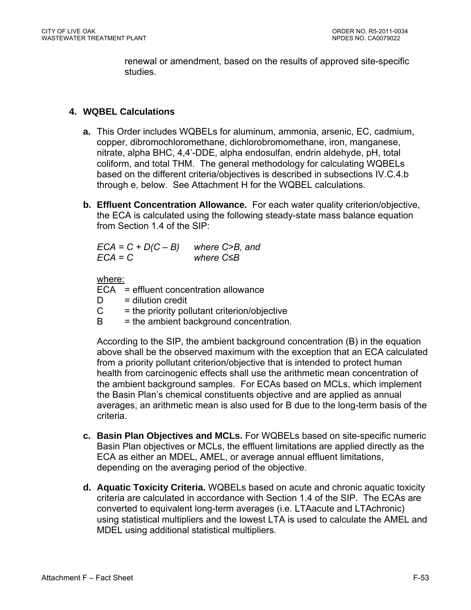renewal or amendment, based on the results of approved site-specific studies.

### **4. WQBEL Calculations**

- **a.** This Order includes WQBELs for aluminum, ammonia, arsenic, EC, cadmium, copper, dibromochloromethane, dichlorobromomethane, iron, manganese, nitrate, alpha BHC, 4,4'-DDE, alpha endosulfan, endrin aldehyde, pH, total coliform, and total THM. The general methodology for calculating WQBELs based on the different criteria/objectives is described in subsections IV.C.4.b through e, below. See Attachment H for the WQBEL calculations.
- **b. Effluent Concentration Allowance.** For each water quality criterion/objective, the ECA is calculated using the following steady-state mass balance equation from Section 1.4 of the SIP:

*ECA = C + D(C – B) where C>B, and ECA = C where C≤B* 

where:

ECA = effluent concentration allowance

- $D =$  dilution credit
- $C =$  the priority pollutant criterion/objective
- $B =$  the ambient background concentration.

According to the SIP, the ambient background concentration (B) in the equation above shall be the observed maximum with the exception that an ECA calculated from a priority pollutant criterion/objective that is intended to protect human health from carcinogenic effects shall use the arithmetic mean concentration of the ambient background samples. For ECAs based on MCLs, which implement the Basin Plan's chemical constituents objective and are applied as annual averages, an arithmetic mean is also used for B due to the long-term basis of the criteria.

- **c. Basin Plan Objectives and MCLs.** For WQBELs based on site-specific numeric Basin Plan objectives or MCLs, the effluent limitations are applied directly as the ECA as either an MDEL, AMEL, or average annual effluent limitations, depending on the averaging period of the objective.
- **d. Aquatic Toxicity Criteria.** WQBELs based on acute and chronic aquatic toxicity criteria are calculated in accordance with Section 1.4 of the SIP. The ECAs are converted to equivalent long-term averages (i.e. LTAacute and LTAchronic) using statistical multipliers and the lowest LTA is used to calculate the AMEL and MDEL using additional statistical multipliers.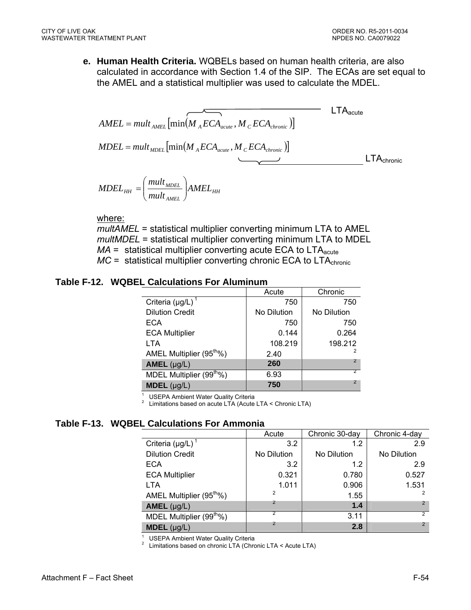**e. Human Health Criteria.** WQBELs based on human health criteria, are also calculated in accordance with Section 1.4 of the SIP. The ECAs are set equal to the AMEL and a statistical multiplier was used to calculate the MDEL.

$$
AMEL = mult_{AMEL} \left[ min(M_{A}ECA_{acute}, M_{C}ECA_{chronic}) \right]
$$
\n
$$
MDEL = mult_{ADEL} \left[ min(M_{A}ECA_{acute}, M_{C}ECA_{chronic}) \right]
$$
\n
$$
MDEL = mult_{ADEL} \left[ min(M_{A}ECA_{acute}, M_{C}ECA_{chronic}) \right]
$$
\n
$$
LTA_{chronic}
$$

$$
MDEL_{HH} = \left(\frac{mult_{MDEL}}{mult_{AMEL}}\right) AMEL_{HH}
$$

where:

*multAMEL* = statistical multiplier converting minimum LTA to AMEL *multMDEL* = statistical multiplier converting minimum LTA to MDEL  *= statistical multiplier converting acute ECA to*  $LTA<sub>acute</sub>$ *MC* = statistical multiplier converting chronic ECA to LTA<sub>chronic</sub>

#### **Table F-12. WQBEL Calculations For Aluminum**

|                                      | Acute       | Chronic     |
|--------------------------------------|-------------|-------------|
| Criteria $(\mu g/L)^1$               | 750         | 750         |
| <b>Dilution Credit</b>               | No Dilution | No Dilution |
| <b>ECA</b>                           | 750         | 750         |
| <b>ECA Multiplier</b>                | 0.144       | 0.264       |
| <b>LTA</b>                           | 108.219     | 198.212     |
| AMEL Multiplier (95 <sup>th</sup> %) | 2.40        | 2           |
| $AMEL$ (µg/L)                        | 260         |             |
| MDEL Multiplier (99 <sup>th</sup> %) | 6.93        |             |
| <b>MDEL</b> $(\mu g/L)$              | 750         | 2           |

1 USEPA Ambient Water Quality Criteria 2

Limitations based on acute LTA (Acute LTA < Chronic LTA)

#### **Table F-13. WQBEL Calculations For Ammonia**

|                                      | Acute       | Chronic 30-day | Chronic 4-day |
|--------------------------------------|-------------|----------------|---------------|
| Criteria $(\mu g/L)$                 | 3.2         | 1.2            | 2.9           |
| <b>Dilution Credit</b>               | No Dilution | No Dilution    | No Dilution   |
| <b>ECA</b>                           | 3.2         | 1.2            | 2.9           |
| <b>ECA Multiplier</b>                | 0.321       | 0.780          | 0.527         |
| <b>LTA</b>                           | 1.011       | 0.906          | 1.531         |
| AMEL Multiplier (95 <sup>th</sup> %) | 2           | 1.55           |               |
| $AMEL$ (µg/L)                        | 2           | 1.4            | $\mathcal{P}$ |
| MDEL Multiplier (99 <sup>th</sup> %) |             | 3.11           | 2             |
| $MDEL$ (µg/L)                        | 2           | 2.8            | 2             |

<sup>1</sup> USEPA Ambient Water Quality Criteria

<sup>2</sup> Limitations based on chronic LTA (Chronic LTA  $\leq$  Acute LTA)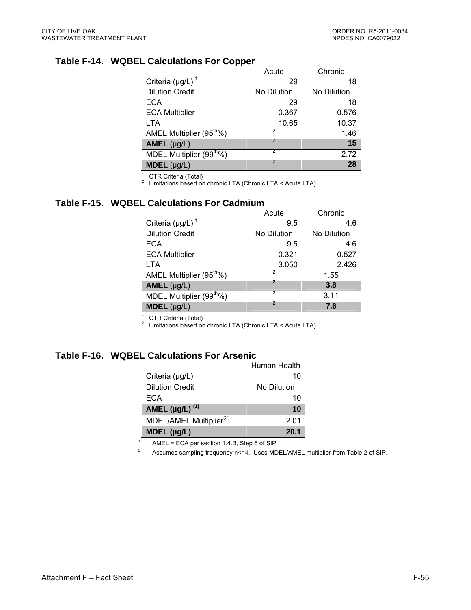# **Table F-14. WQBEL Calculations For Copper**

|                                      | Acute          | Chronic     |
|--------------------------------------|----------------|-------------|
| Criteria ( $\mu$ g/L) <sup>1</sup>   | 29             | 18          |
| <b>Dilution Credit</b>               | No Dilution    | No Dilution |
| ECA                                  | 29             | 18          |
| <b>ECA Multiplier</b>                | 0.367          | 0.576       |
| <b>LTA</b>                           | 10.65          | 10.37       |
| AMEL Multiplier (95 <sup>th</sup> %) | $\mathcal{P}$  | 1.46        |
| $AMEL$ (µg/L)                        | $\overline{2}$ | 15          |
| MDEL Multiplier (99 <sup>th</sup> %) |                | 2.72        |
| $MDEL$ (µg/L)                        | 2              | 28          |

<sup>1</sup> CTR Criteria (Total)

2 Limitations based on chronic LTA (Chronic LTA < Acute LTA)

#### **Table F-15. WQBEL Calculations For Cadmium**

|                                       | Acute          | Chronic     |
|---------------------------------------|----------------|-------------|
| Criteria ( $\mu$ g/L) <sup>1</sup>    | 9.5            | 4.6         |
| <b>Dilution Credit</b>                | No Dilution    | No Dilution |
| <b>ECA</b>                            | 9.5            | 4.6         |
| <b>ECA Multiplier</b>                 | 0.321          | 0.527       |
| LTA                                   | 3.050          | 2.426       |
| AMEL Multiplier (95 <sup>tho</sup> %) | $\overline{2}$ | 1.55        |
| $AMEL$ (µg/L)                         | 2              | 3.8         |
| MDEL Multiplier (99 <sup>th</sup> %)  |                | 3.11        |
| $MDEL$ (µg/L)                         | 2              | 7.6         |
|                                       |                |             |

1 CTR Criteria (Total)

<sup>2</sup> Limitations based on chronic LTA (Chronic LTA  $<$  Acute LTA)

### **Table F-16. WQBEL Calculations For Arsenic**

|                                     | Human Health |
|-------------------------------------|--------------|
| Criteria $(\mu g/L)$                | 10           |
| <b>Dilution Credit</b>              | No Dilution  |
| ECA                                 | 10           |
| AMEL ( $\mu$ g/L) <sup>(1)</sup>    | 10           |
| MDEL/AMEL Multiplier <sup>(2)</sup> | 2.01         |
| $MDEL$ (µg/L)                       | 20.1         |

1 AMEL = ECA per section 1.4.B, Step 6 of SIP

2 Assumes sampling frequency n<=4. Uses MDEL/AMEL multiplier from Table 2 of SIP.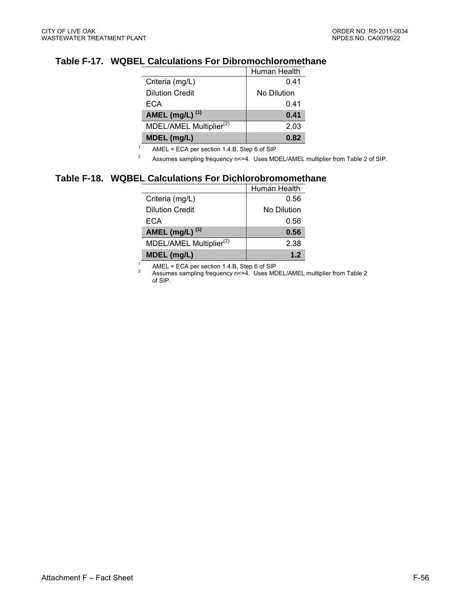# **Table F-17. WQBEL Calculations For Dibromochloromethane**

|                                     | Human Health |
|-------------------------------------|--------------|
| Criteria (mg/L)                     | 0.41         |
| <b>Dilution Credit</b>              | No Dilution  |
| ECA                                 | 0.41         |
| AMEL (mg/L) $^{(1)}$                | 0.41         |
| MDEL/AMEL Multiplier <sup>(2)</sup> | 2.03         |
| MDEL (mg/L)                         | 0.82         |

1 AMEL = ECA per section 1.4.B, Step 6 of SIP

2 Assumes sampling frequency n <= 4. Uses MDEL/AMEL multiplier from Table 2 of SIP.

#### **Table F-18. WQBEL Calculations For Dichlorobromomethane**

1

|                                     | Human Health |
|-------------------------------------|--------------|
| Criteria (mg/L)                     | 0.56         |
| <b>Dilution Credit</b>              | No Dilution  |
| ECA                                 | 0.56         |
| AMEL (mg/L) $^{(1)}$                | 0.56         |
| MDEL/AMEL Multiplier <sup>(2)</sup> | 2.38         |
| MDEL (mg/L)                         | 1.2          |

 AMEL = ECA per section 1.4.B, Step 6 of SIP 2

Assumes sampling frequency n<=4. Uses MDEL/AMEL multiplier from Table 2 of SIP.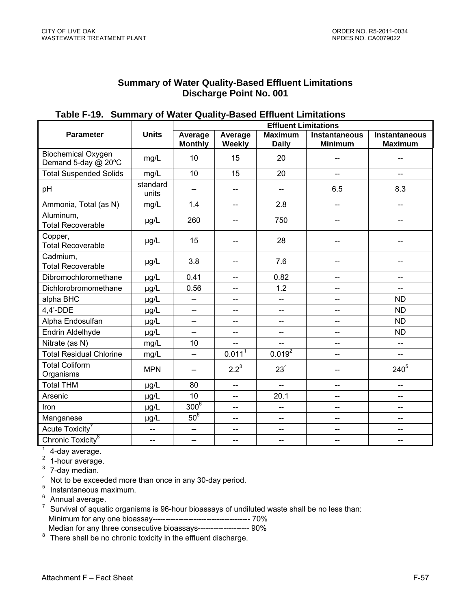#### **Summary of Water Quality-Based Effluent Limitations Discharge Point No. 001**

|                                                  |                   | <b>Effluent Limitations</b> |                               |                                |                                        |                                 |  |
|--------------------------------------------------|-------------------|-----------------------------|-------------------------------|--------------------------------|----------------------------------------|---------------------------------|--|
| <b>Parameter</b>                                 | <b>Units</b>      | Average<br><b>Monthly</b>   | Average<br>Weekly             | <b>Maximum</b><br><b>Daily</b> | <b>Instantaneous</b><br><b>Minimum</b> | Instantaneous<br><b>Maximum</b> |  |
| <b>Biochemical Oxygen</b><br>Demand 5-day @ 20°C | mg/L              | 10                          | 15                            | 20                             |                                        |                                 |  |
| <b>Total Suspended Solids</b>                    | mg/L              | 10                          | 15                            | 20                             | $-$                                    | $\overline{\phantom{a}}$        |  |
| pH                                               | standard<br>units | $\overline{\phantom{a}}$    | $\overline{a}$                | --                             | 6.5                                    | 8.3                             |  |
| Ammonia, Total (as N)                            | mg/L              | 1.4                         | $\overline{\phantom{a}}$      | 2.8                            | --                                     | $-$                             |  |
| Aluminum,<br><b>Total Recoverable</b>            | µg/L              | 260                         | $\qquad \qquad \qquad \qquad$ | 750                            |                                        |                                 |  |
| Copper,<br><b>Total Recoverable</b>              | µg/L              | 15                          | $-$                           | 28                             | --                                     |                                 |  |
| Cadmium,<br><b>Total Recoverable</b>             | µg/L              | 3.8                         | $\qquad \qquad \qquad \qquad$ | 7.6                            |                                        |                                 |  |
| Dibromochloromethane                             | µg/L              | 0.41                        | $\overline{\phantom{a}}$      | 0.82                           | --                                     | --                              |  |
| Dichlorobromomethane                             | µg/L              | 0.56                        | $\overline{\phantom{a}}$      | 1.2                            | $\overline{\phantom{a}}$               | $\overline{\phantom{a}}$        |  |
| alpha BHC                                        | µg/L              | $\overline{a}$              | $-$                           | L.                             | $-$                                    | <b>ND</b>                       |  |
| $4,4'$ -DDE                                      | µg/L              | $\overline{a}$              | $\overline{\phantom{a}}$      | --                             | $-$                                    | <b>ND</b>                       |  |
| Alpha Endosulfan                                 | µg/L              | $\overline{\phantom{0}}$    | $\overline{\phantom{a}}$      | $\overline{a}$                 | --                                     | <b>ND</b>                       |  |
| Endrin Aldelhyde                                 | µg/L              | $-$                         | $\overline{\phantom{a}}$      | --                             | --                                     | <b>ND</b>                       |  |
| Nitrate (as N)                                   | mg/L              | 10                          | --                            |                                | --                                     | $\overline{\phantom{a}}$        |  |
| <b>Total Residual Chlorine</b>                   | mg/L              | цц.                         | $0.011^{1}$                   | $0.019^{2}$                    | --                                     | $\overline{\phantom{a}}$        |  |
| <b>Total Coliform</b><br>Organisms               | <b>MPN</b>        | $\hspace{0.05cm}$           | $2.2^3$                       | 23 <sup>4</sup>                | --                                     | $240^{5}$                       |  |
| <b>Total THM</b>                                 | µg/L              | 80                          | $\overline{\phantom{a}}$      | --                             | --                                     | --                              |  |
| Arsenic                                          | µg/L              | 10                          | Ш.                            | 20.1                           | --                                     | $\overline{\phantom{a}}$        |  |
| Iron                                             | µg/L              | $300^6$                     | $-$                           | --                             | $-$                                    | $\overline{a}$                  |  |
| Manganese                                        | µg/L              | $50^6$                      | $-$                           | $-$                            | $-$                                    | $\overline{a}$                  |  |
| Acute Toxicity <sup>7</sup>                      | $-$               | $\overline{\phantom{0}}$    | $\overline{\phantom{a}}$      | $-$                            | --                                     | $\overline{\phantom{a}}$        |  |
| Chronic Toxicity <sup>8</sup>                    | --                | $\overline{\phantom{m}}$    | $-$                           | --                             | --                                     | $\overline{\phantom{a}}$        |  |
| $1 A$ dou oussass                                |                   |                             |                               |                                |                                        |                                 |  |

## **Table F-19. Summary of Water Quality-Based Effluent Limitations**

 $1$  4-day average.

<sup>2</sup> 1-hour average.

 $3$  7-day median.

<sup>4</sup> Not to be exceeded more than once in any 30-day period.

5 Instantaneous maximum.

<sup>6</sup> Annual average.

 $7$  Survival of aquatic organisms is 96-hour bioassays of undiluted waste shall be no less than: Minimum for any one bioassay-------------------------------------- 70% Median for any three consecutive bioassays-------------------- 90%

<sup>8</sup> There shall be no chronic toxicity in the effluent discharge.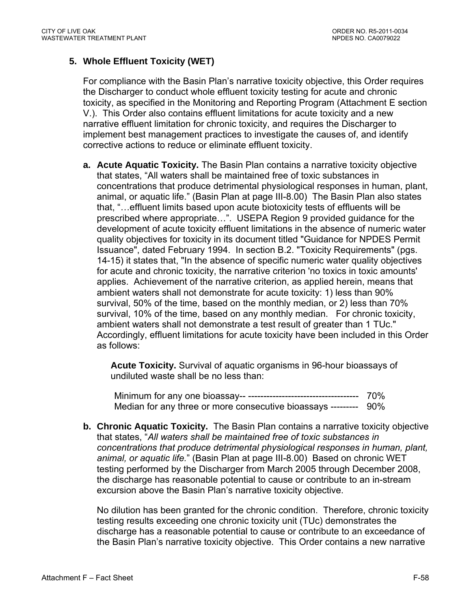# **5. Whole Effluent Toxicity (WET)**

For compliance with the Basin Plan's narrative toxicity objective, this Order requires the Discharger to conduct whole effluent toxicity testing for acute and chronic toxicity, as specified in the Monitoring and Reporting Program (Attachment E section V.). This Order also contains effluent limitations for acute toxicity and a new narrative effluent limitation for chronic toxicity, and requires the Discharger to implement best management practices to investigate the causes of, and identify corrective actions to reduce or eliminate effluent toxicity.

**a. Acute Aquatic Toxicity.** The Basin Plan contains a narrative toxicity objective that states, "All waters shall be maintained free of toxic substances in concentrations that produce detrimental physiological responses in human, plant, animal, or aquatic life." (Basin Plan at page III-8.00) The Basin Plan also states that, "…effluent limits based upon acute biotoxicity tests of effluents will be prescribed where appropriate…". USEPA Region 9 provided guidance for the development of acute toxicity effluent limitations in the absence of numeric water quality objectives for toxicity in its document titled "Guidance for NPDES Permit Issuance", dated February 1994. In section B.2. "Toxicity Requirements" (pgs. 14-15) it states that, "In the absence of specific numeric water quality objectives for acute and chronic toxicity, the narrative criterion 'no toxics in toxic amounts' applies. Achievement of the narrative criterion, as applied herein, means that ambient waters shall not demonstrate for acute toxicity: 1) less than 90% survival, 50% of the time, based on the monthly median, or 2) less than 70% survival, 10% of the time, based on any monthly median. For chronic toxicity, ambient waters shall not demonstrate a test result of greater than 1 TUc." Accordingly, effluent limitations for acute toxicity have been included in this Order as follows:

**Acute Toxicity.** Survival of aquatic organisms in 96-hour bioassays of undiluted waste shall be no less than:

Minimum for any one bioassay-- ------------------------------------ 70% Median for any three or more consecutive bioassays --------- 90%

**b. Chronic Aquatic Toxicity.** The Basin Plan contains a narrative toxicity objective that states, "*All waters shall be maintained free of toxic substances in concentrations that produce detrimental physiological responses in human, plant, animal, or aquatic life.*" (Basin Plan at page III-8.00) Based on chronic WET testing performed by the Discharger from March 2005 through December 2008, the discharge has reasonable potential to cause or contribute to an in-stream excursion above the Basin Plan's narrative toxicity objective.

No dilution has been granted for the chronic condition. Therefore, chronic toxicity testing results exceeding one chronic toxicity unit (TUc) demonstrates the discharge has a reasonable potential to cause or contribute to an exceedance of the Basin Plan's narrative toxicity objective. This Order contains a new narrative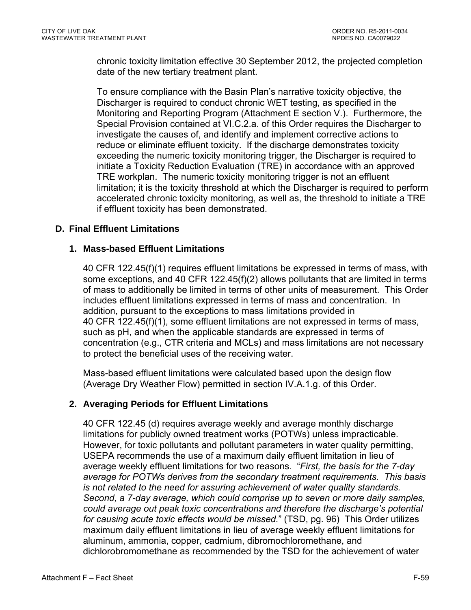chronic toxicity limitation effective 30 September 2012, the projected completion date of the new tertiary treatment plant.

To ensure compliance with the Basin Plan's narrative toxicity objective, the Discharger is required to conduct chronic WET testing, as specified in the Monitoring and Reporting Program (Attachment E section V.). Furthermore, the Special Provision contained at VI.C.2.a. of this Order requires the Discharger to investigate the causes of, and identify and implement corrective actions to reduce or eliminate effluent toxicity. If the discharge demonstrates toxicity exceeding the numeric toxicity monitoring trigger, the Discharger is required to initiate a Toxicity Reduction Evaluation (TRE) in accordance with an approved TRE workplan. The numeric toxicity monitoring trigger is not an effluent limitation; it is the toxicity threshold at which the Discharger is required to perform accelerated chronic toxicity monitoring, as well as, the threshold to initiate a TRE if effluent toxicity has been demonstrated.

## **D. Final Effluent Limitations**

### **1. Mass-based Effluent Limitations**

40 CFR 122.45(f)(1) requires effluent limitations be expressed in terms of mass, with some exceptions, and 40 CFR 122.45(f)(2) allows pollutants that are limited in terms of mass to additionally be limited in terms of other units of measurement. This Order includes effluent limitations expressed in terms of mass and concentration. In addition, pursuant to the exceptions to mass limitations provided in 40 CFR 122.45(f)(1), some effluent limitations are not expressed in terms of mass, such as pH, and when the applicable standards are expressed in terms of concentration (e.g., CTR criteria and MCLs) and mass limitations are not necessary to protect the beneficial uses of the receiving water.

Mass-based effluent limitations were calculated based upon the design flow (Average Dry Weather Flow) permitted in section IV.A.1.g. of this Order.

### **2. Averaging Periods for Effluent Limitations**

40 CFR 122.45 (d) requires average weekly and average monthly discharge limitations for publicly owned treatment works (POTWs) unless impracticable. However, for toxic pollutants and pollutant parameters in water quality permitting, USEPA recommends the use of a maximum daily effluent limitation in lieu of average weekly effluent limitations for two reasons. "*First, the basis for the 7-day average for POTWs derives from the secondary treatment requirements. This basis is not related to the need for assuring achievement of water quality standards. Second, a 7-day average, which could comprise up to seven or more daily samples, could average out peak toxic concentrations and therefore the discharge's potential for causing acute toxic effects would be missed.*" (TSD, pg. 96) This Order utilizes maximum daily effluent limitations in lieu of average weekly effluent limitations for aluminum, ammonia, copper, cadmium, dibromochloromethane, and dichlorobromomethane as recommended by the TSD for the achievement of water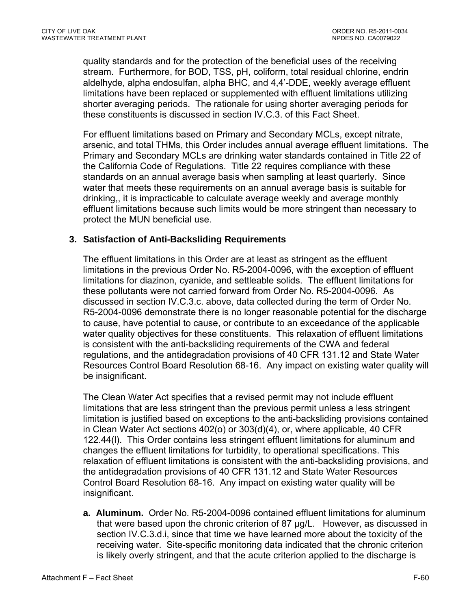quality standards and for the protection of the beneficial uses of the receiving stream. Furthermore, for BOD, TSS, pH, coliform, total residual chlorine, endrin aldelhyde, alpha endosulfan, alpha BHC, and 4,4'-DDE, weekly average effluent limitations have been replaced or supplemented with effluent limitations utilizing shorter averaging periods. The rationale for using shorter averaging periods for these constituents is discussed in section IV.C.3. of this Fact Sheet.

For effluent limitations based on Primary and Secondary MCLs, except nitrate, arsenic, and total THMs, this Order includes annual average effluent limitations. The Primary and Secondary MCLs are drinking water standards contained in Title 22 of the California Code of Regulations. Title 22 requires compliance with these standards on an annual average basis when sampling at least quarterly. Since water that meets these requirements on an annual average basis is suitable for drinking,, it is impracticable to calculate average weekly and average monthly effluent limitations because such limits would be more stringent than necessary to protect the MUN beneficial use.

### **3. Satisfaction of Anti-Backsliding Requirements**

The effluent limitations in this Order are at least as stringent as the effluent limitations in the previous Order No. R5-2004-0096, with the exception of effluent limitations for diazinon, cyanide, and settleable solids. The effluent limitations for these pollutants were not carried forward from Order No. R5-2004-0096. As discussed in section IV.C.3.c. above, data collected during the term of Order No. R5-2004-0096 demonstrate there is no longer reasonable potential for the discharge to cause, have potential to cause, or contribute to an exceedance of the applicable water quality objectives for these constituents. This relaxation of effluent limitations is consistent with the anti-backsliding requirements of the CWA and federal regulations, and the antidegradation provisions of 40 CFR 131.12 and State Water Resources Control Board Resolution 68-16.Any impact on existing water quality will be insignificant.

The Clean Water Act specifies that a revised permit may not include effluent limitations that are less stringent than the previous permit unless a less stringent limitation is justified based on exceptions to the anti-backsliding provisions contained in Clean Water Act sections 402(o) or 303(d)(4), or, where applicable, 40 CFR 122.44(l). This Order contains less stringent effluent limitations for aluminum and changes the effluent limitations for turbidity, to operational specifications. This relaxation of effluent limitations is consistent with the anti-backsliding provisions, and the antidegradation provisions of 40 CFR 131.12 and State Water Resources Control Board Resolution 68-16.Any impact on existing water quality will be insignificant.

**a. Aluminum.** Order No. R5-2004-0096 contained effluent limitations for aluminum that were based upon the chronic criterion of 87 µg/L. However, as discussed in section IV.C.3.d.i, since that time we have learned more about the toxicity of the receiving water. Site-specific monitoring data indicated that the chronic criterion is likely overly stringent, and that the acute criterion applied to the discharge is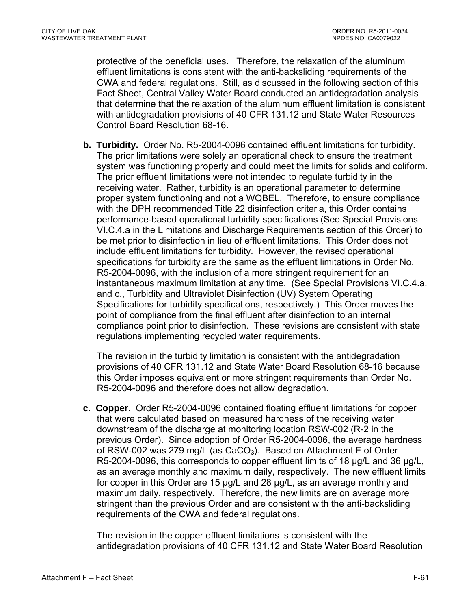protective of the beneficial uses. Therefore, the relaxation of the aluminum effluent limitations is consistent with the anti-backsliding requirements of the CWA and federal regulations. Still, as discussed in the following section of this Fact Sheet, Central Valley Water Board conducted an antidegradation analysis that determine that the relaxation of the aluminum effluent limitation is consistent with antidegradation provisions of 40 CFR 131.12 and State Water Resources Control Board Resolution 68-16.

**b. Turbidity.** Order No. R5-2004-0096 contained effluent limitations for turbidity. The prior limitations were solely an operational check to ensure the treatment system was functioning properly and could meet the limits for solids and coliform. The prior effluent limitations were not intended to regulate turbidity in the receiving water. Rather, turbidity is an operational parameter to determine proper system functioning and not a WQBEL. Therefore, to ensure compliance with the DPH recommended Title 22 disinfection criteria, this Order contains performance-based operational turbidity specifications (See Special Provisions VI.C.4.a in the Limitations and Discharge Requirements section of this Order) to be met prior to disinfection in lieu of effluent limitations. This Order does not include effluent limitations for turbidity. However, the revised operational specifications for turbidity are the same as the effluent limitations in Order No. R5-2004-0096, with the inclusion of a more stringent requirement for an instantaneous maximum limitation at any time. (See Special Provisions VI.C.4.a. and c., Turbidity and Ultraviolet Disinfection (UV) System Operating Specifications for turbidity specifications, respectively.) This Order moves the point of compliance from the final effluent after disinfection to an internal compliance point prior to disinfection. These revisions are consistent with state regulations implementing recycled water requirements.

The revision in the turbidity limitation is consistent with the antidegradation provisions of 40 CFR 131.12 and State Water Board Resolution 68-16 because this Order imposes equivalent or more stringent requirements than Order No. R5-2004-0096 and therefore does not allow degradation.

**c. Copper.** Order R5-2004-0096 contained floating effluent limitations for copper that were calculated based on measured hardness of the receiving water downstream of the discharge at monitoring location RSW-002 (R-2 in the previous Order). Since adoption of Order R5-2004-0096, the average hardness of RSW-002 was 279 mg/L (as  $CaCO<sub>3</sub>$ ). Based on Attachment F of Order R5-2004-0096, this corresponds to copper effluent limits of 18 µg/L and 36 µg/L, as an average monthly and maximum daily, respectively. The new effluent limits for copper in this Order are 15 µg/L and 28 µg/L, as an average monthly and maximum daily, respectively. Therefore, the new limits are on average more stringent than the previous Order and are consistent with the anti-backsliding requirements of the CWA and federal regulations.

The revision in the copper effluent limitations is consistent with the antidegradation provisions of 40 CFR 131.12 and State Water Board Resolution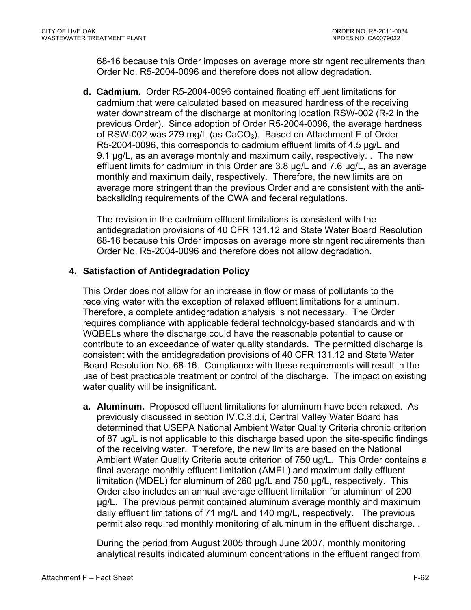68-16 because this Order imposes on average more stringent requirements than Order No. R5-2004-0096 and therefore does not allow degradation.

**d. Cadmium.** Order R5-2004-0096 contained floating effluent limitations for cadmium that were calculated based on measured hardness of the receiving water downstream of the discharge at monitoring location RSW-002 (R-2 in the previous Order). Since adoption of Order R5-2004-0096, the average hardness of RSW-002 was 279 mg/L (as  $CaCO<sub>3</sub>$ ). Based on Attachment E of Order R5-2004-0096, this corresponds to cadmium effluent limits of 4.5 µg/L and 9.1 µg/L, as an average monthly and maximum daily, respectively. . The new effluent limits for cadmium in this Order are 3.8 µg/L and 7.6 µg/L, as an average monthly and maximum daily, respectively. Therefore, the new limits are on average more stringent than the previous Order and are consistent with the antibacksliding requirements of the CWA and federal regulations.

The revision in the cadmium effluent limitations is consistent with the antidegradation provisions of 40 CFR 131.12 and State Water Board Resolution 68-16 because this Order imposes on average more stringent requirements than Order No. R5-2004-0096 and therefore does not allow degradation.

## **4. Satisfaction of Antidegradation Policy**

This Order does not allow for an increase in flow or mass of pollutants to the receiving water with the exception of relaxed effluent limitations for aluminum. Therefore, a complete antidegradation analysis is not necessary. The Order requires compliance with applicable federal technology-based standards and with WQBELs where the discharge could have the reasonable potential to cause or contribute to an exceedance of water quality standards. The permitted discharge is consistent with the antidegradation provisions of 40 CFR 131.12 and State Water Board Resolution No. 68-16. Compliance with these requirements will result in the use of best practicable treatment or control of the discharge. The impact on existing water quality will be insignificant.

**a. Aluminum.** Proposed effluent limitations for aluminum have been relaxed. As previously discussed in section IV.C.3.d.i, Central Valley Water Board has determined that USEPA National Ambient Water Quality Criteria chronic criterion of 87 ug/L is not applicable to this discharge based upon the site-specific findings of the receiving water. Therefore, the new limits are based on the National Ambient Water Quality Criteria acute criterion of 750 ug/L. This Order contains a final average monthly effluent limitation (AMEL) and maximum daily effluent limitation (MDEL) for aluminum of 260 µg/L and 750 µg/L, respectively. This Order also includes an annual average effluent limitation for aluminum of 200 µg/L. The previous permit contained aluminum average monthly and maximum daily effluent limitations of 71 mg/L and 140 mg/L, respectively. The previous permit also required monthly monitoring of aluminum in the effluent discharge. .

During the period from August 2005 through June 2007, monthly monitoring analytical results indicated aluminum concentrations in the effluent ranged from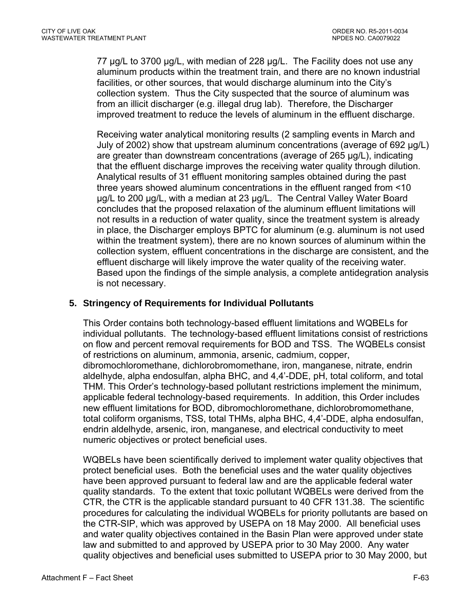77 µg/L to 3700 µg/L, with median of 228 µg/L. The Facility does not use any aluminum products within the treatment train, and there are no known industrial facilities, or other sources, that would discharge aluminum into the City's collection system. Thus the City suspected that the source of aluminum was from an illicit discharger (e.g. illegal drug lab). Therefore, the Discharger improved treatment to reduce the levels of aluminum in the effluent discharge.

Receiving water analytical monitoring results (2 sampling events in March and July of 2002) show that upstream aluminum concentrations (average of 692 µg/L) are greater than downstream concentrations (average of 265 µg/L), indicating that the effluent discharge improves the receiving water quality through dilution. Analytical results of 31 effluent monitoring samples obtained during the past three years showed aluminum concentrations in the effluent ranged from <10 µg/L to 200 µg/L, with a median at 23 µg/L. The Central Valley Water Board concludes that the proposed relaxation of the aluminum effluent limitations will not results in a reduction of water quality, since the treatment system is already in place, the Discharger employs BPTC for aluminum (e.g. aluminum is not used within the treatment system), there are no known sources of aluminum within the collection system, effluent concentrations in the discharge are consistent, and the effluent discharge will likely improve the water quality of the receiving water. Based upon the findings of the simple analysis, a complete antidegration analysis is not necessary.

## **5. Stringency of Requirements for Individual Pollutants**

This Order contains both technology-based effluent limitations and WQBELs for individual pollutants. The technology-based effluent limitations consist of restrictions on flow and percent removal requirements for BOD and TSS. The WQBELs consist of restrictions on aluminum, ammonia, arsenic, cadmium, copper, dibromochloromethane, dichlorobromomethane, iron, manganese, nitrate, endrin aldelhyde, alpha endosulfan, alpha BHC, and 4,4'-DDE, pH, total coliform, and total THM. This Order's technology-based pollutant restrictions implement the minimum, applicable federal technology-based requirements. In addition, this Order includes new effluent limitations for BOD, dibromochloromethane, dichlorobromomethane, total coliform organisms, TSS, total THMs, alpha BHC, 4,4'-DDE, alpha endosulfan, endrin aldelhyde, arsenic, iron, manganese, and electrical conductivity to meet numeric objectives or protect beneficial uses.

WQBELs have been scientifically derived to implement water quality objectives that protect beneficial uses. Both the beneficial uses and the water quality objectives have been approved pursuant to federal law and are the applicable federal water quality standards. To the extent that toxic pollutant WQBELs were derived from the CTR, the CTR is the applicable standard pursuant to 40 CFR 131.38. The scientific procedures for calculating the individual WQBELs for priority pollutants are based on the CTR-SIP, which was approved by USEPA on 18 May 2000. All beneficial uses and water quality objectives contained in the Basin Plan were approved under state law and submitted to and approved by USEPA prior to 30 May 2000. Any water quality objectives and beneficial uses submitted to USEPA prior to 30 May 2000, but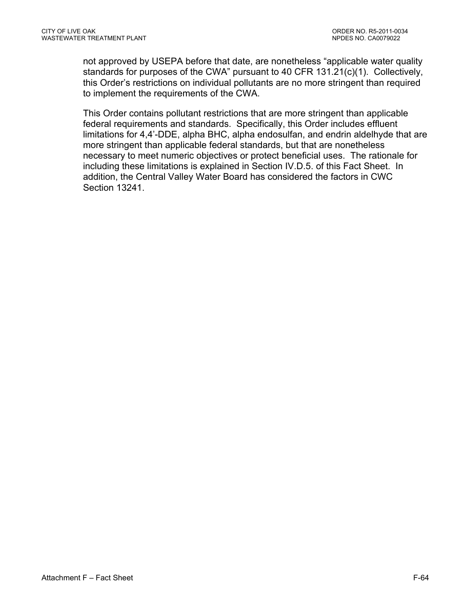not approved by USEPA before that date, are nonetheless "applicable water quality standards for purposes of the CWA" pursuant to 40 CFR 131.21(c)(1). Collectively, this Order's restrictions on individual pollutants are no more stringent than required to implement the requirements of the CWA.

This Order contains pollutant restrictions that are more stringent than applicable federal requirements and standards. Specifically, this Order includes effluent limitations for 4,4'-DDE, alpha BHC, alpha endosulfan, and endrin aldelhyde that are more stringent than applicable federal standards, but that are nonetheless necessary to meet numeric objectives or protect beneficial uses. The rationale for including these limitations is explained in Section IV.D.5. of this Fact Sheet. In addition, the Central Valley Water Board has considered the factors in CWC Section 13241.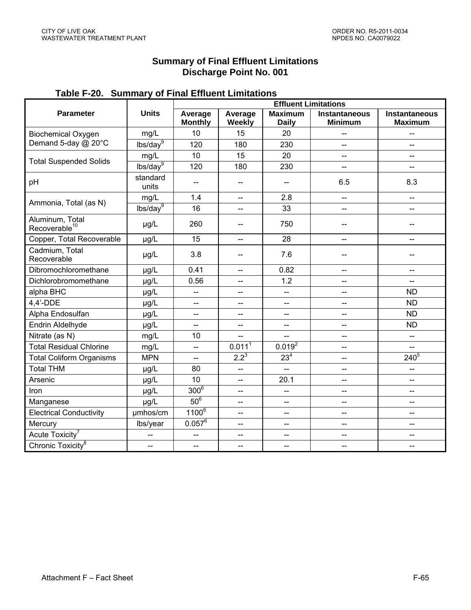### **Summary of Final Effluent Limitations Discharge Point No. 001**

# **Table F-20. Summary of Final Effluent Limitations**

|                                              |                          | <b>Effluent Limitations</b> |                              |                                |                                        |                                        |
|----------------------------------------------|--------------------------|-----------------------------|------------------------------|--------------------------------|----------------------------------------|----------------------------------------|
| <b>Parameter</b>                             | <b>Units</b>             | Average<br><b>Monthly</b>   | Average<br>Weekly            | <b>Maximum</b><br><b>Daily</b> | <b>Instantaneous</b><br><b>Minimum</b> | <b>Instantaneous</b><br><b>Maximum</b> |
| <b>Biochemical Oxygen</b>                    | mg/L                     | 10                          | 15                           | 20                             | $-$                                    | --                                     |
| Demand 5-day @ 20°C                          | lbs/day <sup>9</sup>     | 120                         | 180                          | 230                            |                                        |                                        |
|                                              | mg/L                     | 10                          | 15                           | 20                             | <u></u>                                | $-$                                    |
| <b>Total Suspended Solids</b>                | lbs/day <sup>9</sup>     | 120                         | 180                          | 230                            | --                                     | $-$                                    |
| pH                                           | standard<br>units        | --                          | $\qquad \qquad \textbf{---}$ | --                             | 6.5                                    | 8.3                                    |
|                                              | mg/L                     | 1.4                         | $\overline{\phantom{a}}$     | 2.8                            | $-$                                    | $\overline{\phantom{a}}$               |
| Ammonia, Total (as N)                        | lbs/day <sup>9</sup>     | 16                          | $\overline{\phantom{a}}$     | 33                             | шш.<br>——                              | $\overline{\phantom{a}}$               |
| Aluminum, Total<br>Recoverable <sup>10</sup> | µg/L                     | 260                         | $\overline{\phantom{m}}$     | 750                            | --                                     | $-$                                    |
| Copper, Total Recoverable                    | µg/L                     | 15                          | $-$                          | 28                             | $-$                                    | --                                     |
| Cadmium, Total<br>Recoverable                | µg/L                     | 3.8                         | $-$                          | 7.6                            | --                                     |                                        |
| Dibromochloromethane                         | µg/L                     | 0.41                        | $\overline{\phantom{a}}$     | 0.82                           | $\overline{\phantom{a}}$               | $\overline{\phantom{a}}$               |
| Dichlorobromomethane                         | µg/L                     | 0.56                        | $\overline{\phantom{a}}$     | 1.2                            | --                                     | $-$                                    |
| alpha BHC                                    | µg/L                     | --                          | $-$                          | --                             | ш.,                                    | <b>ND</b>                              |
| 4,4'-DDE                                     | µg/L                     | --                          | $\overline{\phantom{a}}$     | --                             | --                                     | <b>ND</b>                              |
| Alpha Endosulfan                             | µg/L                     | $-$                         | $\overline{\phantom{a}}$     | --                             | --                                     | <b>ND</b>                              |
| Endrin Aldelhyde                             | µg/L                     | --                          | $\overline{\phantom{a}}$     | --                             | --                                     | <b>ND</b>                              |
| Nitrate (as N)                               | mg/L                     | 10                          | $\overline{\phantom{a}}$     | --                             | $\overline{\phantom{a}}$               | --                                     |
| <b>Total Residual Chlorine</b>               | mg/L                     | --                          | 0.011 <sup>1</sup>           | $0.019^2$                      | --                                     | $\overline{\phantom{a}}$               |
| <b>Total Coliform Organisms</b>              | <b>MPN</b>               | L.                          | $2.2^{3}$                    | $23^{4}$                       | 44                                     | $240^{5}$                              |
| <b>Total THM</b>                             | µg/L                     | 80                          | $\overline{\phantom{a}}$     | --                             | --                                     | $\overline{\phantom{a}}$               |
| Arsenic                                      | µg/L                     | 10                          | $-$                          | 20.1                           | $-$                                    | $-$                                    |
| Iron                                         | µg/L                     | $300^{\overline{6}}$        | $\overline{\phantom{a}}$     | --                             | $\overline{\phantom{a}}$               | $\overline{\phantom{a}}$               |
| Manganese                                    | µg/L                     | $50^6$                      | $\overline{\phantom{a}}$     | $-$                            | --                                     | --                                     |
| <b>Electrical Conductivity</b>               | umhos/cm                 | 1100 <sup>6</sup>           | $-$                          | --                             | --                                     | $-$                                    |
| Mercury                                      | lbs/year                 | $0.057^6$                   | $\overline{\phantom{a}}$     | --                             | $\overline{\phantom{a}}$               | $\overline{\phantom{a}}$               |
| Acute Toxicity <sup>7</sup>                  | $\overline{\phantom{a}}$ | $\overline{\phantom{a}}$    | $\overline{a}$               | --                             | --                                     | --                                     |
| Chronic Toxicity <sup>8</sup>                | $\overline{\phantom{a}}$ | $\overline{\phantom{a}}$    | $-$                          | --                             | $\overline{\phantom{a}}$               | $\overline{\phantom{a}}$               |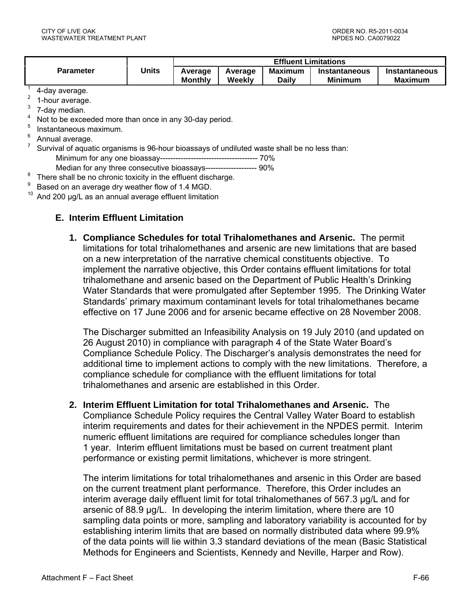|                |       | <b>Effluent Limitations</b> |                   |                                |                                 |                                 |
|----------------|-------|-----------------------------|-------------------|--------------------------------|---------------------------------|---------------------------------|
| Parameter      | Units | Average<br><b>Monthly</b>   | Average<br>Weekly | <b>Maximum</b><br><b>Daily</b> | Instantaneous<br><b>Minimum</b> | Instantaneous<br><b>Maximum</b> |
| $\overline{a}$ |       |                             |                   |                                |                                 |                                 |

- 4-day average. 2
- 1-hour average.
- 3 7-day median.
- 4 Not to be exceeded more than once in any 30-day period.
- 5 Instantaneous maximum.
- 6 Annual average. 7

8

- Survival of aquatic organisms is 96-hour bioassays of undiluted waste shall be no less than: Minimum for any one bioassay-------------------------------------- 70%
	- Median for any three consecutive bioassays-------------------- 90%
- There shall be no chronic toxicity in the effluent discharge.
- 9  $B^9$  Based on an average dry weather flow of 1.4 MGD.
- And 200 µg/L as an annual average effluent limitation

## **E. Interim Effluent Limitation**

**1. Compliance Schedules for total Trihalomethanes and Arsenic.** The permit limitations for total trihalomethanes and arsenic are new limitations that are based on a new interpretation of the narrative chemical constituents objective. To implement the narrative objective, this Order contains effluent limitations for total trihalomethane and arsenic based on the Department of Public Health's Drinking Water Standards that were promulgated after September 1995. The Drinking Water Standards' primary maximum contaminant levels for total trihalomethanes became effective on 17 June 2006 and for arsenic became effective on 28 November 2008.

The Discharger submitted an Infeasibility Analysis on 19 July 2010 (and updated on 26 August 2010) in compliance with paragraph 4 of the State Water Board's Compliance Schedule Policy. The Discharger's analysis demonstrates the need for additional time to implement actions to comply with the new limitations. Therefore, a compliance schedule for compliance with the effluent limitations for total trihalomethanes and arsenic are established in this Order.

**2. Interim Effluent Limitation for total Trihalomethanes and Arsenic.** The Compliance Schedule Policy requires the Central Valley Water Board to establish interim requirements and dates for their achievement in the NPDES permit. Interim numeric effluent limitations are required for compliance schedules longer than 1 year. Interim effluent limitations must be based on current treatment plant performance or existing permit limitations, whichever is more stringent.

The interim limitations for total trihalomethanes and arsenic in this Order are based on the current treatment plant performance. Therefore, this Order includes an interim average daily effluent limit for total trihalomethanes of 567.3 µg/L and for arsenic of 88.9 µg/L. In developing the interim limitation, where there are 10 sampling data points or more, sampling and laboratory variability is accounted for by establishing interim limits that are based on normally distributed data where 99.9% of the data points will lie within 3.3 standard deviations of the mean (Basic Statistical Methods for Engineers and Scientists, Kennedy and Neville, Harper and Row).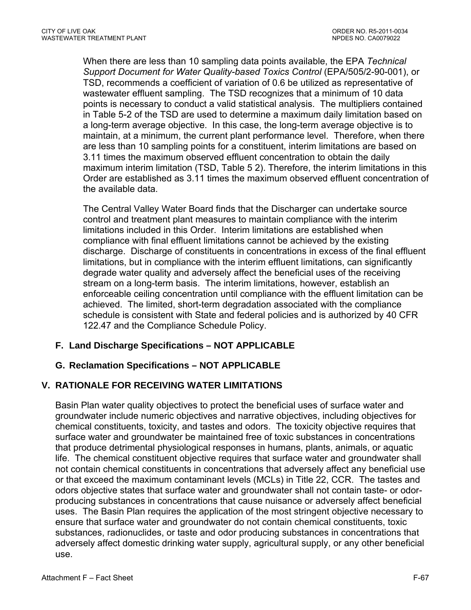When there are less than 10 sampling data points available, the EPA *Technical Support Document for Water Quality-based Toxics Control* (EPA/505/2-90-001), or TSD, recommends a coefficient of variation of 0.6 be utilized as representative of wastewater effluent sampling. The TSD recognizes that a minimum of 10 data points is necessary to conduct a valid statistical analysis. The multipliers contained in Table 5-2 of the TSD are used to determine a maximum daily limitation based on a long-term average objective. In this case, the long-term average objective is to maintain, at a minimum, the current plant performance level. Therefore, when there are less than 10 sampling points for a constituent, interim limitations are based on 3.11 times the maximum observed effluent concentration to obtain the daily maximum interim limitation (TSD, Table 5 2). Therefore, the interim limitations in this Order are established as 3.11 times the maximum observed effluent concentration of the available data.

The Central Valley Water Board finds that the Discharger can undertake source control and treatment plant measures to maintain compliance with the interim limitations included in this Order. Interim limitations are established when compliance with final effluent limitations cannot be achieved by the existing discharge. Discharge of constituents in concentrations in excess of the final effluent limitations, but in compliance with the interim effluent limitations, can significantly degrade water quality and adversely affect the beneficial uses of the receiving stream on a long-term basis. The interim limitations, however, establish an enforceable ceiling concentration until compliance with the effluent limitation can be achieved. The limited, short-term degradation associated with the compliance schedule is consistent with State and federal policies and is authorized by 40 CFR 122.47 and the Compliance Schedule Policy.

# **F. Land Discharge Specifications – NOT APPLICABLE**

# **G. Reclamation Specifications – NOT APPLICABLE**

# **V. RATIONALE FOR RECEIVING WATER LIMITATIONS**

Basin Plan water quality objectives to protect the beneficial uses of surface water and groundwater include numeric objectives and narrative objectives, including objectives for chemical constituents, toxicity, and tastes and odors. The toxicity objective requires that surface water and groundwater be maintained free of toxic substances in concentrations that produce detrimental physiological responses in humans, plants, animals, or aquatic life. The chemical constituent objective requires that surface water and groundwater shall not contain chemical constituents in concentrations that adversely affect any beneficial use or that exceed the maximum contaminant levels (MCLs) in Title 22, CCR. The tastes and odors objective states that surface water and groundwater shall not contain taste- or odorproducing substances in concentrations that cause nuisance or adversely affect beneficial uses. The Basin Plan requires the application of the most stringent objective necessary to ensure that surface water and groundwater do not contain chemical constituents, toxic substances, radionuclides, or taste and odor producing substances in concentrations that adversely affect domestic drinking water supply, agricultural supply, or any other beneficial use.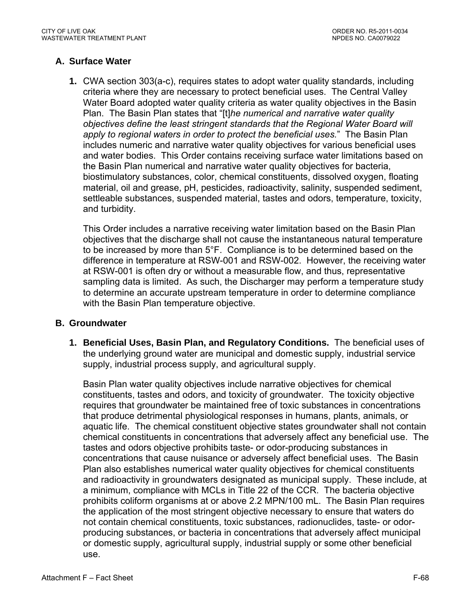# **A. Surface Water**

**1.** CWA section 303(a-c), requires states to adopt water quality standards, including criteria where they are necessary to protect beneficial uses. The Central Valley Water Board adopted water quality criteria as water quality objectives in the Basin Plan. The Basin Plan states that "[t]*he numerical and narrative water quality objectives define the least stringent standards that the Regional Water Board will apply to regional waters in order to protect the beneficial uses.*" The Basin Plan includes numeric and narrative water quality objectives for various beneficial uses and water bodies. This Order contains receiving surface water limitations based on the Basin Plan numerical and narrative water quality objectives for bacteria, biostimulatory substances, color, chemical constituents, dissolved oxygen, floating material, oil and grease, pH, pesticides, radioactivity, salinity, suspended sediment, settleable substances, suspended material, tastes and odors, temperature, toxicity, and turbidity.

This Order includes a narrative receiving water limitation based on the Basin Plan objectives that the discharge shall not cause the instantaneous natural temperature to be increased by more than 5°F. Compliance is to be determined based on the difference in temperature at RSW-001 and RSW-002. However, the receiving water at RSW-001 is often dry or without a measurable flow, and thus, representative sampling data is limited. As such, the Discharger may perform a temperature study to determine an accurate upstream temperature in order to determine compliance with the Basin Plan temperature objective.

### **B. Groundwater**

**1. Beneficial Uses, Basin Plan, and Regulatory Conditions.** The beneficial uses of the underlying ground water are municipal and domestic supply, industrial service supply, industrial process supply, and agricultural supply.

Basin Plan water quality objectives include narrative objectives for chemical constituents, tastes and odors, and toxicity of groundwater. The toxicity objective requires that groundwater be maintained free of toxic substances in concentrations that produce detrimental physiological responses in humans, plants, animals, or aquatic life. The chemical constituent objective states groundwater shall not contain chemical constituents in concentrations that adversely affect any beneficial use. The tastes and odors objective prohibits taste- or odor-producing substances in concentrations that cause nuisance or adversely affect beneficial uses. The Basin Plan also establishes numerical water quality objectives for chemical constituents and radioactivity in groundwaters designated as municipal supply. These include, at a minimum, compliance with MCLs in Title 22 of the CCR. The bacteria objective prohibits coliform organisms at or above 2.2 MPN/100 mL. The Basin Plan requires the application of the most stringent objective necessary to ensure that waters do not contain chemical constituents, toxic substances, radionuclides, taste- or odorproducing substances, or bacteria in concentrations that adversely affect municipal or domestic supply, agricultural supply, industrial supply or some other beneficial use.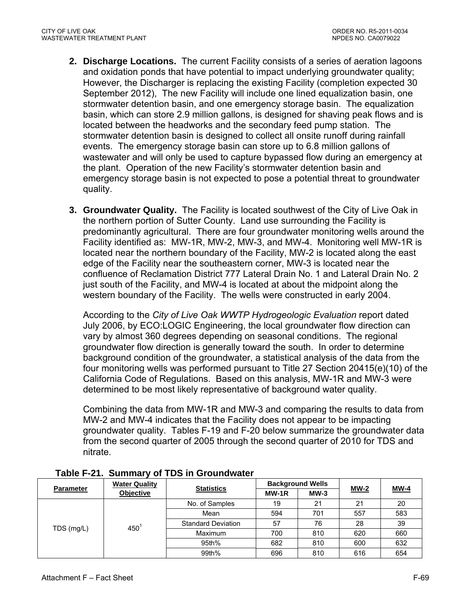- **2. Discharge Locations.** The current Facility consists of a series of aeration lagoons and oxidation ponds that have potential to impact underlying groundwater quality; However, the Discharger is replacing the existing Facility (completion expected 30 September 2012), The new Facility will include one lined equalization basin, one stormwater detention basin, and one emergency storage basin. The equalization basin, which can store 2.9 million gallons, is designed for shaving peak flows and is located between the headworks and the secondary feed pump station. The stormwater detention basin is designed to collect all onsite runoff during rainfall events. The emergency storage basin can store up to 6.8 million gallons of wastewater and will only be used to capture bypassed flow during an emergency at the plant. Operation of the new Facility's stormwater detention basin and emergency storage basin is not expected to pose a potential threat to groundwater quality.
- **3. Groundwater Quality.** The Facility is located southwest of the City of Live Oak in the northern portion of Sutter County. Land use surrounding the Facility is predominantly agricultural. There are four groundwater monitoring wells around the Facility identified as: MW-1R, MW-2, MW-3, and MW-4. Monitoring well MW-1R is located near the northern boundary of the Facility, MW-2 is located along the east edge of the Facility near the southeastern corner, MW-3 is located near the confluence of Reclamation District 777 Lateral Drain No. 1 and Lateral Drain No. 2 just south of the Facility, and MW-4 is located at about the midpoint along the western boundary of the Facility. The wells were constructed in early 2004.

According to the *City of Live Oak WWTP Hydrogeologic Evaluation* report dated July 2006, by ECO:LOGIC Engineering, the local groundwater flow direction can vary by almost 360 degrees depending on seasonal conditions. The regional groundwater flow direction is generally toward the south. In order to determine background condition of the groundwater, a statistical analysis of the data from the four monitoring wells was performed pursuant to Title 27 Section 20415(e)(10) of the California Code of Regulations. Based on this analysis, MW-1R and MW-3 were determined to be most likely representative of background water quality.

Combining the data from MW-1R and MW-3 and comparing the results to data from MW-2 and MW-4 indicates that the Facility does not appear to be impacting groundwater quality. Tables F-19 and F-20 below summarize the groundwater data from the second quarter of 2005 through the second quarter of 2010 for TDS and nitrate.

| <b>Parameter</b> | <b>Water Quality</b><br>Objective | <b>Statistics</b>         | <b>Background Wells</b> |        |        |        |
|------------------|-----------------------------------|---------------------------|-------------------------|--------|--------|--------|
|                  |                                   |                           | MW-1R                   | $MW-3$ | $MW-2$ | $MW-4$ |
| TDS (mg/L)       | 450                               | No. of Samples            | 19                      | 21     | 21     | 20     |
|                  |                                   | Mean                      | 594                     | 701    | 557    | 583    |
|                  |                                   | <b>Standard Deviation</b> | 57                      | 76     | 28     | 39     |
|                  |                                   | Maximum                   | 700                     | 810    | 620    | 660    |
|                  |                                   | 95th%                     | 682                     | 810    | 600    | 632    |
|                  |                                   | 99th%                     | 696                     | 810    | 616    | 654    |

**Table F-21. Summary of TDS in Groundwater**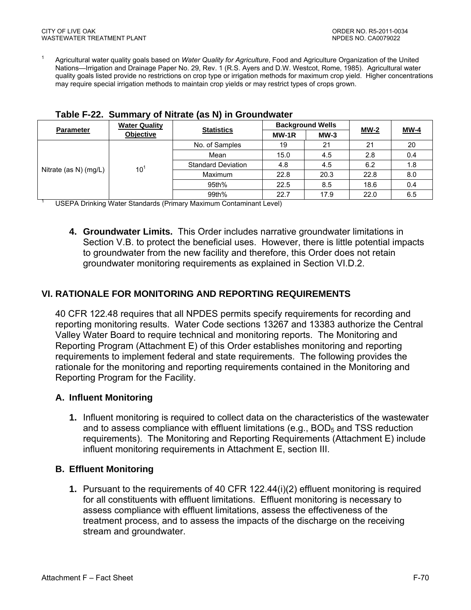1 Agricultural water quality goals based on *Water Quality for Agriculture*, Food and Agriculture Organization of the United Nations—Irrigation and Drainage Paper No. 29, Rev. 1 (R.S. Ayers and D.W. Westcot, Rome, 1985). Agricultural water quality goals listed provide no restrictions on crop type or irrigation methods for maximum crop yield. Higher concentrations may require special irrigation methods to maintain crop yields or may restrict types of crops grown.

| <b>Parameter</b>      | <b>Water Quality</b><br><b>Objective</b> | <b>Statistics</b>         | <b>Background Wells</b> |        |        |             |
|-----------------------|------------------------------------------|---------------------------|-------------------------|--------|--------|-------------|
|                       |                                          |                           | MW-1R                   | $MW-3$ | $MW-2$ | <b>MW-4</b> |
| Nitrate (as N) (mg/L) | $10^1$                                   | No. of Samples            | 19                      | 21     | 21     | 20          |
|                       |                                          | Mean                      | 15.0                    | 4.5    | 2.8    | 0.4         |
|                       |                                          | <b>Standard Deviation</b> | 4.8                     | 4.5    | 6.2    | 1.8         |
|                       |                                          | <b>Maximum</b>            | 22.8                    | 20.3   | 22.8   | 8.0         |
|                       |                                          | 95th%                     | 22.5                    | 8.5    | 18.6   | 0.4         |
|                       |                                          | 99th%                     | 22.7                    | 17.9   | 22.0   | 6.5         |

|  |  | Table F-22. Summary of Nitrate (as N) in Groundwater |
|--|--|------------------------------------------------------|
|  |  |                                                      |

USEPA Drinking Water Standards (Primary Maximum Contaminant Level)

**4. Groundwater Limits.** This Order includes narrative groundwater limitations in Section V.B. to protect the beneficial uses. However, there is little potential impacts to groundwater from the new facility and therefore, this Order does not retain groundwater monitoring requirements as explained in Section VI.D.2.

# **VI. RATIONALE FOR MONITORING AND REPORTING REQUIREMENTS**

40 CFR 122.48 requires that all NPDES permits specify requirements for recording and reporting monitoring results. Water Code sections 13267 and 13383 authorize the Central Valley Water Board to require technical and monitoring reports. The Monitoring and Reporting Program (Attachment E) of this Order establishes monitoring and reporting requirements to implement federal and state requirements. The following provides the rationale for the monitoring and reporting requirements contained in the Monitoring and Reporting Program for the Facility.

### **A. Influent Monitoring**

**1.** Influent monitoring is required to collect data on the characteristics of the wastewater and to assess compliance with effluent limitations (e.g.,  $BOD<sub>5</sub>$  and TSS reduction requirements). The Monitoring and Reporting Requirements (Attachment E) include influent monitoring requirements in Attachment E, section III.

### **B. Effluent Monitoring**

**1.** Pursuant to the requirements of 40 CFR 122.44(i)(2) effluent monitoring is required for all constituents with effluent limitations. Effluent monitoring is necessary to assess compliance with effluent limitations, assess the effectiveness of the treatment process, and to assess the impacts of the discharge on the receiving stream and groundwater.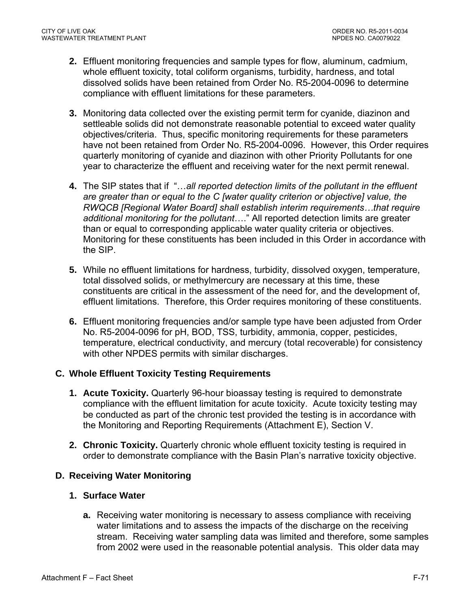- **2.** Effluent monitoring frequencies and sample types for flow, aluminum, cadmium, whole effluent toxicity, total coliform organisms, turbidity, hardness, and total dissolved solids have been retained from Order No. R5-2004-0096 to determine compliance with effluent limitations for these parameters.
- **3.** Monitoring data collected over the existing permit term for cyanide, diazinon and settleable solids did not demonstrate reasonable potential to exceed water quality objectives/criteria. Thus, specific monitoring requirements for these parameters have not been retained from Order No. R5-2004-0096. However, this Order requires quarterly monitoring of cyanide and diazinon with other Priority Pollutants for one year to characterize the effluent and receiving water for the next permit renewal.
- **4.** The SIP states that if "…*all reported detection limits of the pollutant in the effluent are greater than or equal to the C [water quality criterion or objective] value, the RWQCB [Regional Water Board] shall establish interim requirements…that require additional monitoring for the pollutant*…." All reported detection limits are greater than or equal to corresponding applicable water quality criteria or objectives. Monitoring for these constituents has been included in this Order in accordance with the SIP.
- **5.** While no effluent limitations for hardness, turbidity, dissolved oxygen, temperature, total dissolved solids, or methylmercury are necessary at this time, these constituents are critical in the assessment of the need for, and the development of, effluent limitations. Therefore, this Order requires monitoring of these constituents.
- **6.** Effluent monitoring frequencies and/or sample type have been adjusted from Order No. R5-2004-0096 for pH, BOD, TSS, turbidity, ammonia, copper, pesticides, temperature, electrical conductivity, and mercury (total recoverable) for consistency with other NPDES permits with similar discharges.

# **C. Whole Effluent Toxicity Testing Requirements**

- **1. Acute Toxicity.** Quarterly 96-hour bioassay testing is required to demonstrate compliance with the effluent limitation for acute toxicity. Acute toxicity testing may be conducted as part of the chronic test provided the testing is in accordance with the Monitoring and Reporting Requirements (Attachment E), Section V.
- **2. Chronic Toxicity.** Quarterly chronic whole effluent toxicity testing is required in order to demonstrate compliance with the Basin Plan's narrative toxicity objective.

### **D. Receiving Water Monitoring**

### **1. Surface Water**

**a.** Receiving water monitoring is necessary to assess compliance with receiving water limitations and to assess the impacts of the discharge on the receiving stream. Receiving water sampling data was limited and therefore, some samples from 2002 were used in the reasonable potential analysis. This older data may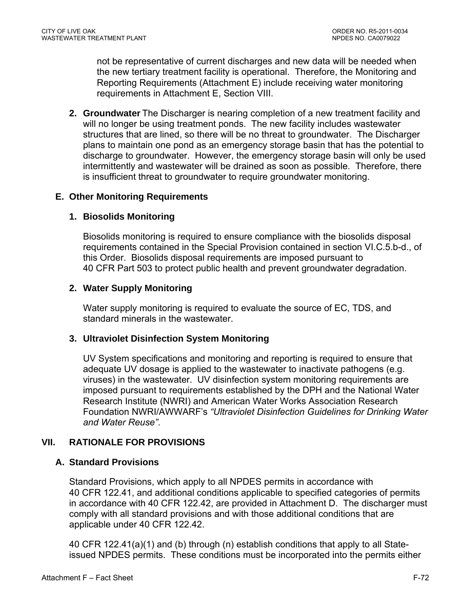not be representative of current discharges and new data will be needed when the new tertiary treatment facility is operational. Therefore, the Monitoring and Reporting Requirements (Attachment E) include receiving water monitoring requirements in Attachment E, Section VIII.

**2. Groundwater** The Discharger is nearing completion of a new treatment facility and will no longer be using treatment ponds. The new facility includes wastewater structures that are lined, so there will be no threat to groundwater. The Discharger plans to maintain one pond as an emergency storage basin that has the potential to discharge to groundwater. However, the emergency storage basin will only be used intermittently and wastewater will be drained as soon as possible. Therefore, there is insufficient threat to groundwater to require groundwater monitoring.

### **E. Other Monitoring Requirements**

### **1. Biosolids Monitoring**

Biosolids monitoring is required to ensure compliance with the biosolids disposal requirements contained in the Special Provision contained in section VI.C.5.b-d., of this Order. Biosolids disposal requirements are imposed pursuant to 40 CFR Part 503 to protect public health and prevent groundwater degradation.

### **2. Water Supply Monitoring**

Water supply monitoring is required to evaluate the source of EC, TDS, and standard minerals in the wastewater.

### **3. Ultraviolet Disinfection System Monitoring**

UV System specifications and monitoring and reporting is required to ensure that adequate UV dosage is applied to the wastewater to inactivate pathogens (e.g. viruses) in the wastewater. UV disinfection system monitoring requirements are imposed pursuant to requirements established by the DPH and the National Water Research Institute (NWRI) and American Water Works Association Research Foundation NWRI/AWWARF's *"Ultraviolet Disinfection Guidelines for Drinking Water and Water Reuse"*.

### **VII. RATIONALE FOR PROVISIONS**

### **A. Standard Provisions**

Standard Provisions, which apply to all NPDES permits in accordance with 40 CFR 122.41, and additional conditions applicable to specified categories of permits in accordance with 40 CFR 122.42, are provided in Attachment D. The discharger must comply with all standard provisions and with those additional conditions that are applicable under 40 CFR 122.42.

40 CFR 122.41(a)(1) and (b) through (n) establish conditions that apply to all Stateissued NPDES permits. These conditions must be incorporated into the permits either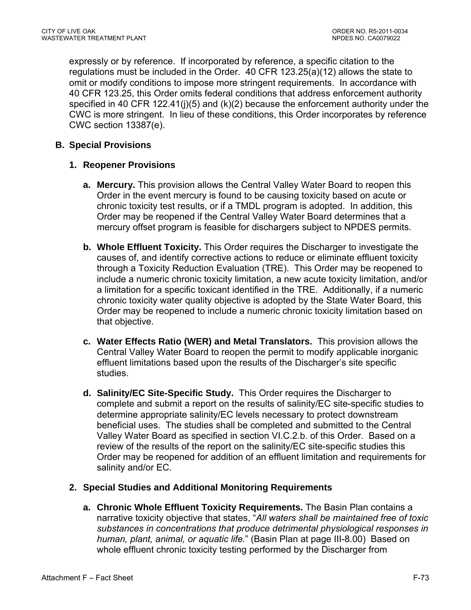expressly or by reference. If incorporated by reference, a specific citation to the regulations must be included in the Order. 40 CFR 123.25(a)(12) allows the state to omit or modify conditions to impose more stringent requirements. In accordance with 40 CFR 123.25, this Order omits federal conditions that address enforcement authority specified in 40 CFR 122.41(j)(5) and  $(k)(2)$  because the enforcement authority under the CWC is more stringent. In lieu of these conditions, this Order incorporates by reference CWC section 13387(e).

## **B. Special Provisions**

### **1. Reopener Provisions**

- **a. Mercury.** This provision allows the Central Valley Water Board to reopen this Order in the event mercury is found to be causing toxicity based on acute or chronic toxicity test results, or if a TMDL program is adopted. In addition, this Order may be reopened if the Central Valley Water Board determines that a mercury offset program is feasible for dischargers subject to NPDES permits.
- **b. Whole Effluent Toxicity.** This Order requires the Discharger to investigate the causes of, and identify corrective actions to reduce or eliminate effluent toxicity through a Toxicity Reduction Evaluation (TRE). This Order may be reopened to include a numeric chronic toxicity limitation, a new acute toxicity limitation, and/or a limitation for a specific toxicant identified in the TRE. Additionally, if a numeric chronic toxicity water quality objective is adopted by the State Water Board, this Order may be reopened to include a numeric chronic toxicity limitation based on that objective.
- **c. Water Effects Ratio (WER) and Metal Translators.** This provision allows the Central Valley Water Board to reopen the permit to modify applicable inorganic effluent limitations based upon the results of the Discharger's site specific studies.
- **d. Salinity/EC Site-Specific Study.** This Order requires the Discharger to complete and submit a report on the results of salinity/EC site-specific studies to determine appropriate salinity/EC levels necessary to protect downstream beneficial uses. The studies shall be completed and submitted to the Central Valley Water Board as specified in section VI.C.2.b. of this Order. Based on a review of the results of the report on the salinity/EC site-specific studies this Order may be reopened for addition of an effluent limitation and requirements for salinity and/or EC.

#### **2. Special Studies and Additional Monitoring Requirements**

**a. Chronic Whole Effluent Toxicity Requirements.** The Basin Plan contains a narrative toxicity objective that states, "*All waters shall be maintained free of toxic substances in concentrations that produce detrimental physiological responses in human, plant, animal, or aquatic life.*" (Basin Plan at page III-8.00) Based on whole effluent chronic toxicity testing performed by the Discharger from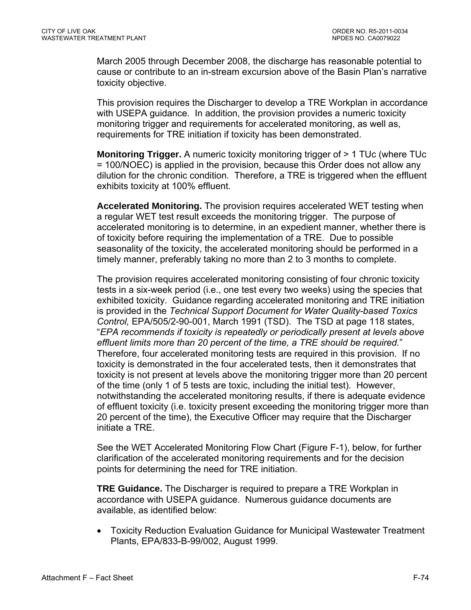March 2005 through December 2008, the discharge has reasonable potential to cause or contribute to an in-stream excursion above of the Basin Plan's narrative toxicity objective.

This provision requires the Discharger to develop a TRE Workplan in accordance with USEPA guidance. In addition, the provision provides a numeric toxicity monitoring trigger and requirements for accelerated monitoring, as well as, requirements for TRE initiation if toxicity has been demonstrated.

**Monitoring Trigger.** A numeric toxicity monitoring trigger of > 1 TUc (where TUc = 100/NOEC) is applied in the provision, because this Order does not allow any dilution for the chronic condition. Therefore, a TRE is triggered when the effluent exhibits toxicity at 100% effluent.

**Accelerated Monitoring.** The provision requires accelerated WET testing when a regular WET test result exceeds the monitoring trigger. The purpose of accelerated monitoring is to determine, in an expedient manner, whether there is of toxicity before requiring the implementation of a TRE. Due to possible seasonality of the toxicity, the accelerated monitoring should be performed in a timely manner, preferably taking no more than 2 to 3 months to complete.

The provision requires accelerated monitoring consisting of four chronic toxicity tests in a six-week period (i.e., one test every two weeks) using the species that exhibited toxicity. Guidance regarding accelerated monitoring and TRE initiation is provided in the *Technical Support Document for Water Quality-based Toxics Control,* EPA/505/2-90-001, March 1991 (TSD). The TSD at page 118 states, "*EPA recommends if toxicity is repeatedly or periodically present at levels above effluent limits more than 20 percent of the time, a TRE should be required.*" Therefore, four accelerated monitoring tests are required in this provision. If no toxicity is demonstrated in the four accelerated tests, then it demonstrates that toxicity is not present at levels above the monitoring trigger more than 20 percent of the time (only 1 of 5 tests are toxic, including the initial test). However, notwithstanding the accelerated monitoring results, if there is adequate evidence of effluent toxicity (i.e. toxicity present exceeding the monitoring trigger more than 20 percent of the time), the Executive Officer may require that the Discharger initiate a TRE.

See the WET Accelerated Monitoring Flow Chart (Figure F-1), below, for further clarification of the accelerated monitoring requirements and for the decision points for determining the need for TRE initiation.

**TRE Guidance.** The Discharger is required to prepare a TRE Workplan in accordance with USEPA guidance. Numerous guidance documents are available, as identified below:

 Toxicity Reduction Evaluation Guidance for Municipal Wastewater Treatment Plants, EPA/833-B-99/002, August 1999.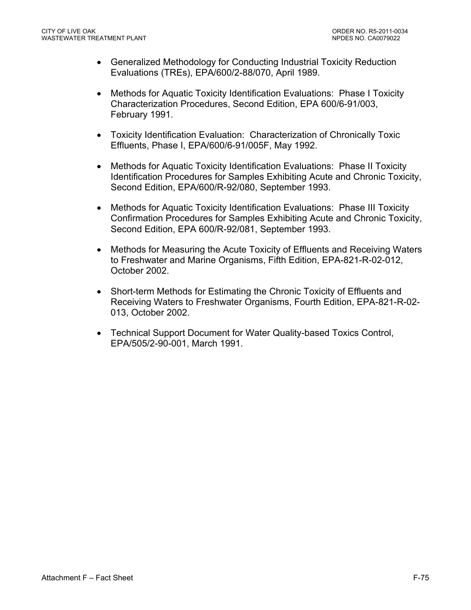- Generalized Methodology for Conducting Industrial Toxicity Reduction Evaluations (TREs), EPA/600/2-88/070, April 1989.
- Methods for Aquatic Toxicity Identification Evaluations: Phase I Toxicity Characterization Procedures, Second Edition, EPA 600/6-91/003, February 1991.
- Toxicity Identification Evaluation: Characterization of Chronically Toxic Effluents, Phase I, EPA/600/6-91/005F, May 1992.
- Methods for Aquatic Toxicity Identification Evaluations: Phase II Toxicity Identification Procedures for Samples Exhibiting Acute and Chronic Toxicity, Second Edition, EPA/600/R-92/080, September 1993.
- Methods for Aquatic Toxicity Identification Evaluations: Phase III Toxicity Confirmation Procedures for Samples Exhibiting Acute and Chronic Toxicity, Second Edition, EPA 600/R-92/081, September 1993.
- Methods for Measuring the Acute Toxicity of Effluents and Receiving Waters to Freshwater and Marine Organisms, Fifth Edition, EPA-821-R-02-012, October 2002.
- Short-term Methods for Estimating the Chronic Toxicity of Effluents and Receiving Waters to Freshwater Organisms, Fourth Edition, EPA-821-R-02- 013, October 2002.
- Technical Support Document for Water Quality-based Toxics Control, EPA/505/2-90-001, March 1991.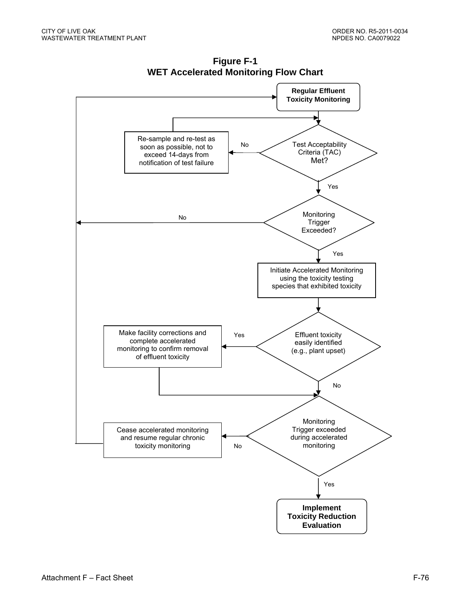

**Figure F-1 WET Accelerated Monitoring Flow Chart**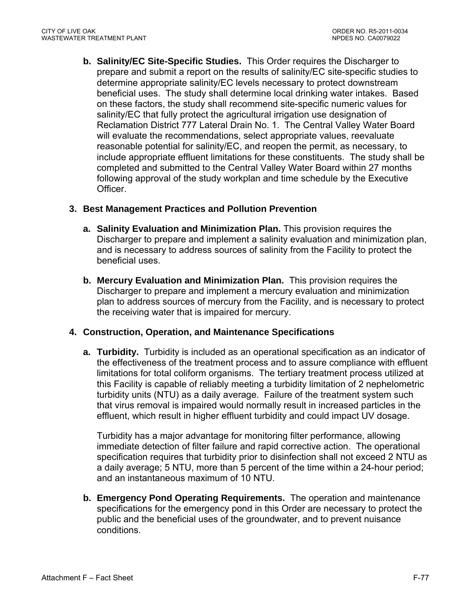**b. Salinity/EC Site-Specific Studies.** This Order requires the Discharger to prepare and submit a report on the results of salinity/EC site-specific studies to determine appropriate salinity/EC levels necessary to protect downstream beneficial uses. The study shall determine local drinking water intakes. Based on these factors, the study shall recommend site-specific numeric values for salinity/EC that fully protect the agricultural irrigation use designation of Reclamation District 777 Lateral Drain No. 1. The Central Valley Water Board will evaluate the recommendations, select appropriate values, reevaluate reasonable potential for salinity/EC, and reopen the permit, as necessary, to include appropriate effluent limitations for these constituents. The study shall be completed and submitted to the Central Valley Water Board within 27 months following approval of the study workplan and time schedule by the Executive Officer.

## **3. Best Management Practices and Pollution Prevention**

- **a. Salinity Evaluation and Minimization Plan.** This provision requires the Discharger to prepare and implement a salinity evaluation and minimization plan, and is necessary to address sources of salinity from the Facility to protect the beneficial uses.
- **b. Mercury Evaluation and Minimization Plan.** This provision requires the Discharger to prepare and implement a mercury evaluation and minimization plan to address sources of mercury from the Facility, and is necessary to protect the receiving water that is impaired for mercury.

### **4. Construction, Operation, and Maintenance Specifications**

**a. Turbidity.** Turbidity is included as an operational specification as an indicator of the effectiveness of the treatment process and to assure compliance with effluent limitations for total coliform organisms. The tertiary treatment process utilized at this Facility is capable of reliably meeting a turbidity limitation of 2 nephelometric turbidity units (NTU) as a daily average. Failure of the treatment system such that virus removal is impaired would normally result in increased particles in the effluent, which result in higher effluent turbidity and could impact UV dosage.

Turbidity has a major advantage for monitoring filter performance, allowing immediate detection of filter failure and rapid corrective action. The operational specification requires that turbidity prior to disinfection shall not exceed 2 NTU as a daily average; 5 NTU, more than 5 percent of the time within a 24-hour period; and an instantaneous maximum of 10 NTU.

**b. Emergency Pond Operating Requirements.** The operation and maintenance specifications for the emergency pond in this Order are necessary to protect the public and the beneficial uses of the groundwater, and to prevent nuisance conditions.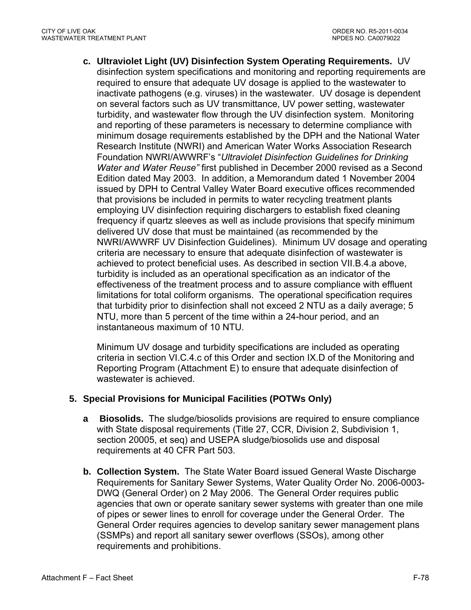**c. Ultraviolet Light (UV) Disinfection System Operating Requirements.** UV disinfection system specifications and monitoring and reporting requirements are required to ensure that adequate UV dosage is applied to the wastewater to inactivate pathogens (e.g. viruses) in the wastewater. UV dosage is dependent on several factors such as UV transmittance, UV power setting, wastewater turbidity, and wastewater flow through the UV disinfection system. Monitoring and reporting of these parameters is necessary to determine compliance with minimum dosage requirements established by the DPH and the National Water Research Institute (NWRI) and American Water Works Association Research Foundation NWRI/AWWRF's "*Ultraviolet Disinfection Guidelines for Drinking Water and Water Reuse"* first published in December 2000 revised as a Second Edition dated May 2003. In addition, a Memorandum dated 1 November 2004 issued by DPH to Central Valley Water Board executive offices recommended that provisions be included in permits to water recycling treatment plants employing UV disinfection requiring dischargers to establish fixed cleaning frequency if quartz sleeves as well as include provisions that specify minimum delivered UV dose that must be maintained (as recommended by the NWRI/AWWRF UV Disinfection Guidelines). Minimum UV dosage and operating criteria are necessary to ensure that adequate disinfection of wastewater is achieved to protect beneficial uses. As described in section VII.B.4.a above, turbidity is included as an operational specification as an indicator of the effectiveness of the treatment process and to assure compliance with effluent limitations for total coliform organisms. The operational specification requires that turbidity prior to disinfection shall not exceed 2 NTU as a daily average; 5 NTU, more than 5 percent of the time within a 24-hour period, and an instantaneous maximum of 10 NTU.

Minimum UV dosage and turbidity specifications are included as operating criteria in section VI.C.4.c of this Order and section IX.D of the Monitoring and Reporting Program (Attachment E) to ensure that adequate disinfection of wastewater is achieved.

### **5. Special Provisions for Municipal Facilities (POTWs Only)**

- **a Biosolids.** The sludge/biosolids provisions are required to ensure compliance with State disposal requirements (Title 27, CCR, Division 2, Subdivision 1, section 20005, et seq) and USEPA sludge/biosolids use and disposal requirements at 40 CFR Part 503.
- **b. Collection System.** The State Water Board issued General Waste Discharge Requirements for Sanitary Sewer Systems, Water Quality Order No. 2006-0003- DWQ (General Order) on 2 May 2006. The General Order requires public agencies that own or operate sanitary sewer systems with greater than one mile of pipes or sewer lines to enroll for coverage under the General Order. The General Order requires agencies to develop sanitary sewer management plans (SSMPs) and report all sanitary sewer overflows (SSOs), among other requirements and prohibitions.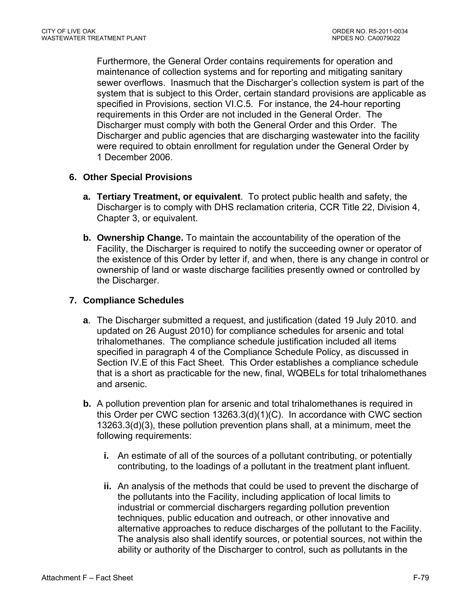Furthermore, the General Order contains requirements for operation and maintenance of collection systems and for reporting and mitigating sanitary sewer overflows. Inasmuch that the Discharger's collection system is part of the system that is subject to this Order, certain standard provisions are applicable as specified in Provisions, section VI.C.5. For instance, the 24-hour reporting requirements in this Order are not included in the General Order. The Discharger must comply with both the General Order and this Order. The Discharger and public agencies that are discharging wastewater into the facility were required to obtain enrollment for regulation under the General Order by 1 December 2006.

### **6. Other Special Provisions**

- **a. Tertiary Treatment, or equivalent**. To protect public health and safety, the Discharger is to comply with DHS reclamation criteria, CCR Title 22, Division 4, Chapter 3, or equivalent.
- **b. Ownership Change.** To maintain the accountability of the operation of the Facility, the Discharger is required to notify the succeeding owner or operator of the existence of this Order by letter if, and when, there is any change in control or ownership of land or waste discharge facilities presently owned or controlled by the Discharger.

### **7. Compliance Schedules**

- **a**. The Discharger submitted a request, and justification (dated 19 July 2010. and updated on 26 August 2010) for compliance schedules for arsenic and total trihalomethanes. The compliance schedule justification included all items specified in paragraph 4 of the Compliance Schedule Policy, as discussed in Section IV.E of this Fact Sheet. This Order establishes a compliance schedule that is a short as practicable for the new, final, WQBELs for total trihalomethanes and arsenic.
- **b.** A pollution prevention plan for arsenic and total trihalomethanes is required in this Order per CWC section 13263.3(d)(1)(C). In accordance with CWC section 13263.3(d)(3), these pollution prevention plans shall, at a minimum, meet the following requirements:
	- **i.** An estimate of all of the sources of a pollutant contributing, or potentially contributing, to the loadings of a pollutant in the treatment plant influent.
	- **ii.** An analysis of the methods that could be used to prevent the discharge of the pollutants into the Facility, including application of local limits to industrial or commercial dischargers regarding pollution prevention techniques, public education and outreach, or other innovative and alternative approaches to reduce discharges of the pollutant to the Facility. The analysis also shall identify sources, or potential sources, not within the ability or authority of the Discharger to control, such as pollutants in the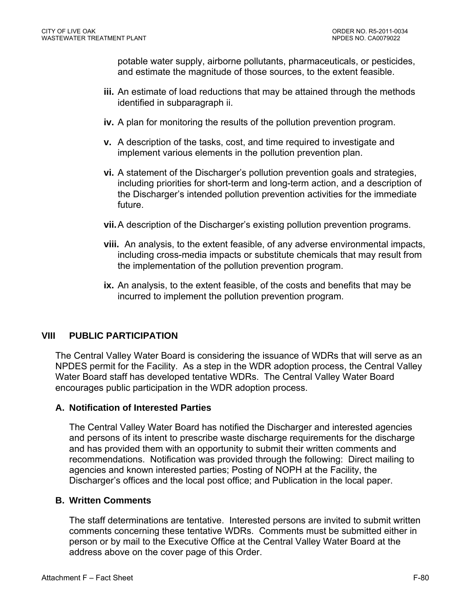potable water supply, airborne pollutants, pharmaceuticals, or pesticides, and estimate the magnitude of those sources, to the extent feasible.

- **iii.** An estimate of load reductions that may be attained through the methods identified in subparagraph ii.
- **iv.** A plan for monitoring the results of the pollution prevention program.
- **v.** A description of the tasks, cost, and time required to investigate and implement various elements in the pollution prevention plan.
- **vi.** A statement of the Discharger's pollution prevention goals and strategies, including priorities for short-term and long-term action, and a description of the Discharger's intended pollution prevention activities for the immediate future.
- **vii.** A description of the Discharger's existing pollution prevention programs.
- **viii.** An analysis, to the extent feasible, of any adverse environmental impacts, including cross-media impacts or substitute chemicals that may result from the implementation of the pollution prevention program.
- **ix.** An analysis, to the extent feasible, of the costs and benefits that may be incurred to implement the pollution prevention program.

# **VIII PUBLIC PARTICIPATION**

The Central Valley Water Board is considering the issuance of WDRs that will serve as an NPDES permit for the Facility. As a step in the WDR adoption process, the Central Valley Water Board staff has developed tentative WDRs. The Central Valley Water Board encourages public participation in the WDR adoption process.

### **A. Notification of Interested Parties**

The Central Valley Water Board has notified the Discharger and interested agencies and persons of its intent to prescribe waste discharge requirements for the discharge and has provided them with an opportunity to submit their written comments and recommendations. Notification was provided through the following: Direct mailing to agencies and known interested parties; Posting of NOPH at the Facility, the Discharger's offices and the local post office; and Publication in the local paper.

#### **B. Written Comments**

The staff determinations are tentative. Interested persons are invited to submit written comments concerning these tentative WDRs. Comments must be submitted either in person or by mail to the Executive Office at the Central Valley Water Board at the address above on the cover page of this Order.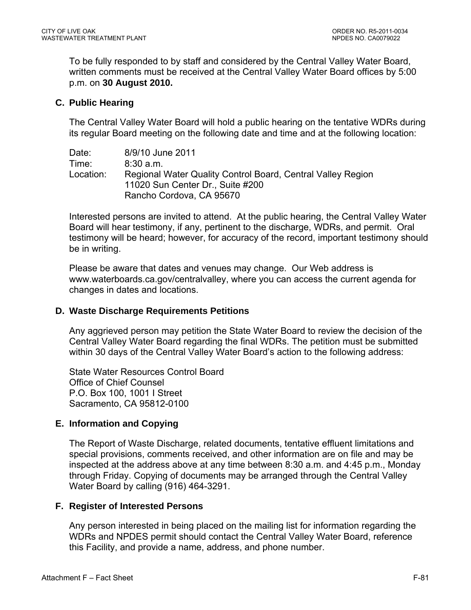To be fully responded to by staff and considered by the Central Valley Water Board, written comments must be received at the Central Valley Water Board offices by 5:00 p.m. on **30 August 2010.**

### **C. Public Hearing**

The Central Valley Water Board will hold a public hearing on the tentative WDRs during its regular Board meeting on the following date and time and at the following location:

| Date:     | 8/9/10 June 2011                                            |
|-----------|-------------------------------------------------------------|
| Time:     | 8:30a.m.                                                    |
| Location: | Regional Water Quality Control Board, Central Valley Region |
|           | 11020 Sun Center Dr., Suite #200                            |
|           | Rancho Cordova, CA 95670                                    |

Interested persons are invited to attend. At the public hearing, the Central Valley Water Board will hear testimony, if any, pertinent to the discharge, WDRs, and permit. Oral testimony will be heard; however, for accuracy of the record, important testimony should be in writing.

Please be aware that dates and venues may change. Our Web address is www.waterboards.ca.gov/centralvalley, where you can access the current agenda for changes in dates and locations.

### **D. Waste Discharge Requirements Petitions**

Any aggrieved person may petition the State Water Board to review the decision of the Central Valley Water Board regarding the final WDRs. The petition must be submitted within 30 days of the Central Valley Water Board's action to the following address:

State Water Resources Control Board Office of Chief Counsel P.O. Box 100, 1001 I Street Sacramento, CA 95812-0100

### **E. Information and Copying**

The Report of Waste Discharge, related documents, tentative effluent limitations and special provisions, comments received, and other information are on file and may be inspected at the address above at any time between 8:30 a.m. and 4:45 p.m., Monday through Friday. Copying of documents may be arranged through the Central Valley Water Board by calling (916) 464-3291.

### **F. Register of Interested Persons**

Any person interested in being placed on the mailing list for information regarding the WDRs and NPDES permit should contact the Central Valley Water Board, reference this Facility, and provide a name, address, and phone number.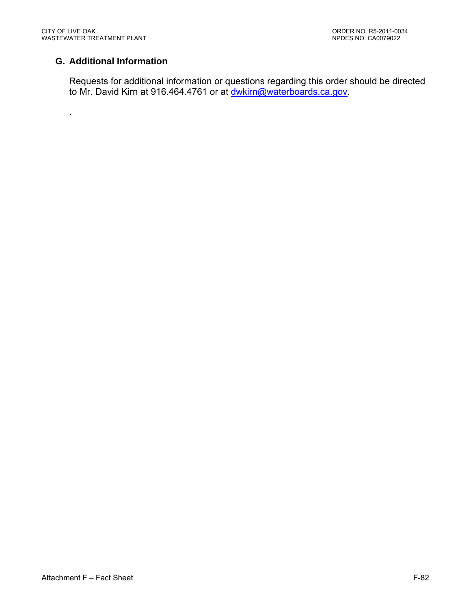.

# **G. Additional Information**

Requests for additional information or questions regarding this order should be directed to Mr. David Kirn at 916.464.4761 or at dwkirn@waterboards.ca.gov.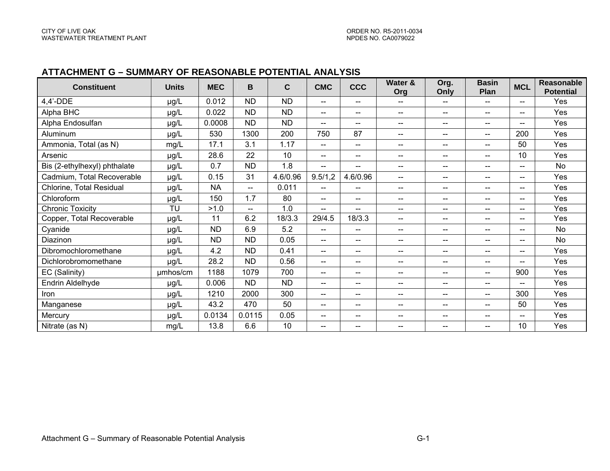#### **ATTACHMENT G – SUMMARY OF REASONABLE POTENTIAL ANALYSIS**

| <b>Constituent</b>           | <b>Units</b> | <b>MEC</b> | B              | $\mathbf C$ | <b>CMC</b>                            | <b>CCC</b>                            | Water &<br>Org                                 | Org.<br>Only             | <b>Basin</b><br>Plan     | <b>MCL</b>               | Reasonable<br><b>Potential</b> |
|------------------------------|--------------|------------|----------------|-------------|---------------------------------------|---------------------------------------|------------------------------------------------|--------------------------|--------------------------|--------------------------|--------------------------------|
| $4,4'$ -DDE                  | µg/L         | 0.012      | <b>ND</b>      | <b>ND</b>   | $- -$                                 | $-$                                   | --                                             | $- -$                    | --                       | $- -$                    | Yes                            |
| Alpha BHC                    | µg/L         | 0.022      | <b>ND</b>      | <b>ND</b>   | $\sim$ $\sim$                         | $\hspace{0.05cm}$ – $\hspace{0.05cm}$ | $\hspace{0.1mm}-\hspace{0.1mm}-\hspace{0.1mm}$ | ——                       | $\overline{\phantom{a}}$ | $\overline{\phantom{a}}$ | Yes                            |
| Alpha Endosulfan             | µg/L         | 0.0008     | <b>ND</b>      | <b>ND</b>   | $\hspace{0.05cm}$ – $\hspace{0.05cm}$ | $\overline{\phantom{a}}$              | $\overline{\phantom{a}}$                       | $\qquad \qquad -$        | $\overline{\phantom{m}}$ | $\overline{\phantom{a}}$ | Yes                            |
| Aluminum                     | µg/L         | 530        | 1300           | 200         | 750                                   | 87                                    | $\overline{a}$                                 | $\overline{\phantom{a}}$ | $\overline{\phantom{a}}$ | 200                      | Yes                            |
| Ammonia, Total (as N)        | mg/L         | 17.1       | 3.1            | 1.17        | $\overline{\phantom{a}}$              | $\hspace{0.05cm}$ – $\hspace{0.05cm}$ | $\hspace{0.05cm}$ $\hspace{0.05cm}$            | $\overline{\phantom{a}}$ | $-$                      | 50                       | Yes                            |
| Arsenic                      | µg/L         | 28.6       | 22             | 10          | $\overline{\phantom{m}}$              | $\qquad \qquad \qquad -$              | $\overline{\phantom{a}}$                       | --                       | --                       | 10                       | Yes                            |
| Bis (2-ethylhexyl) phthalate | µg/L         | 0.7        | <b>ND</b>      | 1.8         | --                                    |                                       | $\overline{\phantom{m}}$                       | --                       | $\qquad \qquad \cdots$   |                          | <b>No</b>                      |
| Cadmium, Total Recoverable   | µg/L         | 0.15       | 31             | 4.6/0.96    | 9.5/1,2                               | 4.6/0.96                              | $\overline{\phantom{m}}$                       | -−                       | $\overline{\phantom{a}}$ | $\overline{\phantom{a}}$ | Yes                            |
| Chlorine, Total Residual     | µg/L         | <b>NA</b>  | $\overline{a}$ | 0.011       | $- -$                                 | $\overline{\phantom{a}}$              | $\overline{\phantom{m}}$                       | –−                       | $\overline{\phantom{a}}$ | $\overline{\phantom{a}}$ | Yes                            |
| Chloroform                   | µg/L         | 150        | 1.7            | 80          | $\hspace{0.05cm} \ldots$              | $\overline{\phantom{a}}$              | $\qquad \qquad -$                              | --                       | $\qquad \qquad \cdots$   | --                       | Yes                            |
| <b>Chronic Toxicity</b>      | <b>TU</b>    | >1.0       | $\overline{a}$ | 1.0         | $\overline{a}$                        | $\overline{a}$                        | $-$                                            | $- -$                    | $\overline{\phantom{a}}$ | $-$                      | Yes                            |
| Copper, Total Recoverable    | µg/L         | 11         | 6.2            | 18/3.3      | 29/4.5                                | 18/3.3                                | $\overline{\phantom{a}}$                       | $\hspace{0.05cm}$        | $\overline{\phantom{m}}$ | $\qquad \qquad \cdots$   | Yes                            |
| Cyanide                      | µg/L         | <b>ND</b>  | 6.9            | 5.2         | $--$                                  | $\overline{a}$                        | $\overline{a}$                                 | $- -$                    | --                       | $\overline{\phantom{a}}$ | <b>No</b>                      |
| Diazinon                     | µg/L         | <b>ND</b>  | <b>ND</b>      | 0.05        | $\overline{\phantom{a}}$              | $\overline{\phantom{a}}$              | $\overline{\phantom{a}}$                       | --                       | --                       |                          | <b>No</b>                      |
| Dibromochloromethane         | µg/L         | 4.2        | <b>ND</b>      | 0.41        | $\overline{\phantom{a}}$              | $\overline{\phantom{a}}$              | $\overline{\phantom{m}}$                       | --                       | $-$                      | $\overline{\phantom{m}}$ | Yes                            |
| Dichlorobromomethane         | µg/L         | 28.2       | <b>ND</b>      | 0.56        | $\overline{\phantom{a}}$              | $\overline{\phantom{a}}$              | $\overline{\phantom{a}}$                       | $- -$                    | $\overline{\phantom{a}}$ | $- -$                    | Yes                            |
| EC (Salinity)                | umhos/cm     | 1188       | 1079           | 700         | $\frac{1}{2}$                         | $\overline{\phantom{a}}$              | $\overline{\phantom{a}}$                       | $\overline{\phantom{a}}$ | $\overline{\phantom{a}}$ | 900                      | Yes                            |
| Endrin Aldelhyde             | µg/L         | 0.006      | <b>ND</b>      | <b>ND</b>   | $\frac{1}{2}$                         | $\overline{\phantom{a}}$              | $-$                                            | $- -$                    | $\overline{\phantom{a}}$ | $- -$                    | <b>Yes</b>                     |
| Iron                         | µg/L         | 1210       | 2000           | 300         | $\overline{\phantom{a}}$              | $\overline{\phantom{a}}$              | $\overline{\phantom{a}}$                       | $\overline{\phantom{a}}$ | --                       | 300                      | Yes                            |
| Manganese                    | µg/L         | 43.2       | 470            | 50          | $\frac{1}{2}$                         | $-$                                   | $\overline{\phantom{a}}$                       | --                       | $-$                      | 50                       | Yes                            |
| Mercury                      | µg/L         | 0.0134     | 0.0115         | 0.05        | $-$                                   | $-$                                   | $\overline{\phantom{a}}$                       | $\overline{\phantom{a}}$ | $-$                      | $-$                      | Yes                            |
| Nitrate (as N)               | mg/L         | 13.8       | 6.6            | 10          | $-$                                   | $-$                                   | $- -$                                          | --                       | --                       | 10                       | Yes                            |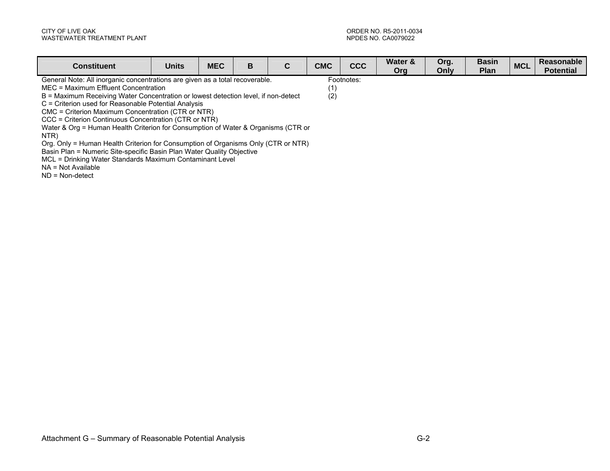| <b>Constituent</b>                                                                        | <b>Units</b> | <b>MEC</b> | в | C | <b>CMC</b> | <b>CCC</b> | Water &<br><b>Org</b> | Org.<br>Only | <b>Basin</b><br>Plan | <b>MCL</b> | Reasonable<br><b>Potential</b> |
|-------------------------------------------------------------------------------------------|--------------|------------|---|---|------------|------------|-----------------------|--------------|----------------------|------------|--------------------------------|
| General Note: All inorganic concentrations are given as a total recoverable.              |              |            |   |   |            | Footnotes: |                       |              |                      |            |                                |
| MEC = Maximum Effluent Concentration<br>(1)                                               |              |            |   |   |            |            |                       |              |                      |            |                                |
| (2)<br>B = Maximum Receiving Water Concentration or lowest detection level, if non-detect |              |            |   |   |            |            |                       |              |                      |            |                                |
| C = Criterion used for Reasonable Potential Analysis                                      |              |            |   |   |            |            |                       |              |                      |            |                                |
| CMC = Criterion Maximum Concentration (CTR or NTR)                                        |              |            |   |   |            |            |                       |              |                      |            |                                |
| CCC = Criterion Continuous Concentration (CTR or NTR)                                     |              |            |   |   |            |            |                       |              |                      |            |                                |
| Water & Org = Human Health Criterion for Consumption of Water & Organisms (CTR or         |              |            |   |   |            |            |                       |              |                      |            |                                |
| NTR)                                                                                      |              |            |   |   |            |            |                       |              |                      |            |                                |
| Org. Only = Human Health Criterion for Consumption of Organisms Only (CTR or NTR)         |              |            |   |   |            |            |                       |              |                      |            |                                |
| Basin Plan = Numeric Site-specific Basin Plan Water Quality Objective                     |              |            |   |   |            |            |                       |              |                      |            |                                |
| MCL = Drinking Water Standards Maximum Contaminant Level                                  |              |            |   |   |            |            |                       |              |                      |            |                                |

NA = Not Available

ND = Non-detect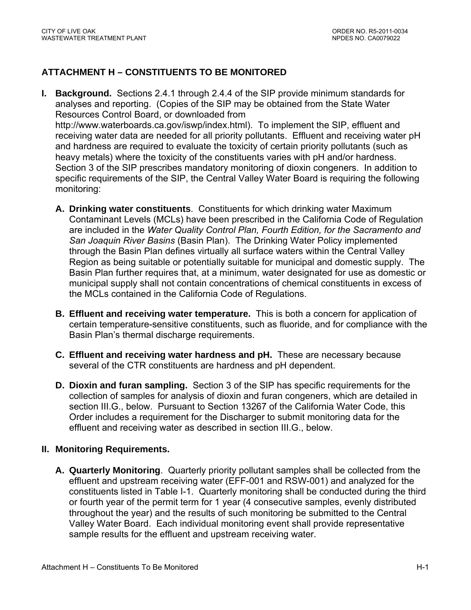# **ATTACHMENT H – CONSTITUENTS TO BE MONITORED**

- **I. Background.** Sections 2.4.1 through 2.4.4 of the SIP provide minimum standards for analyses and reporting. (Copies of the SIP may be obtained from the State Water Resources Control Board, or downloaded from http://www.waterboards.ca.gov/iswp/index.html). To implement the SIP, effluent and receiving water data are needed for all priority pollutants. Effluent and receiving water pH and hardness are required to evaluate the toxicity of certain priority pollutants (such as heavy metals) where the toxicity of the constituents varies with pH and/or hardness. Section 3 of the SIP prescribes mandatory monitoring of dioxin congeners. In addition to specific requirements of the SIP, the Central Valley Water Board is requiring the following monitoring:
	- **A. Drinking water constituents**. Constituents for which drinking water Maximum Contaminant Levels (MCLs) have been prescribed in the California Code of Regulation are included in the *Water Quality Control Plan, Fourth Edition, for the Sacramento and San Joaquin River Basins* (Basin Plan). The Drinking Water Policy implemented through the Basin Plan defines virtually all surface waters within the Central Valley Region as being suitable or potentially suitable for municipal and domestic supply. The Basin Plan further requires that, at a minimum, water designated for use as domestic or municipal supply shall not contain concentrations of chemical constituents in excess of the MCLs contained in the California Code of Regulations.
	- **B. Effluent and receiving water temperature.** This is both a concern for application of certain temperature-sensitive constituents, such as fluoride, and for compliance with the Basin Plan's thermal discharge requirements.
	- **C. Effluent and receiving water hardness and pH.** These are necessary because several of the CTR constituents are hardness and pH dependent.
	- **D. Dioxin and furan sampling.** Section 3 of the SIP has specific requirements for the collection of samples for analysis of dioxin and furan congeners, which are detailed in section III.G., below. Pursuant to Section 13267 of the California Water Code, this Order includes a requirement for the Discharger to submit monitoring data for the effluent and receiving water as described in section III.G., below.

### **II. Monitoring Requirements.**

**A. Quarterly Monitoring**. Quarterly priority pollutant samples shall be collected from the effluent and upstream receiving water (EFF-001 and RSW-001) and analyzed for the constituents listed in Table I-1. Quarterly monitoring shall be conducted during the third or fourth year of the permit term for 1 year (4 consecutive samples, evenly distributed throughout the year) and the results of such monitoring be submitted to the Central Valley Water Board. Each individual monitoring event shall provide representative sample results for the effluent and upstream receiving water.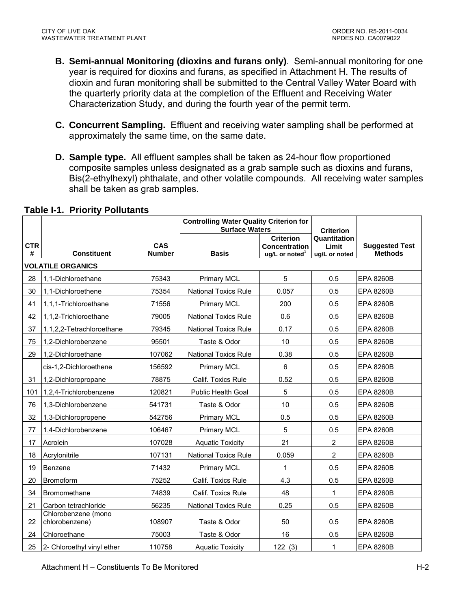- **B. Semi-annual Monitoring (dioxins and furans only)**. Semi-annual monitoring for one year is required for dioxins and furans, as specified in Attachment H. The results of dioxin and furan monitoring shall be submitted to the Central Valley Water Board with the quarterly priority data at the completion of the Effluent and Receiving Water Characterization Study, and during the fourth year of the permit term.
- **C. Concurrent Sampling.** Effluent and receiving water sampling shall be performed at approximately the same time, on the same date.
- **D. Sample type.** All effluent samples shall be taken as 24-hour flow proportioned composite samples unless designated as a grab sample such as dioxins and furans, Bis(2-ethylhexyl) phthalate, and other volatile compounds. All receiving water samples shall be taken as grab samples.

|                 |                                       |                             | <b>Controlling Water Quality Criterion for</b><br><b>Surface Waters</b> |                                                                        | <b>Criterion</b>                       |                                         |
|-----------------|---------------------------------------|-----------------------------|-------------------------------------------------------------------------|------------------------------------------------------------------------|----------------------------------------|-----------------------------------------|
| <b>CTR</b><br># | <b>Constituent</b>                    | <b>CAS</b><br><b>Number</b> | <b>Basis</b>                                                            | <b>Criterion</b><br><b>Concentration</b><br>ug/L or noted <sup>1</sup> | Quantitation<br>Limit<br>ug/L or noted | <b>Suggested Test</b><br><b>Methods</b> |
|                 | <b>VOLATILE ORGANICS</b>              |                             |                                                                         |                                                                        |                                        |                                         |
| 28              | 1,1-Dichloroethane                    | 75343                       | <b>Primary MCL</b>                                                      | 5                                                                      | 0.5                                    | <b>EPA 8260B</b>                        |
| 30              | 1,1-Dichloroethene                    | 75354                       | <b>National Toxics Rule</b>                                             | 0.057                                                                  | 0.5                                    | <b>EPA 8260B</b>                        |
| 41              | 1,1,1-Trichloroethane                 | 71556                       | <b>Primary MCL</b>                                                      | 200                                                                    | 0.5                                    | <b>EPA 8260B</b>                        |
| 42              | 1,1,2-Trichloroethane                 | 79005                       | <b>National Toxics Rule</b>                                             | 0.6                                                                    | 0.5                                    | <b>EPA 8260B</b>                        |
| 37              | 1,1,2,2-Tetrachloroethane             | 79345                       | <b>National Toxics Rule</b>                                             | 0.17                                                                   | 0.5                                    | <b>EPA 8260B</b>                        |
| 75              | 1,2-Dichlorobenzene                   | 95501                       | Taste & Odor                                                            | 10                                                                     | 0.5                                    | <b>EPA 8260B</b>                        |
| 29              | 1,2-Dichloroethane                    | 107062                      | <b>National Toxics Rule</b>                                             | 0.38                                                                   | 0.5                                    | <b>EPA 8260B</b>                        |
|                 | cis-1,2-Dichloroethene                | 156592                      | <b>Primary MCL</b>                                                      | 6                                                                      | 0.5                                    | <b>EPA 8260B</b>                        |
| 31              | 1,2-Dichloropropane                   | 78875                       | Calif. Toxics Rule                                                      | 0.52                                                                   | 0.5                                    | <b>EPA 8260B</b>                        |
| 101             | 1,2,4-Trichlorobenzene                | 120821                      | <b>Public Health Goal</b>                                               | 5                                                                      | 0.5                                    | <b>EPA 8260B</b>                        |
| 76              | 1,3-Dichlorobenzene                   | 541731                      | Taste & Odor                                                            | 10                                                                     | 0.5                                    | <b>EPA 8260B</b>                        |
| 32              | 1,3-Dichloropropene                   | 542756                      | <b>Primary MCL</b>                                                      | 0.5                                                                    | 0.5                                    | <b>EPA 8260B</b>                        |
| 77              | 1,4-Dichlorobenzene                   | 106467                      | <b>Primary MCL</b>                                                      | 5                                                                      | 0.5                                    | <b>EPA 8260B</b>                        |
| 17              | Acrolein                              | 107028                      | <b>Aquatic Toxicity</b>                                                 | 21                                                                     | $\overline{2}$                         | <b>EPA 8260B</b>                        |
| 18              | Acrylonitrile                         | 107131                      | <b>National Toxics Rule</b>                                             | 0.059                                                                  | $\overline{2}$                         | <b>EPA 8260B</b>                        |
| 19              | Benzene                               | 71432                       | <b>Primary MCL</b>                                                      | 1                                                                      | 0.5                                    | <b>EPA 8260B</b>                        |
| 20              | <b>Bromoform</b>                      | 75252                       | Calif. Toxics Rule                                                      | 4.3                                                                    | 0.5                                    | <b>EPA 8260B</b>                        |
| 34              | Bromomethane                          | 74839                       | Calif. Toxics Rule                                                      | 48                                                                     | $\mathbf{1}$                           | <b>EPA 8260B</b>                        |
| 21              | Carbon tetrachloride                  | 56235                       | <b>National Toxics Rule</b>                                             | 0.25                                                                   | 0.5                                    | <b>EPA 8260B</b>                        |
| 22              | Chlorobenzene (mono<br>chlorobenzene) | 108907                      | Taste & Odor                                                            | 50                                                                     | 0.5                                    | <b>EPA 8260B</b>                        |
| 24              | Chloroethane                          | 75003                       | Taste & Odor                                                            | 16                                                                     | 0.5                                    | <b>EPA 8260B</b>                        |
| 25              | 2- Chloroethyl vinyl ether            | 110758                      | <b>Aquatic Toxicity</b>                                                 | 122(3)                                                                 | $\mathbf{1}$                           | <b>EPA 8260B</b>                        |

#### **Table I-1. Priority Pollutants**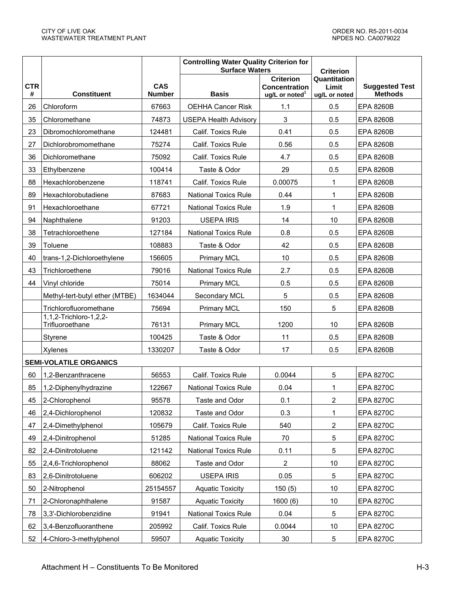|                 |                                           |                             | <b>Controlling Water Quality Criterion for</b><br><b>Surface Waters</b> |                                                                        | <b>Criterion</b>                       |                                         |
|-----------------|-------------------------------------------|-----------------------------|-------------------------------------------------------------------------|------------------------------------------------------------------------|----------------------------------------|-----------------------------------------|
| <b>CTR</b><br># | <b>Constituent</b>                        | <b>CAS</b><br><b>Number</b> | <b>Basis</b>                                                            | <b>Criterion</b><br><b>Concentration</b><br>ug/L or noted <sup>1</sup> | Quantitation<br>Limit<br>ug/L or noted | <b>Suggested Test</b><br><b>Methods</b> |
| 26              | Chloroform                                | 67663                       | <b>OEHHA Cancer Risk</b>                                                | 1.1                                                                    | 0.5                                    | <b>EPA 8260B</b>                        |
| 35              | Chloromethane                             | 74873                       | <b>USEPA Health Advisory</b>                                            | 3                                                                      | 0.5                                    | <b>EPA 8260B</b>                        |
| 23              | Dibromochloromethane                      | 124481                      | Calif. Toxics Rule                                                      | 0.41                                                                   | 0.5                                    | <b>EPA 8260B</b>                        |
| 27              | Dichlorobromomethane                      | 75274                       | Calif. Toxics Rule                                                      | 0.56                                                                   | 0.5                                    | <b>EPA 8260B</b>                        |
| 36              | Dichloromethane                           | 75092                       | Calif. Toxics Rule                                                      | 4.7                                                                    | 0.5                                    | <b>EPA 8260B</b>                        |
| 33              | Ethylbenzene                              | 100414                      | Taste & Odor                                                            | 29                                                                     | 0.5                                    | <b>EPA 8260B</b>                        |
| 88              | Hexachlorobenzene                         | 118741                      | Calif. Toxics Rule                                                      | 0.00075                                                                | 1                                      | <b>EPA 8260B</b>                        |
| 89              | Hexachlorobutadiene                       | 87683                       | <b>National Toxics Rule</b>                                             | 0.44                                                                   | $\mathbf{1}$                           | <b>EPA 8260B</b>                        |
| 91              | Hexachloroethane                          | 67721                       | <b>National Toxics Rule</b>                                             | 1.9                                                                    | 1                                      | <b>EPA 8260B</b>                        |
| 94              | Naphthalene                               | 91203                       | <b>USEPA IRIS</b>                                                       | 14                                                                     | 10                                     | <b>EPA 8260B</b>                        |
| 38              | Tetrachloroethene                         | 127184                      | <b>National Toxics Rule</b>                                             | 0.8                                                                    | 0.5                                    | <b>EPA 8260B</b>                        |
| 39              | Toluene                                   | 108883                      | Taste & Odor                                                            | 42                                                                     | 0.5                                    | <b>EPA 8260B</b>                        |
| 40              | trans-1,2-Dichloroethylene                | 156605                      | <b>Primary MCL</b>                                                      | 10                                                                     | 0.5                                    | <b>EPA 8260B</b>                        |
| 43              | Trichloroethene                           | 79016                       | <b>National Toxics Rule</b>                                             | 2.7                                                                    | 0.5                                    | EPA 8260B                               |
| 44              | Vinyl chloride                            | 75014                       | <b>Primary MCL</b>                                                      | 0.5                                                                    | 0.5                                    | <b>EPA 8260B</b>                        |
|                 | Methyl-tert-butyl ether (MTBE)            | 1634044                     | Secondary MCL                                                           | 5                                                                      | 0.5                                    | <b>EPA 8260B</b>                        |
|                 | Trichlorofluoromethane                    | 75694                       | <b>Primary MCL</b>                                                      | 150                                                                    | 5                                      | <b>EPA 8260B</b>                        |
|                 | 1,1,2-Trichloro-1,2,2-<br>Trifluoroethane | 76131                       | <b>Primary MCL</b>                                                      | 1200                                                                   | 10                                     | <b>EPA 8260B</b>                        |
|                 | Styrene                                   | 100425                      | Taste & Odor                                                            | 11                                                                     | 0.5                                    | <b>EPA 8260B</b>                        |
|                 | Xylenes                                   | 1330207                     | Taste & Odor                                                            | 17                                                                     | 0.5                                    | <b>EPA 8260B</b>                        |
|                 | <b>SEMI-VOLATILE ORGANICS</b>             |                             |                                                                         |                                                                        |                                        |                                         |
| 60              | 1,2-Benzanthracene                        | 56553                       | Calif. Toxics Rule                                                      | 0.0044                                                                 | 5                                      | <b>EPA 8270C</b>                        |
| 85              | 1,2-Diphenylhydrazine                     | 122667                      | <b>National Toxics Rule</b>                                             | 0.04                                                                   | 1                                      | <b>EPA 8270C</b>                        |
| 45              | 2-Chlorophenol                            | 95578                       | Taste and Odor                                                          | 0.1                                                                    | $\overline{2}$                         | <b>EPA 8270C</b>                        |
| 46              | 2,4-Dichlorophenol                        | 120832                      | Taste and Odor                                                          | 0.3                                                                    | $\mathbf{1}$                           | <b>EPA 8270C</b>                        |
| 47              | 2,4-Dimethylphenol                        | 105679                      | Calif. Toxics Rule                                                      | 540                                                                    | $\overline{2}$                         | <b>EPA 8270C</b>                        |
| 49              | 2,4-Dinitrophenol                         | 51285                       | <b>National Toxics Rule</b>                                             | 70                                                                     | 5                                      | <b>EPA 8270C</b>                        |
| 82              | 2,4-Dinitrotoluene                        | 121142                      | <b>National Toxics Rule</b>                                             | 0.11                                                                   | 5                                      | <b>EPA 8270C</b>                        |
| 55              | 2,4,6-Trichlorophenol                     | 88062                       | Taste and Odor                                                          | 2                                                                      | 10                                     | <b>EPA 8270C</b>                        |
| 83              | 2,6-Dinitrotoluene                        | 606202                      | <b>USEPA IRIS</b>                                                       | 0.05                                                                   | 5                                      | <b>EPA 8270C</b>                        |
| 50              | 2-Nitrophenol                             | 25154557                    | <b>Aquatic Toxicity</b>                                                 | 150(5)                                                                 | 10                                     | <b>EPA 8270C</b>                        |
| 71              | 2-Chloronaphthalene                       | 91587                       | <b>Aquatic Toxicity</b>                                                 | 1600(6)                                                                | 10                                     | <b>EPA 8270C</b>                        |
| 78              | 3,3'-Dichlorobenzidine                    | 91941                       | <b>National Toxics Rule</b>                                             | 0.04                                                                   | 5                                      | <b>EPA 8270C</b>                        |
| 62              | 3,4-Benzofluoranthene                     | 205992                      | Calif. Toxics Rule                                                      | 0.0044                                                                 | 10                                     | <b>EPA 8270C</b>                        |
| 52              | 4-Chloro-3-methylphenol                   | 59507                       | <b>Aquatic Toxicity</b>                                                 | 30                                                                     | 5                                      | <b>EPA 8270C</b>                        |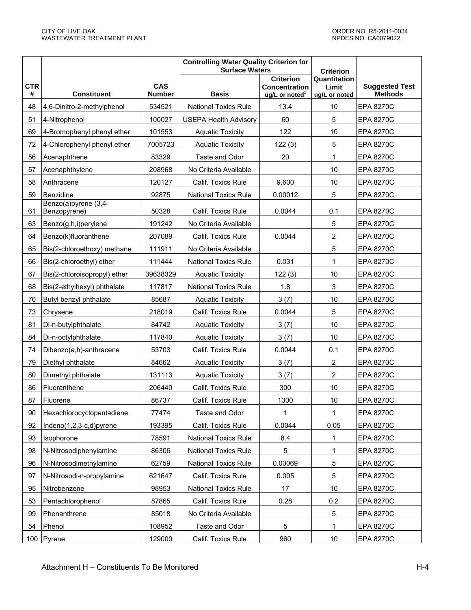|                 |                                      |                             | <b>Controlling Water Quality Criterion for</b><br><b>Surface Waters</b> |                                                                | <b>Criterion</b>                       |                                         |
|-----------------|--------------------------------------|-----------------------------|-------------------------------------------------------------------------|----------------------------------------------------------------|----------------------------------------|-----------------------------------------|
| <b>CTR</b><br># | <b>Constituent</b>                   | <b>CAS</b><br><b>Number</b> | <b>Basis</b>                                                            | <b>Criterion</b><br><b>Concentration</b><br>ug/L or noted $^1$ | Quantitation<br>Limit<br>ug/L or noted | <b>Suggested Test</b><br><b>Methods</b> |
| 48              | 4,6-Dinitro-2-methylphenol           | 534521                      | <b>National Toxics Rule</b>                                             | 13.4                                                           | 10                                     | <b>EPA 8270C</b>                        |
| 51              | 4-Nitrophenol                        | 100027                      | <b>USEPA Health Advisory</b>                                            | 60                                                             | 5                                      | <b>EPA 8270C</b>                        |
| 69              | 4-Bromophenyl phenyl ether           | 101553                      | <b>Aquatic Toxicity</b>                                                 | 122                                                            | 10                                     | <b>EPA 8270C</b>                        |
| 72              | 4-Chlorophenyl phenyl ether          | 7005723                     | <b>Aquatic Toxicity</b>                                                 | 122(3)                                                         | 5                                      | <b>EPA 8270C</b>                        |
| 56              | Acenaphthene                         | 83329                       | Taste and Odor                                                          | 20                                                             | 1                                      | <b>EPA 8270C</b>                        |
| 57              | Acenaphthylene                       | 208968                      | No Criteria Available                                                   |                                                                | 10                                     | <b>EPA 8270C</b>                        |
| 58              | Anthracene                           | 120127                      | Calif. Toxics Rule                                                      | 9,600                                                          | 10                                     | <b>EPA 8270C</b>                        |
| 59              | Benzidine                            | 92875                       | National Toxics Rule                                                    | 0.00012                                                        | 5                                      | <b>EPA 8270C</b>                        |
| 61              | Benzo(a)pyrene (3,4-<br>Benzopyrene) | 50328                       | Calif. Toxics Rule                                                      | 0.0044                                                         | 0.1                                    | <b>EPA 8270C</b>                        |
| 63              | Benzo(g,h,i)perylene                 | 191242                      | No Criteria Available                                                   |                                                                | 5                                      | <b>EPA 8270C</b>                        |
| 64              | Benzo(k)fluoranthene                 | 207089                      | Calif. Toxics Rule                                                      | 0.0044                                                         | $\overline{2}$                         | <b>EPA 8270C</b>                        |
| 65              | Bis(2-chloroethoxy) methane          | 111911                      | No Criteria Available                                                   |                                                                | 5                                      | <b>EPA 8270C</b>                        |
| 66              | Bis(2-chloroethyl) ether             | 111444                      | <b>National Toxics Rule</b>                                             | 0.031                                                          | 1                                      | <b>EPA 8270C</b>                        |
| 67              | Bis(2-chloroisopropyl) ether         | 39638329                    | <b>Aquatic Toxicity</b>                                                 | 122(3)                                                         | 10                                     | <b>EPA 8270C</b>                        |
| 68              | Bis(2-ethylhexyl) phthalate          | 117817                      | <b>National Toxics Rule</b>                                             | 1.8                                                            | 3                                      | <b>EPA 8270C</b>                        |
| 70              | Butyl benzyl phthalate               | 85687                       | <b>Aquatic Toxicity</b>                                                 | 3(7)                                                           | 10                                     | <b>EPA 8270C</b>                        |
| 73              | Chrysene                             | 218019                      | Calif. Toxics Rule                                                      | 0.0044                                                         | 5                                      | <b>EPA 8270C</b>                        |
| 81              | Di-n-butylphthalate                  | 84742                       | <b>Aquatic Toxicity</b>                                                 | 3(7)                                                           | 10                                     | <b>EPA 8270C</b>                        |
| 84              | Di-n-octylphthalate                  | 117840                      | <b>Aquatic Toxicity</b>                                                 | 3(7)                                                           | 10                                     | <b>EPA 8270C</b>                        |
| 74              | Dibenzo(a,h)-anthracene              | 53703                       | Calif. Toxics Rule                                                      | 0.0044                                                         | 0.1                                    | <b>EPA 8270C</b>                        |
| 79              | Diethyl phthalate                    | 84662                       | <b>Aquatic Toxicity</b>                                                 | 3(7)                                                           | $\overline{2}$                         | <b>EPA 8270C</b>                        |
| 80              | Dimethyl phthalate                   | 131113                      | <b>Aquatic Toxicity</b>                                                 | 3(7)                                                           | $\overline{2}$                         | <b>EPA 8270C</b>                        |
| 86              | Fluoranthene                         | 206440                      | Calif. Toxics Rule                                                      | 300                                                            | 10                                     | <b>EPA 8270C</b>                        |
| 87              | Fluorene                             | 86737                       | Calif. Toxics Rule                                                      | 1300                                                           | 10                                     | <b>EPA 8270C</b>                        |
| 90              | Hexachlorocyclopentadiene            | 77474                       | Taste and Odor                                                          | 1                                                              | 1                                      | <b>EPA 8270C</b>                        |
| 92              | Indeno(1,2,3-c,d)pyrene              | 193395                      | Calif. Toxics Rule                                                      | 0.0044                                                         | 0.05                                   | <b>EPA 8270C</b>                        |
| 93              | Isophorone                           | 78591                       | <b>National Toxics Rule</b>                                             | 8.4                                                            | 1                                      | <b>EPA 8270C</b>                        |
| 98              | N-Nitrosodiphenylamine               | 86306                       | <b>National Toxics Rule</b>                                             | 5                                                              | $\mathbf 1$                            | <b>EPA 8270C</b>                        |
| 96              | N-Nitrosodimethylamine               | 62759                       | <b>National Toxics Rule</b>                                             | 0.00069                                                        | 5                                      | <b>EPA 8270C</b>                        |
| 97              | N-Nitrosodi-n-propylamine            | 621647                      | Calif. Toxics Rule                                                      | 0.005                                                          | 5                                      | <b>EPA 8270C</b>                        |
| 95              | Nitrobenzene                         | 98953                       | <b>National Toxics Rule</b>                                             | 17                                                             | 10                                     | <b>EPA 8270C</b>                        |
| 53              | Pentachlorophenol                    | 87865                       | Calif. Toxics Rule                                                      | 0.28                                                           | 0.2                                    | <b>EPA 8270C</b>                        |
| 99              | Phenanthrene                         | 85018                       | No Criteria Available                                                   |                                                                | 5                                      | <b>EPA 8270C</b>                        |
| 54              | Phenol                               | 108952                      | Taste and Odor                                                          | 5                                                              | 1                                      | <b>EPA 8270C</b>                        |
| 100             | Pyrene                               | 129000                      | Calif. Toxics Rule                                                      | 960                                                            | $10$                                   | <b>EPA 8270C</b>                        |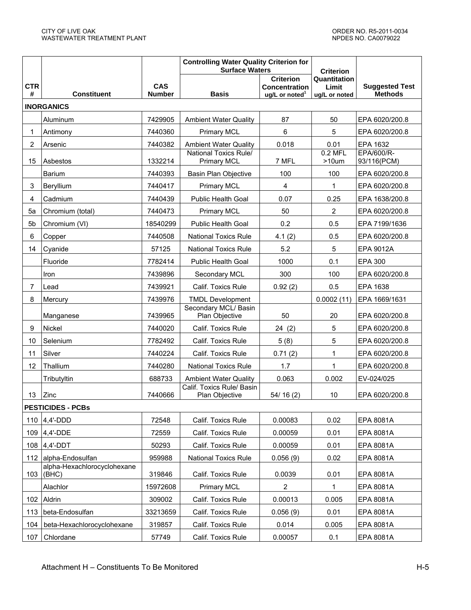|                         |                                      |               | <b>Controlling Water Quality Criterion for</b><br><b>Surface Waters</b> |                                          | <b>Criterion</b>      |                           |
|-------------------------|--------------------------------------|---------------|-------------------------------------------------------------------------|------------------------------------------|-----------------------|---------------------------|
| <b>CTR</b>              |                                      | <b>CAS</b>    |                                                                         | <b>Criterion</b><br><b>Concentration</b> | Quantitation<br>Limit | <b>Suggested Test</b>     |
| #                       | <b>Constituent</b>                   | <b>Number</b> | <b>Basis</b>                                                            | ug/L or noted <sup>1</sup>               | ug/L or noted         | <b>Methods</b>            |
|                         | <b>INORGANICS</b>                    |               |                                                                         |                                          |                       |                           |
|                         | Aluminum                             | 7429905       | <b>Ambient Water Quality</b>                                            | 87                                       | 50                    | EPA 6020/200.8            |
| 1                       | Antimony                             | 7440360       | <b>Primary MCL</b>                                                      | 6                                        | 5                     | EPA 6020/200.8            |
| $\overline{\mathbf{c}}$ | Arsenic                              | 7440382       | <b>Ambient Water Quality</b>                                            | 0.018                                    | 0.01                  | EPA 1632                  |
| 15                      | Asbestos                             | 1332214       | National Toxics Rule/<br><b>Primary MCL</b>                             | 7 MFL                                    | $0.2$ MFL<br>$>10$ um | EPA/600/R-<br>93/116(PCM) |
|                         | Barium                               | 7440393       | <b>Basin Plan Objective</b>                                             | 100                                      | 100                   | EPA 6020/200.8            |
| 3                       | Beryllium                            | 7440417       | <b>Primary MCL</b>                                                      | 4                                        | 1                     | EPA 6020/200.8            |
| 4                       | Cadmium                              | 7440439       | <b>Public Health Goal</b>                                               | 0.07                                     | 0.25                  | EPA 1638/200.8            |
| 5a                      | Chromium (total)                     | 7440473       | <b>Primary MCL</b>                                                      | 50                                       | $\overline{2}$        | EPA 6020/200.8            |
| 5b                      | Chromium (VI)                        | 18540299      | <b>Public Health Goal</b>                                               | 0.2                                      | 0.5                   | EPA 7199/1636             |
| 6                       | Copper                               | 7440508       | <b>National Toxics Rule</b>                                             | 4.1(2)                                   | 0.5                   | EPA 6020/200.8            |
| 14                      | Cyanide                              | 57125         | <b>National Toxics Rule</b>                                             | 5.2                                      | 5                     | EPA 9012A                 |
|                         | Fluoride                             | 7782414       | <b>Public Health Goal</b>                                               | 1000                                     | 0.1                   | <b>EPA 300</b>            |
|                         | Iron                                 | 7439896       | Secondary MCL                                                           | 300                                      | 100                   | EPA 6020/200.8            |
| $\overline{7}$          | Lead                                 | 7439921       | Calif. Toxics Rule                                                      | 0.92(2)                                  | 0.5                   | EPA 1638                  |
| 8                       | Mercury                              | 7439976       | <b>TMDL Development</b>                                                 |                                          | 0.0002(11)            | EPA 1669/1631             |
|                         | Manganese                            | 7439965       | Secondary MCL/ Basin<br>Plan Objective                                  | 50                                       | 20                    | EPA 6020/200.8            |
| 9                       | Nickel                               | 7440020       | Calif. Toxics Rule                                                      | 24(2)                                    | 5                     | EPA 6020/200.8            |
| 10                      | Selenium                             | 7782492       | Calif. Toxics Rule                                                      | 5(8)                                     | 5                     | EPA 6020/200.8            |
| 11                      | Silver                               | 7440224       | Calif. Toxics Rule                                                      | 0.71(2)                                  | $\mathbf 1$           | EPA 6020/200.8            |
| 12                      | Thallium                             | 7440280       | <b>National Toxics Rule</b>                                             | 1.7                                      | $\mathbf{1}$          | EPA 6020/200.8            |
|                         | Tributyltin                          | 688733        | <b>Ambient Water Quality</b>                                            | 0.063                                    | 0.002                 | EV-024/025                |
| 13                      | Zinc                                 | 7440666       | Calif. Toxics Rule/ Basin<br>Plan Objective                             | 54/16(2)                                 | 10                    | EPA 6020/200.8            |
|                         | <b>PESTICIDES - PCBs</b>             |               |                                                                         |                                          |                       |                           |
| 110                     | $4,4'$ -DDD                          | 72548         | Calif. Toxics Rule                                                      | 0.00083                                  | 0.02                  | EPA 8081A                 |
| 109                     | $4,4'$ -DDE                          | 72559         | Calif. Toxics Rule                                                      | 0.00059                                  | 0.01                  | EPA 8081A                 |
| 108                     | $4,4'$ -DDT                          | 50293         | Calif. Toxics Rule                                                      | 0.00059                                  | 0.01                  | EPA 8081A                 |
| 112                     | alpha-Endosulfan                     | 959988        | <b>National Toxics Rule</b>                                             | 0.056(9)                                 | 0.02                  | EPA 8081A                 |
| 103                     | alpha-Hexachlorocyclohexane<br>(BHC) | 319846        | Calif. Toxics Rule                                                      | 0.0039                                   | 0.01                  | EPA 8081A                 |
|                         | Alachlor                             | 15972608      | <b>Primary MCL</b>                                                      | 2                                        | 1                     | EPA 8081A                 |
| 102                     | Aldrin                               | 309002        | Calif. Toxics Rule                                                      | 0.00013                                  | 0.005                 | EPA 8081A                 |
| 113                     | beta-Endosulfan                      | 33213659      | Calif. Toxics Rule                                                      | 0.056(9)                                 | 0.01                  | EPA 8081A                 |
| 104                     | beta-Hexachlorocyclohexane           | 319857        | Calif. Toxics Rule                                                      | 0.014                                    | 0.005                 | EPA 8081A                 |
| 107                     | Chlordane                            | 57749         | Calif. Toxics Rule                                                      | 0.00057                                  | 0.1                   | EPA 8081A                 |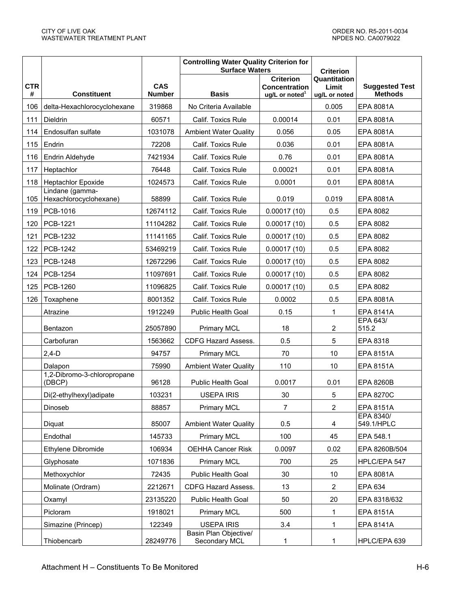|                 |                                           |                             | <b>Controlling Water Quality Criterion for</b><br><b>Surface Waters</b> |                                                                        | <b>Criterion</b>                       |                                         |
|-----------------|-------------------------------------------|-----------------------------|-------------------------------------------------------------------------|------------------------------------------------------------------------|----------------------------------------|-----------------------------------------|
| <b>CTR</b><br># | <b>Constituent</b>                        | <b>CAS</b><br><b>Number</b> | <b>Basis</b>                                                            | <b>Criterion</b><br><b>Concentration</b><br>ug/L or noted <sup>1</sup> | Quantitation<br>Limit<br>ug/L or noted | <b>Suggested Test</b><br><b>Methods</b> |
| 106             | delta-Hexachlorocyclohexane               | 319868                      | No Criteria Available                                                   |                                                                        | 0.005                                  | EPA 8081A                               |
| 111             | Dieldrin                                  | 60571                       | Calif. Toxics Rule                                                      | 0.00014                                                                | 0.01                                   | EPA 8081A                               |
| 114             | Endosulfan sulfate                        | 1031078                     | <b>Ambient Water Quality</b>                                            | 0.056                                                                  | 0.05                                   | <b>EPA 8081A</b>                        |
| 115             | Endrin                                    | 72208                       | Calif. Toxics Rule                                                      | 0.036                                                                  | 0.01                                   | EPA 8081A                               |
| 116             | Endrin Aldehyde                           | 7421934                     | Calif. Toxics Rule                                                      | 0.76                                                                   | 0.01                                   | EPA 8081A                               |
| 117             | Heptachlor                                | 76448                       | Calif. Toxics Rule                                                      | 0.00021                                                                | 0.01                                   | EPA 8081A                               |
| 118             | <b>Heptachlor Epoxide</b>                 | 1024573                     | Calif. Toxics Rule                                                      | 0.0001                                                                 | 0.01                                   | <b>EPA 8081A</b>                        |
| 105             | Lindane (gamma-<br>Hexachlorocyclohexane) | 58899                       | Calif. Toxics Rule                                                      | 0.019                                                                  | 0.019                                  | EPA 8081A                               |
| 119             | PCB-1016                                  | 12674112                    | Calif. Toxics Rule                                                      | 0.00017(10)                                                            | 0.5                                    | EPA 8082                                |
| 120             | <b>PCB-1221</b>                           | 11104282                    | Calif. Toxics Rule                                                      | 0.00017(10)                                                            | 0.5                                    | EPA 8082                                |
| 121             | PCB-1232                                  | 11141165                    | Calif. Toxics Rule                                                      | 0.00017(10)                                                            | 0.5                                    | EPA 8082                                |
| 122             | PCB-1242                                  | 53469219                    | Calif. Toxics Rule                                                      | 0.00017(10)                                                            | 0.5                                    | EPA 8082                                |
| 123             | <b>PCB-1248</b>                           | 12672296                    | Calif. Toxics Rule                                                      | 0.00017(10)                                                            | 0.5                                    | EPA 8082                                |
| 124             | PCB-1254                                  | 11097691                    | Calif. Toxics Rule                                                      | 0.00017(10)                                                            | 0.5                                    | EPA 8082                                |
| 125             | PCB-1260                                  | 11096825                    | Calif. Toxics Rule                                                      | 0.00017(10)                                                            | 0.5                                    | EPA 8082                                |
| 126             | Toxaphene                                 | 8001352                     | Calif. Toxics Rule                                                      | 0.0002                                                                 | 0.5                                    | EPA 8081A                               |
|                 | Atrazine                                  | 1912249                     | Public Health Goal                                                      | 0.15                                                                   | 1                                      | <b>EPA 8141A</b>                        |
|                 | Bentazon                                  | 25057890                    | <b>Primary MCL</b>                                                      | 18                                                                     | $\overline{c}$                         | <b>EPA 643/</b><br>515.2                |
|                 | Carbofuran                                | 1563662                     | <b>CDFG Hazard Assess.</b>                                              | 0.5                                                                    | 5                                      | EPA 8318                                |
|                 | $2,4-D$                                   | 94757                       | <b>Primary MCL</b>                                                      | 70                                                                     | 10                                     | <b>EPA 8151A</b>                        |
|                 | Dalapon                                   | 75990                       | <b>Ambient Water Quality</b>                                            | 110                                                                    | 10                                     | EPA 8151A                               |
|                 | 1,2-Dibromo-3-chloropropane<br>(DBCP)     | 96128                       | <b>Public Health Goal</b>                                               | 0.0017                                                                 | 0.01                                   | <b>EPA 8260B</b>                        |
|                 | Di(2-ethylhexyl)adipate                   | 103231                      | <b>USEPA IRIS</b>                                                       | 30                                                                     | 5                                      | <b>EPA 8270C</b>                        |
|                 | Dinoseb                                   | 88857                       | <b>Primary MCL</b>                                                      | $\overline{7}$                                                         | $\overline{2}$                         | EPA 8151A                               |
|                 | Diquat                                    | 85007                       | <b>Ambient Water Quality</b>                                            | 0.5                                                                    | 4                                      | EPA 8340/<br>549.1/HPLC                 |
|                 | Endothal                                  | 145733                      | <b>Primary MCL</b>                                                      | 100                                                                    | 45                                     | EPA 548.1                               |
|                 | Ethylene Dibromide                        | 106934                      | <b>OEHHA Cancer Risk</b>                                                | 0.0097                                                                 | 0.02                                   | EPA 8260B/504                           |
|                 | Glyphosate                                | 1071836                     | <b>Primary MCL</b>                                                      | 700                                                                    | 25                                     | HPLC/EPA 547                            |
|                 | Methoxychlor                              | 72435                       | Public Health Goal                                                      | 30                                                                     | 10                                     | EPA 8081A                               |
|                 | Molinate (Ordram)                         | 2212671                     | <b>CDFG Hazard Assess.</b>                                              | 13                                                                     | $\overline{2}$                         | EPA 634                                 |
|                 | Oxamyl                                    | 23135220                    | Public Health Goal                                                      | 50                                                                     | 20                                     | EPA 8318/632                            |
|                 | Picloram                                  | 1918021                     | <b>Primary MCL</b>                                                      | 500                                                                    | $\mathbf 1$                            | EPA 8151A                               |
|                 | Simazine (Princep)                        | 122349                      | <b>USEPA IRIS</b>                                                       | 3.4                                                                    | 1                                      | EPA 8141A                               |
|                 | Thiobencarb                               | 28249776                    | Basin Plan Objective/<br>Secondary MCL                                  | 1                                                                      | 1                                      | HPLC/EPA 639                            |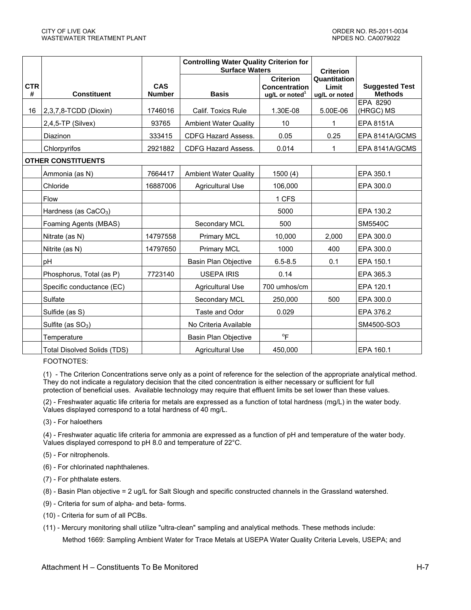|                 |                                  |                             | <b>Controlling Water Quality Criterion for</b><br><b>Surface Waters</b> |                                                                        | <b>Criterion</b>                       |                                         |
|-----------------|----------------------------------|-----------------------------|-------------------------------------------------------------------------|------------------------------------------------------------------------|----------------------------------------|-----------------------------------------|
| <b>CTR</b><br># | <b>Constituent</b>               | <b>CAS</b><br><b>Number</b> | <b>Basis</b>                                                            | <b>Criterion</b><br><b>Concentration</b><br>ug/L or noted <sup>1</sup> | Quantitation<br>Limit<br>ug/L or noted | <b>Suggested Test</b><br><b>Methods</b> |
| 16              | 2,3,7,8-TCDD (Dioxin)            | 1746016                     | Calif. Toxics Rule                                                      | 1.30E-08                                                               | 5.00E-06                               | EPA 8290<br>(HRGC) MS                   |
|                 | $2,4,5$ -TP (Silvex)             | 93765                       | <b>Ambient Water Quality</b>                                            | 10                                                                     | 1                                      | EPA 8151A                               |
|                 | <b>Diazinon</b>                  | 333415                      | <b>CDFG Hazard Assess.</b>                                              | 0.05                                                                   | 0.25                                   | EPA 8141A/GCMS                          |
|                 | Chlorpyrifos                     | 2921882                     | <b>CDFG Hazard Assess.</b>                                              | 0.014                                                                  | 1                                      | EPA 8141A/GCMS                          |
|                 | <b>OTHER CONSTITUENTS</b>        |                             |                                                                         |                                                                        |                                        |                                         |
|                 | Ammonia (as N)                   | 7664417                     | <b>Ambient Water Quality</b>                                            | 1500(4)                                                                |                                        | EPA 350.1                               |
|                 | Chloride                         | 16887006                    | <b>Agricultural Use</b>                                                 | 106,000                                                                |                                        | EPA 300.0                               |
|                 | Flow                             |                             |                                                                         | 1 CFS                                                                  |                                        |                                         |
|                 | Hardness (as CaCO <sub>3</sub> ) |                             |                                                                         | 5000                                                                   |                                        | EPA 130.2                               |
|                 | Foaming Agents (MBAS)            |                             | Secondary MCL                                                           | 500                                                                    |                                        | <b>SM5540C</b>                          |
|                 | Nitrate (as N)                   | 14797558                    | Primary MCL                                                             | 10,000                                                                 | 2.000                                  | EPA 300.0                               |
|                 | Nitrite (as N)                   | 14797650                    | <b>Primary MCL</b>                                                      | 1000                                                                   | 400                                    | EPA 300.0                               |
|                 | pH                               |                             | <b>Basin Plan Objective</b>                                             | $6.5 - 8.5$                                                            | 0.1                                    | EPA 150.1                               |
|                 | Phosphorus, Total (as P)         | 7723140                     | <b>USEPA IRIS</b>                                                       | 0.14                                                                   |                                        | EPA 365.3                               |
|                 | Specific conductance (EC)        |                             | <b>Agricultural Use</b>                                                 | 700 umhos/cm                                                           |                                        | EPA 120.1                               |
|                 | Sulfate                          |                             | Secondary MCL                                                           | 250,000                                                                | 500                                    | EPA 300.0                               |
|                 | Sulfide (as S)                   |                             | Taste and Odor                                                          | 0.029                                                                  |                                        | EPA 376.2                               |
|                 | Sulfite (as $SO3$ )              |                             | No Criteria Available                                                   |                                                                        |                                        | SM4500-SO3                              |
|                 | Temperature                      |                             | <b>Basin Plan Objective</b>                                             | $^{\circ}$ F                                                           |                                        |                                         |
|                 | Total Disolved Solids (TDS)      |                             | <b>Agricultural Use</b>                                                 | 450,000                                                                |                                        | EPA 160.1                               |

FOOTNOTES:

(1) - The Criterion Concentrations serve only as a point of reference for the selection of the appropriate analytical method. They do not indicate a regulatory decision that the cited concentration is either necessary or sufficient for full protection of beneficial uses. Available technology may require that effluent limits be set lower than these values.

(2) - Freshwater aquatic life criteria for metals are expressed as a function of total hardness (mg/L) in the water body. Values displayed correspond to a total hardness of 40 mg/L.

(3) - For haloethers

(4) - Freshwater aquatic life criteria for ammonia are expressed as a function of pH and temperature of the water body. Values displayed correspond to pH 8.0 and temperature of 22°C.

- (5) For nitrophenols.
- (6) For chlorinated naphthalenes.
- (7) For phthalate esters.
- (8) Basin Plan objective = 2 ug/L for Salt Slough and specific constructed channels in the Grassland watershed.
- (9) Criteria for sum of alpha- and beta- forms.
- (10) Criteria for sum of all PCBs.
- (11) Mercury monitoring shall utilize "ultra-clean" sampling and analytical methods. These methods include:

Method 1669: Sampling Ambient Water for Trace Metals at USEPA Water Quality Criteria Levels, USEPA; and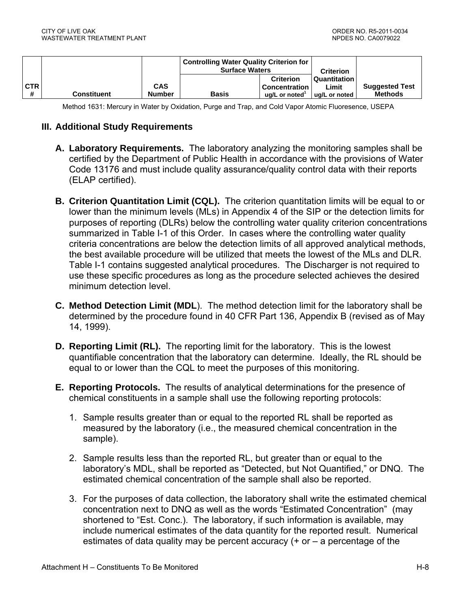|                 |                    |                             | <b>Controlling Water Quality Criterion for</b><br><b>Surface Waters</b> |                                                                        | <b>Criterion</b>                       |                                         |
|-----------------|--------------------|-----------------------------|-------------------------------------------------------------------------|------------------------------------------------------------------------|----------------------------------------|-----------------------------------------|
| <b>CTR</b><br># | <b>Constituent</b> | <b>CAS</b><br><b>Number</b> | <b>Basis</b>                                                            | <b>Criterion</b><br><b>Concentration</b><br>ua/L or noted <sup>1</sup> | Quantitation<br>Limit<br>ua/L or noted | <b>Suggested Test</b><br><b>Methods</b> |

Method 1631: Mercury in Water by Oxidation, Purge and Trap, and Cold Vapor Atomic Fluoresence, USEPA

# **III. Additional Study Requirements**

- **A. Laboratory Requirements.** The laboratory analyzing the monitoring samples shall be certified by the Department of Public Health in accordance with the provisions of Water Code 13176 and must include quality assurance/quality control data with their reports (ELAP certified).
- **B. Criterion Quantitation Limit (CQL).** The criterion quantitation limits will be equal to or lower than the minimum levels (MLs) in Appendix 4 of the SIP or the detection limits for purposes of reporting (DLRs) below the controlling water quality criterion concentrations summarized in Table I-1 of this Order. In cases where the controlling water quality criteria concentrations are below the detection limits of all approved analytical methods, the best available procedure will be utilized that meets the lowest of the MLs and DLR. Table I-1 contains suggested analytical procedures. The Discharger is not required to use these specific procedures as long as the procedure selected achieves the desired minimum detection level.
- **C. Method Detection Limit (MDL**). The method detection limit for the laboratory shall be determined by the procedure found in 40 CFR Part 136, Appendix B (revised as of May 14, 1999).
- **D. Reporting Limit (RL).** The reporting limit for the laboratory. This is the lowest quantifiable concentration that the laboratory can determine. Ideally, the RL should be equal to or lower than the CQL to meet the purposes of this monitoring.
- **E. Reporting Protocols.** The results of analytical determinations for the presence of chemical constituents in a sample shall use the following reporting protocols:
	- 1. Sample results greater than or equal to the reported RL shall be reported as measured by the laboratory (i.e., the measured chemical concentration in the sample).
	- 2. Sample results less than the reported RL, but greater than or equal to the laboratory's MDL, shall be reported as "Detected, but Not Quantified," or DNQ. The estimated chemical concentration of the sample shall also be reported.
	- 3. For the purposes of data collection, the laboratory shall write the estimated chemical concentration next to DNQ as well as the words "Estimated Concentration" (may shortened to "Est. Conc.). The laboratory, if such information is available, may include numerical estimates of the data quantity for the reported result. Numerical estimates of data quality may be percent accuracy (+ or – a percentage of the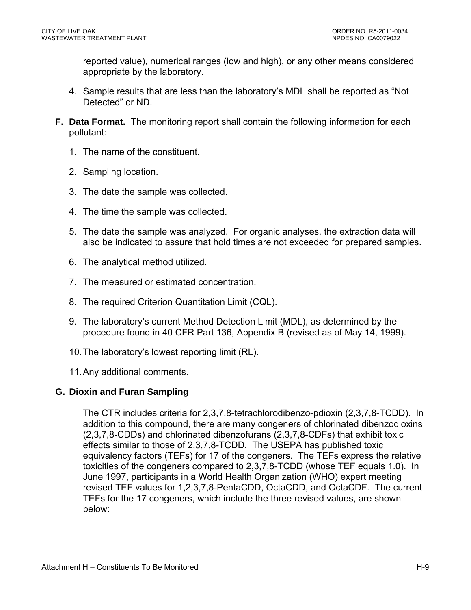reported value), numerical ranges (low and high), or any other means considered appropriate by the laboratory.

- 4. Sample results that are less than the laboratory's MDL shall be reported as "Not Detected" or ND.
- **F. Data Format.** The monitoring report shall contain the following information for each pollutant:
	- 1. The name of the constituent.
	- 2. Sampling location.
	- 3. The date the sample was collected.
	- 4. The time the sample was collected.
	- 5. The date the sample was analyzed. For organic analyses, the extraction data will also be indicated to assure that hold times are not exceeded for prepared samples.
	- 6. The analytical method utilized.
	- 7. The measured or estimated concentration.
	- 8. The required Criterion Quantitation Limit (CQL).
	- 9. The laboratory's current Method Detection Limit (MDL), as determined by the procedure found in 40 CFR Part 136, Appendix B (revised as of May 14, 1999).
	- 10. The laboratory's lowest reporting limit (RL).
	- 11. Any additional comments.

### **G. Dioxin and Furan Sampling**

 The CTR includes criteria for 2,3,7,8-tetrachlorodibenzo-pdioxin (2,3,7,8-TCDD). In addition to this compound, there are many congeners of chlorinated dibenzodioxins (2,3,7,8-CDDs) and chlorinated dibenzofurans (2,3,7,8-CDFs) that exhibit toxic effects similar to those of 2,3,7,8-TCDD. The USEPA has published toxic equivalency factors (TEFs) for 17 of the congeners. The TEFs express the relative toxicities of the congeners compared to 2,3,7,8-TCDD (whose TEF equals 1.0). In June 1997, participants in a World Health Organization (WHO) expert meeting revised TEF values for 1,2,3,7,8-PentaCDD, OctaCDD, and OctaCDF. The current TEFs for the 17 congeners, which include the three revised values, are shown below: